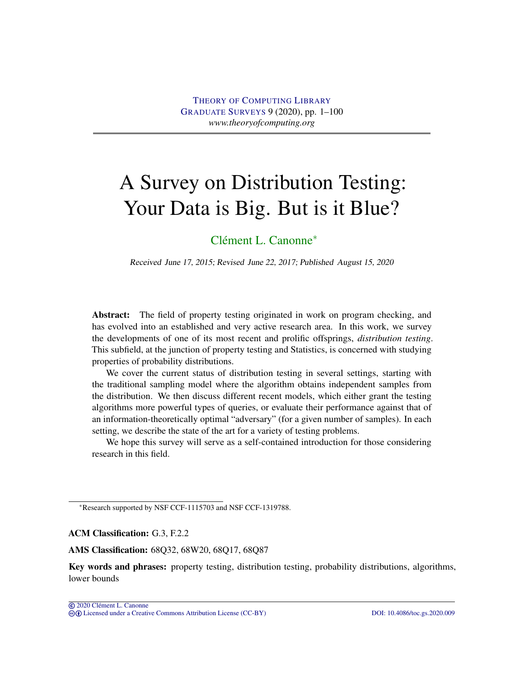# <span id="page-0-0"></span>A Survey on Distribution Testing: Your Data is Big. But is it Blue?

# [Clément L. Canonne](#page-99-0)<sup>∗</sup>

Received June 17, 2015; Revised June 22, 2017; Published August 15, 2020

Abstract: The field of property testing originated in work on program checking, and has evolved into an established and very active research area. In this work, we survey the developments of one of its most recent and prolific offsprings, *distribution testing*. This subfield, at the junction of property testing and Statistics, is concerned with studying properties of probability distributions.

We cover the current status of distribution testing in several settings, starting with the traditional sampling model where the algorithm obtains independent samples from the distribution. We then discuss different recent models, which either grant the testing algorithms more powerful types of queries, or evaluate their performance against that of an information-theoretically optimal "adversary" (for a given number of samples). In each setting, we describe the state of the art for a variety of testing problems.

We hope this survey will serve as a self-contained introduction for those considering research in this field.

<sup>∗</sup>Research supported by NSF CCF-1115703 and NSF CCF-1319788.

ACM Classification: G.3, F.2.2

AMS Classification: 68Q32, 68W20, 68Q17, 68Q87

Key words and phrases: property testing, distribution testing, probability distributions, algorithms, lower bounds

 $\overline{Q}$  2020 Clément L. Canonne cb [Licensed under a Creative Commons Attribution License \(CC-BY\)](http://creativecommons.org/licenses/by/3.0/) [DOI: 10.4086/toc.gs.2020.009](http://dx.doi.org/10.4086/toc.gs.2020.009)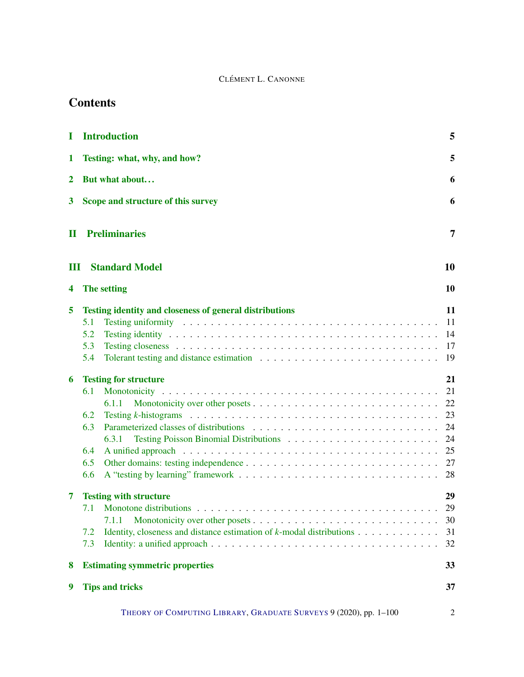# **Contents**

| I            | <b>Introduction</b>                                                                                                                                                                                                                                                                                                                                                                                                                                                                                                                              | 5                                                                                |
|--------------|--------------------------------------------------------------------------------------------------------------------------------------------------------------------------------------------------------------------------------------------------------------------------------------------------------------------------------------------------------------------------------------------------------------------------------------------------------------------------------------------------------------------------------------------------|----------------------------------------------------------------------------------|
| 1            | Testing: what, why, and how?                                                                                                                                                                                                                                                                                                                                                                                                                                                                                                                     | 5                                                                                |
| $\mathbf 2$  | But what about                                                                                                                                                                                                                                                                                                                                                                                                                                                                                                                                   | 6                                                                                |
| 3            | Scope and structure of this survey                                                                                                                                                                                                                                                                                                                                                                                                                                                                                                               | 6                                                                                |
| $\mathbf{I}$ | <b>Preliminaries</b>                                                                                                                                                                                                                                                                                                                                                                                                                                                                                                                             | 7                                                                                |
| Ш            | <b>Standard Model</b>                                                                                                                                                                                                                                                                                                                                                                                                                                                                                                                            | <b>10</b>                                                                        |
| 4            | The setting                                                                                                                                                                                                                                                                                                                                                                                                                                                                                                                                      | 10                                                                               |
| 5<br>6       | <b>Testing identity and closeness of general distributions</b><br>Testing uniformity respectively in the contract of the contract of the contract of the contract of the contract of the contract of the contract of the contract of the contract of the contract of the contract of the contrac<br>5.1<br>5.2<br>5.3<br>5.4<br><b>Testing for structure</b><br>6.1<br>6.1.1<br>Testing $k$ -histograms $\ldots \ldots \ldots \ldots \ldots \ldots \ldots \ldots \ldots \ldots \ldots \ldots \ldots$<br>6.2<br>6.3<br>6.3.1<br>6.4<br>6.5<br>6.6 | 11<br>11<br>14<br>17<br>19<br>21<br>21<br>22<br>23<br>24<br>24<br>25<br>27<br>28 |
| 7<br>8       | <b>Testing with structure</b><br>7.1 Monotone distributions<br>7.1.1<br>Identity, closeness and distance estimation of $k$ -modal distributions<br>7.2<br>7.3<br><b>Estimating symmetric properties</b>                                                                                                                                                                                                                                                                                                                                          | 29<br>29<br>30<br>31<br>32<br>33                                                 |
| 9            | <b>Tips and tricks</b>                                                                                                                                                                                                                                                                                                                                                                                                                                                                                                                           | 37                                                                               |
|              | THEORY OF COMPUTING LIBRARY, GRADUATE SURVEYS 9 (2020), pp. 1-100                                                                                                                                                                                                                                                                                                                                                                                                                                                                                | 2                                                                                |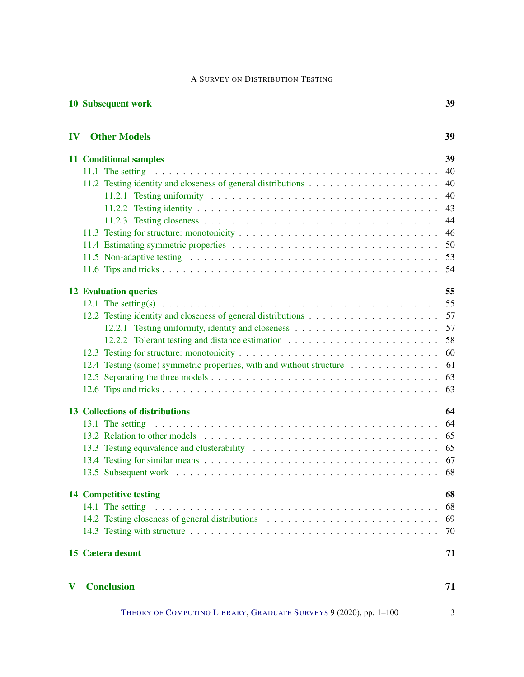[10 Subsequent work](#page-38-0) 39

| IV           | <b>Other Models</b>                                                                                                                                                                                                            | 39 |
|--------------|--------------------------------------------------------------------------------------------------------------------------------------------------------------------------------------------------------------------------------|----|
|              | <b>11 Conditional samples</b>                                                                                                                                                                                                  | 39 |
|              |                                                                                                                                                                                                                                | 40 |
|              |                                                                                                                                                                                                                                | 40 |
|              | 11.2.1 Testing uniformity $\ldots \ldots \ldots \ldots \ldots \ldots \ldots \ldots \ldots \ldots \ldots \ldots$                                                                                                                | 40 |
|              |                                                                                                                                                                                                                                | 43 |
|              |                                                                                                                                                                                                                                | 44 |
|              |                                                                                                                                                                                                                                | 46 |
|              |                                                                                                                                                                                                                                | 50 |
|              |                                                                                                                                                                                                                                | 53 |
|              |                                                                                                                                                                                                                                | 54 |
|              | <b>12 Evaluation queries</b>                                                                                                                                                                                                   | 55 |
|              |                                                                                                                                                                                                                                | 55 |
|              |                                                                                                                                                                                                                                | 57 |
|              |                                                                                                                                                                                                                                | 57 |
|              |                                                                                                                                                                                                                                | 58 |
|              |                                                                                                                                                                                                                                | 60 |
|              | 12.4 Testing (some) symmetric properties, with and without structure                                                                                                                                                           | 61 |
|              |                                                                                                                                                                                                                                | 63 |
|              |                                                                                                                                                                                                                                | 63 |
|              | <b>13 Collections of distributions</b>                                                                                                                                                                                         | 64 |
|              |                                                                                                                                                                                                                                | 64 |
|              |                                                                                                                                                                                                                                | 65 |
|              |                                                                                                                                                                                                                                | 65 |
|              |                                                                                                                                                                                                                                | 67 |
|              |                                                                                                                                                                                                                                | 68 |
|              | <b>14 Competitive testing</b>                                                                                                                                                                                                  | 68 |
|              | 14.1 The setting entirely example in the setting entries in the setting entries in the setting entries in the set of the set of the set of the set of the set of the set of the set of the set of the set of the set of the se | 68 |
|              |                                                                                                                                                                                                                                | 69 |
|              |                                                                                                                                                                                                                                | 70 |
|              | 15 Cætera desunt                                                                                                                                                                                                               | 71 |
| $\mathbf{V}$ | <b>Conclusion</b>                                                                                                                                                                                                              | 71 |

THEORY OF C[OMPUTING](http://dx.doi.org/10.4086/toc) LIBRARY, G[RADUATE](http://dx.doi.org/10.4086/toc.gs) SURVEYS 9 (2020), pp. 1–100 3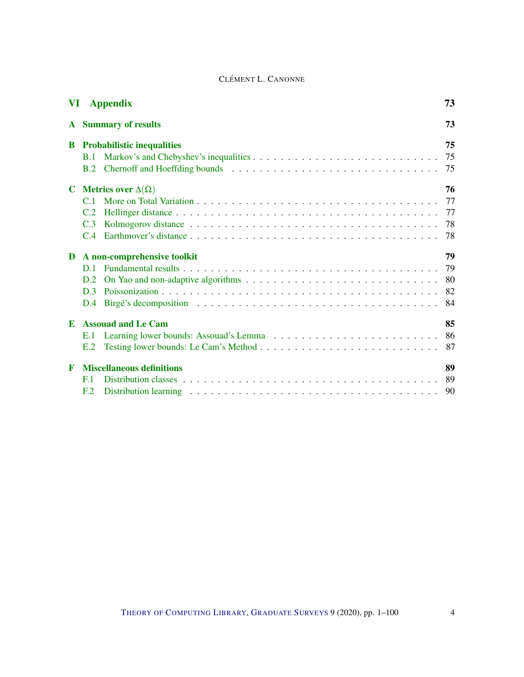|             | <b>VI</b> Appendix                   | 73  |
|-------------|--------------------------------------|-----|
| ${\bf A}$   | <b>Summary of results</b>            | 73  |
| B           | <b>Probabilistic inequalities</b>    | 75  |
|             | <b>B.1</b>                           | 75  |
|             | B.2                                  | 75  |
| C           | <b>Metrics over</b> $\Delta(\Omega)$ | 76  |
|             | C <sub>1</sub>                       | 77  |
|             | C.2                                  |     |
|             | C.3                                  | 78  |
|             |                                      | 78  |
| D           | A non-comprehensive toolkit          | 79  |
|             | D.1                                  | 79  |
|             | D.2                                  | -80 |
|             | D <sub>3</sub>                       | -82 |
|             | D.4                                  |     |
| E           | <b>Assouad and Le Cam</b>            | 85  |
|             | E.1                                  | 86  |
|             | E.2                                  | 87  |
|             |                                      |     |
| $\mathbf F$ | <b>Miscellaneous definitions</b>     | 89  |
|             | F <sub>1</sub>                       | -89 |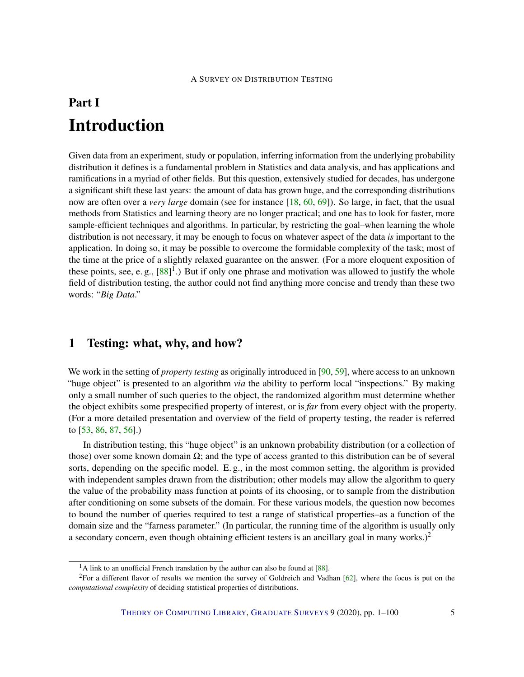# <span id="page-4-0"></span>Part I Introduction

Given data from an experiment, study or population, inferring information from the underlying probability distribution it defines is a fundamental problem in Statistics and data analysis, and has applications and ramifications in a myriad of other fields. But this question, extensively studied for decades, has undergone a significant shift these last years: the amount of data has grown huge, and the corresponding distributions now are often over a *very large* domain (see for instance [\[18,](#page-91-0) [60,](#page-95-0) [69\]](#page-96-0)). So large, in fact, that the usual methods from Statistics and learning theory are no longer practical; and one has to look for faster, more sample-efficient techniques and algorithms. In particular, by restricting the goal–when learning the whole distribution is not necessary, it may be enough to focus on whatever aspect of the data *is* important to the application. In doing so, it may be possible to overcome the formidable complexity of the task; most of the time at the price of a slightly relaxed guarantee on the answer. (For a more eloquent exposition of these points, see, e.g.,  $[88]$ <sup>1</sup>.) But if only one phrase and motivation was allowed to justify the whole field of distribution testing, the author could not find anything more concise and trendy than these two words: "*Big Data*."

# <span id="page-4-1"></span>1 Testing: what, why, and how?

We work in the setting of *property testing* as originally introduced in [\[90,](#page-97-1) [59\]](#page-95-1), where access to an unknown "huge object" is presented to an algorithm *via* the ability to perform local "inspections." By making only a small number of such queries to the object, the randomized algorithm must determine whether the object exhibits some prespecified property of interest, or is *far* from every object with the property. (For a more detailed presentation and overview of the field of property testing, the reader is referred to [\[53,](#page-94-0) [86,](#page-97-2) [87,](#page-97-3) [56\]](#page-95-2).)

In distribution testing, this "huge object" is an unknown probability distribution (or a collection of those) over some known domain  $\Omega$ ; and the type of access granted to this distribution can be of several sorts, depending on the specific model. E. g., in the most common setting, the algorithm is provided with independent samples drawn from the distribution; other models may allow the algorithm to query the value of the probability mass function at points of its choosing, or to sample from the distribution after conditioning on some subsets of the domain. For these various models, the question now becomes to bound the number of queries required to test a range of statistical properties–as a function of the domain size and the "farness parameter." (In particular, the running time of the algorithm is usually only a secondary concern, even though obtaining efficient testers is an ancillary goal in many works.)<sup>2</sup>

 $<sup>1</sup>A$  link to an unofficial French translation by the author can also be found at [\[88\]](#page-97-0).</sup>

<sup>&</sup>lt;sup>2</sup>For a different flavor of results we mention the survey of Goldreich and Vadhan  $[62]$ , where the focus is put on the *computational complexity* of deciding statistical properties of distributions.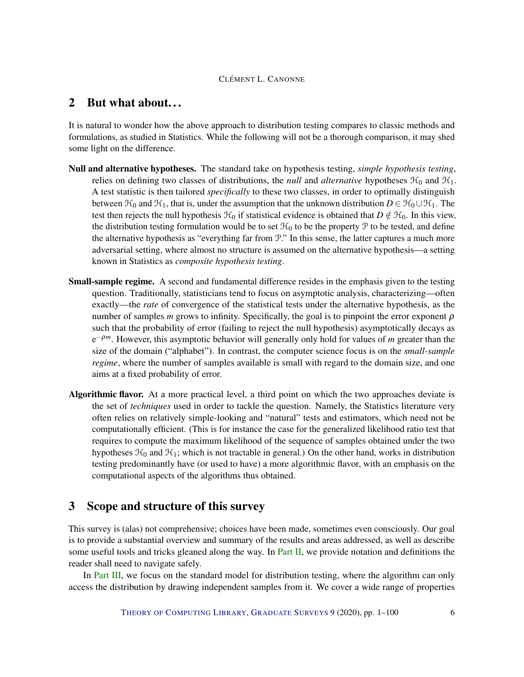# <span id="page-5-0"></span>2 But what about. . .

It is natural to wonder how the above approach to distribution testing compares to classic methods and formulations, as studied in Statistics. While the following will not be a thorough comparison, it may shed some light on the difference.

- Null and alternative hypotheses. The standard take on hypothesis testing, *simple hypothesis testing*, relies on defining two classes of distributions, the *null* and *alternative* hypotheses  $\mathcal{H}_0$  and  $\mathcal{H}_1$ . A test statistic is then tailored *specifically* to these two classes, in order to optimally distinguish between  $\mathcal{H}_0$  and  $\mathcal{H}_1$ , that is, under the assumption that the unknown distribution  $D \in \mathcal{H}_0 \cup \mathcal{H}_1$ . The test then rejects the null hypothesis  $\mathcal{H}_0$  if statistical evidence is obtained that  $D \notin \mathcal{H}_0$ . In this view, the distribution testing formulation would be to set  $\mathcal{H}_0$  to be the property P to be tested, and define the alternative hypothesis as "everything far from P." In this sense, the latter captures a much more adversarial setting, where almost no structure is assumed on the alternative hypothesis—a setting known in Statistics as *composite hypothesis testing*.
- Small-sample regime. A second and fundamental difference resides in the emphasis given to the testing question. Traditionally, statisticians tend to focus on asymptotic analysis, characterizing—often exactly—the *rate* of convergence of the statistical tests under the alternative hypothesis, as the number of samples *m* grows to infinity. Specifically, the goal is to pinpoint the error exponent  $\rho$ such that the probability of error (failing to reject the null hypothesis) asymptotically decays as e <sup>−</sup>ρ*m*. However, this asymptotic behavior will generally only hold for values of *m* greater than the size of the domain ("alphabet"). In contrast, the computer science focus is on the *small-sample regime*, where the number of samples available is small with regard to the domain size, and one aims at a fixed probability of error.
- Algorithmic flavor. At a more practical level, a third point on which the two approaches deviate is the set of *techniques* used in order to tackle the question. Namely, the Statistics literature very often relies on relatively simple-looking and "natural" tests and estimators, which need not be computationally efficient. (This is for instance the case for the generalized likelihood ratio test that requires to compute the maximum likelihood of the sequence of samples obtained under the two hypotheses  $\mathcal{H}_0$  and  $\mathcal{H}_1$ ; which is not tractable in general.) On the other hand, works in distribution testing predominantly have (or used to have) a more algorithmic flavor, with an emphasis on the computational aspects of the algorithms thus obtained.

# <span id="page-5-1"></span>3 Scope and structure of this survey

This survey is (alas) not comprehensive; choices have been made, sometimes even consciously. Our goal is to provide a substantial overview and summary of the results and areas addressed, as well as describe some useful tools and tricks gleaned along the way. In [Part](#page-6-0) [II,](#page-6-0) we provide notation and definitions the reader shall need to navigate safely.

In [Part](#page-9-0) [III,](#page-9-0) we focus on the standard model for distribution testing, where the algorithm can only access the distribution by drawing independent samples from it. We cover a wide range of properties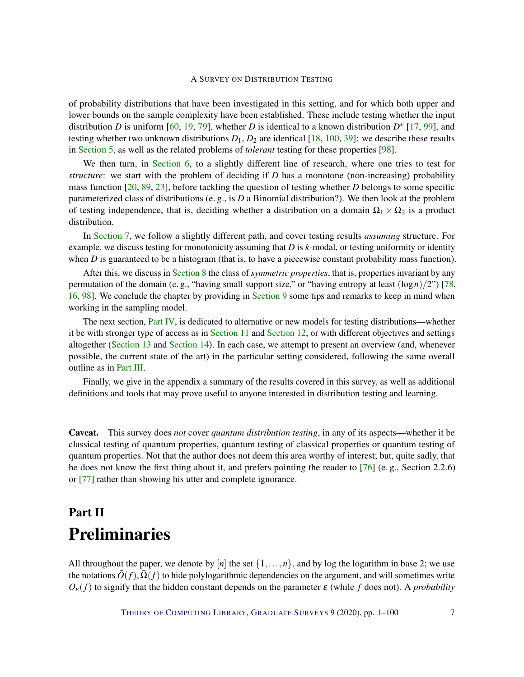of probability distributions that have been investigated in this setting, and for which both upper and lower bounds on the sample complexity have been established. These include testing whether the input distribution *D* is uniform [\[60,](#page-95-0) [19,](#page-91-1) [79\]](#page-96-1), whether *D* is identical to a known distribution  $D^*$  [\[17,](#page-91-2) [99\]](#page-98-0), and testing whether two unknown distributions  $D_1$ ,  $D_2$  are identical [\[18,](#page-91-0) [100,](#page-98-1) [39\]](#page-93-0): we describe these results in [Section](#page-10-0) [5,](#page-10-0) as well as the related problems of *tolerant* testing for these properties [\[98\]](#page-98-2).

We then turn, in [Section](#page-20-0) [6,](#page-20-0) to a slightly different line of research, where one tries to test for *structure*: we start with the problem of deciding if *D* has a monotone (non-increasing) probability mass function [\[20,](#page-92-0) [89,](#page-97-4) [23\]](#page-92-1), before tackling the question of testing whether *D* belongs to some specific parameterized class of distributions (e. g., is *D* a Binomial distribution?). We then look at the problem of testing independence, that is, deciding whether a distribution on a domain  $\Omega_1 \times \Omega_2$  is a product distribution.

In [Section](#page-28-0) [7,](#page-28-0) we follow a slightly different path, and cover testing results *assuming* structure. For example, we discuss testing for monotonicity assuming that *D* is *k*-modal, or testing uniformity or identity when *D* is guaranteed to be a histogram (that is, to have a piecewise constant probability mass function).

After this, we discuss in [Section](#page-32-0) [8](#page-32-0) the class of *symmetric properties*, that is, properties invariant by any permutation of the domain (e. g., "having small support size," or "having entropy at least  $(\log n)/2$ ") [\[78,](#page-96-2) [16,](#page-91-3) [98\]](#page-98-2). We conclude the chapter by providing in [Section](#page-36-0) [9](#page-36-0) some tips and remarks to keep in mind when working in the sampling model.

The next section, [Part](#page-38-1) [IV,](#page-38-1) is dedicated to alternative or new models for testing distributions—whether it be with stronger type of access as in [Section](#page-38-2) [11](#page-38-2) and [Section](#page-54-0) [12,](#page-54-0) or with different objectives and settings altogether [\(Section](#page-63-0) [13](#page-63-0) and [Section](#page-67-1) [14\)](#page-67-1). In each case, we attempt to present an overview (and, whenever possible, the current state of the art) in the particular setting considered, following the same overall outline as in [Part](#page-9-0) [III.](#page-9-0)

Finally, we give in the appendix a summary of the results covered in this survey, as well as additional definitions and tools that may prove useful to anyone interested in distribution testing and learning.

Caveat. This survey does *not* cover *quantum distribution testing*, in any of its aspects—whether it be classical testing of quantum properties, quantum testing of classical properties or quantum testing of quantum properties. Not that the author does not deem this area worthy of interest; but, quite sadly, that he does not know the first thing about it, and prefers pointing the reader to [\[76\]](#page-96-3) (e. g., Section 2.2.6) or [\[77\]](#page-96-4) rather than showing his utter and complete ignorance.

# <span id="page-6-0"></span>Part II Preliminaries

All throughout the paper, we denote by  $[n]$  the set  $\{1,\ldots,n\}$ , and by log the logarithm in base 2; we use the notations  $\tilde{O}(f)$ ,  $\Omega(f)$  to hide polylogarithmic dependencies on the argument, and will sometimes write  $O_{\varepsilon}(f)$  to signify that the hidden constant depends on the parameter  $\varepsilon$  (while f does not). A *probability*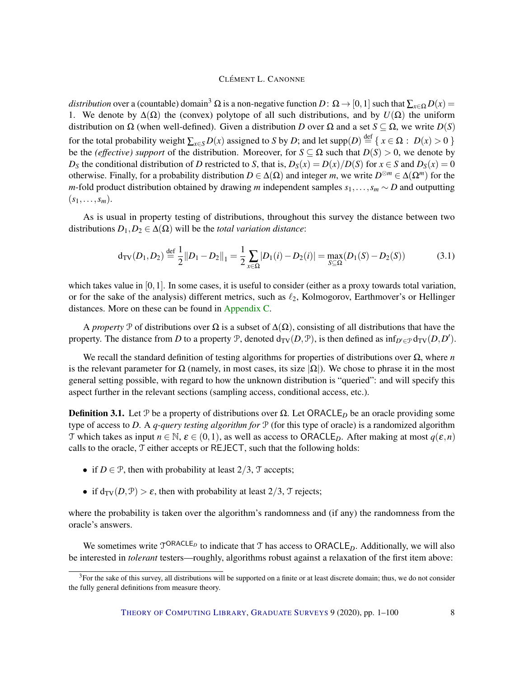*distribution* over a (countable) domain<sup>3</sup>  $\Omega$  is a non-negative function  $D: \Omega \to [0,1]$  such that  $\sum_{x \in \Omega} D(x) =$ 1. We denote by  $\Delta(\Omega)$  the (convex) polytope of all such distributions, and by  $U(\Omega)$  the uniform distribution on  $\Omega$  (when well-defined). Given a distribution *D* over  $\Omega$  and a set *S*  $\subseteq$   $\Omega$ , we write *D*(*S*) for the total probability weight  $\sum_{x \in S} D(x)$  assigned to *S* by *D*; and let supp $(D) \stackrel{\text{def}}{=} \{ x \in \Omega : D(x) > 0 \}$ be the *(effective) support* of the distribution. Moreover, for  $S \subseteq \Omega$  such that  $D(S) > 0$ , we denote by *D*<sub>S</sub> the conditional distribution of *D* restricted to *S*, that is,  $D_S(x) = D(x)/D(S)$  for  $x \in S$  and  $D_S(x) = 0$ otherwise. Finally, for a probability distribution  $D \in \Delta(\Omega)$  and integer *m*, we write  $D^{\otimes m} \in \Delta(\Omega^m)$  for the *m*-fold product distribution obtained by drawing *m* independent samples *s*<sub>1</sub>,...,*s*<sub>*m*</sub> ∼ *D* and outputting  $(s_1,\ldots,s_m).$ 

As is usual in property testing of distributions, throughout this survey the distance between two distributions  $D_1, D_2 \in \Delta(\Omega)$  will be the *total variation distance*:

$$
d_{TV}(D_1, D_2) \stackrel{\text{def}}{=} \frac{1}{2} ||D_1 - D_2||_1 = \frac{1}{2} \sum_{x \in \Omega} |D_1(i) - D_2(i)| = \max_{S \subseteq \Omega} (D_1(S) - D_2(S)) \tag{3.1}
$$

which takes value in  $[0,1]$ . In some cases, it is useful to consider (either as a proxy towards total variation, or for the sake of the analysis) different metrics, such as  $\ell_2$ , Kolmogorov, Earthmover's or Hellinger distances. More on these can be found in [Appendix](#page-75-0) [C.](#page-75-0)

A *property* P of distributions over  $\Omega$  is a subset of  $\Delta(\Omega)$ , consisting of all distributions that have the property. The distance from *D* to a property  $\mathcal{P}$ , denoted  $d_{TV}(D, \mathcal{P})$ , is then defined as  $\inf_{D' \in \mathcal{P}} d_{TV}(D, D')$ .

We recall the standard definition of testing algorithms for properties of distributions over Ω, where *n* is the relevant parameter for  $\Omega$  (namely, in most cases, its size  $|\Omega|$ ). We chose to phrase it in the most general setting possible, with regard to how the unknown distribution is "queried": and will specify this aspect further in the relevant sections (sampling access, conditional access, etc.).

<span id="page-7-0"></span>**Definition 3.1.** Let P be a property of distributions over  $\Omega$ . Let ORACLE<sub>D</sub> be an oracle providing some type of access to *D*. A *q-query testing algorithm for* P (for this type of oracle) is a randomized algorithm T which takes as input  $n \in \mathbb{N}$ ,  $\varepsilon \in (0,1)$ , as well as access to ORACLE<sub>D</sub>. After making at most  $q(\varepsilon,n)$ calls to the oracle, T either accepts or REJECT, such that the following holds:

- if  $D \in \mathcal{P}$ , then with probability at least  $2/3$ ,  $\mathcal{T}$  accepts;
- if  $d_{TV}(D, P) > \varepsilon$ , then with probability at least 2/3, T rejects;

where the probability is taken over the algorithm's randomness and (if any) the randomness from the oracle's answers.

We sometimes write  $T^{ORACLE}$  to indicate that T has access to ORACLE<sub>D</sub>. Additionally, we will also be interested in *tolerant* testers—roughly, algorithms robust against a relaxation of the first item above:

 $3$ For the sake of this survey, all distributions will be supported on a finite or at least discrete domain; thus, we do not consider the fully general definitions from measure theory.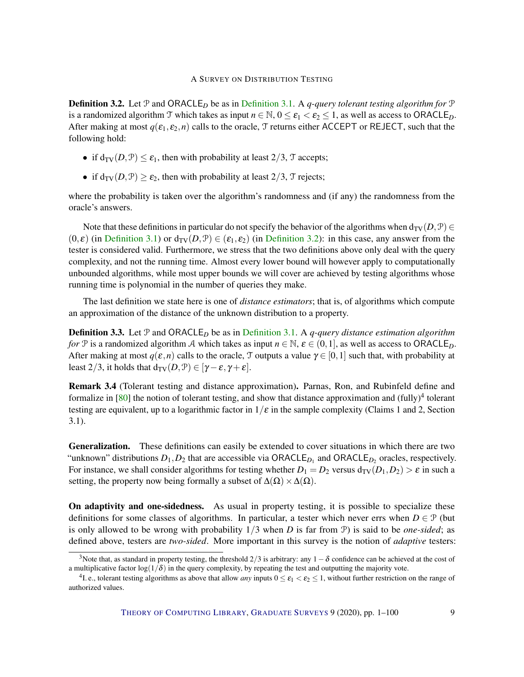<span id="page-8-0"></span>**[Definition](#page-7-0) 3.2.** Let  $\mathcal{P}$  and ORACLE<sub>D</sub> be as in Definition [3.1.](#page-7-0) A *q-query tolerant testing algorithm for*  $\mathcal{P}$ is a randomized algorithm T which takes as input  $n \in \mathbb{N}$ ,  $0 \le \varepsilon_1 < \varepsilon_2 \le 1$ , as well as access to ORACLE<sub>D</sub>. After making at most  $q(\varepsilon_1, \varepsilon_2, n)$  calls to the oracle, T returns either ACCEPT or REJECT, such that the following hold:

- if  $d_{TV}(D, \mathcal{P}) \leq \varepsilon_1$ , then with probability at least 2/3, T accepts;
- if  $d_{TV}(D, \mathcal{P}) \geq \varepsilon_2$ , then with probability at least  $2/3$ ,  $\mathcal{T}$  rejects;

where the probability is taken over the algorithm's randomness and (if any) the randomness from the oracle's answers.

Note that these definitions in particular do not specify the behavior of the algorithms when  $d_{TV}(D, \mathcal{P}) \in$  $(0, \varepsilon)$  (in [Definition](#page-8-0) [3.1\)](#page-7-0) or  $d_{TV}(D, \mathcal{P}) \in (\varepsilon_1, \varepsilon_2)$  (in Definition [3.2\)](#page-8-0): in this case, any answer from the tester is considered valid. Furthermore, we stress that the two definitions above only deal with the query complexity, and not the running time. Almost every lower bound will however apply to computationally unbounded algorithms, while most upper bounds we will cover are achieved by testing algorithms whose running time is polynomial in the number of queries they make.

The last definition we state here is one of *distance estimators*; that is, of algorithms which compute an approximation of the distance of the unknown distribution to a property.

Definition 3.3. Let P and ORACLE*<sup>D</sup>* be as in [Definition](#page-7-0) [3.1.](#page-7-0) A *q-query distance estimation algorithm for* P is a randomized algorithm A which takes as input  $n \in \mathbb{N}$ ,  $\varepsilon \in (0,1]$ , as well as access to ORACLE<sub>D</sub>. After making at most  $q(\varepsilon,n)$  calls to the oracle, T outputs a value  $\gamma \in [0,1]$  such that, with probability at least 2/3, it holds that  $d_{\text{TV}}(D, \mathcal{P}) \in [\gamma - \varepsilon, \gamma + \varepsilon]$ .

Remark 3.4 (Tolerant testing and distance approximation). Parnas, Ron, and Rubinfeld define and formalize in [\[80\]](#page-97-5) the notion of tolerant testing, and show that distance approximation and (fully)<sup>4</sup> tolerant testing are equivalent, up to a logarithmic factor in  $1/\varepsilon$  in the sample complexity (Claims 1 and 2, Section 3.1).

Generalization. These definitions can easily be extended to cover situations in which there are two "unknown" distributions  $D_1, D_2$  that are accessible via  $ORACLE_{D_1}$  and  $ORACLE_{D_2}$  oracles, respectively. For instance, we shall consider algorithms for testing whether  $D_1 = D_2$  versus  $d_{TV}(D_1, D_2) > \varepsilon$  in such a setting, the property now being formally a subset of  $\Delta(\Omega) \times \Delta(\Omega)$ .

On adaptivity and one-sidedness. As usual in property testing, it is possible to specialize these definitions for some classes of algorithms. In particular, a tester which never errs when  $D \in \mathcal{P}$  (but is only allowed to be wrong with probability 1/3 when *D* is far from P) is said to be *one-sided*; as defined above, testers are *two-sided*. More important in this survey is the notion of *adaptive* testers:

<sup>&</sup>lt;sup>3</sup>Note that, as standard in property testing, the threshold 2/3 is arbitrary: any  $1-\delta$  confidence can be achieved at the cost of a multiplicative factor  $\log(1/\delta)$  in the query complexity, by repeating the test and outputting the majority vote.

<sup>&</sup>lt;sup>4</sup>I. e., tolerant testing algorithms as above that allow *any* inputs  $0 \le \varepsilon_1 < \varepsilon_2 \le 1$ , without further restriction on the range of authorized values.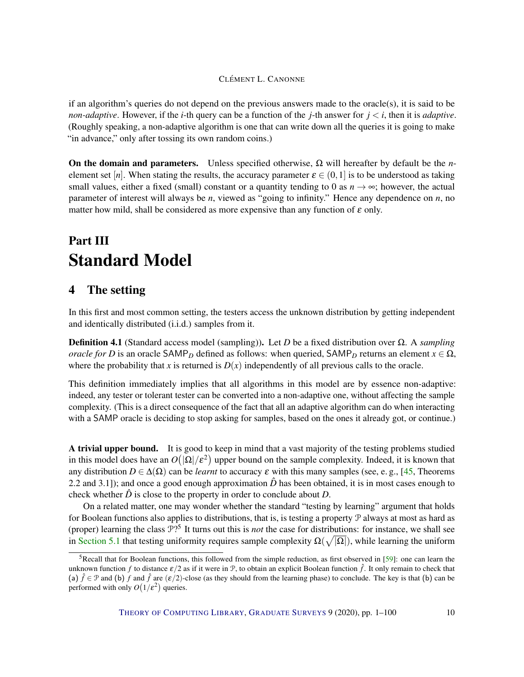if an algorithm's queries do not depend on the previous answers made to the oracle(s), it is said to be *non-adaptive.* However, if the *i*-th query can be a function of the *j*-th answer for  $j < i$ , then it is *adaptive*. (Roughly speaking, a non-adaptive algorithm is one that can write down all the queries it is going to make "in advance," only after tossing its own random coins.)

On the domain and parameters. Unless specified otherwise, Ω will hereafter by default be the *n*element set [*n*]. When stating the results, the accuracy parameter  $\varepsilon \in (0,1]$  is to be understood as taking small values, either a fixed (small) constant or a quantity tending to 0 as  $n \to \infty$ ; however, the actual parameter of interest will always be *n*, viewed as "going to infinity." Hence any dependence on *n*, no matter how mild, shall be considered as more expensive than any function of  $\varepsilon$  only.

# <span id="page-9-0"></span>Part III Standard Model

# <span id="page-9-1"></span>4 The setting

In this first and most common setting, the testers access the unknown distribution by getting independent and identically distributed (i.i.d.) samples from it.

Definition 4.1 (Standard access model (sampling)). Let *D* be a fixed distribution over Ω. A *sampling oracle for D* is an oracle SAMP<sub>*D*</sub> defined as follows: when queried, SAMP<sub>*D*</sub> returns an element  $x \in \Omega$ , where the probability that *x* is returned is  $D(x)$  independently of all previous calls to the oracle.

This definition immediately implies that all algorithms in this model are by essence non-adaptive: indeed, any tester or tolerant tester can be converted into a non-adaptive one, without affecting the sample complexity. (This is a direct consequence of the fact that all an adaptive algorithm can do when interacting with a SAMP oracle is deciding to stop asking for samples, based on the ones it already got, or continue.)

A trivial upper bound. It is good to keep in mind that a vast majority of the testing problems studied in this model does have an  $O(|\Omega|/\varepsilon^2)$  upper bound on the sample complexity. Indeed, it is known that any distribution  $D \in \Delta(\Omega)$  can be *learnt* to accuracy  $\varepsilon$  with this many samples (see, e.g., [\[45,](#page-94-1) Theorems 2.2 and 3.1]); and once a good enough approximation  $\hat{D}$  has been obtained, it is in most cases enough to check whether  $\hat{D}$  is close to the property in order to conclude about  $D$ .

On a related matter, one may wonder whether the standard "testing by learning" argument that holds for Boolean functions also applies to distributions, that is, is testing a property  $\mathcal P$  always at most as hard as (proper) learning the class P? 5 It turns out this is *not* the case for distributions: for instance, we shall see in [Section](#page-10-1) [5.1](#page-10-1) that testing uniformity requires sample complexity  $\Omega(\sqrt{|\Omega|})$ , while learning the uniform

<sup>&</sup>lt;sup>5</sup>Recall that for Boolean functions, this followed from the simple reduction, as first observed in [\[59\]](#page-95-1): one can learn the unknown function *f* to distance  $\varepsilon/2$  as if it were in  $\mathcal{P}$ , to obtain an explicit Boolean function  $\hat{f}$ . It only remain to check that (a)  $\hat{f} \in \mathcal{P}$  and (b) *f* and  $\hat{f}$  are  $(\varepsilon/2)$ -close (as they should from the learning phase) to conclude. The key is that (b) can be performed with only  $O(1/\varepsilon^2)$  queries.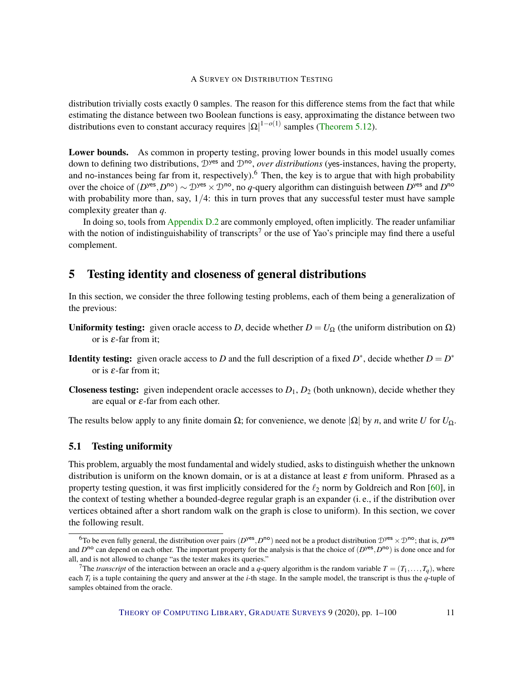distribution trivially costs exactly 0 samples. The reason for this difference stems from the fact that while estimating the distance between two Boolean functions is easy, approximating the distance between two distributions even to constant accuracy requires  $|\Omega|^{1-o(1)}$  samples [\(Theorem](#page-19-0) [5.12\)](#page-19-0).

Lower bounds. As common in property testing, proving lower bounds in this model usually comes down to defining two distributions,  $\mathcal{D}^{\text{yes}}$  and  $\mathcal{D}^{\text{no}}$ , *over distributions* (yes-instances, having the property, and no-instances being far from it, respectively).<sup>6</sup> Then, the key is to argue that with high probability over the choice of  $(D^{yes}, D^{no}) \sim D^{yes} \times D^{no}$ , no *q*-query algorithm can distinguish between  $D^{yes}$  and  $D^{no}$ with probability more than, say,  $1/4$ : this in turn proves that any successful tester must have sample complexity greater than *q*.

In doing so, tools from [Appendix](#page-79-0) [D.2](#page-79-0) are commonly employed, often implicitly. The reader unfamiliar with the notion of indistinguishability of transcripts<sup>7</sup> or the use of Yao's principle may find there a useful complement.

# <span id="page-10-0"></span>5 Testing identity and closeness of general distributions

In this section, we consider the three following testing problems, each of them being a generalization of the previous:

- Uniformity testing: given oracle access to *D*, decide whether  $D = U_{\Omega}$  (the uniform distribution on  $\Omega$ ) or is  $\varepsilon$ -far from it:
- **Identity testing:** given oracle access to *D* and the full description of a fixed  $D^*$ , decide whether  $D = D^*$ or is  $\varepsilon$ -far from it;
- **Closeness testing:** given independent oracle accesses to  $D_1$ ,  $D_2$  (both unknown), decide whether they are equal or  $\varepsilon$ -far from each other.

The results below apply to any finite domain  $\Omega$ ; for convenience, we denote  $|\Omega|$  by *n*, and write *U* for  $U_{\Omega}$ .

#### <span id="page-10-1"></span>5.1 Testing uniformity

This problem, arguably the most fundamental and widely studied, asks to distinguish whether the unknown distribution is uniform on the known domain, or is at a distance at least  $\varepsilon$  from uniform. Phrased as a property testing question, it was first implicitly considered for the  $\ell_2$  norm by Goldreich and Ron [\[60\]](#page-95-0), in the context of testing whether a bounded-degree regular graph is an expander (i. e., if the distribution over vertices obtained after a short random walk on the graph is close to uniform). In this section, we cover the following result.

<sup>&</sup>lt;sup>6</sup>To be even fully general, the distribution over pairs  $(D^{yes}, D^{no})$  need not be a product distribution  $D^{yes} \times D^{no}$ ; that is,  $D^{yes}$ and  $D^{no}$  can depend on each other. The important property for the analysis is that the choice of  $(D^{yes}, D^{no})$  is done once and for all, and is not allowed to change "as the tester makes its queries."

<sup>&</sup>lt;sup>7</sup>The *transcript* of the interaction between an oracle and a *q*-query algorithm is the random variable  $T = (T_1, \ldots, T_q)$ , where each  $T_i$  is a tuple containing the query and answer at the *i*-th stage. In the sample model, the transcript is thus the  $q$ -tuple of samples obtained from the oracle.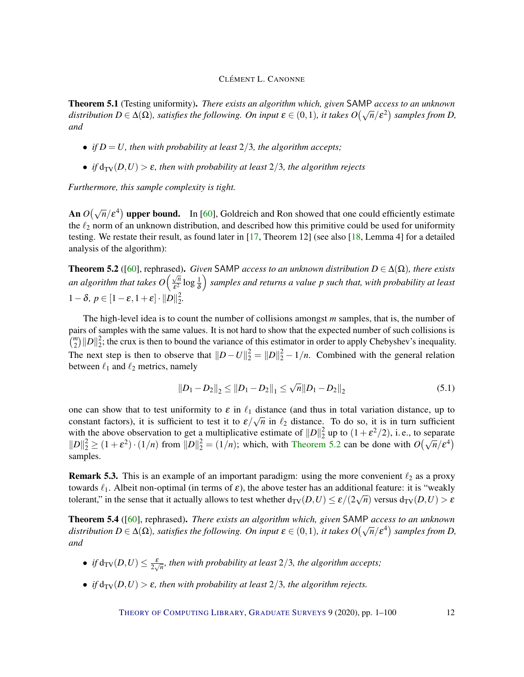<span id="page-11-2"></span>Theorem 5.1 (Testing uniformity). *There exists an algorithm which, given* SAMP *access to an unknown distribution*  $D \in \Delta(\Omega)$ *, satisfies the following. On input*  $\varepsilon \in (0,1)$ *, it takes*  $O(\sqrt{n}/\varepsilon^2)$  *samples from D, and*

- *if*  $D = U$ , then with probability at least 2/3, the algorithm accepts;
- *if*  $d_{TV}(D, U) > \varepsilon$ *, then with probability at least* 2/3*, the algorithm rejects*

*Furthermore, this sample complexity is tight.*

An  $O(\sqrt{n}/\epsilon^4)$  upper bound. In [\[60\]](#page-95-0), Goldreich and Ron showed that one could efficiently estimate the  $\ell_2$  norm of an unknown distribution, and described how this primitive could be used for uniformity testing. We restate their result, as found later in [\[17,](#page-91-2) Theorem 12] (see also [\[18,](#page-91-0) Lemma 4] for a detailed analysis of the algorithm):

<span id="page-11-0"></span>**Theorem 5.2** ([\[60\]](#page-95-0), rephrased). *Given* SAMP *access to an unknown distribution*  $D \in \Delta(\Omega)$ *, there exists an algorithm that takes*  $O\left(\frac{\sqrt{n}}{s^2}\right)$  $\frac{\sqrt{n}}{\varepsilon^2}$  log  $\frac{1}{\delta}$  *samples and returns a value p such that, with probability at least* 1 –  $\delta, p \in [1-\varepsilon, 1+\varepsilon] \cdot ||D||_2^2$ 2 *.*

The high-level idea is to count the number of collisions amongst *m* samples, that is, the number of pairs of samples with the same values. It is not hard to show that the expected number of such collisions is  $\binom{m}{2}$  $||D||_2^2$  $\frac{2}{2}$ ; the crux is then to bound the variance of this estimator in order to apply Chebyshev's inequality. The next step is then to observe that  $||D - U||_2^2 = ||D||_2^2 - 1/n$ . Combined with the general relation between  $\ell_1$  and  $\ell_2$  metrics, namely

<span id="page-11-1"></span>
$$
||D_1 - D_2||_2 \le ||D_1 - D_2||_1 \le \sqrt{n} ||D_1 - D_2||_2
$$
\n(5.1)

one can show that to test uniformity to  $\varepsilon$  in  $\ell_1$  distance (and thus in total variation distance, up to constant factors), it is sufficient to test it to  $\varepsilon/\sqrt{n}$  in  $\ell_2$  distance. To do so, it is in turn sufficient with the above observation to get a multiplicative estimate of  $||D||_2^2$  $2<sub>2</sub>$  up to  $(1+\epsilon^2/2)$ , i.e., to separate while the above observation to get a multiplicative estimate of  $||D||_2^2$  up to  $(1 + \varepsilon^2/2)$ , i.e., to separate  $||D||_2^2 \ge (1 + \varepsilon^2) \cdot (1/n)$  from  $||D||_2^2 = (1/n)$ ; which, with [Theorem](#page-11-0) [5.2](#page-11-0) can be done with  $O(\sqrt{n}/\varepsilon^4)$ samples.

**Remark 5.3.** This is an example of an important paradigm: using the more convenient  $\ell_2$  as a proxy towards  $\ell_1$ . Albeit non-optimal (in terms of  $\varepsilon$ ), the above tester has an additional feature: it is "weakly tolerant," in the sense that it actually allows to test whether  $d_{\text{TV}}(D, U) \le \varepsilon/(2\sqrt{n})$  versus  $d_{\text{TV}}(D, U) > \varepsilon$ 

Theorem 5.4 ([\[60\]](#page-95-0), rephrased). *There exists an algorithm which, given* SAMP *access to an unknown distribution*  $D \in \Delta(\Omega)$ *, satisfies the following. On input*  $\varepsilon \in (0,1)$ *, it takes*  $O(\sqrt{n}/\varepsilon^4)$  *samples from D*, *and*

- *if*  $d_{TV}(D, U) \leq \frac{\varepsilon}{2\sqrt{n}}$ *, then with probability at least* 2/3*, the algorithm accepts;*
- *if*  $d_{TV}(D, U) > \varepsilon$ *, then with probability at least* 2/3*, the algorithm rejects.*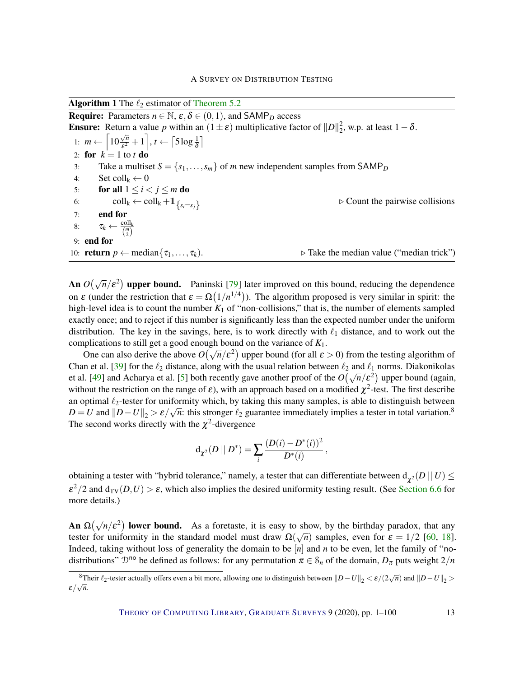Algorithm 1 The  $\ell_2$  estimator of [Theorem](#page-11-0) [5.2](#page-11-0)

**Require:** Parameters  $n \in \mathbb{N}$ ,  $\varepsilon, \delta \in (0,1)$ , and SAMP<sub>D</sub> access **Ensure:** Return a value p within an  $(1 \pm \varepsilon)$  multiplicative factor of  $||D||_2^2$  $\frac{2}{2}$ , w.p. at least 1 –  $\delta$ . 1:  $m \leftarrow \begin{bmatrix} 10 \end{bmatrix}$ √ *n*  $\frac{\sqrt{n}}{\varepsilon^2}+1\bigg], t \leftarrow \left\lceil 5\log\frac{1}{\delta}\right\rceil$ 2: for  $k = 1$  to *t* do 3: Take a multiset  $S = \{s_1, \ldots, s_m\}$  of *m* new independent samples from SAMP<sub>D</sub> 4: Set  $\text{coll}_k \leftarrow 0$ 5: for all  $1 \leq i < j \leq m$  do 6: coll<sub>k</sub> ← coll<sub>k</sub> +1<sub>{*s<sub>i</sub>*=*s<sub>j</sub>*}</sub>  $\triangleright$  Count the pairwise collisions 7: end for 8:  $\tau_k \leftarrow \frac{\text{coll}_k}{\binom{m}{2}}$ 9: end for 10: **return**  $p \leftarrow \text{median}\{\tau_1, \ldots, \tau_k\}$ .  $\triangleright$  Take the median value ("median trick")

An  $O(\sqrt{n}/\epsilon^2)$  upper bound. Paninski [\[79\]](#page-96-1) later improved on this bound, reducing the dependence on  $\varepsilon$  (under the restriction that  $\varepsilon = \Omega(1/n^{1/4})$ ). The algorithm proposed is very similar in spirit: the high-level idea is to count the number  $K_1$  of "non-collisions," that is, the number of elements sampled exactly once; and to reject if this number is significantly less than the expected number under the uniform distribution. The key in the savings, here, is to work directly with  $\ell_1$  distance, and to work out the complications to still get a good enough bound on the variance of *K*1.

pincations to still get a good enough bound on the variance of  $K_1$ .<br>One can also derive the above  $O(\sqrt{n}/\epsilon^2)$  upper bound (for all  $\epsilon > 0$ ) from the testing algorithm of Chan et al. [\[39\]](#page-93-0) for the  $\ell_2$  distance, along with the usual relation between  $\ell_2$  and  $\ell_1$  norms. Diakonikolas et al. [\[49\]](#page-94-2) and Acharya et al. [\[5\]](#page-90-0) both recently gave another proof of the  $O(\sqrt{n}/\epsilon^2)$  upper bound (again, without the restriction on the range of  $\varepsilon$ ), with an approach based on a modified  $\chi^2$ -test. The first describe an optimal  $\ell_2$ -tester for uniformity which, by taking this many samples, is able to distinguish between  $D = U$  and  $||D - U||_2 > \varepsilon/\sqrt{n}$ : this stronger  $\ell_2$  guarantee immediately implies a tester in total variation.<sup>8</sup> The second works directly with the  $\chi^2$ -divergence

$$
\mathrm{d}_{\chi^2}(D \mid\mid D^*) = \sum_i \frac{(D(i) - D^*(i))^2}{D^*(i)}
$$

,

obtaining a tester with "hybrid tolerance," namely, a tester that can differentiate between  $d_{\chi^2}(D\,||\,U) \le d$  $\epsilon^2/2$  and  $d_{TV}(D,U) > \epsilon$ , which also implies the desired uniformity testing result. (See [Section](#page-27-0) [6.6](#page-27-0) for more details.)

**An**  $\Omega(\sqrt{n}/\epsilon^2)$  **lower bound.** As a foretaste, it is easy to show, by the birthday paradox, that any tester for uniformity in the standard model must draw  $\Omega(\sqrt{n})$  samples, even for  $\varepsilon = 1/2$  [\[60,](#page-95-0) [18\]](#page-91-0). Indeed, taking without loss of generality the domain to be  $[n]$  and *n* to be even, let the family of "nodistributions"  $\mathcal{D}^{no}$  be defined as follows: for any permutation  $\pi \in \mathcal{S}_n$  of the domain,  $D_{\pi}$  puts weight  $2/n$ 

<sup>&</sup>lt;sup>8</sup>Their  $\ell_2$ -tester actually offers even a bit more, allowing one to distinguish between  $||D - U||_2 < \varepsilon/(2\sqrt{n})$  and  $||D - U||_2 >$  $\varepsilon/\sqrt{n}$ .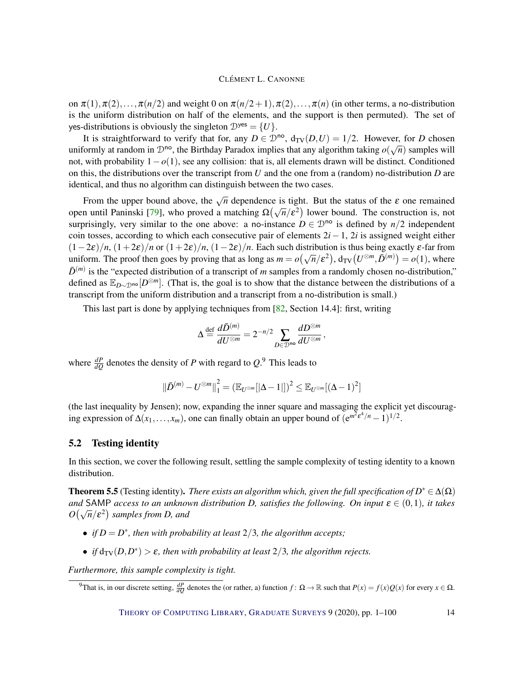on  $\pi(1), \pi(2), \ldots, \pi(n/2)$  and weight 0 on  $\pi(n/2+1), \pi(2), \ldots, \pi(n)$  (in other terms, a no-distribution is the uniform distribution on half of the elements, and the support is then permuted). The set of yes-distributions is obviously the singleton  $\mathcal{D}^{yes} = \{U\}.$ 

It is straightforward to verify that for, any  $D \in \mathcal{D}^{\text{no}}$ ,  $d_{TV}(D, U) = 1/2$ . However, for *D* chosen uniformly at random in  $\mathcal{D}^{\text{no}}$ , the Birthday Paradox implies that any algorithm taking  $o(\sqrt{n})$  samples will not, with probability 1−*o*(1), see any collision: that is, all elements drawn will be distinct. Conditioned on this, the distributions over the transcript from *U* and the one from a (random) no-distribution *D* are identical, and thus no algorithm can distinguish between the two cases.

From the upper bound above, the  $\sqrt{n}$  dependence is tight. But the status of the  $\varepsilon$  one remained open until Paninski [\[79\]](#page-96-1), who proved a matching  $\Omega(\sqrt{n}/\epsilon^2)$  lower bound. The construction is, not surprisingly, very similar to the one above: a no-instance  $D \in \mathcal{D}^{\text{no}}$  is defined by  $n/2$  independent coin tosses, according to which each consecutive pair of elements 2*i*−1, 2*i* is assigned weight either  $(1-2\varepsilon)/n$ ,  $(1+2\varepsilon)/n$  or  $(1+2\varepsilon)/n$ ,  $(1-2\varepsilon)/n$ . Each such distribution is thus being exactly  $\varepsilon$ -far from uniform. The proof then goes by proving that as long as  $m = o(\sqrt{n}/\epsilon^2)$ ,  $d_{TV}(U^{\otimes m}, \bar{D}^{(m)}) = o(1)$ , where  $\bar{D}^{(m)}$  is the "expected distribution of a transcript of *m* samples from a randomly chosen no-distribution," defined as E*D*∼Dno [*D* <sup>⊗</sup>*m*]. (That is, the goal is to show that the distance between the distributions of a transcript from the uniform distribution and a transcript from a no-distribution is small.)

This last part is done by applying techniques from [\[82,](#page-97-6) Section 14.4]: first, writing

$$
\Delta \mathop{=}\limits^{ \mathrm{def} } \frac{d\bar{D}^{(m)}}{dU^{\otimes m}} = 2^{-n/2} \sum_{D \in \mathcal{D}^{\mathbf{n} \mathbf{o}}} \frac{dD^{\otimes m}}{dU^{\otimes m}} \, ,
$$

where  $\frac{dP}{dQ}$  denotes the density of *P* with regard to  $Q$ .<sup>9</sup> This leads to

$$
\|\bar{D}^{(m)} - U^{\otimes m}\|_{1}^{2} = \left(\mathbb{E}_{U^{\otimes m}}[|\Delta - 1|]\right)^{2} \leq \mathbb{E}_{U^{\otimes m}}[(\Delta - 1)^{2}]
$$

(the last inequality by Jensen); now, expanding the inner square and massaging the explicit yet discouraging expression of  $\Delta(x_1,...,x_m)$ , one can finally obtain an upper bound of  $(e^{m^2 \varepsilon^4/n} - 1)^{1/2}$ .

#### <span id="page-13-0"></span>5.2 Testing identity

In this section, we cover the following result, settling the sample complexity of testing identity to a known distribution.

**Theorem 5.5** (Testing identity). *There exists an algorithm which, given the full specification of*  $D^* \in \Delta(\Omega)$ *and* SAMP *access to an unknown distribution D, satisfies the following. On input*  $\varepsilon \in (0,1)$ *, it takes*  $O(\sqrt{n}/\varepsilon^2)$  samples from *D*, and

- *if*  $D = D^*$ *, then with probability at least*  $2/3$ *, the algorithm accepts;*
- *if*  $d_{TV}(D, D^*) > \varepsilon$ , then with probability at least  $2/3$ , the algorithm rejects.

*Furthermore, this sample complexity is tight.*

<sup>&</sup>lt;sup>9</sup>That is, in our discrete setting,  $\frac{dP}{dQ}$  denotes the (or rather, a) function  $f: \Omega \to \mathbb{R}$  such that  $P(x) = f(x)Q(x)$  for every  $x \in \Omega$ .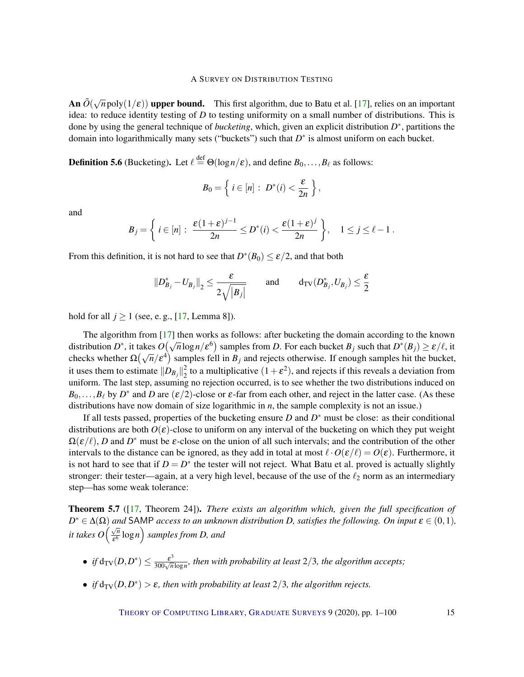An  $\tilde{O}(\sqrt{n} \text{poly}(1/\varepsilon))$  upper bound. This first algorithm, due to Batu et al. [\[17\]](#page-91-2), relies on an important idea: to reduce identity testing of *D* to testing uniformity on a small number of distributions. This is done by using the general technique of *bucketing*, which, given an explicit distribution *D* ∗ , partitions the domain into logarithmically many sets ("buckets") such that  $D^*$  is almost uniform on each bucket.

**Definition 5.6** (Bucketing). Let  $\ell \stackrel{\text{def}}{=} \Theta(\log n/\epsilon)$ , and define  $B_0, \ldots, B_\ell$  as follows:

$$
B_0=\left\{\,i\in[n]:\ D^*(i)<\frac{\varepsilon}{2n}\,\right\},
$$

and

$$
B_j = \left\{ i \in [n] : \frac{\varepsilon (1+\varepsilon)^{j-1}}{2n} \le D^*(i) < \frac{\varepsilon (1+\varepsilon)^j}{2n} \right\}, \quad 1 \le j \le \ell - 1 \; .
$$

From this definition, it is not hard to see that  $D^*(B_0) \leq \varepsilon/2$ , and that both

$$
||D_{B_j}^* - U_{B_j}||_2 \le \frac{\varepsilon}{2\sqrt{|B_j|}}
$$
 and  $d_{\text{TV}}(D_{B_j}^*, U_{B_j}) \le \frac{\varepsilon}{2}$ 

hold for all  $j \ge 1$  (see, e.g., [\[17,](#page-91-2) Lemma 8]).

The algorithm from [\[17\]](#page-91-2) then works as follows: after bucketing the domain according to the known distribution *D*<sup>\*</sup>, it takes  $O(\sqrt{n}\log n/\epsilon^6)$  samples from *D*. For each bucket  $B_j$  such that  $D^*(B_j) \ge \epsilon/\ell$ , it checks whether  $\Omega(\sqrt{n}/\epsilon^4)$  samples fell in  $B_j$  and rejects otherwise. If enough samples hit the bucket, it uses them to estimate  $\|D_{B_j}\|_2^2$  $2<sub>2</sub>$  to a multiplicative  $(1+\varepsilon^2)$ , and rejects if this reveals a deviation from uniform. The last step, assuming no rejection occurred, is to see whether the two distributions induced on  $B_0, \ldots, B_\ell$  by  $D^*$  and *D* are  $(\varepsilon/2)$ -close or  $\varepsilon$ -far from each other, and reject in the latter case. (As these distributions have now domain of size logarithmic in *n*, the sample complexity is not an issue.)

If all tests passed, properties of the bucketing ensure *D* and  $D^*$  must be close: as their conditional distributions are both *O*(ε)-close to uniform on any interval of the bucketing on which they put weight  $\Omega(\varepsilon/\ell)$ , *D* and  $D^*$  must be  $\varepsilon$ -close on the union of all such intervals; and the contribution of the other intervals to the distance can be ignored, as they add in total at most  $\ell \cdot O(\varepsilon/\ell) = O(\varepsilon)$ . Furthermore, it is not hard to see that if  $D = D^*$  the tester will not reject. What Batu et al. proved is actually slightly stronger: their tester—again, at a very high level, because of the use of the  $\ell_2$  norm as an intermediary step—has some weak tolerance:

<span id="page-14-0"></span>Theorem 5.7 ([\[17,](#page-91-2) Theorem 24]). *There exists an algorithm which, given the full specification of*  $D^* \in \Delta(\Omega)$  *and* SAMP *access to an unknown distribution D, satisfies the following. On input*  $\varepsilon \in (0,1)$ *, it takes O*  $\left(\frac{\sqrt{n}}{5^6}\right)$  $\frac{\sqrt{n}}{\varepsilon^6} \log n \bigg)$  samples from D, and

- *if*  $d_{TV}(D, D^*) \leq \frac{\varepsilon^3}{300\sqrt{n}\log n}$ , then with probability at least 2/3, the algorithm accepts;
- *if*  $d_{TV}(D, D^*) > \varepsilon$ , then with probability at least  $2/3$ , the algorithm rejects.

THEORY OF C[OMPUTING](http://dx.doi.org/10.4086/toc) LIBRARY, G[RADUATE](http://dx.doi.org/10.4086/toc.gs) SURVEYS 9 (2020), pp. 1–100 15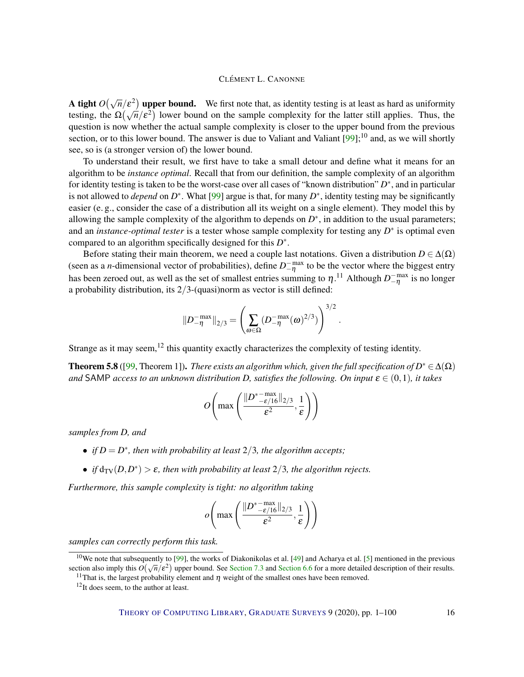**A tight**  $O(\sqrt{n}/\epsilon^2)$  upper bound. We first note that, as identity testing is at least as hard as uniformity **A ught**  $O(\sqrt{n}/\epsilon^2)$  upper bound. We first note that, as identity testing is at least as hard as uniformity testing, the  $\Omega(\sqrt{n}/\epsilon^2)$  lower bound on the sample complexity for the latter still applies. Thus, the question is now whether the actual sample complexity is closer to the upper bound from the previous section, or to this lower bound. The answer is due to Valiant and Valiant  $[99]$ ;<sup>10</sup> and, as we will shortly see, so is (a stronger version of) the lower bound.

To understand their result, we first have to take a small detour and define what it means for an algorithm to be *instance optimal*. Recall that from our definition, the sample complexity of an algorithm for identity testing is taken to be the worst-case over all cases of "known distribution" *D*<sup>\*</sup>, and in particular is not allowed to *depend* on  $D^*$ . What [\[99\]](#page-98-0) argue is that, for many  $D^*$ , identity testing may be significantly easier (e. g., consider the case of a distribution all its weight on a single element). They model this by allowing the sample complexity of the algorithm to depends on  $D^*$ , in addition to the usual parameters; and an *instance-optimal tester* is a tester whose sample complexity for testing any *D*<sup>∗</sup> is optimal even compared to an algorithm specifically designed for this *D* ∗ .

Before stating their main theorem, we need a couple last notations. Given a distribution  $D \in \Delta(\Omega)$ (seen as a *n*-dimensional vector of probabilities), define  $D_{-\eta}^{-\text{max}}$  to be the vector where the biggest entry has been zeroed out, as well as the set of smallest entries summing to  $\eta$ .<sup>11</sup> Although  $D_{-\eta}^{-max}$  is no longer a probability distribution, its  $2/3$ -(quasi)norm as vector is still defined:

$$
||D_{-\eta}^{-\max}||_{2/3} = \left(\sum_{\omega \in \Omega} (D_{-\eta}^{-\max}(\omega)^{2/3})\right)^{3/2}
$$

.

Strange as it may seem, $^{12}$  this quantity exactly characterizes the complexity of testing identity.

**Theorem 5.8** ([\[99,](#page-98-0) Theorem 1]). *There exists an algorithm which, given the full specification of*  $D^* \in \Delta(\Omega)$ *and* SAMP *access to an unknown distribution D, satisfies the following. On input*  $\varepsilon \in (0,1)$ *, it takes* 

$$
O\left(\max\left(\frac{\|D^* - \max\limits_{-\epsilon/16}\|_{2/3}}{\epsilon^2},\frac{1}{\epsilon}\right)\right)
$$

*samples from D, and*

- *if*  $D = D^*$ *, then with probability at least*  $2/3$ *, the algorithm accepts;*
- *if*  $d_{TV}(D, D^*) > \varepsilon$ , then with probability at least  $2/3$ , the algorithm rejects.

*Furthermore, this sample complexity is tight: no algorithm taking*

$$
o\left(\max\left(\frac{\|D^{\ast-\max}_{-\varepsilon/16}\|_{2/3}}{\varepsilon^2},\frac{1}{\varepsilon}\right)\right)
$$

*samples can correctly perform this task.*

 $10$ We note that subsequently to [\[99\]](#page-98-0), the works of Diakonikolas et al. [\[49\]](#page-94-2) and Acharya et al. [\[5\]](#page-90-0) mentioned in the previous we note that subsequently to [99], the works of Diakonkolas et al. [49] and Acharya et al. [9] memboled in the previous section also imply this  $O(\sqrt{n}/\epsilon^2)$  upper bound. See [Section](#page-27-0) [7.3](#page-31-0) and Section [6.6](#page-27-0) for a more detailed

<sup>&</sup>lt;sup>11</sup>That is, the largest probability element and  $\eta$  weight of the smallest ones have been removed.

 $12$ It does seem, to the author at least.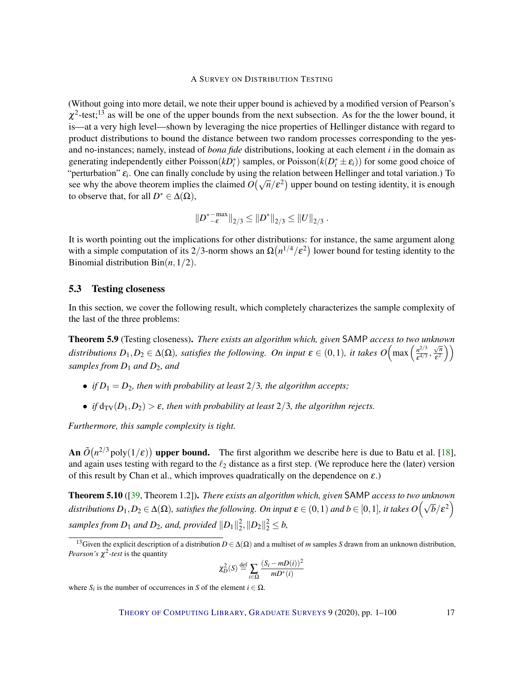(Without going into more detail, we note their upper bound is achieved by a modified version of Pearson's  $\chi^2$ -test;<sup>13</sup> as will be one of the upper bounds from the next subsection. As for the the lower bound, it is—at a very high level—shown by leveraging the nice properties of Hellinger distance with regard to product distributions to bound the distance between two random processes corresponding to the yesand no-instances; namely, instead of *bona fide* distributions, looking at each element *i* in the domain as generating independently either Poisson( $kD_i^*$ ) samples, or Poisson( $k(D_i^* \pm \varepsilon_i)$ ) for some good choice of "perturbation" ε*<sup>i</sup>* . One can finally conclude by using the relation between Hellinger and total variation.) To perturbation  $\epsilon_i$ . One can many conclude by using the relation between rieninger and total variation.) To<br>see why the above theorem implies the claimed  $O(\sqrt{n}/\epsilon^2)$  upper bound on testing identity, it is enough to observe that, for all  $D^* \in \Delta(\Omega)$ ,

$$
||D^{*-\max}_{-\varepsilon}||_{2/3}\leq ||D^{*}||_{2/3}\leq ||U||_{2/3}.
$$

It is worth pointing out the implications for other distributions: for instance, the same argument along with a simple computation of its 2/3-norm shows an  $\Omega(n^{1/4}/\varepsilon^2)$  lower bound for testing identity to the Binomial distribution Bin(*n*,1/2).

#### <span id="page-16-0"></span>5.3 Testing closeness

In this section, we cover the following result, which completely characterizes the sample complexity of the last of the three problems:

<span id="page-16-2"></span>Theorem 5.9 (Testing closeness). *There exists an algorithm which, given* SAMP *access to two unknown distributions*  $D_1, D_2 \in \Delta(\Omega)$ *, satisfies the following. On input*  $\varepsilon \in (0,1)$ *, it takes*  $O\left(\max\left(\frac{n^{2/3}}{\varepsilon^{4/3}}\right)\right)$  $\frac{n^{2/3}}{\varepsilon^{4/3}},$ √ *n*  $\left(\frac{\sqrt{n}}{\varepsilon^2}\right)\right)$ *samples from D*<sup>1</sup> *and D*2*, and*

- *if*  $D_1 = D_2$ *, then with probability at least* 2/3*, the algorithm accepts*;
- *if*  $d_{TV}(D_1, D_2) > \varepsilon$ , then with probability at least 2/3, the algorithm rejects.

*Furthermore, this sample complexity is tight.*

An  $\tilde{O}(n^{2/3} \text{poly}(1/\varepsilon))$  upper bound. The first algorithm we describe here is due to Batu et al. [\[18\]](#page-91-0), and again uses testing with regard to the  $\ell_2$  distance as a first step. (We reproduce here the (later) version of this result by Chan et al., which improves quadratically on the dependence on  $\varepsilon$ .)

<span id="page-16-1"></span>Theorem 5.10 ([\[39,](#page-93-0) Theorem 1.2]). *There exists an algorithm which, given* SAMP *access to two unknown distributions*  $D_1, D_2 \in \Delta(\Omega)$ *, satisfies the following. On input*  $\varepsilon \in (0,1)$  *and*  $b \in [0,1]$ *, it takes*  $O(\sqrt{b}/\varepsilon^2)$ samples from  $D_1$  and  $D_2$ , and, provided  $\|D_1\|_2^2$  $2^2$ ,  $||D_2||_2^2 \leq b$ ,

$$
\chi_D^2(S) \stackrel{\text{def}}{=} \sum_{i \in \Omega} \frac{(S_i - mD(i))^2}{mD^*(i)}
$$

where  $S_i$  is the number of occurrences in *S* of the element  $i \in \Omega$ .

THEORY OF C[OMPUTING](http://dx.doi.org/10.4086/toc) LIBRARY, G[RADUATE](http://dx.doi.org/10.4086/toc.gs) SURVEYS 9 (2020), pp. 1–100 17

<sup>&</sup>lt;sup>13</sup>Given the explicit description of a distribution  $D \in \Delta(\Omega)$  and a multiset of *m* samples *S* drawn from an unknown distribution, *Pearson's* χ 2 *-test* is the quantity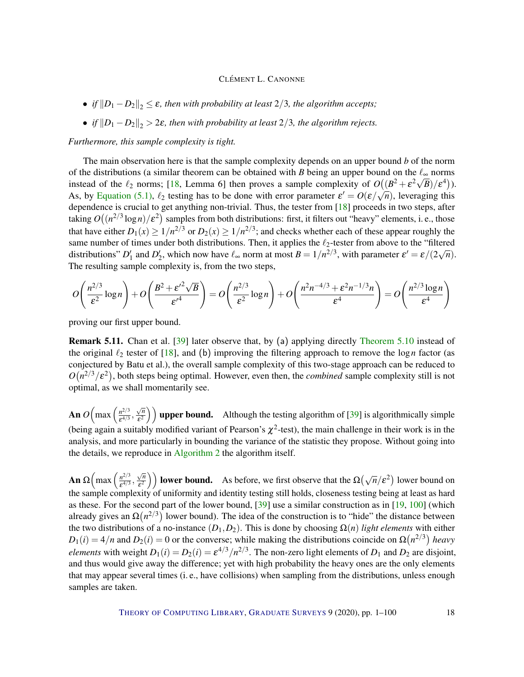- *if*  $||D_1 D_2||_2 \leq \varepsilon$ *, then with probability at least* 2/3*, the algorithm accepts*;
- *if*  $||D_1 D_2||_2 > 2\varepsilon$ *, then with probability at least* 2/3*, the algorithm rejects.*

#### *Furthermore, this sample complexity is tight.*

The main observation here is that the sample complexity depends on an upper bound *b* of the norm of the distributions (a similar theorem can be obtained with *B* being an upper bound on the  $\ell_{\infty}$  norms instead of the  $\ell_2$  norms; [\[18,](#page-91-0) Lemma 6] then proves a sample complexity of  $O((B^2 + \varepsilon^2 \sqrt{B})/\varepsilon^4)$ ). As, by [Equation](#page-11-1) [\(5.1\)](#page-11-1),  $\ell_2$  testing has to be done with error parameter  $\varepsilon' = O(\varepsilon/\sqrt{n})$ , leveraging this dependence is crucial to get anything non-trivial. Thus, the tester from [\[18\]](#page-91-0) proceeds in two steps, after taking  $O\big((n^{2/3}\log n)/\varepsilon^2\big)$  samples from both distributions: first, it filters out "heavy" elements, i. e., those that have either  $D_1(x) \ge 1/n^{2/3}$  or  $D_2(x) \ge 1/n^{2/3}$ ; and checks whether each of these appear roughly the same number of times under both distributions. Then, it applies the  $\ell_2$ -tester from above to the "filtered distributions" *D*<sup>1</sup> and *D*<sup>2</sup><sub>2</sub>, which now have  $\ell_{\infty}$  norm at most  $B = 1/n^{2/3}$ , with parameter  $\varepsilon' = \varepsilon/(2\sqrt{n})$ . The resulting sample complexity is, from the two steps,

$$
O\left(\frac{n^{2/3}}{\varepsilon^2}\log n\right) + O\left(\frac{B^2 + {\varepsilon'}^2 \sqrt{B}}{\varepsilon'}\right) = O\left(\frac{n^{2/3}}{\varepsilon^2}\log n\right) + O\left(\frac{n^2 n^{-4/3} + \varepsilon^2 n^{-1/3} n}{\varepsilon^4}\right) = O\left(\frac{n^{2/3} \log n}{\varepsilon^4}\right)
$$

proving our first upper bound.

Remark 5.11. Chan et al. [\[39\]](#page-93-0) later observe that, by (a) applying directly [Theorem](#page-16-1) [5.10](#page-16-1) instead of the original  $\ell_2$  tester of [\[18\]](#page-91-0), and (b) improving the filtering approach to remove the log *n* factor (as conjectured by Batu et al.), the overall sample complexity of this two-stage approach can be reduced to  $O(n^{2/3}/\varepsilon^2)$ , both steps being optimal. However, even then, the *combined* sample complexity still is not optimal, as we shall momentarily see.

An  $O\left(\max\left(\frac{n^{2/3}}{c^{4/3}}\right)\right)$  $\frac{n^{2/3}}{\varepsilon^{4/3}},$ √ *n*  $\left(\frac{\sqrt{n}}{\epsilon^2}\right)$  upper bound. Although the testing algorithm of [\[39\]](#page-93-0) is algorithmically simple (being again a suitably modified variant of Pearson's  $\chi^2$ -test), the main challenge in their work is in the analysis, and more particularly in bounding the variance of the statistic they propose. Without going into the details, we reproduce in [Algorithm](#page-0-0) [2](#page-0-0) the algorithm itself.

**An** Ω $\left(\max\left(\frac{n^{2/3}}{ε^{4/3}}\right)\right)$  $\frac{n^{2/3}}{\varepsilon^{4/3}},$ √ *n*  $\left(\frac{\sqrt{n}}{\epsilon^2}\right)$  **lower bound.** As before, we first observe that the  $\Omega(\sqrt{n}/\epsilon^2)$  lower bound on the sample complexity of uniformity and identity testing still holds, closeness testing being at least as hard as these. For the second part of the lower bound, [\[39\]](#page-93-0) use a similar construction as in [\[19,](#page-91-1) [100\]](#page-98-1) (which already gives an  $\Omega(n^{2/3})$  lower bound). The idea of the construction is to "hide" the distance between the two distributions of a no-instance  $(D_1, D_2)$ . This is done by choosing  $\Omega(n)$  *light elements* with either  $D_1(i) = 4/n$  and  $D_2(i) = 0$  or the converse; while making the distributions coincide on  $\Omega(n^{2/3})$  heavy *elements* with weight  $D_1(i) = D_2(i) = \varepsilon^{4/3}/n^{2/3}$ . The non-zero light elements of  $D_1$  and  $D_2$  are disjoint, and thus would give away the difference; yet with high probability the heavy ones are the only elements that may appear several times (i. e., have collisions) when sampling from the distributions, unless enough samples are taken.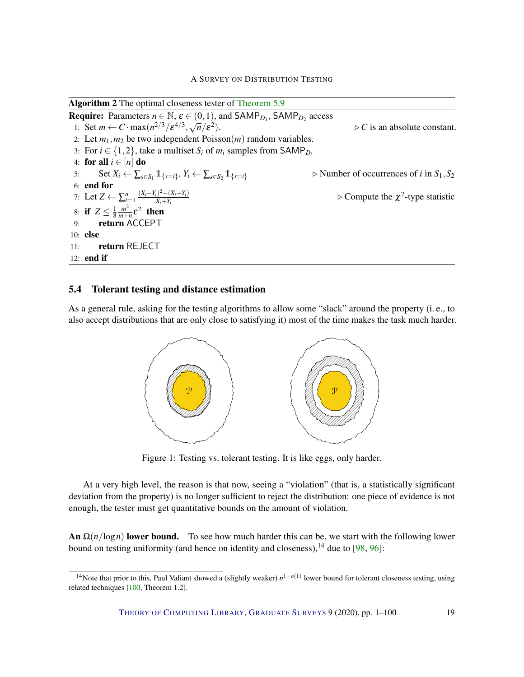Algorithm 2 The optimal closeness tester of [Theorem](#page-16-2) [5.9](#page-16-2)

**Require:** Parameters  $n \in \mathbb{N}$ ,  $\varepsilon \in (0,1)$ , and  $\text{SAMP}_{D_1}$ ,  $\text{SAMP}_{D_2}$  access 1: Set  $m \leftarrow C \cdot \max(n^{2/3}/\varepsilon^{4/3}, \sqrt{n}/\varepsilon^2)$  $\triangleright$  *C* is an absolute constant. 2: Let  $m_1, m_2$  be two independent  $Poisson(m)$  random variables. 3: For  $i \in \{1, 2\}$ , take a multiset  $S_i$  of  $m_i$  samples from SAMP<sub>D<sup>*i*</sub></sup></sub> 4: for all  $i \in [n]$  do 5: Set  $X_i \leftarrow \sum_{s \in S_1} \mathbb{1}_{\{s=i\}}, Y_i \leftarrow \sum_{s \in S_2}$  $\triangleright$  Number of occurrences of *i* in  $S_1$ ,  $S_2$ 6: end for 7: Let  $Z \leftarrow \sum_{i=1}^{n} \frac{(X_i - Y_i)^2 - (X_i + Y_i)}{X_i + Y_i}$ *Xi*+*Y<sup>i</sup>*  $\triangleright$  Compute the  $\chi^2$ -type statistic 8: if  $Z \leq \frac{1}{8}$ 8 *m* 2  $\frac{m^2}{m+n}$ ε<sup>2</sup> then 9: return ACCEPT 10: else 11: return REJECT 12: end if

### <span id="page-18-0"></span>5.4 Tolerant testing and distance estimation

As a general rule, asking for the testing algorithms to allow some "slack" around the property (i. e., to also accept distributions that are only close to satisfying it) most of the time makes the task much harder.



Figure 1: Testing vs. tolerant testing. It is like eggs, only harder.

At a very high level, the reason is that now, seeing a "violation" (that is, a statistically significant deviation from the property) is no longer sufficient to reject the distribution: one piece of evidence is not enough, the tester must get quantitative bounds on the amount of violation.

An  $\Omega(n/\log n)$  lower bound. To see how much harder this can be, we start with the following lower bound on testing uniformity (and hence on identity and closeness),  $^{14}$  due to [\[98,](#page-98-2) [96\]](#page-98-3):

<sup>&</sup>lt;sup>14</sup>Note that prior to this, Paul Valiant showed a (slightly weaker)  $n^{1-o(1)}$  lower bound for tolerant closeness testing, using related techniques [\[100,](#page-98-1) Theorem 1.2].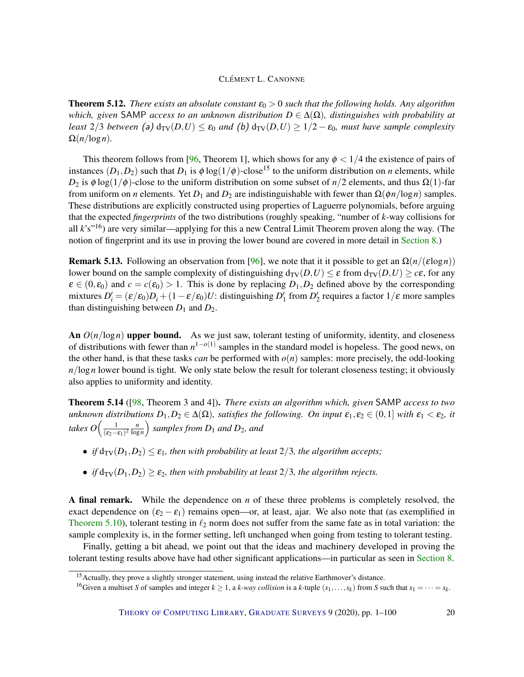<span id="page-19-0"></span>**Theorem 5.12.** *There exists an absolute constant*  $\varepsilon_0 > 0$  *such that the following holds. Any algorithm which, given* SAMP *access to an unknown distribution D* ∈ ∆(Ω)*, distinguishes with probability at least*  $2/3$  *between* (a)  $d_{TV}(D,U) \le \varepsilon_0$  *and* (b)  $d_{TV}(D,U) \ge 1/2 - \varepsilon_0$ *, must have sample complexity*  $\Omega(n/\log n)$ .

This theorem follows from [\[96,](#page-98-3) Theorem 1], which shows for any  $\phi < 1/4$  the existence of pairs of instances  $(D_1, D_2)$  such that  $D_1$  is  $\phi \log(1/\phi)$ -close<sup>15</sup> to the uniform distribution on *n* elements, while *D*<sub>2</sub> is  $\phi \log(1/\phi)$ -close to the uniform distribution on some subset of *n*/2 elements, and thus  $\Omega(1)$ -far from uniform on *n* elements. Yet  $D_1$  and  $D_2$  are indistinguishable with fewer than  $\Omega(\phi n / \log n)$  samples. These distributions are explicitly constructed using properties of Laguerre polynomials, before arguing that the expected *fingerprints* of the two distributions (roughly speaking, "number of *k*-way collisions for all *k*'s"16) are very similar—applying for this a new Central Limit Theorem proven along the way. (The notion of fingerprint and its use in proving the lower bound are covered in more detail in [Section](#page-32-0) [8.](#page-32-0))

**Remark 5.13.** Following an observation from [\[96\]](#page-98-3), we note that it it possible to get an  $\Omega(n/(\epsilon \log n))$ lower bound on the sample complexity of distinguishing  $d_{TV}(D, U) \leq \varepsilon$  from  $d_{TV}(D, U) \geq c\varepsilon$ , for any  $\varepsilon \in (0, \varepsilon_0)$  and  $c = c(\varepsilon_0) > 1$ . This is done by replacing  $D_1, D_2$  defined above by the corresponding mixtures  $D'_i = (\varepsilon/\varepsilon_0)D_i + (1 - \varepsilon/\varepsilon_0)U$ : distinguishing  $D'_1$  from  $D'_2$  requires a factor  $1/\varepsilon$  more samples than distinguishing between  $D_1$  and  $D_2$ .

An  $O(n/\log n)$  upper bound. As we just saw, tolerant testing of uniformity, identity, and closeness of distributions with fewer than *n* 1−*o*(1) samples in the standard model is hopeless. The good news, on the other hand, is that these tasks *can* be performed with  $o(n)$  samples: more precisely, the odd-looking *n*/log*n* lower bound is tight. We only state below the result for tolerant closeness testing; it obviously also applies to uniformity and identity.

<span id="page-19-1"></span>Theorem 5.14 ([\[98,](#page-98-2) Theorem 3 and 4]). *There exists an algorithm which, given* SAMP *access to two unknown distributions*  $D_1, D_2 \in \Delta(\Omega)$ *, satisfies the following. On input*  $\varepsilon_1, \varepsilon_2 \in (0,1]$  *with*  $\varepsilon_1 < \varepsilon_2$ *, it takes*  $O\left(\frac{1}{\sqrt{2}}\right)$  $\frac{1}{(\epsilon_2-\epsilon_1)^2} \frac{n}{\log n}$ log*n samples from D*<sup>1</sup> *and D*2*, and*

- *if*  $d_{TV}(D_1, D_2) \leq \varepsilon_1$ *, then with probability at least*  $2/3$ *, the algorithm accepts;*
- *if*  $d_{TV}(D_1, D_2) \geq \varepsilon_2$ , then with probability at least 2/3, the algorithm rejects.

A final remark. While the dependence on *n* of these three problems is completely resolved, the exact dependence on  $(\epsilon_2 - \epsilon_1)$  remains open—or, at least, ajar. We also note that (as exemplified in [Theorem](#page-16-1) [5.10\)](#page-16-1), tolerant testing in  $\ell_2$  norm does not suffer from the same fate as in total variation: the sample complexity is, in the former setting, left unchanged when going from testing to tolerant testing.

Finally, getting a bit ahead, we point out that the ideas and machinery developed in proving the tolerant testing results above have had other significant applications—in particular as seen in [Section](#page-32-0) [8.](#page-32-0)

<sup>&</sup>lt;sup>15</sup> Actually, they prove a slightly stronger statement, using instead the relative Earthmover's distance.

<sup>&</sup>lt;sup>16</sup>Given a multiset *S* of samples and integer  $k \ge 1$ , a *k*-way collision is a *k*-tuple  $(s_1, \ldots, s_k)$  from *S* such that  $s_1 = \cdots = s_k$ .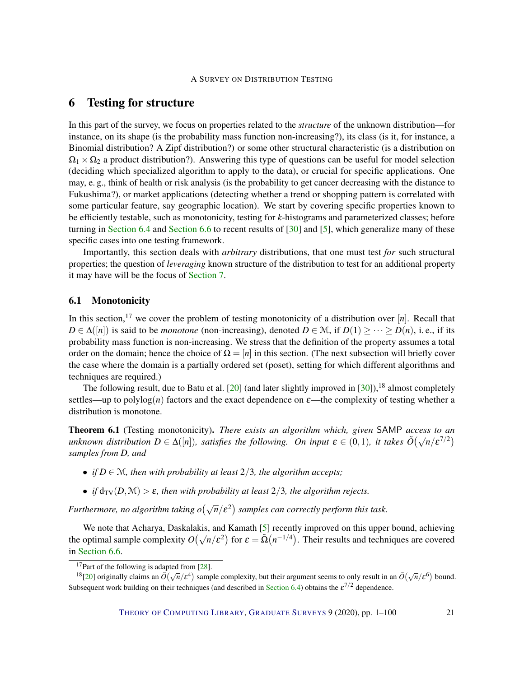# <span id="page-20-0"></span>6 Testing for structure

In this part of the survey, we focus on properties related to the *structure* of the unknown distribution—for instance, on its shape (is the probability mass function non-increasing?), its class (is it, for instance, a Binomial distribution? A Zipf distribution?) or some other structural characteristic (is a distribution on  $\Omega_1 \times \Omega_2$  a product distribution?). Answering this type of questions can be useful for model selection (deciding which specialized algorithm to apply to the data), or crucial for specific applications. One may, e. g., think of health or risk analysis (is the probability to get cancer decreasing with the distance to Fukushima?), or market applications (detecting whether a trend or shopping pattern is correlated with some particular feature, say geographic location). We start by covering specific properties known to be efficiently testable, such as monotonicity, testing for *k*-histograms and parameterized classes; before turning in [Section](#page-24-0) [6.4](#page-24-0) and [Section](#page-27-0) [6.6](#page-27-0) to recent results of [\[30\]](#page-92-2) and [\[5\]](#page-90-0), which generalize many of these specific cases into one testing framework.

Importantly, this section deals with *arbitrary* distributions, that one must test *for* such structural properties; the question of *leveraging* known structure of the distribution to test for an additional property it may have will be the focus of [Section](#page-28-0) [7.](#page-28-0)

#### <span id="page-20-1"></span>6.1 Monotonicity

In this section,<sup>17</sup> we cover the problem of testing monotonicity of a distribution over  $[n]$ . Recall that *D* ∈ ∆([*n*]) is said to be *monotone* (non-increasing), denoted *D* ∈ M, if *D*(1) > ··· > *D*(*n*), i. e., if its probability mass function is non-increasing. We stress that the definition of the property assumes a total order on the domain; hence the choice of  $\Omega = [n]$  in this section. (The next subsection will briefly cover the case where the domain is a partially ordered set (poset), setting for which different algorithms and techniques are required.)

The following result, due to Batu et al.  $[20]$  (and later slightly improved in  $[30]$ ),<sup>18</sup> almost completely settles—up to polylog(*n*) factors and the exact dependence on  $\varepsilon$ —the complexity of testing whether a distribution is monotone.

<span id="page-20-2"></span>Theorem 6.1 (Testing monotonicity). *There exists an algorithm which, given* SAMP *access to an* **unknown distribution**  $D \in \Delta([n])$ *, satisfies the following. On input*  $\varepsilon \in (0,1)$ *, it takes*  $\tilde{O}(\sqrt{n}/\varepsilon^{7/2})$ *samples from D, and*

- *if*  $D \in \mathcal{M}$ *, then with probability at least*  $2/3$ *, the algorithm accepts;*
- *if*  $d_{TV}(D, M) > \varepsilon$ *, then with probability at least* 2/3*, the algorithm rejects.*

*Furthermore, no algorithm taking o* $(\sqrt{n}/\varepsilon^2)$  samples can correctly perform this task.

We note that Acharya, Daskalakis, and Kamath [\[5\]](#page-90-0) recently improved on this upper bound, achieving we note that Acharya, Daskalakis, and Kamath [5] recently improved on this upper bound, achieving<br>the optimal sample complexity  $O(\sqrt{n}/\epsilon^2)$  for  $\epsilon = \tilde{\Omega}(n^{-1/4})$ . Their results and techniques are covered in [Section](#page-27-0) [6.6.](#page-27-0)

<sup>&</sup>lt;sup>17</sup>Part of the following is adapted from [\[28\]](#page-92-3).

<sup>&</sup>lt;sup>18</sup>[\[20\]](#page-92-0) originally claims an  $\tilde{O}(\sqrt{n}/\epsilon^4)$  sample complexity, but their argument seems to only result in an  $\tilde{O}(\sqrt{n}/\epsilon^6)$  bound. Subsequent work building on their techniques (and described in [Section](#page-24-0) [6.4\)](#page-24-0) obtains the  $\varepsilon^{7/2}$  dependence.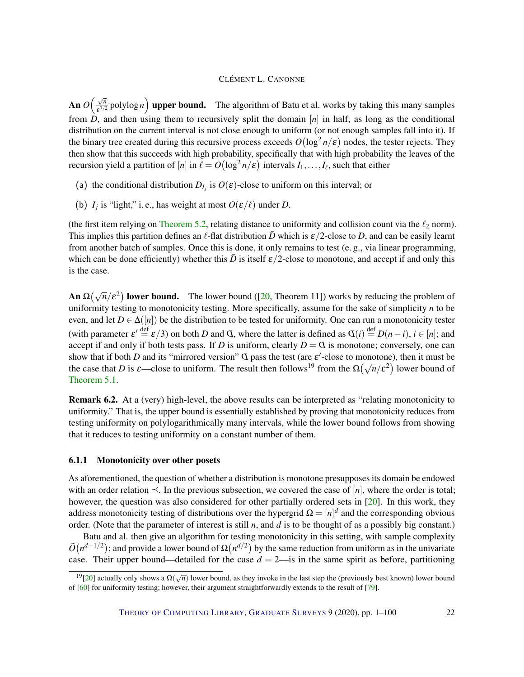An  $O\left(\frac{\sqrt{n}}{c^{7/2}}\right)$  $\frac{\sqrt{n}}{\epsilon^{7/2}}$  polylog *n*) upper bound. The algorithm of Batu et al. works by taking this many samples from  $\hat{D}$ , and then using them to recursively split the domain  $[n]$  in half, as long as the conditional distribution on the current interval is not close enough to uniform (or not enough samples fall into it). If the binary tree created during this recursive process exceeds  $O(\log^2 n/\epsilon)$  nodes, the tester rejects. They then show that this succeeds with high probability, specifically that with high probability the leaves of the recursion yield a partition of  $[n]$  in  $\ell = O\bigl(\log^2 n/\epsilon\bigr)$  intervals  $I_1,\ldots,I_\ell$ , such that either

- (a) the conditional distribution  $D_{I_j}$  is  $O(\varepsilon)$ -close to uniform on this interval; or
- (b)  $I_j$  is "light," i. e., has weight at most  $O(\varepsilon/\ell)$  under *D*.

(the first item relying on [Theorem](#page-11-0) [5.2,](#page-11-0) relating distance to uniformity and collision count via the  $\ell_2$  norm). This implies this partition defines an  $\ell$ -flat distribution  $\bar{D}$  which is  $\epsilon/2$ -close to *D*, and can be easily learnt from another batch of samples. Once this is done, it only remains to test (e. g., via linear programming, which can be done efficiently) whether this  $\bar{D}$  is itself  $\varepsilon/2$ -close to monotone, and accept if and only this is the case.

**An**  $\Omega(\sqrt{n}/\epsilon^2)$  **lower bound.** The lower bound ([\[20,](#page-92-0) Theorem 11]) works by reducing the problem of uniformity testing to monotonicity testing. More specifically, assume for the sake of simplicity *n* to be even, and let  $D \in \Delta([n])$  be the distribution to be tested for uniformity. One can run a monotonicity tester (with parameter  $\varepsilon' \stackrel{\text{def}}{=} \varepsilon/3$ ) on both *D* and *Q*, where the latter is defined as  $Q(i) \stackrel{\text{def}}{=} D(n-i)$ ,  $i \in [n]$ ; and accept if and only if both tests pass. If *D* is uniform, clearly  $D = Q$  is monotone; conversely, one can show that if both *D* and its "mirrored version" *Q* pass the test (are  $\varepsilon'$ -close to monotone), then it must be the case that *D* is  $\varepsilon$ —close to uniform. The result then follows<sup>19</sup> from the  $\Omega(\sqrt{n}/\varepsilon^2)$  lower bound of [Theorem](#page-11-2) [5.1.](#page-11-2)

Remark 6.2. At a (very) high-level, the above results can be interpreted as "relating monotonicity to uniformity." That is, the upper bound is essentially established by proving that monotonicity reduces from testing uniformity on polylogarithmically many intervals, while the lower bound follows from showing that it reduces to testing uniformity on a constant number of them.

#### <span id="page-21-0"></span>6.1.1 Monotonicity over other posets

As aforementioned, the question of whether a distribution is monotone presupposes its domain be endowed with an order relation  $\prec$ . In the previous subsection, we covered the case of [*n*], where the order is total; however, the question was also considered for other partially ordered sets in [\[20\]](#page-92-0). In this work, they address monotonicity testing of distributions over the hypergrid  $\Omega = [n]^d$  and the corresponding obvious order. (Note that the parameter of interest is still *n*, and *d* is to be thought of as a possibly big constant.)

Batu and al. then give an algorithm for testing monotonicity in this setting, with sample complexity  $\tilde{O}(n^{d-1/2})$ ; and provide a lower bound of  $\Omega(n^{d/2})$  by the same reduction from uniform as in the univariate case. Their upper bound—detailed for the case  $d = 2$ —is in the same spirit as before, partitioning

<sup>&</sup>lt;sup>19</sup>[\[20\]](#page-92-0) actually only shows a  $\Omega(\sqrt{n})$  lower bound, as they invoke in the last step the (previously best known) lower bound of [\[60\]](#page-95-0) for uniformity testing; however, their argument straightforwardly extends to the result of [\[79\]](#page-96-1).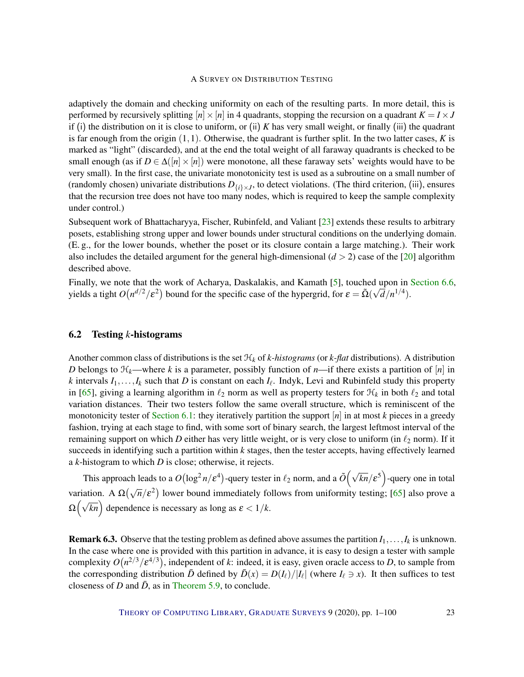adaptively the domain and checking uniformity on each of the resulting parts. In more detail, this is performed by recursively splitting  $[n] \times [n]$  in 4 quadrants, stopping the recursion on a quadrant  $K = I \times J$ if (i) the distribution on it is close to uniform, or (ii) *K* has very small weight, or finally (iii) the quadrant is far enough from the origin  $(1,1)$ . Otherwise, the quadrant is further split. In the two latter cases,  $K$  is marked as "light" (discarded), and at the end the total weight of all faraway quadrants is checked to be small enough (as if  $D \in \Delta([n] \times [n])$  were monotone, all these faraway sets' weights would have to be very small). In the first case, the univariate monotonicity test is used as a subroutine on a small number of (randomly chosen) univariate distributions  $D_{\{i\}\times J}$ , to detect violations. (The third criterion, (iii), ensures that the recursion tree does not have too many nodes, which is required to keep the sample complexity under control.)

Subsequent work of Bhattacharyya, Fischer, Rubinfeld, and Valiant [\[23\]](#page-92-1) extends these results to arbitrary posets, establishing strong upper and lower bounds under structural conditions on the underlying domain. (E. g., for the lower bounds, whether the poset or its closure contain a large matching.). Their work also includes the detailed argument for the general high-dimensional  $(d > 2)$  case of the [\[20\]](#page-92-0) algorithm described above.

Finally, we note that the work of Acharya, Daskalakis, and Kamath [\[5\]](#page-90-0), touched upon in [Section](#page-27-0) [6.6,](#page-27-0) yields a tight  $O(n^{d/2}/\varepsilon^2)$  bound for the specific case of the hypergrid, for  $\varepsilon = \tilde{\Omega}(\sqrt{d}/n^{1/4})$ .

#### <span id="page-22-0"></span>6.2 Testing *k*-histograms

Another common class of distributions is the set  $H_k$  of  $k$ -histograms (or  $k$ -flat distributions). A distribution *D* belongs to  $\mathcal{H}_k$ —where *k* is a parameter, possibly function of *n*—if there exists a partition of  $[n]$  in *k* intervals  $I_1, \ldots, I_k$  such that *D* is constant on each  $I_\ell$ . Indyk, Levi and Rubinfeld study this property in [\[65\]](#page-95-4), giving a learning algorithm in  $\ell_2$  norm as well as property testers for  $\mathcal{H}_k$  in both  $\ell_2$  and total variation distances. Their two testers follow the same overall structure, which is reminiscent of the monotonicity tester of [Section](#page-20-1) [6.1:](#page-20-1) they iteratively partition the support  $[n]$  in at most  $k$  pieces in a greedy fashion, trying at each stage to find, with some sort of binary search, the largest leftmost interval of the remaining support on which *D* either has very little weight, or is very close to uniform (in  $\ell_2$  norm). If it succeeds in identifying such a partition within *k* stages, then the tester accepts, having effectively learned a *k*-histogram to which *D* is close; otherwise, it rejects.

This approach leads to a  $O(\log^2 n/\epsilon^4)$ -query tester in  $\ell_2$  norm, and a  $\tilde{O}(\sqrt{kn}/\epsilon^5)$ -query one in total variation. A  $\Omega(\sqrt{n}/\epsilon^2)$  lower bound immediately follows from uniformity testing; [\[65\]](#page-95-4) also prove a And dependence is necessary as long as  $\epsilon < 1/k$ .

**Remark 6.3.** Observe that the testing problem as defined above assumes the partition  $I_1, \ldots, I_k$  is unknown. In the case where one is provided with this partition in advance, it is easy to design a tester with sample complexity  $O(n^{2/3}/\varepsilon^{4/3})$ , independent of *k*: indeed, it is easy, given oracle access to *D*, to sample from the corresponding distribution  $\bar{D}$  defined by  $\bar{D}(x) = D(I_{\ell})/|I_{\ell}|$  (where  $I_{\ell} \ni x$ ). It then suffices to test closeness of *D* and  $\bar{D}$ , as in [Theorem](#page-16-2) [5.9,](#page-16-2) to conclude.

THEORY OF C[OMPUTING](http://dx.doi.org/10.4086/toc) LIBRARY, G[RADUATE](http://dx.doi.org/10.4086/toc.gs) SURVEYS 9 (2020), pp. 1–100 23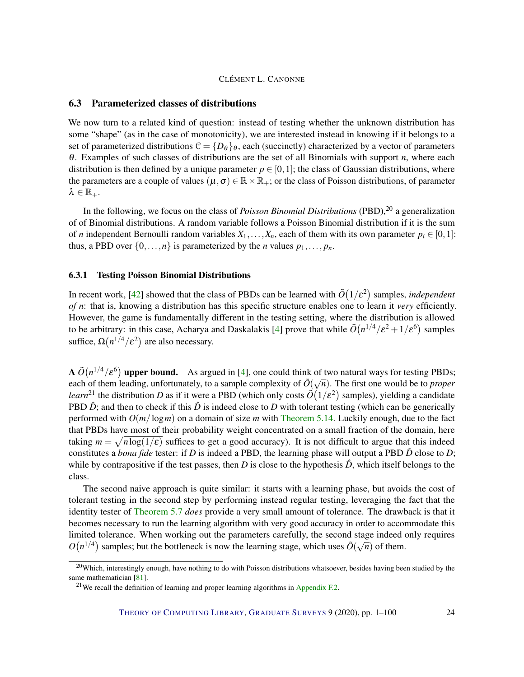#### <span id="page-23-0"></span>6.3 Parameterized classes of distributions

We now turn to a related kind of question: instead of testing whether the unknown distribution has some "shape" (as in the case of monotonicity), we are interested instead in knowing if it belongs to a set of parameterized distributions  $C = \{D_{\theta}\}_\theta$ , each (succinctly) characterized by a vector of parameters θ. Examples of such classes of distributions are the set of all Binomials with support *n*, where each distribution is then defined by a unique parameter  $p \in [0,1]$ ; the class of Gaussian distributions, where the parameters are a couple of values ( $\mu, \sigma \in \mathbb{R} \times \mathbb{R}_+$ ; or the class of Poisson distributions, of parameter  $\lambda \in \mathbb{R}_+$ .

In the following, we focus on the class of *Poisson Binomial Distributions* (PBD),<sup>20</sup> a generalization of of Binomial distributions. A random variable follows a Poisson Binomial distribution if it is the sum of *n* independent Bernoulli random variables  $X_1, \ldots, X_n$ , each of them with its own parameter  $p_i \in [0,1]$ : thus, a PBD over  $\{0, \ldots, n\}$  is parameterized by the *n* values  $p_1, \ldots, p_n$ .

#### <span id="page-23-1"></span>6.3.1 Testing Poisson Binomial Distributions

In recent work, [\[42\]](#page-93-1) showed that the class of PBDs can be learned with  $\tilde{O}(1/\epsilon^2)$  samples, *independent of n*: that is, knowing a distribution has this specific structure enables one to learn it *very* efficiently. However, the game is fundamentally different in the testing setting, where the distribution is allowed to be arbitrary: in this case, Acharya and Daskalakis [\[4\]](#page-90-1) prove that while  $\tilde{O}(n^{1/4}/\epsilon^2 + 1/\epsilon^6)$  samples suffice,  $\Omega\big(n^{1/4}/\varepsilon^2\big)$  are also necessary.

**A**  $\tilde{O}(n^{1/4}/\varepsilon^6)$  **upper bound.** As argued in [\[4\]](#page-90-1), one could think of two natural ways for testing PBDs; A  $O(n^2/\epsilon)$  upper bound. As argued in  $\left[\frac{4}{1}\right]$ , one could think of two natural ways for testing 1 BDs, each of them leading, unfortunately, to a sample complexity of  $\tilde{O}(\sqrt{n})$ . The first one would be to *proper learn*<sup>21</sup> the distribution *D* as if it were a PBD (which only costs  $\tilde{O}(1/\epsilon^2)$  samples), yielding a candidate PBD  $\hat{D}$ ; and then to check if this  $\hat{D}$  is indeed close to *D* with tolerant testing (which can be generically performed with *O*(*m*/log*m*) on a domain of size *m* with [Theorem](#page-19-1) [5.14.](#page-19-1) Luckily enough, due to the fact that PBDs have most of their probability weight concentrated on a small fraction of the domain, here taking  $m = \sqrt{n \log(1/\epsilon)}$  suffices to get a good accuracy). It is not difficult to argue that this indeed constitutes a *bona fide* tester: if *D* is indeed a PBD, the learning phase will output a PBD *D*ˆ close to *D*; while by contrapositive if the test passes, then *D* is close to the hypothesis  $\hat{D}$ , which itself belongs to the class.

The second naive approach is quite similar: it starts with a learning phase, but avoids the cost of tolerant testing in the second step by performing instead regular testing, leveraging the fact that the identity tester of [Theorem](#page-14-0) [5.7](#page-14-0) *does* provide a very small amount of tolerance. The drawback is that it becomes necessary to run the learning algorithm with very good accuracy in order to accommodate this limited tolerance. When working out the parameters carefully, the second stage indeed only requires  $O(n^{1/4})$  samples; but the bottleneck is now the learning stage, which uses  $\tilde{O}(\sqrt{n})$  of them.

<sup>&</sup>lt;sup>20</sup>Which, interestingly enough, have nothing to do with Poisson distributions whatsoever, besides having been studied by the same mathematician [\[81\]](#page-97-7).

<sup>&</sup>lt;sup>21</sup>We recall the definition of learning and proper learning algorithms in [Appendix](#page-89-0) [F.2.](#page-89-0)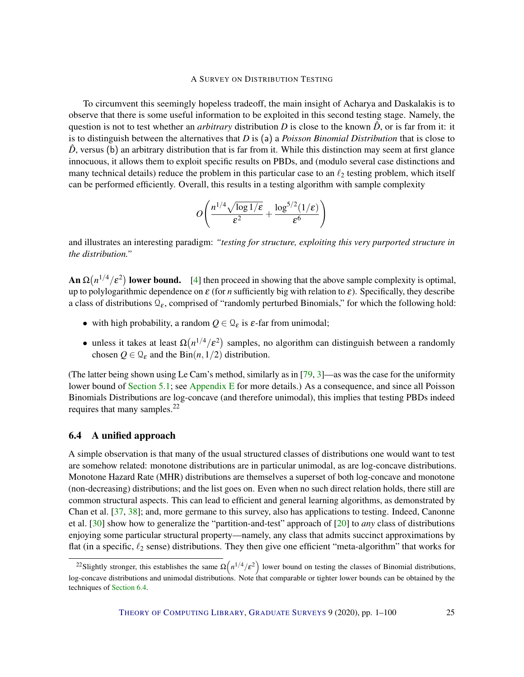To circumvent this seemingly hopeless tradeoff, the main insight of Acharya and Daskalakis is to observe that there is some useful information to be exploited in this second testing stage. Namely, the question is not to test whether an *arbitrary* distribution *D* is close to the known  $\hat{D}$ , or is far from it: it is to distinguish between the alternatives that *D* is (a) a *Poisson Binomial Distribution* that is close to  $\hat{D}$ , versus (b) an arbitrary distribution that is far from it. While this distinction may seem at first glance innocuous, it allows them to exploit specific results on PBDs, and (modulo several case distinctions and many technical details) reduce the problem in this particular case to an  $\ell_2$  testing problem, which itself can be performed efficiently. Overall, this results in a testing algorithm with sample complexity

$$
O\left(\frac{n^{1/4}\sqrt{\log 1/\epsilon}}{\epsilon^2} + \frac{\log^{5/2}(1/\epsilon)}{\epsilon^6}\right)
$$

and illustrates an interesting paradigm: *"testing for structure, exploiting this very purported structure in the distribution."*

**An**  $\Omega(n^{1/4}/\varepsilon^2)$  **lower bound.** [\[4\]](#page-90-1) then proceed in showing that the above sample complexity is optimal, up to polylogarithmic dependence on ε (for *n* sufficiently big with relation to ε). Specifically, they describe a class of distributions  $\mathcal{Q}_{\varepsilon}$ , comprised of "randomly perturbed Binomials," for which the following hold:

- with high probability, a random  $Q \in \mathcal{Q}_{\varepsilon}$  is  $\varepsilon$ -far from unimodal;
- unless it takes at least  $\Omega(n^{1/4}/\varepsilon^2)$  samples, no algorithm can distinguish between a randomly chosen  $Q \in \mathcal{Q}_{\varepsilon}$  and the Bin $(n,1/2)$  distribution.

(The latter being shown using Le Cam's method, similarly as in [\[79,](#page-96-1) [3\]](#page-90-2)—as was the case for the uniformity lower bound of [Section](#page-10-1) [5.1;](#page-10-1) see [Appendix](#page-84-0) [E](#page-84-0) for more details.) As a consequence, and since all Poisson Binomials Distributions are log-concave (and therefore unimodal), this implies that testing PBDs indeed requires that many samples.<sup>22</sup>

#### <span id="page-24-0"></span>6.4 A unified approach

A simple observation is that many of the usual structured classes of distributions one would want to test are somehow related: monotone distributions are in particular unimodal, as are log-concave distributions. Monotone Hazard Rate (MHR) distributions are themselves a superset of both log-concave and monotone (non-decreasing) distributions; and the list goes on. Even when no such direct relation holds, there still are common structural aspects. This can lead to efficient and general learning algorithms, as demonstrated by Chan et al. [\[37,](#page-93-2) [38\]](#page-93-3); and, more germane to this survey, also has applications to testing. Indeed, Canonne et al. [\[30\]](#page-92-2) show how to generalize the "partition-and-test" approach of [\[20\]](#page-92-0) to *any* class of distributions enjoying some particular structural property—namely, any class that admits succinct approximations by flat (in a specific,  $\ell_2$  sense) distributions. They then give one efficient "meta-algorithm" that works for

<sup>&</sup>lt;sup>22</sup>Slightly stronger, this establishes the same  $\Omega(n^{1/4}/\epsilon^2)$  lower bound on testing the classes of Binomial distributions, log-concave distributions and unimodal distributions. Note that comparable or tighter lower bounds can be obtained by the techniques of [Section](#page-24-0) [6.4.](#page-24-0)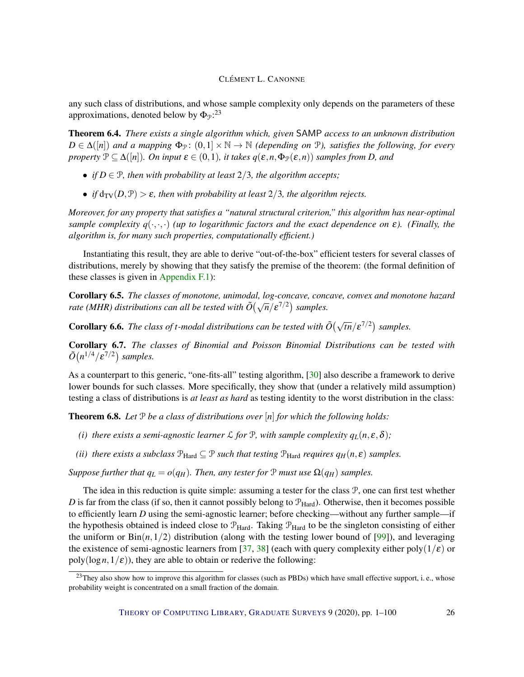any such class of distributions, and whose sample complexity only depends on the parameters of these approximations, denoted below by  $\Phi_{\mathcal{P}}$ :<sup>23</sup>

Theorem 6.4. *There exists a single algorithm which, given* SAMP *access to an unknown distribution*  $D \in \Delta([n])$  *and a mapping*  $\Phi_{\mathcal{P}}$ :  $(0,1] \times \mathbb{N} \to \mathbb{N}$  *(depending on*  $\mathcal{P}$ *), satisfies the following, for every property*  $\mathcal{P} \subseteq \Delta([n])$ *. On input*  $\boldsymbol{\varepsilon} \in (0,1)$ *, it takes*  $q(\boldsymbol{\varepsilon}, n, \Phi_{\mathcal{P}}(\boldsymbol{\varepsilon}, n))$  *samples from D, and* 

- *if*  $D \in \mathcal{P}$ *, then with probability at least*  $2/3$ *, the algorithm accepts;*
- *if*  $d_{TV}(D, P) > \varepsilon$ *, then with probability at least* 2/3*, the algorithm rejects.*

*Moreover, for any property that satisfies a "natural structural criterion," this algorithm has near-optimal sample complexity*  $q(\cdot,\cdot,\cdot)$  *(up to logarithmic factors and the exact dependence on*  $\varepsilon$ *). (Finally, the algorithm is, for many such properties, computationally efficient.)*

Instantiating this result, they are able to derive "out-of-the-box" efficient testers for several classes of distributions, merely by showing that they satisfy the premise of the theorem: (the formal definition of these classes is given in [Appendix](#page-88-1) [F.1\)](#page-88-1):

Corollary 6.5. *The classes of monotone, unimodal, log-concave, concave, convex and monotone hazard* **Coronary 6.5.** The clusses of monotone, unimodal, log-concave, concerned by  $\sigma$  and  $\sigma$  ( $\sqrt{n}/\epsilon^{7/2}$ ) samples.

**Corollary 6.6.** The class of t-modal distributions can be tested with  $\tilde{O}(\sqrt{\ln|\epsilon^{7/2}})$  samples.

Corollary 6.7. *The classes of Binomial and Poisson Binomial Distributions can be tested with*  $\tilde{O}(n^{1/4}/\varepsilon^{7/2})$  samples.

As a counterpart to this generic, "one-fits-all" testing algorithm, [\[30\]](#page-92-2) also describe a framework to derive lower bounds for such classes. More specifically, they show that (under a relatively mild assumption) testing a class of distributions is *at least as hard* as testing identity to the worst distribution in the class:

<span id="page-25-0"></span>Theorem 6.8. *Let* P *be a class of distributions over* [*n*] *for which the following holds:*

- *(i) there exists a semi-agnostic learner*  $\mathcal{L}$  *for*  $\mathcal{P}$ *, with sample complexity*  $q_L(n, \varepsilon, \delta)$ *;*
- *(ii) there exists a subclass*  $P_{\text{Hard}} \subseteq P$  *such that testing*  $P_{\text{Hard}}$  *requires*  $q_H(n, \varepsilon)$  *samples.*

*Suppose further that*  $q_L = o(q_H)$ *. Then, any tester for*  $P$  *must use*  $\Omega(q_H)$  *samples.* 

The idea in this reduction is quite simple: assuming a tester for the class P, one can first test whether *D* is far from the class (if so, then it cannot possibly belong to  $\mathcal{P}_{\text{Hard}}$ ). Otherwise, then it becomes possible to efficiently learn *D* using the semi-agnostic learner; before checking—without any further sample—if the hypothesis obtained is indeed close to  $\mathcal{P}_{Hard}$ . Taking  $\mathcal{P}_{Hard}$  to be the singleton consisting of either the uniform or  $Bin(n, 1/2)$  distribution (along with the testing lower bound of [\[99\]](#page-98-0)), and leveraging the existence of semi-agnostic learners from [\[37,](#page-93-2) [38\]](#page-93-3) (each with query complexity either poly(1/ $\varepsilon$ ) or  $poly(log n, 1/\varepsilon)$ , they are able to obtain or rederive the following:

<sup>&</sup>lt;sup>23</sup>They also show how to improve this algorithm for classes (such as PBDs) which have small effective support, i.e., whose probability weight is concentrated on a small fraction of the domain.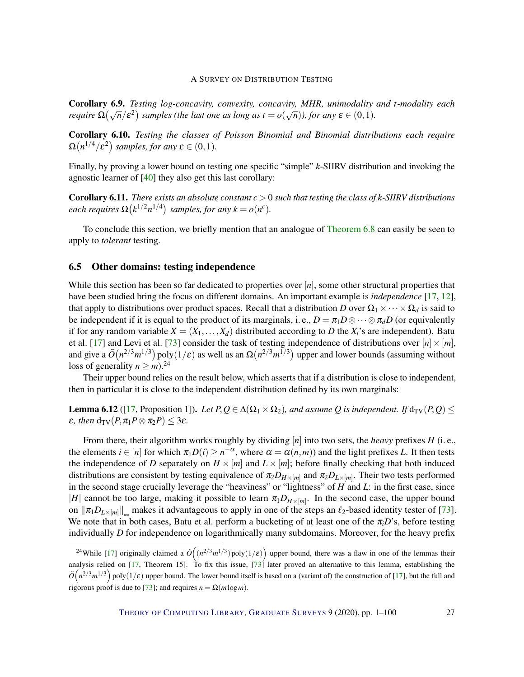Corollary 6.9. *Testing log-concavity, convexity, concavity, MHR, unimodality and t-modality each require*  $\Omega(\sqrt{n}/\varepsilon^2)$  samples (the last one as long as  $t = o(\sqrt{n})$ ), for any  $\varepsilon \in (0,1)$ *.* 

Corollary 6.10. *Testing the classes of Poisson Binomial and Binomial distributions each require*  $\Omega(n^{1/4}/\varepsilon^2)$  samples, for any  $\varepsilon \in (0,1)$ .

Finally, by proving a lower bound on testing one specific "simple" *k*-SIIRV distribution and invoking the agnostic learner of [\[40\]](#page-93-4) they also get this last corollary:

Corollary 6.11. *There exists an absolute constant c* > 0 *such that testing the class of k-SIIRV distributions each requires*  $\Omega(k^{1/2}n^{1/4})$  *samples, for any*  $k = o(n^c)$ *.* 

To conclude this section, we briefly mention that an analogue of [Theorem](#page-25-0) [6.8](#page-25-0) can easily be seen to apply to *tolerant* testing.

#### <span id="page-26-0"></span>6.5 Other domains: testing independence

While this section has been so far dedicated to properties over [*n*], some other structural properties that have been studied bring the focus on different domains. An important example is *independence* [\[17,](#page-91-2) [12\]](#page-91-4), that apply to distributions over product spaces. Recall that a distribution *D* over  $\Omega_1 \times \cdots \times \Omega_d$  is said to be independent if it is equal to the product of its marginals, i. e.,  $D = \pi_1 D \otimes \cdots \otimes \pi_d D$  (or equivalently if for any random variable  $X = (X_1, \ldots, X_d)$  distributed according to *D* the  $X_i$ 's are independent). Batu et al. [\[17\]](#page-91-2) and Levi et al. [\[73\]](#page-96-5) consider the task of testing independence of distributions over  $[n] \times [m]$ , and give a  $\tilde{O}(n^{2/3}m^{1/3})$  poly $(1/\varepsilon)$  as well as an  $\Omega(n^{2/3}m^{1/3})$  upper and lower bounds (assuming without loss of generality  $n \ge m$ .<sup>24</sup>

Their upper bound relies on the result below, which asserts that if a distribution is close to independent, then in particular it is close to the independent distribution defined by its own marginals:

**Lemma 6.12** ([\[17,](#page-91-2) Proposition 1]). Let  $P, Q \in \Delta(\Omega_1 \times \Omega_2)$ , and assume Q is independent. If  $d_{TV}(P, Q) \le$ *ε, then*  $d_{TV}(P, \pi_1 P \otimes \pi_2 P) \leq 3\varepsilon$ *.* 

From there, their algorithm works roughly by dividing [*n*] into two sets, the *heavy* prefixes *H* (i. e., the elements  $i \in [n]$  for which  $\pi_1 D(i) \geq n^{-\alpha}$ , where  $\alpha = \alpha(n,m)$ ) and the light prefixes *L*. It then tests the independence of *D* separately on  $H \times [m]$  and  $L \times [m]$ ; before finally checking that both induced distributions are consistent by testing equivalence of  $\pi_2 D_{H \times [m]}$  and  $\pi_2 D_{L \times [m]}$ . Their two tests performed in the second stage crucially leverage the "heaviness" or "lightness" of *H* and *L*: in the first case, since |*H*| cannot be too large, making it possible to learn  $\pi_1 D_{H \times [m]}$ . In the second case, the upper bound on  $\|\pi_1 D_{L\times[m]}\|_{\infty}$  makes it advantageous to apply in one of the steps an  $\ell_2$ -based identity tester of [\[73\]](#page-96-5). We note that in both cases, Batu et al. perform a bucketing of at least one of the  $\pi_i D$ 's, before testing individually *D* for independence on logarithmically many subdomains. Moreover, for the heavy prefix

<sup>&</sup>lt;sup>24</sup>While [\[17\]](#page-91-2) originally claimed a  $\tilde{O}((n^{2/3}m^{1/3})$  poly $(1/\varepsilon)$  upper bound, there was a flaw in one of the lemmas their analysis relied on [\[17,](#page-91-2) Theorem 15]. To fix this issue,  $\frac{73}{1}$  later proved an alternative to this lemma, establishing the  $\tilde{O}(n^{2/3}m^{1/3})$  poly $(1/\varepsilon)$  upper bound. The lower bound itself is based on a (variant of) the construction of [\[17\]](#page-91-2), but the full and rigorous proof is due to [\[73\]](#page-96-5); and requires  $n = \Omega(m \log m)$ .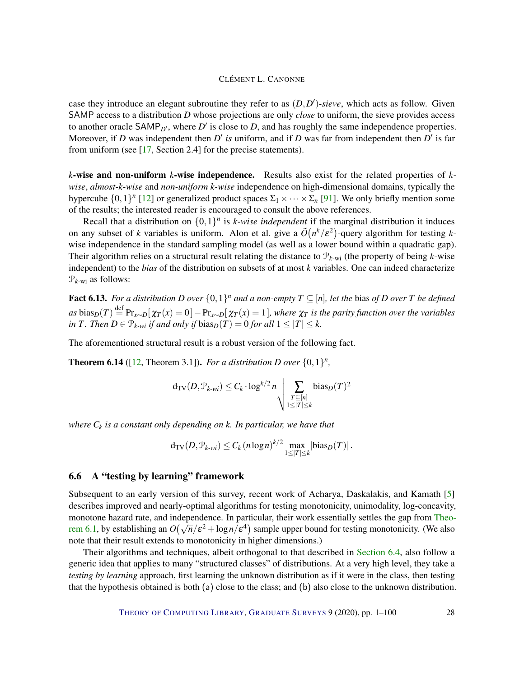case they introduce an elegant subroutine they refer to as  $(D, D')$ -sieve, which acts as follow. Given SAMP access to a distribution *D* whose projections are only *close* to uniform, the sieve provides access to another oracle  $SAMP_{D'}$ , where  $D'$  is close to  $D$ , and has roughly the same independence properties. Moreover, if *D* was independent then *D'* is uniform, and if *D* was far from independent then *D'* is far from uniform (see [\[17,](#page-91-2) Section 2.4] for the precise statements).

*k*-wise and non-uniform *k*-wise independence. Results also exist for the related properties of *kwise*, *almost-k-wise* and *non-uniform k-wise* independence on high-dimensional domains, typically the hypercube  $\{0,1\}^n$  [\[12\]](#page-91-4) or generalized product spaces  $\Sigma_1 \times \cdots \times \Sigma_n$  [\[91\]](#page-97-8). We only briefly mention some of the results; the interested reader is encouraged to consult the above references.

Recall that a distribution on  $\{0,1\}$ <sup>*n*</sup> is *k-wise independent* if the marginal distribution it induces on any subset of *k* variables is uniform. Alon et al. give a  $\tilde{O}(n^k/\varepsilon^2)$ -query algorithm for testing *k*wise independence in the standard sampling model (as well as a lower bound within a quadratic gap). Their algorithm relies on a structural result relating the distance to P*k*-wi (the property of being *k*-wise independent) to the *bias* of the distribution on subsets of at most *k* variables. One can indeed characterize  $\mathcal{P}_{k\text{-wi}}$  as follows:

**Fact 6.13.** For a distribution D over  $\{0,1\}^n$  and a non-empty  $T \subseteq [n]$ , let the bias of D over T be defined  $as$   $bias_D(T) \stackrel{\text{def}}{=} \Pr_{x \sim D}[\chi_T(x) = 0] - \Pr_{x \sim D}[\chi_T(x) = 1]$ *, where*  $\chi_T$  *is the parity function over the variables in T. Then*  $D \in \mathcal{P}_{k-wi}$  *if and only if bias* $_D(T) = 0$  *for all*  $1 \leq |T| \leq k$ .

The aforementioned structural result is a robust version of the following fact.

**Theorem 6.14** ([\[12,](#page-91-4) Theorem 3.1]). *For a distribution D over*  $\{0,1\}^n$ ,

$$
\mathrm{d}_{\mathrm{TV}}(D,\mathcal{P}_{k\text{-}wi}) \leq C_k \cdot \log^{k/2} n \sqrt{\sum_{\substack{T \subseteq [n] \\ 1 \leq |T| \leq k}} \mathrm{bias}_D(T)^2}
$$

*where C<sup>k</sup> is a constant only depending on k. In particular, we have that*

$$
d_{\text{TV}}(D, \mathcal{P}_{k \text{-}wi}) \leq C_k (n \log n)^{k/2} \max_{1 \leq |T| \leq k} |\text{bias}_D(T)|.
$$

#### <span id="page-27-0"></span>6.6 A "testing by learning" framework

Subsequent to an early version of this survey, recent work of Acharya, Daskalakis, and Kamath [\[5\]](#page-90-0) describes improved and nearly-optimal algorithms for testing monotonicity, unimodality, log-concavity, monotone hazard rate, and independence. In particular, their work essentially settles the gap from [Theo](#page-20-2)monotone nazard rate, and independence. In particular, their work essentiary settles the gap from Theo[rem](#page-20-2) [6.1,](#page-20-2) by establishing an  $O(\sqrt{n}/\epsilon^2 + \log n/\epsilon^4)$  sample upper bound for testing monotonicity. (We also note that their result extends to monotonicity in higher dimensions.)

Their algorithms and techniques, albeit orthogonal to that described in [Section](#page-24-0) [6.4,](#page-24-0) also follow a generic idea that applies to many "structured classes" of distributions. At a very high level, they take a *testing by learning* approach, first learning the unknown distribution as if it were in the class, then testing that the hypothesis obtained is both (a) close to the class; and (b) also close to the unknown distribution.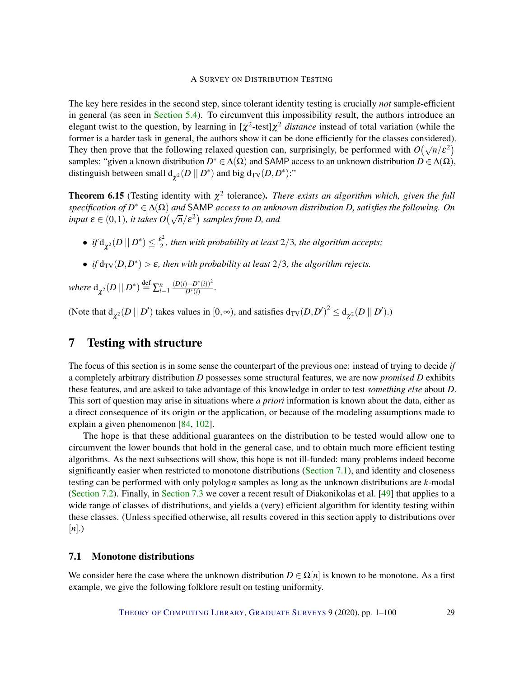The key here resides in the second step, since tolerant identity testing is crucially *not* sample-efficient in general (as seen in [Section](#page-18-0) [5.4\)](#page-18-0). To circumvent this impossibility result, the authors introduce an elegant twist to the question, by learning in  $[\chi^2$ -test] $\chi^2$  *distance* instead of total variation (while the former is a harder task in general, the authors show it can be done efficiently for the classes considered). They then prove that the following relaxed question can, surprisingly, be performed with  $O(\sqrt{n}/\epsilon^2)$ samples: "given a known distribution  $D^* \in \Delta(\Omega)$  and SAMP access to an unknown distribution  $D \in \Delta(\Omega)$ , distinguish between small  $d_{\chi^2}(D \mid D^*)$  and big  $d_{\text{TV}}(D, D^*)$ :"

**Theorem 6.15** (Testing identity with  $\chi^2$  tolerance). *There exists an algorithm which, given the full specification of D* <sup>∗</sup> ∈ ∆(Ω) *and* SAMP *access to an unknown distribution D, satisfies the following. On*  $input \varepsilon \in (0,1)$ *, it takes*  $O(\sqrt{n}/\varepsilon^2)$  *samples from D, and* 

- $\bullet$  *if*  $d_{\chi^2}(D \mid\mid D^*) \leq \frac{\varepsilon^2}{2}$  $\frac{e^2}{2}$ , then with probability at least  $2/3$ , the algorithm accepts;
- *if*  $d_{TV}(D, D^*) > \varepsilon$ , then with probability at least  $2/3$ , the algorithm rejects.

where  $d_{\chi^2}(D \mid\mid D^*) \stackrel{{\rm def}}{=} \sum_{i=1}^n$  $(D(i) - D^*(i))^2$  $\frac{D^{-1}(i)}{D^{*}(i)}$ .

(Note that  $d_{\chi^2}(D \mid D')$  takes values in  $[0, \infty)$ , and satisfies  $d_{TV}(D, D')^2 \le d_{\chi^2}(D \mid D')$ .)

# <span id="page-28-0"></span>7 Testing with structure

The focus of this section is in some sense the counterpart of the previous one: instead of trying to decide *if* a completely arbitrary distribution *D* possesses some structural features, we are now *promised D* exhibits these features, and are asked to take advantage of this knowledge in order to test *something else* about *D*. This sort of question may arise in situations where *a priori* information is known about the data, either as a direct consequence of its origin or the application, or because of the modeling assumptions made to explain a given phenomenon [\[84,](#page-97-9) [102\]](#page-98-4).

The hope is that these additional guarantees on the distribution to be tested would allow one to circumvent the lower bounds that hold in the general case, and to obtain much more efficient testing algorithms. As the next subsections will show, this hope is not ill-funded: many problems indeed become significantly easier when restricted to monotone distributions [\(Section](#page-28-1) [7.1\)](#page-28-1), and identity and closeness testing can be performed with only polylog*n* samples as long as the unknown distributions are *k*-modal [\(Section](#page-30-0) [7.2\)](#page-30-0). Finally, in [Section](#page-31-0) [7.3](#page-31-0) we cover a recent result of Diakonikolas et al. [\[49\]](#page-94-2) that applies to a wide range of classes of distributions, and yields a (very) efficient algorithm for identity testing within these classes. (Unless specified otherwise, all results covered in this section apply to distributions over [*n*].)

#### <span id="page-28-1"></span>7.1 Monotone distributions

We consider here the case where the unknown distribution  $D \in \Omega[n]$  is known to be monotone. As a first example, we give the following folklore result on testing uniformity.

THEORY OF C[OMPUTING](http://dx.doi.org/10.4086/toc) LIBRARY, G[RADUATE](http://dx.doi.org/10.4086/toc.gs) SURVEYS 9 (2020), pp. 1–100 29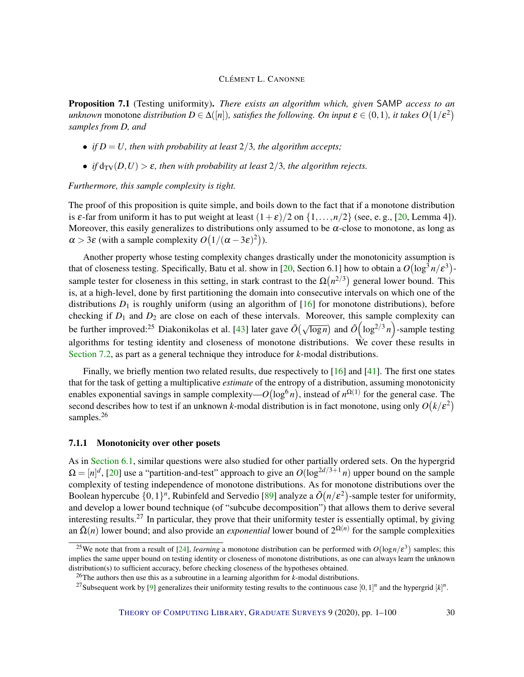Proposition 7.1 (Testing uniformity). *There exists an algorithm which, given* SAMP *access to an unknown* monotone *distribution*  $D \in \Delta([n])$ *, satisfies the following. On input*  $\varepsilon \in (0,1)$ *, it takes*  $O(1/\varepsilon^2)$ *samples from D, and*

- *if*  $D = U$ , then with probability at least 2/3, the algorithm accepts;
- *if*  $d_{TV}(D, U) > \varepsilon$ , then with probability at least 2/3, the algorithm rejects.

*Furthermore, this sample complexity is tight.*

The proof of this proposition is quite simple, and boils down to the fact that if a monotone distribution is  $\varepsilon$ -far from uniform it has to put weight at least  $(1+\varepsilon)/2$  on  $\{1,\ldots,n/2\}$  (see, e.g., [\[20,](#page-92-0) Lemma 4]). Moreover, this easily generalizes to distributions only assumed to be  $\alpha$ -close to monotone, as long as  $\alpha > 3\varepsilon$  (with a sample complexity  $O(1/(\alpha - 3\varepsilon)^2)$ ).

Another property whose testing complexity changes drastically under the monotonicity assumption is that of closeness testing. Specifically, Batu et al. show in [\[20,](#page-92-0) Section 6.1] how to obtain a  $O(\log^3 n/\epsilon^3)$ sample tester for closeness in this setting, in stark contrast to the  $\Omega(n^{2/3})$  general lower bound. This is, at a high-level, done by first partitioning the domain into consecutive intervals on which one of the distributions  $D_1$  is roughly uniform (using an algorithm of [\[16\]](#page-91-3) for monotone distributions), before checking if *D*<sup>1</sup> and *D*<sup>2</sup> are close on each of these intervals. Moreover, this sample complexity can be further improved:<sup>25</sup> Diakonikolas et al. [\[43\]](#page-94-3) later gave  $\tilde{O}(\sqrt{\log n})$  and  $\tilde{O}(\log^{2/3} n)$ -sample testing algorithms for testing identity and closeness of monotone distributions. We cover these results in [Section](#page-30-0) [7.2,](#page-30-0) as part as a general technique they introduce for *k*-modal distributions.

Finally, we briefly mention two related results, due respectively to [\[16\]](#page-91-3) and [\[41\]](#page-93-5). The first one states that for the task of getting a multiplicative *estimate* of the entropy of a distribution, assuming monotonicity enables exponential savings in sample complexity— $O(\log^6 n)$ , instead of  $n^{\Omega(1)}$  for the general case. The second describes how to test if an unknown *k*-modal distribution is in fact monotone, using only  $O(k/\epsilon^2)$ samples.<sup>26</sup>

#### <span id="page-29-0"></span>7.1.1 Monotonicity over other posets

As in [Section](#page-20-1) [6.1,](#page-20-1) similar questions were also studied for other partially ordered sets. On the hypergrid  $\Omega = [n]^d$ , [\[20\]](#page-92-0) use a "partition-and-test" approach to give an  $O(\log^{2d/3+1} n)$  upper bound on the sample complexity of testing independence of monotone distributions. As for monotone distributions over the Boolean hypercube  $\{0,1\}^n$ , Rubinfeld and Servedio [\[89\]](#page-97-4) analyze a  $\tilde{O}(n/\varepsilon^2)$ -sample tester for uniformity, and develop a lower bound technique (of "subcube decomposition") that allows them to derive several interesting results.<sup>27</sup> In particular, they prove that their uniformity tester is essentially optimal, by giving an  $\tilde{\Omega}(n)$  lower bound; and also provide an *exponential* lower bound of  $2^{\Omega(n)}$  for the sample complexities

<sup>&</sup>lt;sup>25</sup>We note that from a result of [\[24\]](#page-92-4), *learning* a monotone distribution can be performed with  $O(\log n/\epsilon^3)$  samples; this implies the same upper bound on testing identity or closeness of monotone distributions, as one can always learn the unknown distribution(s) to sufficient accuracy, before checking closeness of the hypotheses obtained.

<sup>26</sup>The authors then use this as a subroutine in a learning algorithm for *k*-modal distributions.

<sup>&</sup>lt;sup>27</sup>Subsequent work by [\[9\]](#page-91-5) generalizes their uniformity testing results to the continuous case  $[0,1]^n$  and the hypergrid  $[k]^n$ .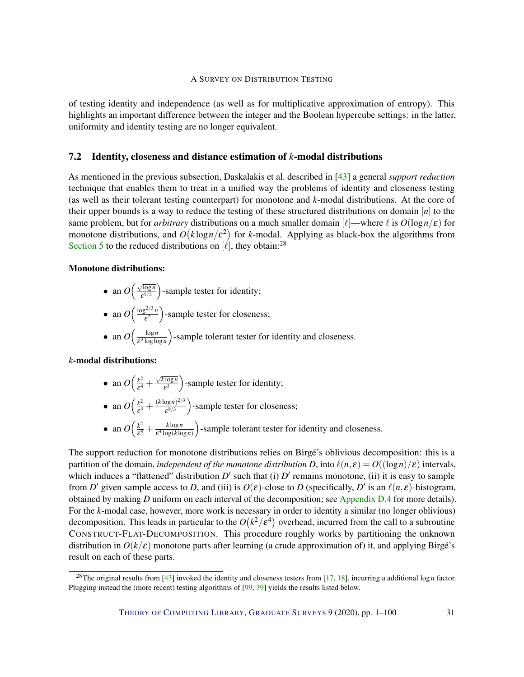of testing identity and independence (as well as for multiplicative approximation of entropy). This highlights an important difference between the integer and the Boolean hypercube settings: in the latter, uniformity and identity testing are no longer equivalent.

#### <span id="page-30-0"></span>7.2 Identity, closeness and distance estimation of *k*-modal distributions

As mentioned in the previous subsection, Daskalakis et al. described in [\[43\]](#page-94-3) a general *support reduction* technique that enables them to treat in a unified way the problems of identity and closeness testing (as well as their tolerant testing counterpart) for monotone and *k*-modal distributions. At the core of their upper bounds is a way to reduce the testing of these structured distributions on domain [*n*] to the same problem, but for *arbitrary* distributions on a much smaller domain  $\ell$ —where  $\ell$  is  $O(\log n/\epsilon)$  for monotone distributions, and  $O(k \log n / \varepsilon^2)$  for *k*-modal. Applying as black-box the algorithms from [Section](#page-10-0) [5](#page-10-0) to the reduced distributions on  $[\ell]$ , they obtain:<sup>28</sup>

#### Monotone distributions:

- an  $O\left(\frac{\sqrt{\log n}}{e^{5/2}}\right)$  $\sqrt{\frac{\log n}{\epsilon^{5/2}}}$  -sample tester for identity;
- an  $O\left(\frac{\log^{2/3}n}{s^2}\right)$  $\left(\frac{e^{2/3}n}{e^2}\right)$ -sample tester for closeness;
- an  $O\left(\frac{\log n}{\epsilon^3 \log \log n}\right)$ ε 3 loglog*n* -sample tolerant tester for identity and closeness.

#### *k*-modal distributions:

• an  $O\left(\frac{k^2}{s^4}\right)$  $\frac{k^2}{\epsilon^4} +$ √ *k* log*n*  $\sqrt{\frac{\log n}{\epsilon^3}}$ )-sample tester for identity;

• an 
$$
O\left(\frac{k^2}{\epsilon^4} + \frac{(k \log n)^{2/3}}{\epsilon^{8/3}}\right)
$$
-sample tester for closeness;

• an  $O\left(\frac{k^2}{s^4}\right)$  $\frac{k^2}{\varepsilon^4} + \frac{k \log n}{\varepsilon^4 \log(k \log n)}$  $\sqrt{\varepsilon^4 \log(k \log n)}$ -sample tolerant tester for identity and closeness.

The support reduction for monotone distributions relies on Birgé's oblivious decomposition: this is a partition of the domain, *independent of the monotone distribution D*, into  $\ell(n, \varepsilon) = O((\log n)/\varepsilon)$  intervals, which induces a "flattened" distribution  $D'$  such that (i)  $D'$  remains monotone, (ii) it is easy to sample from *D'* given sample access to *D*, and (iii) is  $O(\varepsilon)$ -close to *D* (specifically, *D'* is an  $\ell(n,\varepsilon)$ -histogram, obtained by making *D* uniform on each interval of the decomposition; see [Appendix](#page-83-0) [D.4](#page-83-0) for more details). For the *k*-modal case, however, more work is necessary in order to identity a similar (no longer oblivious) decomposition. This leads in particular to the  $O(k^2/\epsilon^4)$  overhead, incurred from the call to a subroutine CONSTRUCT-FLAT-DECOMPOSITION. This procedure roughly works by partitioning the unknown distribution in  $O(k/\epsilon)$  monotone parts after learning (a crude approximation of) it, and applying Birgé's result on each of these parts.

<sup>28</sup>The original results from [\[43\]](#page-94-3) invoked the identity and closeness testers from [\[17,](#page-91-2) [18\]](#page-91-0), incurring a additional log*n* factor. Plugging instead the (more recent) testing algorithms of [\[99,](#page-98-0) [39\]](#page-93-0) yields the results listed below.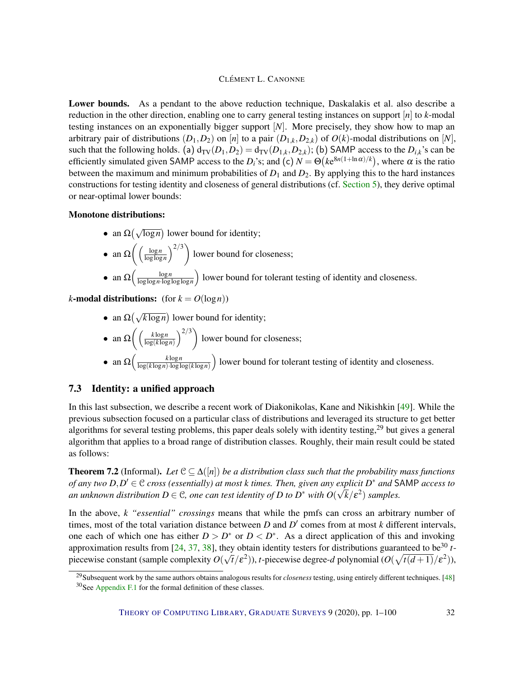Lower bounds. As a pendant to the above reduction technique, Daskalakis et al. also describe a reduction in the other direction, enabling one to carry general testing instances on support [*n*] to *k*-modal testing instances on an exponentially bigger support [*N*]. More precisely, they show how to map an arbitrary pair of distributions  $(D_1, D_2)$  on  $[n]$  to a pair  $(D_{1,k}, D_{2,k})$  of  $O(k)$ -modal distributions on  $[N]$ , such that the following holds. (a)  $d_{TV}(D_1, D_2) = d_{TV}(D_{1,k}, D_{2,k})$ ; (b) SAMP access to the  $D_{i,k}$ 's can be efficiently simulated given SAMP access to the *D*<sup>*i*</sup>s; and (c)  $N = \Theta(ke^{8n(1 + \ln \alpha)/k})$ , where  $\alpha$  is the ratio between the maximum and minimum probabilities of  $D_1$  and  $D_2$ . By applying this to the hard instances constructions for testing identity and closeness of general distributions (cf. [Section](#page-10-0) [5\)](#page-10-0), they derive optimal or near-optimal lower bounds:

#### Monotone distributions:

- an  $\Omega(\sqrt{\log n})$  lower bound for identity;
- an  $\Omega\left(\frac{\log n}{\log \log n}\right)$  $\frac{\log n}{\log \log n}$ <sup>2/3</sup>) lower bound for closeness;
- an  $\Omega\left(\frac{\log n}{\log\log n \cdot \log n}\right)$  $\frac{\log n}{\log \log n \cdot \log \log \log n}$  lower bound for tolerant testing of identity and closeness.

*k*-modal distributions: (for  $k = O(\log n)$ )

• an  $\Omega(\sqrt{k \log n})$  lower bound for identity;

• an 
$$
\Omega\left(\left(\frac{k \log n}{\log(k \log n)}\right)^{2/3}\right)
$$
 lower bound for closeness;

• an  $\Omega\left(\frac{k \log n}{\log(k \log n) \cdot \log k}\right)$  $\frac{k \log n}{\log(k \log n) \cdot \log \log(k \log n)}$  lower bound for tolerant testing of identity and closeness.

#### <span id="page-31-0"></span>7.3 Identity: a unified approach

In this last subsection, we describe a recent work of Diakonikolas, Kane and Nikishkin [\[49\]](#page-94-2). While the previous subsection focused on a particular class of distributions and leveraged its structure to get better algorithms for several testing problems, this paper deals solely with identity testing,<sup>29</sup> but gives a general algorithm that applies to a broad range of distribution classes. Roughly, their main result could be stated as follows:

<span id="page-31-1"></span>**Theorem 7.2** (Informal). Let  $C \subseteq \Delta([n])$  be a distribution class such that the probability mass functions *of any two*  $D, D' \in \mathcal{C}$  *cross (essentially) at most k times. Then, given any explicit*  $D^*$  *and* SAMP *access to* an unknown distribution  $D \in \mathcal{C}$ , one can test identity of  $D$  to  $D^*$  with  $O(\sqrt{k}/\varepsilon^2)$  samples.

In the above, *k "essential" crossings* means that while the pmfs can cross an arbitrary number of times, most of the total variation distance between  $D$  and  $D'$  comes from at most  $k$  different intervals, one each of which one has either  $D > D^*$  or  $D < D^*$ . As a direct application of this and invoking approximation results from  $[24, 37, 38]$  $[24, 37, 38]$  $[24, 37, 38]$  $[24, 37, 38]$  $[24, 37, 38]$ , they obtain identity testers for distributions guaranteed to be<sup>30</sup> *t*piecewise constant (sample complexity *O*( µe  $\bar{t}/\varepsilon^2$ )), *t*-piecewise degree-*d* polynomial ( $O(\sqrt{t(d+1)}/\varepsilon^2)$ ),

<sup>29</sup>Subsequent work by the same authors obtains analogous results for *closeness* testing, using entirely different techniques. [\[48\]](#page-94-4)  $30$ See [Appendix](#page-88-1) [F.1](#page-88-1) for the formal definition of these classes.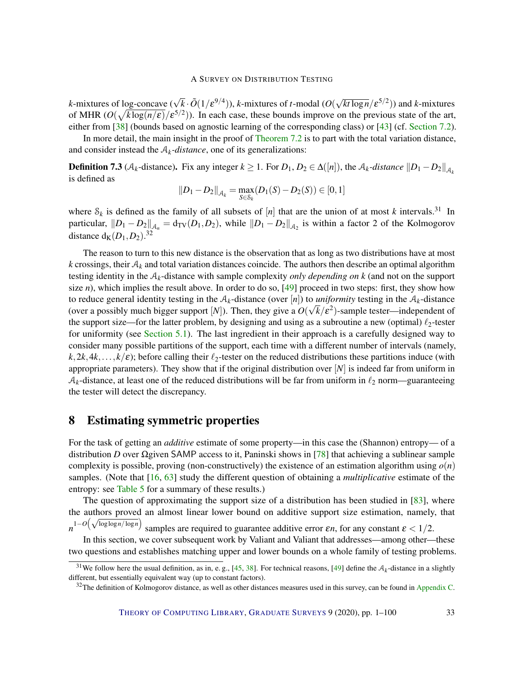*k*-mixtures of log-concave ( $\sqrt{k} \cdot \tilde{O}(1/\varepsilon^{9/4})$ ), *k*-mixtures of *t*-modal (*O*( √  $\sqrt{k t \log n}/\epsilon^{5/2})$ ) and *k*-mixtures of MHR  $(O(\sqrt{k \log(n/\epsilon)})/\epsilon^{5/2})$ ). In each case, these bounds improve on the previous state of the art, either from [\[38\]](#page-93-3) (bounds based on agnostic learning of the corresponding class) or [\[43\]](#page-94-3) (cf. [Section](#page-30-0) [7.2\)](#page-30-0).

In more detail, the main insight in the proof of [Theorem](#page-31-1) [7.2](#page-31-1) is to part with the total variation distance, and consider instead the  $A_k$ -distance, one of its generalizations:

**Definition 7.3** ( $A_k$ -distance). Fix any integer  $k \ge 1$ . For  $D_1, D_2 \in \Delta([n])$ , the  $A_k$ -distance  $||D_1 - D_2||_{A_k}$ is defined as

$$
||D_1 - D_2||_{\mathcal{A}_k} = \max_{S \in \mathcal{S}_k} (D_1(S) - D_2(S)) \in [0, 1]
$$

where  $S_k$  is defined as the family of all subsets of  $[n]$  that are the union of at most *k* intervals.<sup>31</sup> In particular,  $||D_1 - D_2||_{\mathcal{A}_n} = d_{TV}(D_1, D_2)$ , while  $||D_1 - D_2||_{\mathcal{A}_2}$  is within a factor 2 of the Kolmogorov distance  $d_K(D_1, D_2)$ .<sup>32</sup>

The reason to turn to this new distance is the observation that as long as two distributions have at most  $k$  crossings, their  $A_k$  and total variation distances coincide. The authors then describe an optimal algorithm testing identity in the A*k*-distance with sample complexity *only depending on k* (and not on the support size  $n$ ), which implies the result above. In order to do so, [\[49\]](#page-94-2) proceed in two steps: first, they show how to reduce general identity testing in the  $A_k$ -distance (over [*n*]) to *uniformity* testing in the  $A_k$ -distance (over a possibly much bigger support [*N*]). Then, they give a  $O(\sqrt{k}/\varepsilon^2)$ -sample tester—independent of the support size—for the latter problem, by designing and using as a subroutine a new (optimal)  $\ell_2$ -tester for uniformity (see [Section](#page-10-1) [5.1\)](#page-10-1). The last ingredient in their approach is a carefully designed way to consider many possible partitions of the support, each time with a different number of intervals (namely,  $k$ ,  $2k$ ,  $4k$ ,...,  $k/\epsilon$ ; before calling their  $\ell_2$ -tester on the reduced distributions these partitions induce (with appropriate parameters). They show that if the original distribution over [*N*] is indeed far from uniform in  $A_k$ -distance, at least one of the reduced distributions will be far from uniform in  $\ell_2$  norm—guaranteeing the tester will detect the discrepancy.

### <span id="page-32-0"></span>8 Estimating symmetric properties

For the task of getting an *additive* estimate of some property—in this case the (Shannon) entropy— of a distribution *D* over Ωgiven SAMP access to it, Paninski shows in [\[78\]](#page-96-2) that achieving a sublinear sample complexity is possible, proving (non-constructively) the existence of an estimation algorithm using  $o(n)$ samples. (Note that [\[16,](#page-91-3) [63\]](#page-95-5) study the different question of obtaining a *multiplicative* estimate of the entropy: see [Table 5](#page-74-3) for a summary of these results.)

The question of approximating the support size of a distribution has been studied in [\[83\]](#page-97-10), where the authors proved an almost linear lower bound on additive support size estimation, namely, that  $n^{1-O\left(\sqrt{\log \log n / \log n}\right)}$ samples are required to guarantee additive error  $\varepsilon n$ , for any constant  $\varepsilon < 1/2$ .

In this section, we cover subsequent work by Valiant and Valiant that addresses—among other—these two questions and establishes matching upper and lower bounds on a whole family of testing problems.

<sup>&</sup>lt;sup>31</sup>We follow here the usual definition, as in, e.g., [\[45,](#page-94-1) [38\]](#page-93-3). For technical reasons, [\[49\]](#page-94-2) define the  $A_k$ -distance in a slightly different, but essentially equivalent way (up to constant factors).

 $32$ The definition of Kolmogorov distance, as well as other distances measures used in this survey, can be found in [Appendix](#page-75-0) [C.](#page-75-0)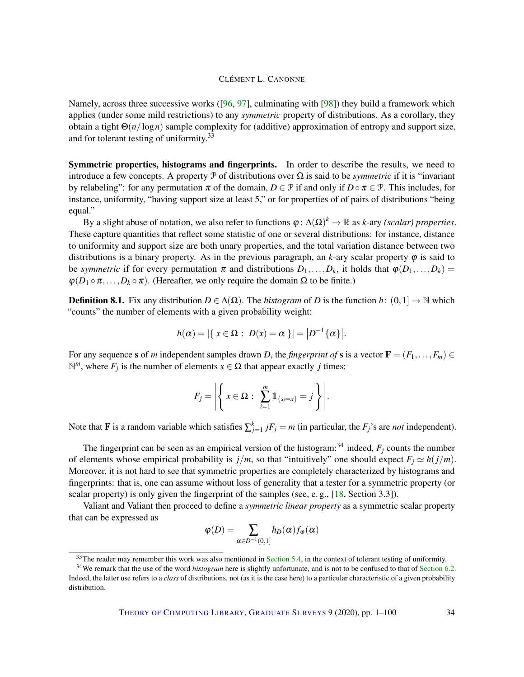Namely, across three successive works ([\[96,](#page-98-3) [97\]](#page-98-5), culminating with [\[98\]](#page-98-2)) they build a framework which applies (under some mild restrictions) to any *symmetric* property of distributions. As a corollary, they obtain a tight Θ(*n*/log*n*) sample complexity for (additive) approximation of entropy and support size, and for tolerant testing of uniformity.<sup>33</sup>

Symmetric properties, histograms and fingerprints. In order to describe the results, we need to introduce a few concepts. A property P of distributions over  $\Omega$  is said to be *symmetric* if it is "invariant" by relabeling": for any permutation  $\pi$  of the domain,  $D \in \mathcal{P}$  if and only if  $D \circ \pi \in \mathcal{P}$ . This includes, for instance, uniformity, "having support size at least 5," or for properties of of pairs of distributions "being equal."

By a slight abuse of notation, we also refer to functions  $\varphi: \Delta(\Omega)^k \to \mathbb{R}$  as *k*-ary *(scalar) properties*. These capture quantities that reflect some statistic of one or several distributions: for instance, distance to uniformity and support size are both unary properties, and the total variation distance between two distributions is a binary property. As in the previous paragraph, an  $k$ -ary scalar property  $\varphi$  is said to be *symmetric* if for every permutation  $\pi$  and distributions  $D_1, \ldots, D_k$ , it holds that  $\varphi(D_1, \ldots, D_k)$  $\varphi(D_1 \circ \pi, \ldots, D_k \circ \pi)$ . (Hereafter, we only require the domain  $\Omega$  to be finite.)

**Definition 8.1.** Fix any distribution  $D \in \Delta(\Omega)$ . The *histogram* of *D* is the function *h*:  $(0,1] \rightarrow \mathbb{N}$  which "counts" the number of elements with a given probability weight:

$$
h(\alpha) = |\{ x \in \Omega : D(x) = \alpha \}| = |D^{-1}\{\alpha\}|.
$$

For any sequence s of *m* independent samples drawn *D*, the *fingerprint of* s is a vector  $\mathbf{F} = (F_1, \ldots, F_m) \in$  $\mathbb{N}^m$ , where *F<sub>j</sub>* is the number of elements *x* ∈ Ω that appear exactly *j* times:

$$
F_j = \left| \left\{ x \in \Omega : \sum_{i=1}^m 1 \mathbb{1}_{\{s_i = x\}} = j \right\} \right|.
$$

Note that **F** is a random variable which satisfies  $\sum_{j=1}^{k} jF_j = m$  (in particular, the  $F_j$ 's are *not* independent).

The fingerprint can be seen as an empirical version of the histogram:<sup>34</sup> indeed,  $F_j$  counts the number of elements whose empirical probability is  $j/m$ , so that "intuitively" one should expect  $F_j \simeq h(j/m)$ . Moreover, it is not hard to see that symmetric properties are completely characterized by histograms and fingerprints: that is, one can assume without loss of generality that a tester for a symmetric property (or scalar property) is only given the fingerprint of the samples (see, e. g., [\[18,](#page-91-0) Section 3.3]).

Valiant and Valiant then proceed to define a *symmetric linear property* as a symmetric scalar property that can be expressed as

$$
\varphi(D) = \sum_{\alpha \in D^{-1}(0,1]} h_D(\alpha) f_{\varphi}(\alpha)
$$

 $33$ The reader may remember this work was also mentioned in [Section](#page-18-0) [5.4,](#page-18-0) in the context of tolerant testing of uniformity.

<sup>34</sup>We remark that the use of the word *histogram* here is slightly unfortunate, and is not to be confused to that of [Section](#page-22-0) [6.2.](#page-22-0) Indeed, the latter use refers to a *class* of distributions, not (as it is the case here) to a particular characteristic of a given probability distribution.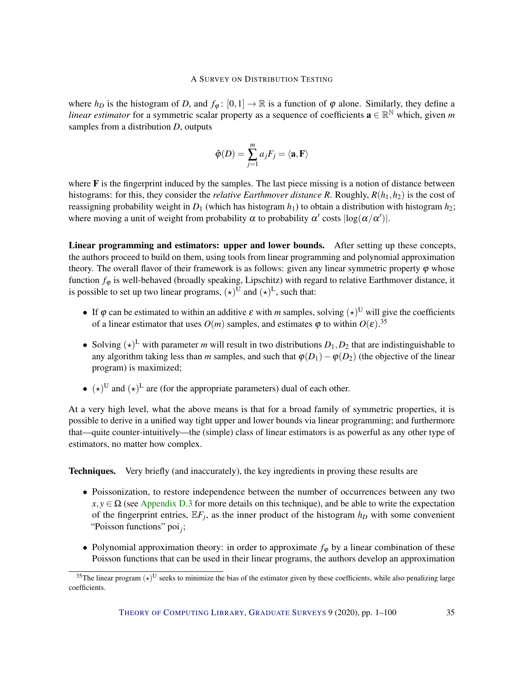where  $h_D$  is the histogram of *D*, and  $f_{\varphi}$ :  $[0,1] \rightarrow \mathbb{R}$  is a function of  $\varphi$  alone. Similarly, they define a *linear estimator* for a symmetric scalar property as a sequence of coefficients  $\mathbf{a} \in \mathbb{R}^N$  which, given m samples from a distribution *D*, outputs

$$
\hat{\varphi}(D) = \sum_{j=1}^{m} a_j F_j = \langle \mathbf{a}, \mathbf{F} \rangle
$$

where  $\bf{F}$  is the fingerprint induced by the samples. The last piece missing is a notion of distance between histograms: for this, they consider the *relative Earthmover distance R*. Roughly, *R*(*h*1,*h*2) is the cost of reassigning probability weight in  $D_1$  (which has histogram  $h_1$ ) to obtain a distribution with histogram  $h_2$ ; where moving a unit of weight from probability  $\alpha$  to probability  $\alpha'$  costs  $|\log(\alpha/\alpha')|$ .

Linear programming and estimators: upper and lower bounds. After setting up these concepts, the authors proceed to build on them, using tools from linear programming and polynomial approximation theory. The overall flavor of their framework is as follows: given any linear symmetric property  $\varphi$  whose function  $f_{\varphi}$  is well-behaved (broadly speaking, Lipschitz) with regard to relative Earthmover distance, it is possible to set up two linear programs,  $(\star)^U$  and  $(\star)^L$ , such that:

- If  $\varphi$  can be estimated to within an additive  $\varepsilon$  with *m* samples, solving  $(\star)^U$  will give the coefficients of a linear estimator that uses  $O(m)$  samples, and estimates  $\varphi$  to within  $O(\varepsilon)$ .<sup>35</sup>
- Solving  $(\star)^L$  with parameter *m* will result in two distributions  $D_1, D_2$  that are indistinguishable to any algorithm taking less than *m* samples, and such that  $\varphi(D_1)-\varphi(D_2)$  (the objective of the linear program) is maximized;
- $(\star)^U$  and  $(\star)^L$  are (for the appropriate parameters) dual of each other.

At a very high level, what the above means is that for a broad family of symmetric properties, it is possible to derive in a unified way tight upper and lower bounds via linear programming; and furthermore that—quite counter-intuitively—the (simple) class of linear estimators is as powerful as any other type of estimators, no matter how complex.

Techniques. Very briefly (and inaccurately), the key ingredients in proving these results are

- Poissonization, to restore independence between the number of occurrences between any two  $x, y \in \Omega$  (see [Appendix](#page-81-0) [D.3](#page-81-0) for more details on this technique), and be able to write the expectation of the fingerprint entries,  $E F_j$ , as the inner product of the histogram  $h_D$  with some convenient "Poisson functions" poi*<sup>j</sup>* ;
- Polynomial approximation theory: in order to approximate  $f_{\varphi}$  by a linear combination of these Poisson functions that can be used in their linear programs, the authors develop an approximation

<sup>&</sup>lt;sup>35</sup>The linear program  $(\star)^U$  seeks to minimize the bias of the estimator given by these coefficients, while also penalizing large coefficients.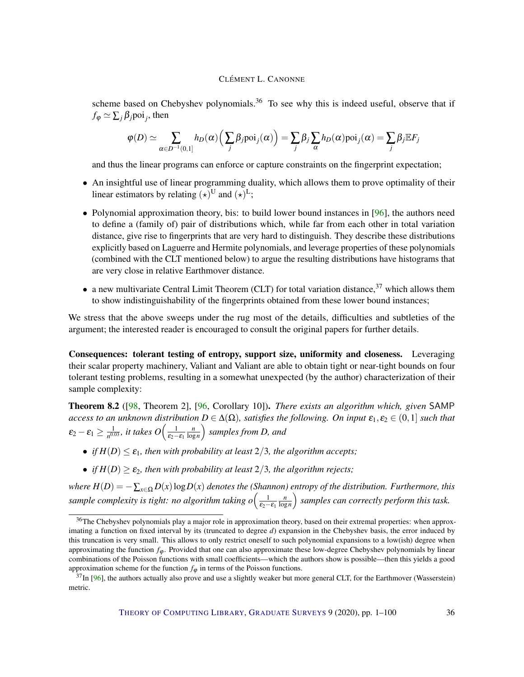scheme based on Chebyshev polynomials.<sup>36</sup> To see why this is indeed useful, observe that if  $f_{\varphi} \simeq \sum_{j} \beta_{j}$ poi<sub>j</sub>, then

$$
\varphi(D) \simeq \sum_{\alpha \in D^{-1}(0,1]} h_D(\alpha) \Big(\sum_j \beta_j \mathrm{poi}_j(\alpha)\Big) = \sum_j \beta_j \sum_{\alpha} h_D(\alpha) \mathrm{poi}_j(\alpha) = \sum_j \beta_j \mathbb{E} F_j
$$

and thus the linear programs can enforce or capture constraints on the fingerprint expectation;

- An insightful use of linear programming duality, which allows them to prove optimality of their linear estimators by relating  $(\star)^U$  and  $(\star)^L$ ;
- Polynomial approximation theory, bis: to build lower bound instances in [\[96\]](#page-98-3), the authors need to define a (family of) pair of distributions which, while far from each other in total variation distance, give rise to fingerprints that are very hard to distinguish. They describe these distributions explicitly based on Laguerre and Hermite polynomials, and leverage properties of these polynomials (combined with the CLT mentioned below) to argue the resulting distributions have histograms that are very close in relative Earthmover distance.
- a new multivariate Central Limit Theorem (CLT) for total variation distance,  $37$  which allows them to show indistinguishability of the fingerprints obtained from these lower bound instances;

We stress that the above sweeps under the rug most of the details, difficulties and subtleties of the argument; the interested reader is encouraged to consult the original papers for further details.

Consequences: tolerant testing of entropy, support size, uniformity and closeness. Leveraging their scalar property machinery, Valiant and Valiant are able to obtain tight or near-tight bounds on four tolerant testing problems, resulting in a somewhat unexpected (by the author) characterization of their sample complexity:

Theorem 8.2 ([\[98,](#page-98-2) Theorem 2], [\[96,](#page-98-3) Corollary 10]). *There exists an algorithm which, given* SAMP *access to an unknown distribution*  $D \in \Delta(\Omega)$ *, satisfies the following. On input*  $\varepsilon_1, \varepsilon_2 \in (0,1]$  *such that*  $\mathcal{E}_2 - \mathcal{E}_1 \geq \frac{1}{n^{0.0}}$  $\frac{1}{n^{0.03}}$ *, it takes O* $\Big(\frac{1}{\epsilon_2-\epsilon_1}\frac{n}{\log n}\Big)$ log*n samples from D, and*

- *if*  $H(D) \leq \varepsilon_1$ *, then with probability at least* 2/3*, the algorithm accepts*;
- *if*  $H(D) \ge \varepsilon_2$ , then with probability at least 2/3, the algorithm rejects;

*where H*(*D*) = −∑*x*∈<sup>Ω</sup> *D*(*x*)log*D*(*x*) *denotes the (Shannon) entropy of the distribution. Furthermore, this* sample complexity is tight: no algorithm taking  $o\Big(\frac{1}{\epsilon_2-\epsilon_1}\frac{n}{\log n}\Big)$  $\left(\frac{n}{\log n}\right)$  samples can correctly perform this task.

<sup>&</sup>lt;sup>36</sup>The Chebyshev polynomials play a major role in approximation theory, based on their extremal properties: when approximating a function on fixed interval by its (truncated to degree *d*) expansion in the Chebyshev basis, the error induced by this truncation is very small. This allows to only restrict oneself to such polynomial expansions to a low(ish) degree when approximating the function  $f$ <sub> $\phi$ </sub>. Provided that one can also approximate these low-degree Chebyshev polynomials by linear combinations of the Poisson functions with small coefficients—which the authors show is possible—then this yields a good approximation scheme for the function  $f_{\varphi}$  in terms of the Poisson functions.

 $37$ In [\[96\]](#page-98-3), the authors actually also prove and use a slightly weaker but more general CLT, for the Earthmover (Wasserstein) metric.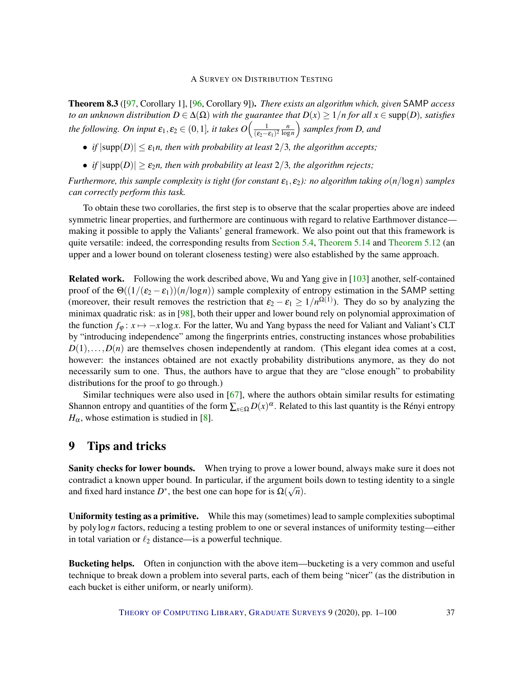Theorem 8.3 ([\[97,](#page-98-0) Corollary 1], [\[96,](#page-98-1) Corollary 9]). *There exists an algorithm which, given* SAMP *access to an unknown distribution*  $D \in \Delta(\Omega)$  *with the guarantee that*  $D(x) \geq 1/n$  *for all*  $x \in \text{supp}(D)$ *, satisfies the following. On input*  $\varepsilon_1, \varepsilon_2 \in (0,1]$ *, it takes*  $O\left(\frac{1}{\varepsilon_2}\right)$  $\frac{1}{(\epsilon_2-\epsilon_1)^2} \frac{n}{\log n}$ log*n samples from D, and*

- *if*  $|\text{supp}(D)| < \varepsilon_1 n$ , then with probability at least 2/3, the algorithm accepts;
- *if*  $|\text{supp}(D)| \ge \varepsilon_2 n$ , then with probability at least 2/3, the algorithm rejects;

*Furthermore, this sample complexity is tight (for constant*  $\varepsilon_1$ ,  $\varepsilon_2$ ): *no algorithm taking*  $o(n/\log n)$  *samples can correctly perform this task.*

To obtain these two corollaries, the first step is to observe that the scalar properties above are indeed symmetric linear properties, and furthermore are continuous with regard to relative Earthmover distance making it possible to apply the Valiants' general framework. We also point out that this framework is quite versatile: indeed, the corresponding results from [Section](#page-18-0) [5.4,](#page-18-0) [Theorem](#page-19-1) [5.14](#page-19-0) and Theorem [5.12](#page-19-1) (an upper and a lower bound on tolerant closeness testing) were also established by the same approach.

Related work. Following the work described above, Wu and Yang give in [\[103\]](#page-98-2) another, self-contained proof of the  $\Theta((1/(\varepsilon_2 - \varepsilon_1))(n/\log n))$  sample complexity of entropy estimation in the SAMP setting (moreover, their result removes the restriction that  $\varepsilon_2 - \varepsilon_1 \geq 1/n^{\Omega(1)}$ ). They do so by analyzing the minimax quadratic risk: as in [\[98\]](#page-98-3), both their upper and lower bound rely on polynomial approximation of the function  $f_{\varphi}: x \mapsto -x \log x$ . For the latter, Wu and Yang bypass the need for Valiant and Valiant's CLT by "introducing independence" among the fingerprints entries, constructing instances whose probabilities  $D(1), \ldots, D(n)$  are themselves chosen independently at random. (This elegant idea comes at a cost, however: the instances obtained are not exactly probability distributions anymore, as they do not necessarily sum to one. Thus, the authors have to argue that they are "close enough" to probability distributions for the proof to go through.)

Similar techniques were also used in [\[67\]](#page-96-0), where the authors obtain similar results for estimating Shannon entropy and quantities of the form  $\sum_{x \in \Omega} D(x)^{\alpha}$ . Related to this last quantity is the Rényi entropy  $H_{\alpha}$ , whose estimation is studied in [\[8\]](#page-90-0).

## 9 Tips and tricks

Sanity checks for lower bounds. When trying to prove a lower bound, always make sure it does not contradict a known upper bound. In particular, if the argument boils down to testing identity to a single and fixed hard instance  $D^*$ , the best one can hope for is  $\Omega(\sqrt{n})$ .

Uniformity testing as a primitive. While this may (sometimes) lead to sample complexities suboptimal by polylog*n* factors, reducing a testing problem to one or several instances of uniformity testing—either in total variation or  $\ell_2$  distance—is a powerful technique.

Bucketing helps. Often in conjunction with the above item—bucketing is a very common and useful technique to break down a problem into several parts, each of them being "nicer" (as the distribution in each bucket is either uniform, or nearly uniform).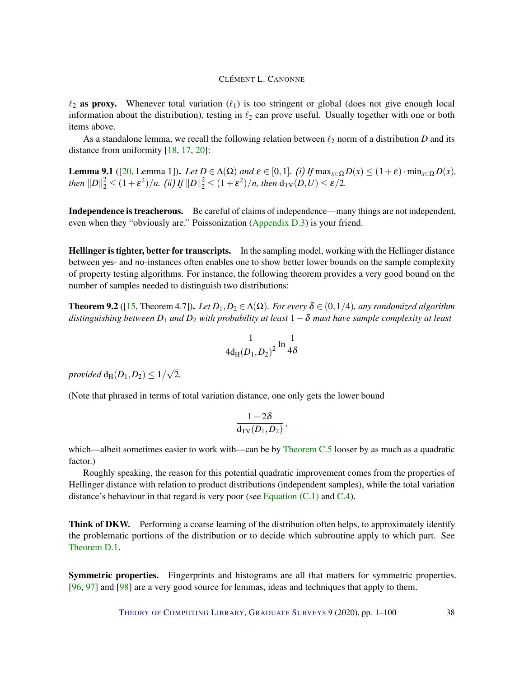$\ell_2$  as proxy. Whenever total variation  $(\ell_1)$  is too stringent or global (does not give enough local information about the distribution), testing in  $\ell_2$  can prove useful. Usually together with one or both items above.

As a standalone lemma, we recall the following relation between  $\ell_2$  norm of a distribution *D* and its distance from uniformity [\[18,](#page-91-0) [17,](#page-91-1) [20\]](#page-92-0):

**Lemma 9.1** ([\[20,](#page-92-0) Lemma 1]). *Let*  $D \in \Delta(\Omega)$  *and*  $\varepsilon \in [0,1]$ *. (i) If* max $_{x \in \Omega} D(x) \leq (1+\varepsilon) \cdot \min_{x \in \Omega} D(x)$ , *then*  $||D||_2^2 \le (1+\varepsilon^2)/n$ . *(ii) If*  $||D||_2^2 \le (1+\varepsilon^2)/n$ , then  $d_{TV}(D,U) \le \varepsilon/2$ .

Independence is treacherous. Be careful of claims of independence—many things are not independent, even when they "obviously are." Poissonization [\(Appendix](#page-81-0) [D.3\)](#page-81-0) is your friend.

Hellinger is tighter, better for transcripts. In the sampling model, working with the Hellinger distance between yes- and no-instances often enables one to show better lower bounds on the sample complexity of property testing algorithms. For instance, the following theorem provides a very good bound on the number of samples needed to distinguish two distributions:

**Theorem 9.2** ([\[15,](#page-91-2) Theorem 4.7]). *Let*  $D_1, D_2 \in \Delta(\Omega)$ *. For every*  $\delta \in (0, 1/4)$ *, any randomized algorithm distinguishing between*  $D_1$  *and*  $D_2$  *with probability at least*  $1-\delta$  *must have sample complexity at least* 

$$
\frac{1}{4d_{\mathrm{H}}(D_1, D_2)^2} \ln \frac{1}{4\delta}
$$

*provided*  $d_H(D_1,D_2) \leq 1/2$ √ 2*.*

(Note that phrased in terms of total variation distance, one only gets the lower bound

$$
\frac{1-2\delta}{\mathrm{d}_{\mathrm{TV}}(D_1,D_2)}\,,
$$

which—albeit sometimes easier to work with—can be by [Theorem C.5](#page-76-0) looser by as much as a quadratic factor.)

Roughly speaking, the reason for this potential quadratic improvement comes from the properties of Hellinger distance with relation to product distributions (independent samples), while the total variation distance's behaviour in that regard is very poor (see Equation  $(C.1)$  and  $C.4$ ).

Think of DKW. Performing a coarse learning of the distribution often helps, to approximately identify the problematic portions of the distribution or to decide which subroutine apply to which part. See [Theorem](#page-78-0) [D.1.](#page-78-0)

Symmetric properties. Fingerprints and histograms are all that matters for symmetric properties. [\[96,](#page-98-1) [97\]](#page-98-0) and [\[98\]](#page-98-3) are a very good source for lemmas, ideas and techniques that apply to them.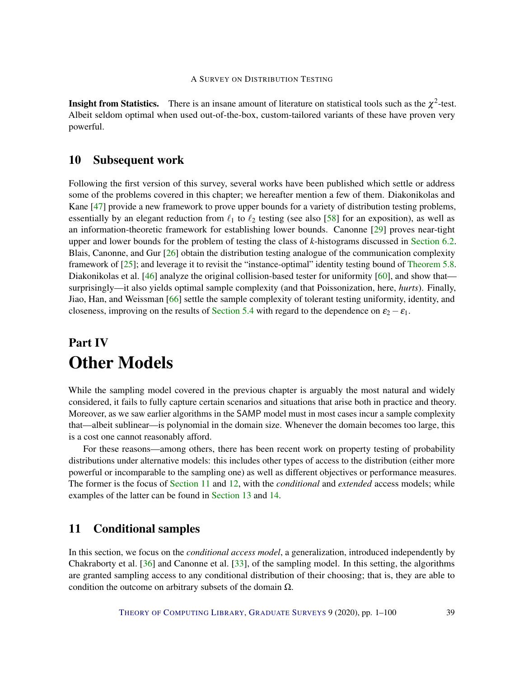**Insight from Statistics.** There is an insane amount of literature on statistical tools such as the  $\chi^2$ -test. Albeit seldom optimal when used out-of-the-box, custom-tailored variants of these have proven very powerful.

## 10 Subsequent work

Following the first version of this survey, several works have been published which settle or address some of the problems covered in this chapter; we hereafter mention a few of them. Diakonikolas and Kane [\[47\]](#page-94-0) provide a new framework to prove upper bounds for a variety of distribution testing problems, essentially by an elegant reduction from  $\ell_1$  to  $\ell_2$  testing (see also [\[58\]](#page-95-0) for an exposition), as well as an information-theoretic framework for establishing lower bounds. Canonne [\[29\]](#page-92-1) proves near-tight upper and lower bounds for the problem of testing the class of *k*-histograms discussed in [Section](#page-22-0) [6.2.](#page-22-0) Blais, Canonne, and Gur [\[26\]](#page-92-2) obtain the distribution testing analogue of the communication complexity framework of [\[25\]](#page-92-3); and leverage it to revisit the "instance-optimal" identity testing bound of [Theorem](#page-15-0) [5.8.](#page-15-0) Diakonikolas et al. [\[46\]](#page-94-1) analyze the original collision-based tester for uniformity [\[60\]](#page-95-1), and show that surprisingly—it also yields optimal sample complexity (and that Poissonization, here, *hurts*). Finally, Jiao, Han, and Weissman [\[66\]](#page-96-1) settle the sample complexity of tolerant testing uniformity, identity, and closeness, improving on the results of [Section](#page-18-0) [5.4](#page-18-0) with regard to the dependence on  $\varepsilon_2 - \varepsilon_1$ .

# Part IV Other Models

While the sampling model covered in the previous chapter is arguably the most natural and widely considered, it fails to fully capture certain scenarios and situations that arise both in practice and theory. Moreover, as we saw earlier algorithms in the SAMP model must in most cases incur a sample complexity that—albeit sublinear—is polynomial in the domain size. Whenever the domain becomes too large, this is a cost one cannot reasonably afford.

For these reasons—among others, there has been recent work on property testing of probability distributions under alternative models: this includes other types of access to the distribution (either more powerful or incomparable to the sampling one) as well as different objectives or performance measures. The former is the focus of [Section](#page-38-0) [11](#page-38-0) and [12,](#page-54-0) with the *conditional* and *extended* access models; while examples of the latter can be found in [Section](#page-63-0) [13](#page-63-0) and [14.](#page-67-0)

## <span id="page-38-0"></span>11 Conditional samples

In this section, we focus on the *conditional access model*, a generalization, introduced independently by Chakraborty et al. [\[36\]](#page-93-0) and Canonne et al. [\[33\]](#page-93-1), of the sampling model. In this setting, the algorithms are granted sampling access to any conditional distribution of their choosing; that is, they are able to condition the outcome on arbitrary subsets of the domain  $\Omega$ .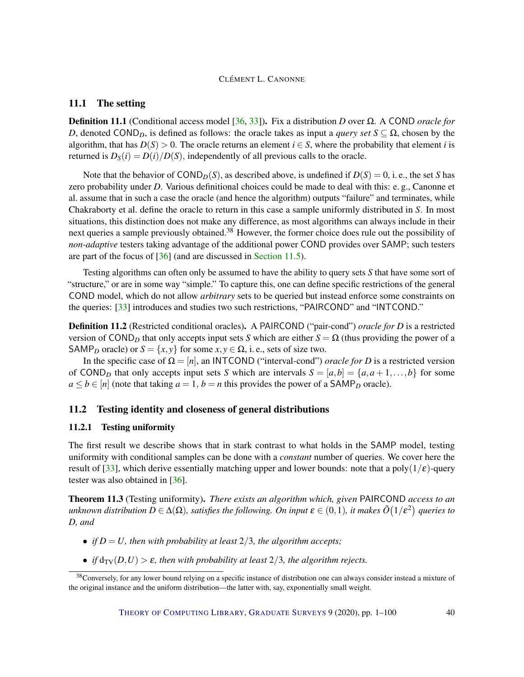#### <span id="page-39-1"></span>11.1 The setting

Definition 11.1 (Conditional access model [\[36,](#page-93-0) [33\]](#page-93-1)). Fix a distribution *D* over Ω. A COND *oracle for D*, denoted COND<sub>*D*</sub>, is defined as follows: the oracle takes as input a *query set*  $S \subseteq \Omega$ , chosen by the algorithm, that has  $D(S) > 0$ . The oracle returns an element  $i \in S$ , where the probability that element *i* is returned is  $D_S(i) = D(i)/D(S)$ , independently of all previous calls to the oracle.

Note that the behavior of  $\text{COND}_D(S)$ , as described above, is undefined if  $D(S) = 0$ , i. e., the set *S* has zero probability under *D*. Various definitional choices could be made to deal with this: e. g., Canonne et al. assume that in such a case the oracle (and hence the algorithm) outputs "failure" and terminates, while Chakraborty et al. define the oracle to return in this case a sample uniformly distributed in *S*. In most situations, this distinction does not make any difference, as most algorithms can always include in their next queries a sample previously obtained.<sup>38</sup> However, the former choice does rule out the possibility of *non-adaptive* testers taking advantage of the additional power COND provides over SAMP; such testers are part of the focus of [\[36\]](#page-93-0) (and are discussed in [Section](#page-52-0) [11.5\)](#page-52-0).

Testing algorithms can often only be assumed to have the ability to query sets *S* that have some sort of "structure," or are in some way "simple." To capture this, one can define specific restrictions of the general COND model, which do not allow *arbitrary* sets to be queried but instead enforce some constraints on the queries: [\[33\]](#page-93-1) introduces and studies two such restrictions, "PAIRCOND" and "INTCOND."

Definition 11.2 (Restricted conditional oracles). A PAIRCOND ("pair-cond") *oracle for D* is a restricted version of COND<sub>D</sub> that only accepts input sets *S* which are either  $S = \Omega$  (thus providing the power of a SAMP<sub>D</sub> oracle) or  $S = \{x, y\}$  for some  $x, y \in \Omega$ , i.e., sets of size two.

In the specific case of  $\Omega = [n]$ , an INTCOND ("interval-cond") *oracle for D* is a restricted version of COND<sub>D</sub> that only accepts input sets *S* which are intervals  $S = [a,b] = \{a,a+1,\ldots,b\}$  for some  $a \le b \in [n]$  (note that taking  $a = 1$ ,  $b = n$  this provides the power of a SAMP<sub>*D*</sub> oracle).

### 11.2 Testing identity and closeness of general distributions

#### 11.2.1 Testing uniformity

The first result we describe shows that in stark contrast to what holds in the SAMP model, testing uniformity with conditional samples can be done with a *constant* number of queries. We cover here the result of [\[33\]](#page-93-1), which derive essentially matching upper and lower bounds: note that a poly( $1/\epsilon$ )-query tester was also obtained in [\[36\]](#page-93-0).

<span id="page-39-0"></span>Theorem 11.3 (Testing uniformity). *There exists an algorithm which, given* PAIRCOND *access to an*  $u$ nknown distribution  $D\in \Delta(\Omega)$ , satisfies the following. On input  $\bm{\varepsilon}\in(0,1)$ , it makes  $\tilde{O}(1/\bm{\varepsilon}^2)$  queries to *D, and*

- *if*  $D = U$ *, then with probability at least*  $2/3$ *, the algorithm accepts;*
- *if*  $d_{TV}(D, U) > \varepsilon$ *, then with probability at least* 2/3*, the algorithm rejects.*

<sup>&</sup>lt;sup>38</sup>Conversely, for any lower bound relying on a specific instance of distribution one can always consider instead a mixture of the original instance and the uniform distribution—the latter with, say, exponentially small weight.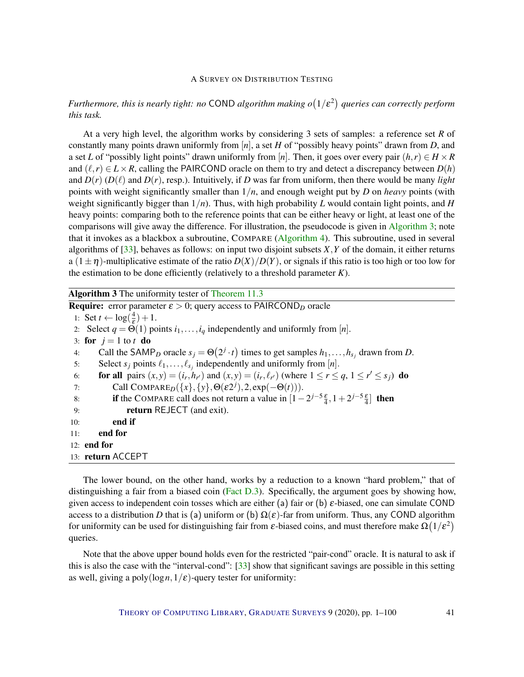## *Furthermore, this is nearly tight: no* COND *algorithm making o* 1/ε 2 *queries can correctly perform this task.*

At a very high level, the algorithm works by considering 3 sets of samples: a reference set *R* of constantly many points drawn uniformly from [*n*], a set *H* of "possibly heavy points" drawn from *D*, and a set *L* of "possibly light points" drawn uniformly from [*n*]. Then, it goes over every pair  $(h, r) \in H \times R$ and  $(\ell, r) \in L \times R$ , calling the PAIRCOND oracle on them to try and detect a discrepancy between  $D(h)$ and  $D(r)$  ( $D(\ell)$ ) and  $D(r)$ , resp.). Intuitively, if *D* was far from uniform, then there would be many *light* points with weight significantly smaller than 1/*n*, and enough weight put by *D* on *heavy* points (with weight significantly bigger than 1/*n*). Thus, with high probability *L* would contain light points, and *H* heavy points: comparing both to the reference points that can be either heavy or light, at least one of the comparisons will give away the difference. For illustration, the pseudocode is given in [Algorithm](#page-0-0) [3;](#page-0-0) note that it invokes as a blackbox a subroutine, COMPARE [\(Algorithm](#page-0-0) [4\)](#page-0-0). This subroutine, used in several algorithms of  $[33]$ , behaves as follows: on input two disjoint subsets *X*, *Y* of the domain, it either returns a  $(1 \pm \eta)$ -multiplicative estimate of the ratio  $D(X)/D(Y)$ , or signals if this ratio is too high or too low for the estimation to be done efficiently (relatively to a threshold parameter *K*).

Algorithm 3 The uniformity tester of [Theorem](#page-39-0) [11.3](#page-39-0)

| <b>Require:</b> error parameter $\varepsilon > 0$ ; query access to PAIRCOND <sub>D</sub> oracle |                                                                                                                         |
|--------------------------------------------------------------------------------------------------|-------------------------------------------------------------------------------------------------------------------------|
|                                                                                                  | 1: Set $t \leftarrow \log(\frac{4}{5}) + 1$ .                                                                           |
|                                                                                                  | 2. Select $q = \Theta(1)$ points $i_1, \ldots, i_q$ independently and uniformly from [n].                               |
|                                                                                                  | 3: for $j=1$ to t do                                                                                                    |
| 4:                                                                                               | Call the SAMP <sub>D</sub> oracle $s_i = \Theta(2^j \cdot t)$ times to get samples $h_1, \ldots, h_{s_i}$ drawn from D. |
| 5:                                                                                               | Select $s_j$ points $\ell_1, \ldots, \ell_{s_j}$ independently and uniformly from [n].                                  |
| 6:                                                                                               | for all pairs $(x, y) = (i_r, h_{r'})$ and $(x, y) = (i_r, \ell_{r'})$ (where $1 \le r \le q$ , $1 \le r' \le s_j$ ) do |
| 7:                                                                                               | Call COMPARE <sub>D</sub> ({x}, {y}, $\Theta(\varepsilon 2^{j}), 2$ , exp(- $\Theta(t)$ )).                             |
| 8:                                                                                               | if the COMPARE call does not return a value in $[1-2^{j-5}\frac{\varepsilon}{4}, 1+2^{j-5}\frac{\varepsilon}{4}]$ then  |
| 9:                                                                                               | <b>return</b> REJECT (and exit).                                                                                        |
| 10:                                                                                              | end if                                                                                                                  |
| 11:                                                                                              | end for                                                                                                                 |
| 12: end for                                                                                      |                                                                                                                         |
| 13: return ACCEPT                                                                                |                                                                                                                         |

The lower bound, on the other hand, works by a reduction to a known "hard problem," that of distinguishing a fair from a biased coin [\(Fact](#page-79-0) [D.3\)](#page-79-0). Specifically, the argument goes by showing how, given access to independent coin tosses which are either (a) fair or (b) ε-biased, one can simulate COND access to a distribution *D* that is (a) uniform or (b)  $\Omega(\varepsilon)$ -far from uniform. Thus, any COND algorithm for uniformity can be used for distinguishing fair from  $\varepsilon$ -biased coins, and must therefore make  $\Omega(1/\varepsilon^2)$ queries.

Note that the above upper bound holds even for the restricted "pair-cond" oracle. It is natural to ask if this is also the case with the "interval-cond": [\[33\]](#page-93-1) show that significant savings are possible in this setting as well, giving a poly( $\log n, 1/\varepsilon$ )-query tester for uniformity: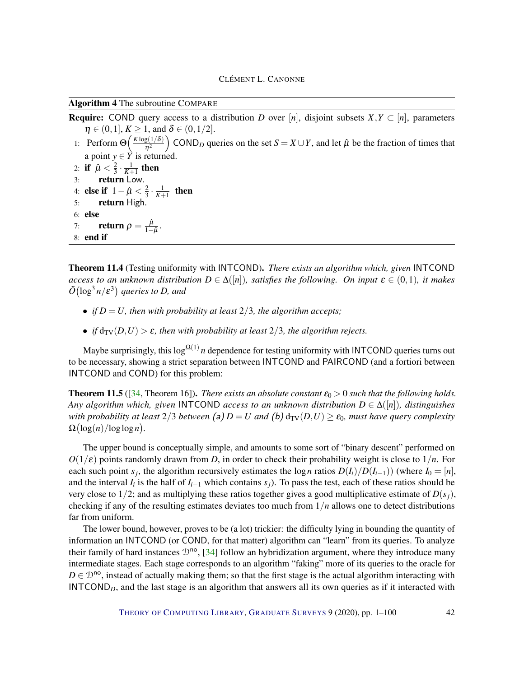Algorithm 4 The subroutine COMPARE

**Require:** COND query access to a distribution *D* over [*n*], disjoint subsets  $X, Y \subset [n]$ , parameters  $\eta \in (0,1], K \ge 1$ , and  $\delta \in (0,1/2]$ .

- 1: Perform  $\Theta\left(\frac{K \log(1/\delta)}{n^2}\right)$  $\eta^2$ COND<sub>D</sub> queries on the set  $S = X \cup Y$ , and let  $\hat{\mu}$  be the fraction of times that a point  $y \in Y$  is returned.
- 2: if  $\hat{\mu} < \frac{2}{3}$  $\frac{2}{3} \cdot \frac{1}{K+1}$  then 3: return Low. 4: **else if**  $1 - \hat{\mu} < \frac{2}{3}$  $\frac{2}{3} \cdot \frac{1}{K+1}$  then 5: return High. 6: else 7: **return**  $\rho = \frac{\hat{\mu}}{1-\hat{\mu}}$  $\frac{\mu}{1-\hat{\mu}}$ . 8: end if

Theorem 11.4 (Testing uniformity with INTCOND). *There exists an algorithm which, given* INTCOND *access to an unknown distribution*  $D \in \Delta([n])$ *, satisfies the following. On input*  $\varepsilon \in (0,1)$ *, it makes*  $\tilde{O}(\log^3 n /\varepsilon^3)$  queries to D, and

- *if*  $D = U$ *, then with probability at least*  $2/3$ *, the algorithm accepts;*
- *if*  $d_{TV}(D, U) > \varepsilon$ *, then with probability at least*  $2/3$ *, the algorithm rejects.*

Maybe surprisingly, this  $\log^{\Omega(1)} n$  dependence for testing uniformity with INTCOND queries turns out to be necessary, showing a strict separation between INTCOND and PAIRCOND (and a fortiori between INTCOND and COND) for this problem:

<span id="page-41-0"></span>**Theorem 11.5** ([\[34,](#page-93-2) Theorem 16]). *There exists an absolute constant*  $\varepsilon_0 > 0$  *such that the following holds. Any algorithm which, given* INTCOND *access to an unknown distribution*  $D \in \Delta([n])$ *, distinguishes with probability at least*  $2/3$  *between* (a)  $D = U$  *and* (b)  $d_{TV}(D, U) \geq \varepsilon_0$ *, must have query complexity*  $\Omega\left(\log(n)/\log\log n\right)$ .

The upper bound is conceptually simple, and amounts to some sort of "binary descent" performed on  $O(1/\varepsilon)$  points randomly drawn from *D*, in order to check their probability weight is close to  $1/n$ . For each such point *s<sub>j</sub>*, the algorithm recursively estimates the log *n* ratios  $D(I_i)/D(I_{i-1})$  (where  $I_0 = [n]$ , and the interval  $I_i$  is the half of  $I_{i-1}$  which contains  $s_j$ ). To pass the test, each of these ratios should be very close to 1/2; and as multiplying these ratios together gives a good multiplicative estimate of  $D(s_i)$ , checking if any of the resulting estimates deviates too much from 1/*n* allows one to detect distributions far from uniform.

The lower bound, however, proves to be (a lot) trickier: the difficulty lying in bounding the quantity of information an INTCOND (or COND, for that matter) algorithm can "learn" from its queries. To analyze their family of hard instances  $\mathcal{D}^{no}$ , [\[34\]](#page-93-2) follow an hybridization argument, where they introduce many intermediate stages. Each stage corresponds to an algorithm "faking" more of its queries to the oracle for  $D \in \mathcal{D}^{\text{no}}$ , instead of actually making them; so that the first stage is the actual algorithm interacting with INTCOND*D*, and the last stage is an algorithm that answers all its own queries as if it interacted with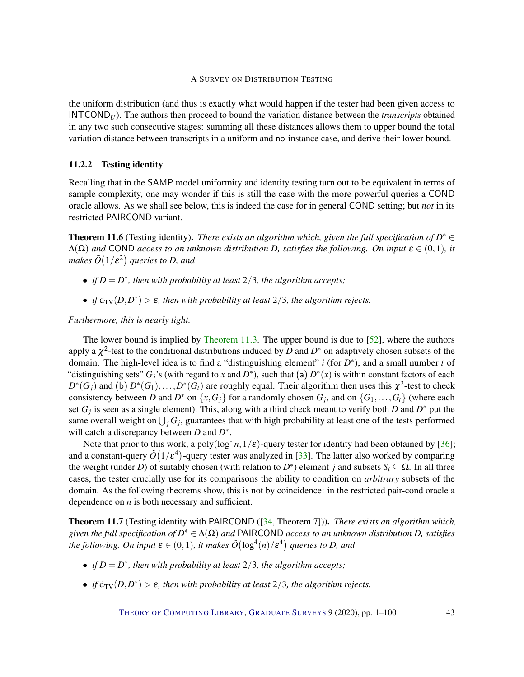the uniform distribution (and thus is exactly what would happen if the tester had been given access to  $INTCOND<sub>U</sub>$ . The authors then proceed to bound the variation distance between the *transcripts* obtained in any two such consecutive stages: summing all these distances allows them to upper bound the total variation distance between transcripts in a uniform and no-instance case, and derive their lower bound.

#### <span id="page-42-1"></span>11.2.2 Testing identity

Recalling that in the SAMP model uniformity and identity testing turn out to be equivalent in terms of sample complexity, one may wonder if this is still the case with the more powerful queries a COND oracle allows. As we shall see below, this is indeed the case for in general COND setting; but *not* in its restricted PAIRCOND variant.

<span id="page-42-0"></span>**Theorem 11.6** (Testing identity). *There exists an algorithm which, given the full specification of*  $D^* \in$  $\Delta(\Omega)$  *and* COND *access to an unknown distribution D, satisfies the following. On input*  $\epsilon \in (0,1)$ *, it* makes  $\tilde{O}\big(1/\varepsilon^2\big)$  queries to D, and

- *if*  $D = D^*$ *, then with probability at least*  $2/3$ *, the algorithm accepts;*
- *if*  $d_{TV}(D, D^*) > \varepsilon$ *, then with probability at least*  $2/3$ *, the algorithm rejects.*

#### *Furthermore, this is nearly tight.*

The lower bound is implied by [Theorem](#page-39-0) [11.3.](#page-39-0) The upper bound is due to [\[52\]](#page-94-2), where the authors apply a  $\chi^2$ -test to the conditional distributions induced by *D* and  $D^*$  on adaptively chosen subsets of the domain. The high-level idea is to find a "distinguishing element" *i* (for *D* ∗ ), and a small number *t* of "distinguishing sets"  $G_j$ 's (with regard to *x* and  $D^*$ ), such that (a)  $D^*(x)$  is within constant factors of each  $D^*(G_j)$  and (b)  $D^*(G_1), \ldots, D^*(G_t)$  are roughly equal. Their algorithm then uses this  $\chi^2$ -test to check consistency between *D* and  $D^*$  on  $\{x, G_j\}$  for a randomly chosen  $G_j$ , and on  $\{G_1, \ldots, G_t\}$  (where each set  $G_j$  is seen as a single element). This, along with a third check meant to verify both *D* and  $D^*$  put the same overall weight on  $\bigcup_j G_j$ , guarantees that with high probability at least one of the tests performed will catch a discrepancy between *D* and *D* ∗ .

Note that prior to this work, a poly $(\log^* n, 1/\varepsilon)$ -query tester for identity had been obtained by [\[36\]](#page-93-0); and a constant-query  $\tilde{O}(1/\varepsilon^4)$ -query tester was analyzed in [\[33\]](#page-93-1). The latter also worked by comparing the weight (under *D*) of suitably chosen (with relation to *D*<sup>\*</sup>) element *j* and subsets  $S_i \subseteq \Omega$ . In all three cases, the tester crucially use for its comparisons the ability to condition on *arbitrary* subsets of the domain. As the following theorems show, this is not by coincidence: in the restricted pair-cond oracle a dependence on *n* is both necessary and sufficient.

Theorem 11.7 (Testing identity with PAIRCOND ([\[34,](#page-93-2) Theorem 7])). *There exists an algorithm which, given the full specification of D* <sup>∗</sup> ∈ ∆(Ω) *and* PAIRCOND *access to an unknown distribution D, satisfies* the following. On input  $\pmb{\varepsilon} \in (0,1)$ , it makes  $\tilde{O}\bigl(\log^4(n)/\pmb{\varepsilon}^4\bigr)$  queries to D, and

- *if*  $D = D^*$ *, then with probability at least*  $2/3$ *, the algorithm accepts;*
- *if*  $d_{TV}(D, D^*) > \varepsilon$ , then with probability at least  $2/3$ , the algorithm rejects.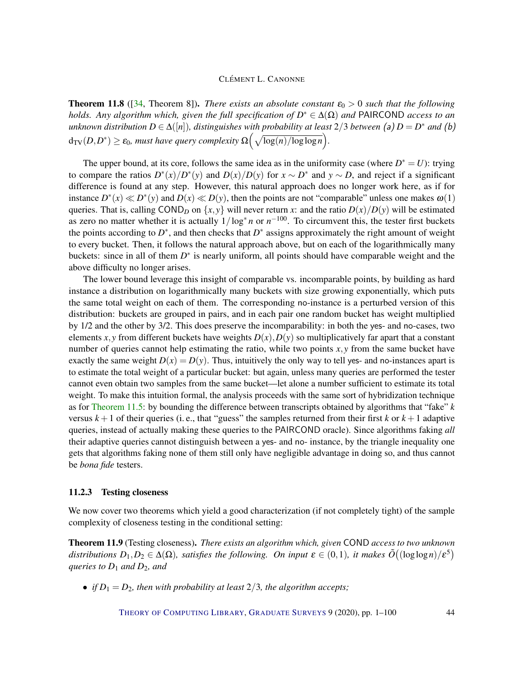<span id="page-43-0"></span>**Theorem 11.8** ([\[34,](#page-93-2) Theorem 8]). *There exists an absolute constant*  $\varepsilon_0 > 0$  *such that the following holds. Any algorithm which, given the full specification of D* <sup>∗</sup> ∈ ∆(Ω) *and* PAIRCOND *access to an*  $u$ nknown distribution  $D \in \Delta([n])$ , distinguishes with probability at least  $2/3$  between (a)  $D = D^*$  and (b)  $d_{\text{TV}}(D, D^*) \ge \varepsilon_0$ , must have query complexity  $\Omega\left(\sqrt{\log(n)/\log\log n}\right)$ .

The upper bound, at its core, follows the same idea as in the uniformity case (where  $D^* = U$ ): trying to compare the ratios  $D^*(x)/D^*(y)$  and  $D(x)/D(y)$  for  $x \sim D^*$  and  $y \sim D$ , and reject if a significant difference is found at any step. However, this natural approach does no longer work here, as if for instance  $D^*(x) \ll D^*(y)$  and  $D(x) \ll D(y)$ , then the points are not "comparable" unless one makes  $\omega(1)$ queries. That is, calling COND<sub>*D*</sub> on  $\{x, y\}$  will never return *x*: and the ratio  $D(x)/D(y)$  will be estimated as zero no matter whether it is actually  $1/\log^* n$  or  $n^{-100}$ . To circumvent this, the tester first buckets the points according to  $D^*$ , and then checks that  $D^*$  assigns approximately the right amount of weight to every bucket. Then, it follows the natural approach above, but on each of the logarithmically many buckets: since in all of them  $D^*$  is nearly uniform, all points should have comparable weight and the above difficulty no longer arises.

The lower bound leverage this insight of comparable vs. incomparable points, by building as hard instance a distribution on logarithmically many buckets with size growing exponentially, which puts the same total weight on each of them. The corresponding no-instance is a perturbed version of this distribution: buckets are grouped in pairs, and in each pair one random bucket has weight multiplied by 1/2 and the other by 3/2. This does preserve the incomparability: in both the yes- and no-cases, two elements *x*, *y* from different buckets have weights  $D(x)$ ,  $D(y)$  so multiplicatively far apart that a constant number of queries cannot help estimating the ratio, while two points *x*, *y* from the same bucket have exactly the same weight  $D(x) = D(y)$ . Thus, intuitively the only way to tell yes- and no-instances apart is to estimate the total weight of a particular bucket: but again, unless many queries are performed the tester cannot even obtain two samples from the same bucket—let alone a number sufficient to estimate its total weight. To make this intuition formal, the analysis proceeds with the same sort of hybridization technique as for [Theorem](#page-41-0) [11.5:](#page-41-0) by bounding the difference between transcripts obtained by algorithms that "fake" *k* versus  $k+1$  of their queries (i.e., that "guess" the samples returned from their first  $k$  or  $k+1$  adaptive queries, instead of actually making these queries to the PAIRCOND oracle). Since algorithms faking *all* their adaptive queries cannot distinguish between a yes- and no- instance, by the triangle inequality one gets that algorithms faking none of them still only have negligible advantage in doing so, and thus cannot be *bona fide* testers.

#### <span id="page-43-1"></span>11.2.3 Testing closeness

We now cover two theorems which yield a good characterization (if not completely tight) of the sample complexity of closeness testing in the conditional setting:

Theorem 11.9 (Testing closeness). *There exists an algorithm which, given* COND *access to two unknown* distributions  $D_1, D_2 \in \Delta(\Omega)$ , satisfies the following. On input  $\varepsilon \in (0,1)$ , it makes  $\tilde{O}((\log \log n)/\varepsilon^5)$ *queries to D*<sup>1</sup> *and D*2*, and*

• *if*  $D_1 = D_2$ *, then with probability at least*  $2/3$ *, the algorithm accepts;*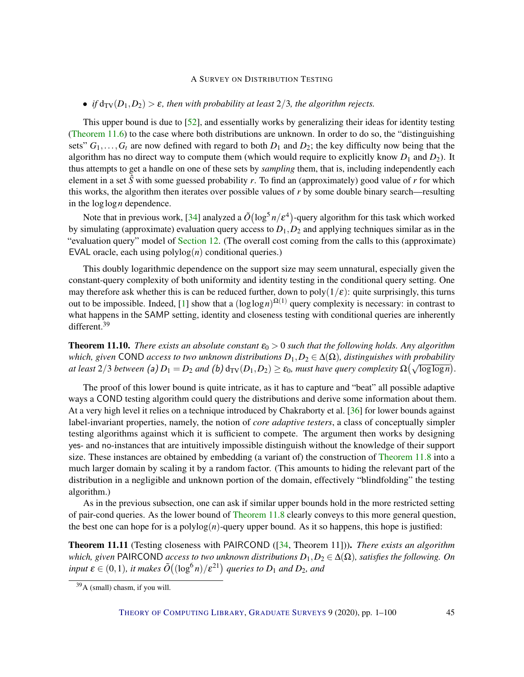## • *if*  $d_{TV}(D_1, D_2) > \varepsilon$ *, then with probability at least* 2/3*, the algorithm rejects.*

This upper bound is due to [\[52\]](#page-94-2), and essentially works by generalizing their ideas for identity testing [\(Theorem](#page-42-0) [11.6\)](#page-42-0) to the case where both distributions are unknown. In order to do so, the "distinguishing sets"  $G_1, \ldots, G_t$  are now defined with regard to both  $D_1$  and  $D_2$ ; the key difficulty now being that the algorithm has no direct way to compute them (which would require to explicitly know  $D_1$  and  $D_2$ ). It thus attempts to get a handle on one of these sets by *sampling* them, that is, including independently each element in a set  $\hat{S}$  with some guessed probability r. To find an (approximately) good value of r for which this works, the algorithm then iterates over possible values of *r* by some double binary search—resulting in the loglog*n* dependence.

Note that in previous work, [\[34\]](#page-93-2) analyzed a  $\tilde{O}(\log^5 n/\epsilon^4)$ -query algorithm for this task which worked by simulating (approximate) evaluation query access to  $D_1$ ,  $D_2$  and applying techniques similar as in the "evaluation query" model of [Section](#page-54-0) [12.](#page-54-0) (The overall cost coming from the calls to this (approximate) EVAL oracle, each using polylog(*n*) conditional queries.)

This doubly logarithmic dependence on the support size may seem unnatural, especially given the constant-query complexity of both uniformity and identity testing in the conditional query setting. One may therefore ask whether this is can be reduced further, down to  $poly(1/\varepsilon)$ : quite surprisingly, this turns out to be impossible. Indeed, [\[1\]](#page-90-1) show that a  $(\log \log n)^{\Omega(1)}$  query complexity is necessary: in contrast to what happens in the SAMP setting, identity and closeness testing with conditional queries are inherently different.<sup>39</sup>

<span id="page-44-0"></span>**Theorem 11.10.** *There exists an absolute constant*  $\varepsilon_0 > 0$  *such that the following holds. Any algorithm which, given* COND *access to two unknown distributions*  $D_1, D_2 \in \Delta(\Omega)$ *, distinguishes with probability at least*  $2/3$  *between* (a)  $D_1 = D_2$  *and* (b)  $d_{TV}(D_1, D_2) \ge \varepsilon_0$ *, must have query complexity*  $\Omega(\sqrt{\log \log n})$ *.* 

The proof of this lower bound is quite intricate, as it has to capture and "beat" all possible adaptive ways a COND testing algorithm could query the distributions and derive some information about them. At a very high level it relies on a technique introduced by Chakraborty et al. [\[36\]](#page-93-0) for lower bounds against label-invariant properties, namely, the notion of *core adaptive testers*, a class of conceptually simpler testing algorithms against which it is sufficient to compete. The argument then works by designing yes- and no-instances that are intuitively impossible distinguish without the knowledge of their support size. These instances are obtained by embedding (a variant of) the construction of [Theorem](#page-43-0) [11.8](#page-43-0) into a much larger domain by scaling it by a random factor. (This amounts to hiding the relevant part of the distribution in a negligible and unknown portion of the domain, effectively "blindfolding" the testing algorithm.)

As in the previous subsection, one can ask if similar upper bounds hold in the more restricted setting of pair-cond queries. As the lower bound of [Theorem](#page-43-0) [11.8](#page-43-0) clearly conveys to this more general question, the best one can hope for is a polylog $(n)$ -query upper bound. As it so happens, this hope is justified:

Theorem 11.11 (Testing closeness with PAIRCOND ([\[34,](#page-93-2) Theorem 11])). *There exists an algorithm which, given* PAIRCOND *access to two unknown distributions*  $D_1, D_2 \in \Delta(\Omega)$ *, satisfies the following. On*  $i$ *nput*  $\boldsymbol{\varepsilon} \in (0,1)$ , it makes  $\tilde{O}\big((\log^6 n)/\varepsilon^{21}\big)$  queries to  $D_1$  and  $D_2$ , and

 $39A$  (small) chasm, if you will.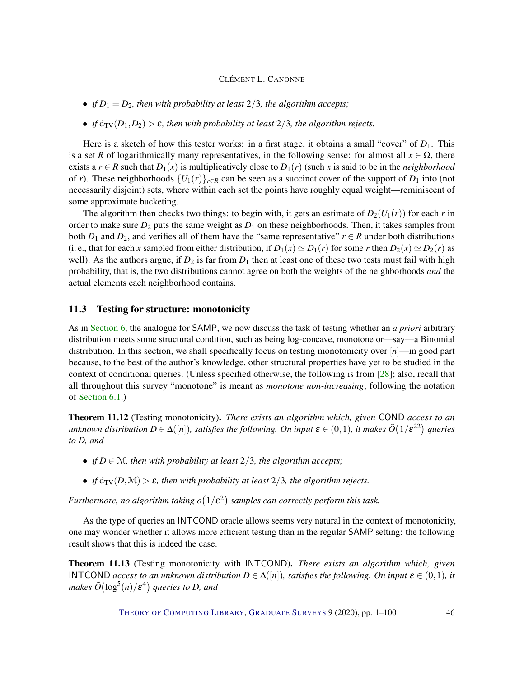- *if*  $D_1 = D_2$ *, then with probability at least*  $2/3$ *, the algorithm accepts*;
- *if*  $d_{TV}(D_1, D_2) > \varepsilon$ , then with probability at least 2/3, the algorithm rejects.

Here is a sketch of how this tester works: in a first stage, it obtains a small "cover" of  $D_1$ . This is a set *R* of logarithmically many representatives, in the following sense: for almost all  $x \in \Omega$ , there exists a  $r \in R$  such that  $D_1(x)$  is multiplicatively close to  $D_1(r)$  (such x is said to be in the *neighborhood* of *r*). These neighborhoods  $\{U_1(r)\}_{r \in R}$  can be seen as a succinct cover of the support of  $D_1$  into (not necessarily disjoint) sets, where within each set the points have roughly equal weight—reminiscent of some approximate bucketing.

The algorithm then checks two things: to begin with, it gets an estimate of  $D_2(U_1(r))$  for each *r* in order to make sure  $D_2$  puts the same weight as  $D_1$  on these neighborhoods. Then, it takes samples from both  $D_1$  and  $D_2$ , and verifies all of them have the "same representative"  $r \in R$  under both distributions (i. e., that for each *x* sampled from either distribution, if  $D_1(x) \simeq D_1(r)$  for some *r* then  $D_2(x) \simeq D_2(r)$  as well). As the authors argue, if  $D_2$  is far from  $D_1$  then at least one of these two tests must fail with high probability, that is, the two distributions cannot agree on both the weights of the neighborhoods *and* the actual elements each neighborhood contains.

## 11.3 Testing for structure: monotonicity

As in [Section](#page-20-0) [6,](#page-20-0) the analogue for SAMP, we now discuss the task of testing whether an *a priori* arbitrary distribution meets some structural condition, such as being log-concave, monotone or—say—a Binomial distribution. In this section, we shall specifically focus on testing monotonicity over [*n*]—in good part because, to the best of the author's knowledge, other structural properties have yet to be studied in the context of conditional queries. (Unless specified otherwise, the following is from [\[28\]](#page-92-4); also, recall that all throughout this survey "monotone" is meant as *monotone non-increasing*, following the notation of [Section](#page-20-1) [6.1.](#page-20-1))

<span id="page-45-0"></span>Theorem 11.12 (Testing monotonicity). *There exists an algorithm which, given* COND *access to an* unknown distribution  $D\in \Delta([n]),$  satisfies the following. On input  $\pmb{\varepsilon}\in(0,1)$ , it makes  $\tilde O(1/\pmb{\varepsilon}^{22})$  queries *to D, and*

- *if*  $D \in \mathcal{M}$ *, then with probability at least*  $2/3$ *, the algorithm accepts;*
- *if*  $d_{TV}(D, M) > \varepsilon$ *, then with probability at least* 2/3*, the algorithm rejects.*

Furthermore, no algorithm taking  $o(1/\varepsilon^2)$  samples can correctly perform this task.

As the type of queries an INTCOND oracle allows seems very natural in the context of monotonicity, one may wonder whether it allows more efficient testing than in the regular SAMP setting: the following result shows that this is indeed the case.

<span id="page-45-1"></span>Theorem 11.13 (Testing monotonicity with INTCOND). *There exists an algorithm which, given* INTCOND *access to an unknown distribution*  $D \in \Delta([n])$ *, satisfies the following. On input*  $\varepsilon \in (0,1)$ *, it* makes  $\tilde{O}(\log^5(n)/\varepsilon^4)$  queries to D, and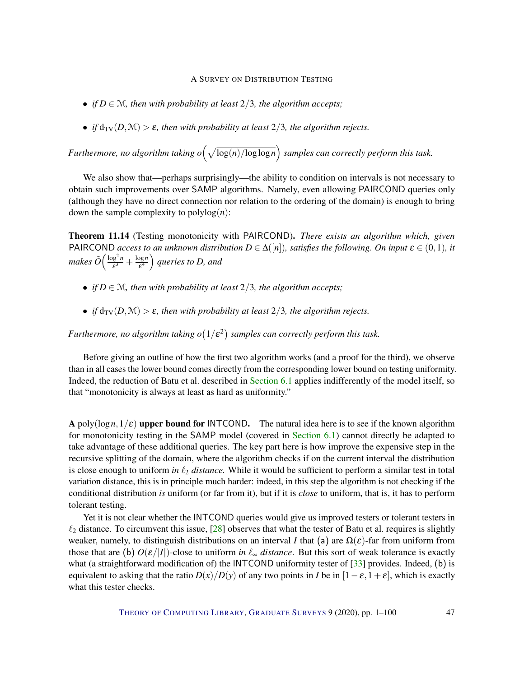- *if*  $D \in \mathcal{M}$ , then with probability at least  $2/3$ , the algorithm accepts;
- *if*  $d_{TV}(D, M) > \varepsilon$ *, then with probability at least* 2/3*, the algorithm rejects.*

*Furthermore, no algorithm taking o*  $\left(\sqrt{\log(n)/\log\log n}\right)$  samples can correctly perform this task.

We also show that—perhaps surprisingly—the ability to condition on intervals is not necessary to obtain such improvements over SAMP algorithms. Namely, even allowing PAIRCOND queries only (although they have no direct connection nor relation to the ordering of the domain) is enough to bring down the sample complexity to  $polylog(n)$ :

<span id="page-46-0"></span>Theorem 11.14 (Testing monotonicity with PAIRCOND). *There exists an algorithm which, given* PAIRCOND *access to an unknown distribution*  $D \in \Delta([n])$ *, satisfies the following. On input*  $\varepsilon \in (0,1)$ *, it makes*  $\tilde{O}\Big(\frac{\log^2 n}{\epsilon^3}\Big)$  $\frac{\log^2 n}{\varepsilon^3} + \frac{\log n}{\varepsilon^4}$  $\left(\frac{\log n}{\varepsilon^4}\right)$  queries to D, and

- *if*  $D \in \mathcal{M}$ *, then with probability at least*  $2/3$ *, the algorithm accepts;*
- *if*  $d_{TV}(D, M) > \varepsilon$ *, then with probability at least* 2/3*, the algorithm rejects.*

Furthermore, no algorithm taking  $o(1/\varepsilon^2)$  samples can correctly perform this task.

Before giving an outline of how the first two algorithm works (and a proof for the third), we observe than in all cases the lower bound comes directly from the corresponding lower bound on testing uniformity. Indeed, the reduction of Batu et al. described in [Section](#page-20-1) [6.1](#page-20-1) applies indifferently of the model itself, so that "monotonicity is always at least as hard as uniformity."

A poly( $\log n, 1/\varepsilon$ ) upper bound for INTCOND. The natural idea here is to see if the known algorithm for monotonicity testing in the SAMP model (covered in [Section](#page-20-1) [6.1\)](#page-20-1) cannot directly be adapted to take advantage of these additional queries. The key part here is how improve the expensive step in the recursive splitting of the domain, where the algorithm checks if on the current interval the distribution is close enough to uniform *in*  $\ell_2$  *distance*. While it would be sufficient to perform a similar test in total variation distance, this is in principle much harder: indeed, in this step the algorithm is not checking if the conditional distribution *is* uniform (or far from it), but if it is *close* to uniform, that is, it has to perform tolerant testing.

Yet it is not clear whether the INTCOND queries would give us improved testers or tolerant testers in  $\ell_2$  distance. To circumvent this issue, [\[28\]](#page-92-4) observes that what the tester of Batu et al. requires is slightly weaker, namely, to distinguish distributions on an interval *I* that (a) are  $\Omega(\varepsilon)$ -far from uniform from those that are (b)  $O(\varepsilon/|I|)$ -close to uniform *in*  $\ell_{\infty}$  *distance*. But this sort of weak tolerance is exactly what (a straightforward modification of) the INTCOND uniformity tester of [\[33\]](#page-93-1) provides. Indeed, (b) is equivalent to asking that the ratio  $D(x)/D(y)$  of any two points in *I* be in  $[1-\varepsilon, 1+\varepsilon]$ , which is exactly what this tester checks.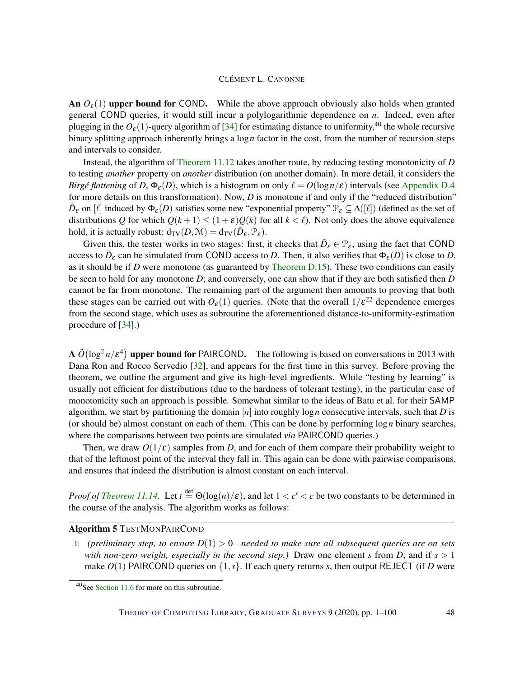An  $O_{\varepsilon}(1)$  upper bound for COND. While the above approach obviously also holds when granted general COND queries, it would still incur a polylogarithmic dependence on *n*. Indeed, even after plugging in the  $O_{\epsilon}(1)$ -query algorithm of [\[34\]](#page-93-2) for estimating distance to uniformity,<sup>40</sup> the whole recursive binary splitting approach inherently brings a log*n* factor in the cost, from the number of recursion steps and intervals to consider.

Instead, the algorithm of [Theorem](#page-45-0) [11.12](#page-45-0) takes another route, by reducing testing monotonicity of *D* to testing *another* property on *another* distribution (on another domain). In more detail, it considers the *Birgé flattening* of *D*,  $\Phi_{\epsilon}(D)$ , which is a histogram on only  $\ell = O(\log n/\epsilon)$  intervals (see [Appendix](#page-83-0) [D.4](#page-83-0)) for more details on this transformation). Now, *D* is monotone if and only if the "reduced distribution"  $\bar{D}_{\varepsilon}$  on  $[\ell]$  induced by  $\Phi_{\varepsilon}(D)$  satisfies some new "exponential property"  $\mathcal{P}_{\varepsilon} \subseteq \Delta([\ell])$  (defined as the set of distributions *Q* for which  $Q(k+1) \leq (1+\varepsilon)Q(k)$  for all  $k < \ell$ ). Not only does the above equivalence hold, it is actually robust:  $d_{TV}(D, \mathcal{M}) = d_{TV}(\overline{D}_{\varepsilon}, \mathcal{P}_{\varepsilon})$ .

Given this, the tester works in two stages: first, it checks that  $\bar{D}_{\varepsilon} \in \mathcal{P}_{\varepsilon}$ , using the fact that COND access to  $\bar{D}_{\varepsilon}$  can be simulated from COND access to *D*. Then, it also verifies that  $\Phi_{\varepsilon}(D)$  is close to *D*, as it should be if *D* were monotone (as guaranteed by [Theorem D.15\)](#page-83-1). These two conditions can easily be seen to hold for any monotone *D*; and conversely, one can show that if they are both satisfied then *D* cannot be far from monotone. The remaining part of the argument then amounts to proving that both these stages can be carried out with  $O_{\varepsilon}(1)$  queries. (Note that the overall  $1/\varepsilon^{22}$  dependence emerges from the second stage, which uses as subroutine the aforementioned distance-to-uniformity-estimation procedure of [\[34\]](#page-93-2).)

 $\mathbf{A} \, \tilde{O}(\log^2 n / \varepsilon^4)$  upper bound for PAIRCOND. The following is based on conversations in 2013 with Dana Ron and Rocco Servedio [\[32\]](#page-93-3), and appears for the first time in this survey. Before proving the theorem, we outline the argument and give its high-level ingredients. While "testing by learning" is usually not efficient for distributions (due to the hardness of tolerant testing), in the particular case of monotonicity such an approach is possible. Somewhat similar to the ideas of Batu et al. for their SAMP algorithm, we start by partitioning the domain [*n*] into roughly log*n* consecutive intervals, such that *D* is (or should be) almost constant on each of them. (This can be done by performing log*n* binary searches, where the comparisons between two points are simulated *via* PAIRCOND queries.)

Then, we draw  $O(1/\varepsilon)$  samples from *D*, and for each of them compare their probability weight to that of the leftmost point of the interval they fall in. This again can be done with pairwise comparisons, and ensures that indeed the distribution is almost constant on each interval.

*Proof of [Theorem](#page-46-0) [11.14.](#page-46-0)* Let  $t \stackrel{\text{def}}{=} \Theta(\log(n)/\varepsilon)$ , and let  $1 < c' < c$  be two constants to be determined in the course of the analysis. The algorithm works as follows:

## Algorithm 5 TESTMONPAIRCOND

1: *(preliminary step, to ensure D*(1) > 0*—needed to make sure all subsequent queries are on sets with non-zero weight, especially in the second step.)* Draw one element *s* from *D*, and if  $s > 1$ make  $O(1)$  PAIRCOND queries on  $\{1, s\}$ . If each query returns *s*, then output REJECT (if *D* were

<sup>40</sup>See [Section](#page-53-0) [11.6](#page-53-0) for more on this subroutine.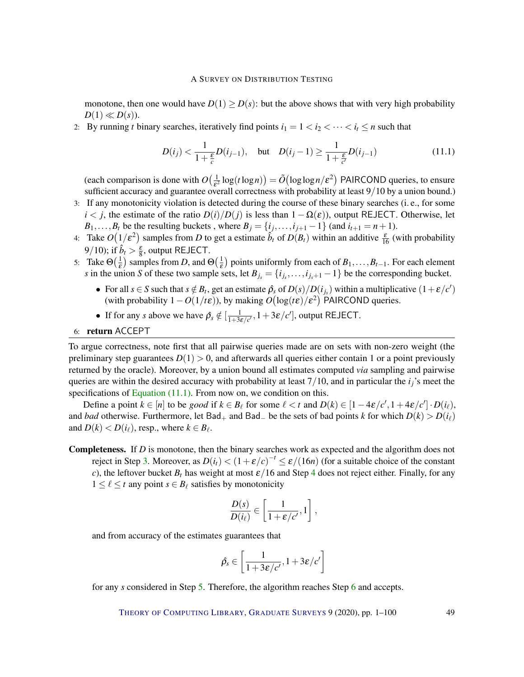monotone, then one would have  $D(1) \ge D(s)$ : but the above shows that with very high probability  $D(1) \ll D(s)$ .

2: By running *t* binary searches, iteratively find points  $i_1 = 1 < i_2 < \cdots < i_t \le n$  such that

<span id="page-48-0"></span>
$$
D(i_j) < \frac{1}{1 + \frac{\varepsilon}{c}} D(i_{j-1}), \quad \text{but} \quad D(i_j - 1) \ge \frac{1}{1 + \frac{\varepsilon}{c'}} D(i_{j-1}) \tag{11.1}
$$

(each comparison is done with  $O(\frac{1}{s^2})$  $\frac{1}{\epsilon^2}$  log(*t* log*n*)) =  $\tilde{O}(\log \log n/\epsilon^2)$  PAIRCOND queries, to ensure sufficient accuracy and guarantee overall correctness with probability at least 9/10 by a union bound.)

- 3: If any monotonicity violation is detected during the course of these binary searches (i. e., for some  $i < j$ , the estimate of the ratio  $D(i)/D(j)$  is less than  $1 - \Omega(\varepsilon)$ ), output REJECT. Otherwise, let *B*<sub>1</sub>,...,*B*<sub>*t*</sub> be the resulting buckets, where  $B_j = \{i_j, \ldots, i_{j+1} - 1\}$  (and  $i_{t+1} = n+1$ ).
- 4: Take  $O(1/\varepsilon^2)$  samples from *D* to get a estimate  $\hat{b}_t$  of  $D(B_t)$  within an additive  $\frac{\varepsilon}{16}$  (with probability 9/10); if  $\hat{b}_t > \frac{\varepsilon}{8}$ , output REJECT.
- 5: Take  $\Theta(\frac{1}{\varepsilon})$  $(\frac{1}{\varepsilon})$  samples from *D*, and  $\Theta(\frac{1}{\varepsilon})$  $\frac{1}{\varepsilon}$ ) points uniformly from each of *B*<sub>1</sub>,...,*B*<sub>*t*−1</sub>. For each element *s* in the union *S* of these two sample sets, let  $B_{j_s} = \{i_{j_s}, \ldots, i_{j_s+1} - 1\}$  be the corresponding bucket.
	- For all  $s \in S$  such that  $s \notin B_t$ , get an estimate  $\hat{\rho}_s$  of  $D(s)/D(i_{j_s})$  within a multiplicative  $(1+\varepsilon/c')$ (with probability  $1 - O(1/t\epsilon)$ ), by making  $O(\log(t\epsilon)/\epsilon^2)$  PAIRCOND queries.
	- If for any *s* above we have  $\hat{\rho}_s \notin \left[\frac{1}{1+3\varepsilon/c'}, 1+3\varepsilon/c'\right]$ , output REJECT.
- 6: return ACCEPT

To argue correctness, note first that all pairwise queries made are on sets with non-zero weight (the preliminary step guarantees  $D(1) > 0$ , and afterwards all queries either contain 1 or a point previously returned by the oracle). Moreover, by a union bound all estimates computed *via* sampling and pairwise queries are within the desired accuracy with probability at least 7/10, and in particular the *ij*'s meet the specifications of [Equation \(11.1\).](#page-48-0) From now on, we condition on this.

Define a point  $k \in [n]$  to be *good* if  $k \in B_\ell$  for some  $\ell < t$  and  $D(k) \in [1-4\varepsilon/c', 1+4\varepsilon/c'] \cdot D(i_\ell)$ , and *bad* otherwise. Furthermore, let Bad<sub>+</sub> and Bad<sub>−</sub> be the sets of bad points *k* for which  $D(k) > D(i_\ell)$ and  $D(k) < D(i_\ell)$ , resp., where  $k \in B_\ell$ .

Completeness. If *D* is monotone, then the binary searches work as expected and the algorithm does not reject in Step [3.](#page-48-0) Moreover, as  $D(i_t) < (1 + \varepsilon/c)^{-t} \le \varepsilon/(16n)$  (for a suitable choice of the constant *c*), the leftover bucket  $B_t$  has weight at most  $\varepsilon/16$  and Step [4](#page-48-0) does not reject either. Finally, for any  $1 \leq \ell \leq t$  any point  $s \in B_\ell$  satisfies by monotonicity

$$
\frac{D(s)}{D(i_{\ell})} \in \left[\frac{1}{1+\varepsilon/c'}, 1\right],
$$

and from accuracy of the estimates guarantees that

$$
\hat{\rho}_s \in \left[\frac{1}{1+3\varepsilon/c'}, 1+3\varepsilon/c'\right]
$$

for any *s* considered in Step [5.](#page-48-0) Therefore, the algorithm reaches Step [6](#page-48-0) and accepts.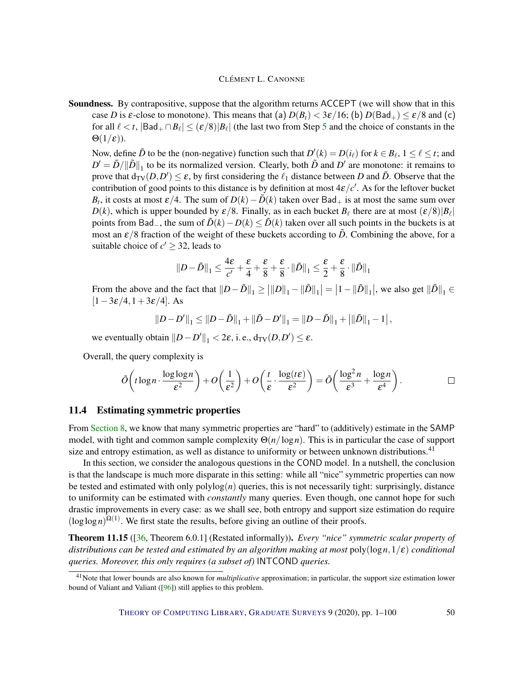Soundness. By contrapositive, suppose that the algorithm returns ACCEPT (we will show that in this case *D* is  $\varepsilon$ -close to monotone). This means that (a)  $D(B_t) < 3\varepsilon/16$ ; (b)  $D(Bad_+) \le \varepsilon/8$  and (c) for all  $\ell < t$ ,  $|Bad_+ \cap B_\ell | \le (\varepsilon/8)|B_\ell|$  (the last two from Step [5](#page-48-0) and the choice of constants in the  $\Theta(1/\varepsilon)$ ).

Now, define  $\tilde{D}$  to be the (non-negative) function such that  $D'(k) = D(i_\ell)$  for  $k \in B_\ell$ ,  $1 \leq \ell \leq t$ ; and  $D' = \tilde{D}/\|\tilde{D}\|_1$  to be its normalized version. Clearly, both  $\tilde{D}$  and  $D'$  are monotone: it remains to prove that  $d_{TV}(D, D') \le \varepsilon$ , by first considering the  $\ell_1$  distance between *D* and  $\tilde{D}$ . Observe that the contribution of good points to this distance is by definition at most  $4\varepsilon/c'$ . As for the leftover bucket *B*<sub>t</sub>, it costs at most  $\varepsilon/4$ . The sum of  $D(k) - \tilde{D}(k)$  taken over Bad<sub>+</sub> is at most the same sum over  $D(k)$ , which is upper bounded by  $\varepsilon/8$ . Finally, as in each bucket  $B_\ell$  there are at most  $(\varepsilon/8)|B_\ell|$ points from Bad<sub>−</sub>, the sum of  $\tilde{D}(k) - D(k) \le \tilde{D}(k)$  taken over all such points in the buckets is at most an  $\varepsilon/8$  fraction of the weight of these buckets according to  $\tilde{D}$ . Combining the above, for a suitable choice of  $c' \geq 32$ , leads to

$$
||D-\tilde{D}||_1 \leq \frac{4 \varepsilon}{c'} + \frac{\varepsilon}{4} + \frac{\varepsilon}{8} + \frac{\varepsilon}{8} \cdot ||\tilde{D}||_1 \leq \frac{\varepsilon}{2} + \frac{\varepsilon}{8} \cdot ||\tilde{D}||_1
$$

From the above and the fact that  $||D - \tilde{D}||_1 \ge |||D||_1 - ||\tilde{D}||_1 = |1 - ||\tilde{D}||_1$ , we also get  $||\tilde{D}||_1 \in$  $[1-3\varepsilon/4,1+3\varepsilon/4]$ . As

$$
||D - D'||_1 \le ||D - \tilde{D}||_1 + ||\tilde{D} - D'||_1 = ||D - \tilde{D}||_1 + ||\tilde{D}||_1 - 1|,
$$

we eventually obtain  $||D - D'||_1 < 2\varepsilon$ , i. e.,  $d_{TV}(D, D') \le \varepsilon$ .

Overall, the query complexity is

$$
\tilde{O}\left(t\log n\cdot\frac{\log\log n}{\varepsilon^2}\right)+O\left(\frac{1}{\varepsilon^2}\right)+O\left(\frac{t}{\varepsilon}\cdot\frac{\log(t\varepsilon)}{\varepsilon^2}\right)=\tilde{O}\left(\frac{\log^2 n}{\varepsilon^3}+\frac{\log n}{\varepsilon^4}\right).
$$

#### <span id="page-49-0"></span>11.4 Estimating symmetric properties

From [Section](#page-32-0) [8,](#page-32-0) we know that many symmetric properties are "hard" to (additively) estimate in the SAMP model, with tight and common sample complexity Θ(*n*/log*n*). This is in particular the case of support size and entropy estimation, as well as distance to uniformity or between unknown distributions.<sup>41</sup>

In this section, we consider the analogous questions in the COND model. In a nutshell, the conclusion is that the landscape is much more disparate in this setting: while all "nice" symmetric properties can now be tested and estimated with only  $\text{polylog}(n)$  queries, this is not necessarily tight: surprisingly, distance to uniformity can be estimated with *constantly* many queries. Even though, one cannot hope for such drastic improvements in every case: as we shall see, both entropy and support size estimation do require  $(\log \log n)^{\Omega(1)}$ . We first state the results, before giving an outline of their proofs.

Theorem 11.15 ([\[36,](#page-93-0) Theorem 6.0.1] (Restated informally)). *Every "nice" symmetric scalar property of distributions can be tested and estimated by an algorithm making at most* poly(log*n*,1/ε) *conditional queries. Moreover, this only requires (a subset of)* INTCOND *queries.*

<sup>41</sup>Note that lower bounds are also known for *multiplicative* approximation; in particular, the support size estimation lower bound of Valiant and Valiant ([\[96\]](#page-98-1)) still applies to this problem.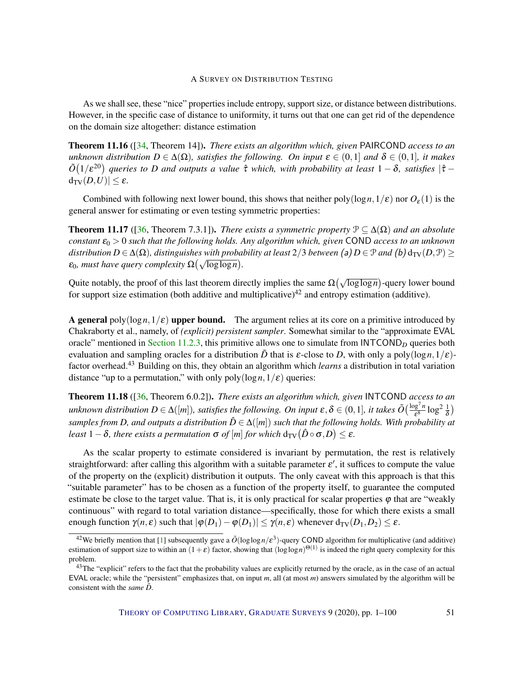As we shall see, these "nice" properties include entropy, support size, or distance between distributions. However, in the specific case of distance to uniformity, it turns out that one can get rid of the dependence on the domain size altogether: distance estimation

<span id="page-50-2"></span>Theorem 11.16 ([\[34,](#page-93-2) Theorem 14]). *There exists an algorithm which, given* PAIRCOND *access to an unknown distribution*  $D \in \Delta(\Omega)$ *, satisfies the following. On input*  $\varepsilon \in (0,1]$  *and*  $\delta \in (0,1]$ *, it makes*  $\tilde{O}(1/\epsilon^{20})$  queries to *D* and outputs a value  $\hat{\tau}$  which, with probability at least  $1-\delta$ , satisfies  $|\hat{\tau} - \hat{\tau}|$  $d_{\text{TV}}(D, U) \leq \varepsilon$ .

Combined with following next lower bound, this shows that neither poly( $\log n, 1/\varepsilon$ ) nor  $O_{\varepsilon}(1)$  is the general answer for estimating or even testing symmetric properties:

<span id="page-50-1"></span>**Theorem 11.17** ([\[36,](#page-93-0) Theorem 7.3.1]). *There exists a symmetric property*  $\mathcal{P} \subseteq \Delta(\Omega)$  *and an absolute*  $constant\ \epsilon_0 > 0$  *such that the following holds. Any algorithm which, given* COND *access to an unknown distribution*  $D \in \Delta(\Omega)$ *, distinguishes with probability at least*  $2/3$  *between* (a)  $D \in \mathcal{P}$  *and* (b)  $d_{TV}(D, \mathcal{P}) \ge$  $\varepsilon_0$ , must have query complexity  $\Omega(\sqrt{\log\log n})$ .

Quite notably, the proof of this last theorem directly implies the same  $\Omega(\sqrt{\log\log n})$ -query lower bound for support size estimation (both additive and multiplicative)<sup>42</sup> and entropy estimation (additive).

**A general** poly( $\log n, 1/\varepsilon$ ) upper bound. The argument relies at its core on a primitive introduced by Chakraborty et al., namely, of *(explicit) persistent sampler*. Somewhat similar to the "approximate EVAL oracle" mentioned in [Section](#page-43-1) [11.2.3,](#page-43-1) this primitive allows one to simulate from  $INTCOND$  queries both evaluation and sampling oracles for a distribution  $\tilde{D}$  that is  $\varepsilon$ -close to *D*, with only a poly(logn, 1/ $\varepsilon$ )factor overhead.<sup>43</sup> Building on this, they obtain an algorithm which *learns* a distribution in total variation distance "up to a permutation," with only  $poly(log n, 1/\varepsilon)$  queries:

<span id="page-50-0"></span>Theorem 11.18 ([\[36,](#page-93-0) Theorem 6.0.2]). *There exists an algorithm which, given* INTCOND *access to an unknown distribution*  $D \in \Delta([m])$ *, satisfies the following. On input*  $\varepsilon, \delta \in (0,1]$ *, it takes*  $\tilde{O}(\frac{\log^7 n}{\varepsilon^8} \log^2 \frac{1}{\delta})$  $\sum_{k=1}^{\infty} \sum_{i=1}^{\infty} \sum_{i=1}^{\infty} \sum_{j=1}^{\infty} \sum_{j=1}^{\infty} \sum_{j=1}^{\infty} \sum_{j=1}^{\infty} \sum_{j=1}^{\infty} \sum_{j=1}^{\infty} \sum_{j=1}^{\infty} \sum_{j=1}^{\infty} \sum_{j=1}^{\infty} \sum_{j=1}^{\infty} \sum_{j=1}^{\infty} \sum_{j=1}^{\infty} \sum_{j=1}^{\infty} \sum_{j=1}^{\infty} \sum_{j=1}^{\infty} \sum_{j$ *least*  $1 - \delta$ *, there exists a permutation*  $\sigma$  *of*  $[m]$  *for which*  $d_{\text{TV}}( \hat{D} \circ \sigma, D ) \leq \varepsilon$ *.* 

As the scalar property to estimate considered is invariant by permutation, the rest is relatively straightforward: after calling this algorithm with a suitable parameter  $\varepsilon'$ , it suffices to compute the value of the property on the (explicit) distribution it outputs. The only caveat with this approach is that this "suitable parameter" has to be chosen as a function of the property itself, to guarantee the computed estimate be close to the target value. That is, it is only practical for scalar properties  $\varphi$  that are "weakly continuous" with regard to total variation distance—specifically, those for which there exists a small enough function  $\gamma(n, \varepsilon)$  such that  $|\varphi(D_1) - \varphi(D_1)| \leq \gamma(n, \varepsilon)$  whenever  $d_{TV}(D_1, D_2) \leq \varepsilon$ .

<sup>&</sup>lt;sup>42</sup>We briefly mention that [\[1\]](#page-90-1) subsequently gave a  $\tilde{O}(\log \log n/\epsilon^3)$ -query COND algorithm for multiplicative (and additive) estimation of support size to within an  $(1+\varepsilon)$  factor, showing that  $(\log\log n)^{\Theta(1)}$  is indeed the right query complexity for this problem.

<sup>&</sup>lt;sup>43</sup>The "explicit" refers to the fact that the probability values are explicitly returned by the oracle, as in the case of an actual EVAL oracle; while the "persistent" emphasizes that, on input *m*, all (at most *m*) answers simulated by the algorithm will be consistent with the *same*  $\tilde{D}$ .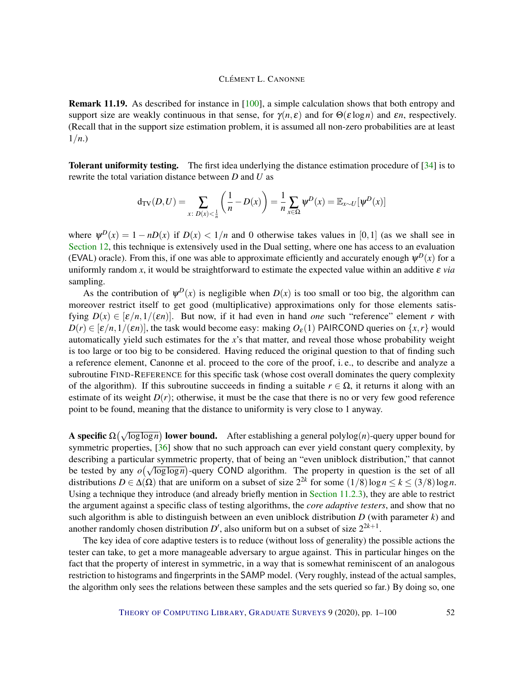Remark 11.19. As described for instance in [\[100\]](#page-98-4), a simple calculation shows that both entropy and support size are weakly continuous in that sense, for  $\gamma(n, \varepsilon)$  and for  $\Theta(\varepsilon \log n)$  and  $\varepsilon n$ , respectively. (Recall that in the support size estimation problem, it is assumed all non-zero probabilities are at least 1/*n*.)

Tolerant uniformity testing. The first idea underlying the distance estimation procedure of [\[34\]](#page-93-2) is to rewrite the total variation distance between *D* and *U* as

$$
d_{TV}(D, U) = \sum_{x \colon D(x) < \frac{1}{n}} \left( \frac{1}{n} - D(x) \right) = \frac{1}{n} \sum_{x \in \Omega} \psi^D(x) = \mathbb{E}_{x \sim U}[\psi^D(x)]
$$

where  $\psi^{D}(x) = 1 - nD(x)$  if  $D(x) < 1/n$  and 0 otherwise takes values in [0,1] (as we shall see in [Section](#page-54-0) [12,](#page-54-0) this technique is extensively used in the Dual setting, where one has access to an evaluation (EVAL) oracle). From this, if one was able to approximate efficiently and accurately enough  $\psi^D(x)$  for a uniformly random x, it would be straightforward to estimate the expected value within an additive  $\varepsilon$  *via* sampling.

As the contribution of  $\psi^D(x)$  is negligible when  $D(x)$  is too small or too big, the algorithm can moreover restrict itself to get good (multiplicative) approximations only for those elements satisfying  $D(x) \in [\varepsilon/n, 1/(\varepsilon n)]$ . But now, if it had even in hand *one* such "reference" element *r* with  $D(r) \in [\varepsilon/n, 1/(\varepsilon n)]$ , the task would become easy: making  $O_{\varepsilon}(1)$  PAIRCOND queries on {*x*,*r*} would automatically yield such estimates for the *x*'s that matter, and reveal those whose probability weight is too large or too big to be considered. Having reduced the original question to that of finding such a reference element, Canonne et al. proceed to the core of the proof, i. e., to describe and analyze a subroutine FIND-REFERENCE for this specific task (whose cost overall dominates the query complexity of the algorithm). If this subroutine succeeds in finding a suitable  $r \in \Omega$ , it returns it along with an estimate of its weight  $D(r)$ ; otherwise, it must be the case that there is no or very few good reference point to be found, meaning that the distance to uniformity is very close to 1 anyway.

A s**pecific** Ω( $\sqrt{\log \log n}$ ) lower bound. After establishing a general polylog(*n*)-query upper bound for symmetric properties, [\[36\]](#page-93-0) show that no such approach can ever yield constant query complexity, by describing a particular symmetric property, that of being an "even uniblock distribution," that cannot describing a particular symmetric property, that or being an even unfolock distribution, that cannot<br>be tested by any  $o(\sqrt{\log \log n})$ -query COND algorithm. The property in question is the set of all distributions  $D \in \Delta(\Omega)$  that are uniform on a subset of size  $2^{2k}$  for some  $(1/8) \log n \le k \le (3/8) \log n$ . Using a technique they introduce (and already briefly mention in [Section](#page-43-1) [11.2.3\)](#page-43-1), they are able to restrict the argument against a specific class of testing algorithms, the *core adaptive testers*, and show that no such algorithm is able to distinguish between an even uniblock distribution *D* (with parameter *k*) and another randomly chosen distribution  $D'$ , also uniform but on a subset of size  $2^{2k+1}$ .

The key idea of core adaptive testers is to reduce (without loss of generality) the possible actions the tester can take, to get a more manageable adversary to argue against. This in particular hinges on the fact that the property of interest in symmetric, in a way that is somewhat reminiscent of an analogous restriction to histograms and fingerprints in the SAMP model. (Very roughly, instead of the actual samples, the algorithm only sees the relations between these samples and the sets queried so far.) By doing so, one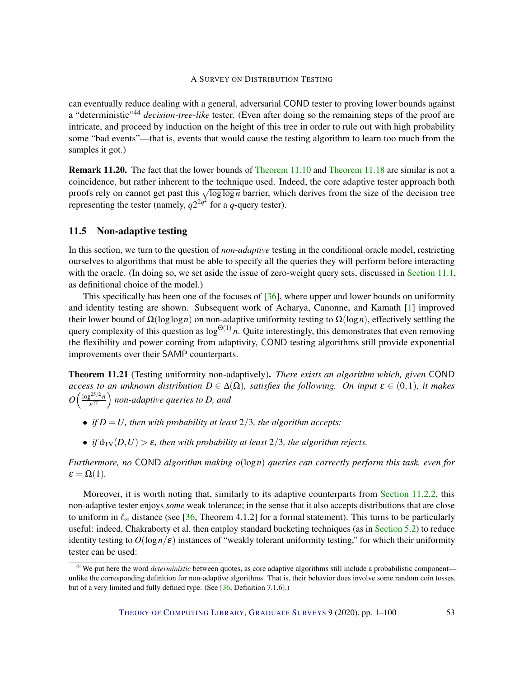can eventually reduce dealing with a general, adversarial COND tester to proving lower bounds against a "deterministic"<sup>44</sup> *decision-tree-like* tester. (Even after doing so the remaining steps of the proof are intricate, and proceed by induction on the height of this tree in order to rule out with high probability some "bad events"—that is, events that would cause the testing algorithm to learn too much from the samples it got.)

Remark 11.20. The fact that the lower bounds of [Theorem](#page-44-0) [11.10](#page-44-0) and [Theorem](#page-50-0) [11.18](#page-50-0) are similar is not a coincidence, but rather inherent to the technique used. Indeed, the core adaptive tester approach both proofs rely on cannot get past this <sup>√</sup> loglog*n* barrier, which derives from the size of the decision tree representing the tester (namely,  $q2^{2q^2}$  for a *q*-query tester).

#### <span id="page-52-0"></span>11.5 Non-adaptive testing

In this section, we turn to the question of *non-adaptive* testing in the conditional oracle model, restricting ourselves to algorithms that must be able to specify all the queries they will perform before interacting with the oracle. (In doing so, we set aside the issue of zero-weight query sets, discussed in [Section](#page-39-1) [11.1,](#page-39-1) as definitional choice of the model.)

This specifically has been one of the focuses of  $[36]$ , where upper and lower bounds on uniformity and identity testing are shown. Subsequent work of Acharya, Canonne, and Kamath [\[1\]](#page-90-1) improved their lower bound of Ω(loglog*n*) on non-adaptive uniformity testing to Ω(log*n*), effectively settling the query complexity of this question as  $log^{\Theta(1)} n$ . Quite interestingly, this demonstrates that even removing the flexibility and power coming from adaptivity, COND testing algorithms still provide exponential improvements over their SAMP counterparts.

<span id="page-52-1"></span>Theorem 11.21 (Testing uniformity non-adaptively). *There exists an algorithm which, given* COND *access to an unknown distribution*  $D \in \Delta(\Omega)$ *, satisfies the following. On input*  $\varepsilon \in (0,1)$ *, it makes*  $O\left(\frac{\log^{25/2}n}{s^{17}}\right)$ ε <sup>17</sup> *non-adaptive queries to D, and*

- *if*  $D = U$ *, then with probability at least*  $2/3$ *, the algorithm accepts;*
- *if*  $d_{TV}(D, U) > \varepsilon$ *, then with probability at least* 2/3*, the algorithm rejects.*

*Furthermore, no* COND *algorithm making o*(log*n*) *queries can correctly perform this task, even for*  $\varepsilon = \Omega(1)$ .

Moreover, it is worth noting that, similarly to its adaptive counterparts from [Section](#page-42-1) [11.2.2,](#page-42-1) this non-adaptive tester enjoys *some* weak tolerance; in the sense that it also accepts distributions that are close to uniform in  $\ell_{\infty}$  distance (see [\[36,](#page-93-0) Theorem 4.1.2] for a formal statement). This turns to be particularly useful: indeed, Chakraborty et al. then employ standard bucketing techniques (as in [Section](#page-13-0) [5.2\)](#page-13-0) to reduce identity testing to  $O(\log n/\epsilon)$  instances of "weakly tolerant uniformity testing," for which their uniformity tester can be used:

<sup>44</sup>We put here the word *deterministic* between quotes, as core adaptive algorithms still include a probabilistic component unlike the corresponding definition for non-adaptive algorithms. That is, their behavior does involve some random coin tosses, but of a very limited and fully defined type. (See [\[36,](#page-93-0) Definition 7.1.6].)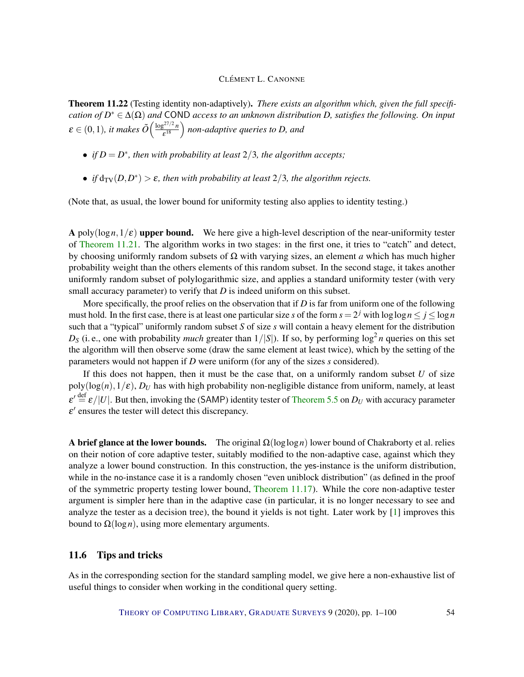<span id="page-53-1"></span>Theorem 11.22 (Testing identity non-adaptively). *There exists an algorithm which, given the full specification of D* <sup>∗</sup> ∈ ∆(Ω) *and* COND *access to an unknown distribution D, satisfies the following. On input*  $\varepsilon \in (0,1)$ , it makes  $\tilde{O}\Big(\frac{\log^{27/2} n}{\varepsilon^{18}}\Big)$  $\left(\frac{e^{27/2}n}{e^{18}}\right)$  non-adaptive queries to D, and

- *if*  $D = D^*$ *, then with probability at least*  $2/3$ *, the algorithm accepts;*
- *if*  $d_{TV}(D, D^*) > \varepsilon$ , then with probability at least  $2/3$ , the algorithm rejects.

(Note that, as usual, the lower bound for uniformity testing also applies to identity testing.)

A poly( $\log n, 1/\varepsilon$ ) upper bound. We here give a high-level description of the near-uniformity tester of [Theorem](#page-52-1) [11.21.](#page-52-1) The algorithm works in two stages: in the first one, it tries to "catch" and detect, by choosing uniformly random subsets of Ω with varying sizes, an element *a* which has much higher probability weight than the others elements of this random subset. In the second stage, it takes another uniformly random subset of polylogarithmic size, and applies a standard uniformity tester (with very small accuracy parameter) to verify that *D* is indeed uniform on this subset.

More specifically, the proof relies on the observation that if *D* is far from uniform one of the following must hold. In the first case, there is at least one particular size *s* of the form  $s = 2^j$  with  $\log \log n \le j \le \log n$ such that a "typical" uniformly random subset *S* of size *s* will contain a heavy element for the distribution  $D_S$  (i. e., one with probability *much* greater than  $1/|S|$ ). If so, by performing  $\log^2 n$  queries on this set the algorithm will then observe some (draw the same element at least twice), which by the setting of the parameters would not happen if *D* were uniform (for any of the sizes *s* considered).

If this does not happen, then it must be the case that, on a uniformly random subset  $U$  of size  $poly(log(n), 1/\varepsilon)$ , *D<sub>U</sub>* has with high probability non-negligible distance from uniform, namely, at least  $\varepsilon' \stackrel{\text{def}}{=} \varepsilon/|U|$ . But then, invoking the (SAMP) identity tester of [Theorem](#page-13-1) [5.5](#page-13-1) on  $D_U$  with accuracy parameter  $\varepsilon'$  ensures the tester will detect this discrepancy.

A brief glance at the lower bounds. The original  $\Omega(\log \log n)$  lower bound of Chakraborty et al. relies on their notion of core adaptive tester, suitably modified to the non-adaptive case, against which they analyze a lower bound construction. In this construction, the yes-instance is the uniform distribution, while in the no-instance case it is a randomly chosen "even uniblock distribution" (as defined in the proof of the symmetric property testing lower bound, [Theorem](#page-50-1) [11.17\)](#page-50-1). While the core non-adaptive tester argument is simpler here than in the adaptive case (in particular, it is no longer necessary to see and analyze the tester as a decision tree), the bound it yields is not tight. Later work by [\[1\]](#page-90-1) improves this bound to  $Ω(log n)$ , using more elementary arguments.

## <span id="page-53-0"></span>11.6 Tips and tricks

As in the corresponding section for the standard sampling model, we give here a non-exhaustive list of useful things to consider when working in the conditional query setting.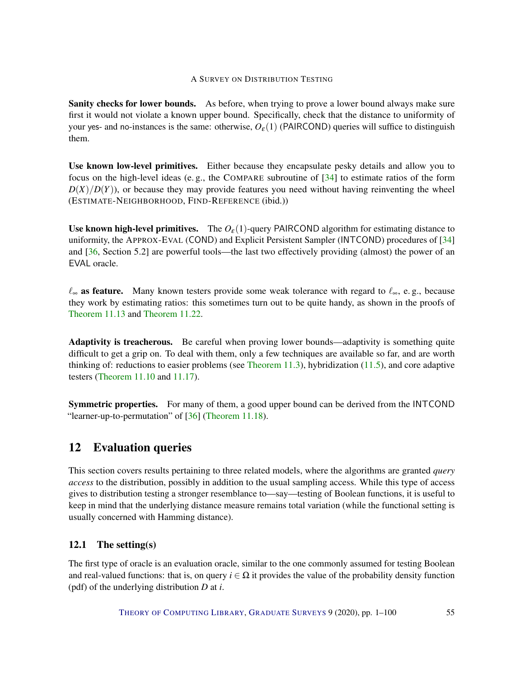Sanity checks for lower bounds. As before, when trying to prove a lower bound always make sure first it would not violate a known upper bound. Specifically, check that the distance to uniformity of your yes- and no-instances is the same: otherwise,  $O_{\epsilon}(1)$  (PAIRCOND) queries will suffice to distinguish them.

Use known low-level primitives. Either because they encapsulate pesky details and allow you to focus on the high-level ideas (e. g., the COMPARE subroutine of [\[34\]](#page-93-2) to estimate ratios of the form  $D(X)/D(Y)$ , or because they may provide features you need without having reinventing the wheel (ESTIMATE-NEIGHBORHOOD, FIND-REFERENCE (ibid.))

Use known high-level primitives. The  $O_{\epsilon}(1)$ -query PAIRCOND algorithm for estimating distance to uniformity, the APPROX-EVAL (COND) and Explicit Persistent Sampler (INTCOND) procedures of [\[34\]](#page-93-2) and [\[36,](#page-93-0) Section 5.2] are powerful tools—the last two effectively providing (almost) the power of an EVAL oracle.

 $\ell_{\infty}$  as feature. Many known testers provide some weak tolerance with regard to  $\ell_{\infty}$ , e. g., because they work by estimating ratios: this sometimes turn out to be quite handy, as shown in the proofs of [Theorem](#page-45-1) [11.13](#page-45-1) and [Theorem](#page-53-1) [11.22.](#page-53-1)

Adaptivity is treacherous. Be careful when proving lower bounds—adaptivity is something quite difficult to get a grip on. To deal with them, only a few techniques are available so far, and are worth thinking of: reductions to easier problems (see [Theorem](#page-39-0) [11.3\)](#page-39-0), hybridization [\(11.5\)](#page-41-0), and core adaptive testers [\(Theorem](#page-44-0) [11.10](#page-44-0) and [11.17\)](#page-50-1).

Symmetric properties. For many of them, a good upper bound can be derived from the INTCOND "learner-up-to-permutation" of [\[36\]](#page-93-0) [\(Theorem](#page-50-0) [11.18\)](#page-50-0).

# <span id="page-54-0"></span>12 Evaluation queries

This section covers results pertaining to three related models, where the algorithms are granted *query access* to the distribution, possibly in addition to the usual sampling access. While this type of access gives to distribution testing a stronger resemblance to—say—testing of Boolean functions, it is useful to keep in mind that the underlying distance measure remains total variation (while the functional setting is usually concerned with Hamming distance).

## 12.1 The setting(s)

The first type of oracle is an evaluation oracle, similar to the one commonly assumed for testing Boolean and real-valued functions: that is, on query  $i \in \Omega$  it provides the value of the probability density function (pdf) of the underlying distribution *D* at *i*.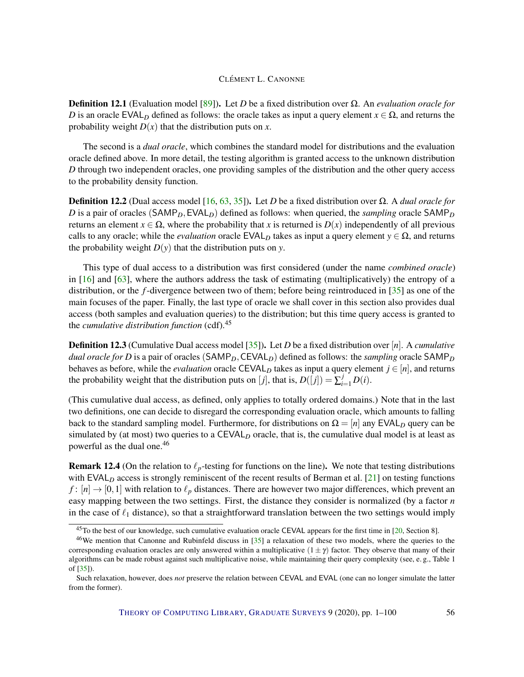Definition 12.1 (Evaluation model [\[89\]](#page-97-0)). Let *D* be a fixed distribution over Ω. An *evaluation oracle for D* is an oracle EVAL<sub>*D*</sub> defined as follows: the oracle takes as input a query element  $x \in \Omega$ , and returns the probability weight  $D(x)$  that the distribution puts on *x*.

The second is a *dual oracle*, which combines the standard model for distributions and the evaluation oracle defined above. In more detail, the testing algorithm is granted access to the unknown distribution *D* through two independent oracles, one providing samples of the distribution and the other query access to the probability density function.

Definition 12.2 (Dual access model [\[16,](#page-91-3) [63,](#page-95-2) [35\]](#page-93-4)). Let *D* be a fixed distribution over Ω. A *dual oracle for D* is a pair of oracles (SAMP<sub>D</sub>, EVAL<sub>D</sub>) defined as follows: when queried, the *sampling* oracle SAMP<sub>D</sub> returns an element *x*  $\in$  Ω, where the probability that *x* is returned is  $D(x)$  independently of all previous calls to any oracle; while the *evaluation* oracle  $EVAL<sub>D</sub>$  takes as input a query element  $y \in \Omega$ , and returns the probability weight  $D(y)$  that the distribution puts on *y*.

This type of dual access to a distribution was first considered (under the name *combined oracle*) in [\[16\]](#page-91-3) and [\[63\]](#page-95-2), where the authors address the task of estimating (multiplicatively) the entropy of a distribution, or the *f*-divergence between two of them; before being reintroduced in [\[35\]](#page-93-4) as one of the main focuses of the paper. Finally, the last type of oracle we shall cover in this section also provides dual access (both samples and evaluation queries) to the distribution; but this time query access is granted to the *cumulative distribution function* (cdf).<sup>45</sup>

Definition 12.3 (Cumulative Dual access model [\[35\]](#page-93-4)). Let *D* be a fixed distribution over [*n*]. A *cumulative dual oracle for D* is a pair of oracles (SAMP<sub>D</sub>, CEVAL<sub>D</sub>) defined as follows: the *sampling* oracle SAMP<sub>D</sub> behaves as before, while the *evaluation* oracle CEVAL<sub>D</sub> takes as input a query element  $j \in [n]$ , and returns the probability weight that the distribution puts on [*j*], that is,  $D([j]) = \sum_{i=1}^{j} D(i)$ .

(This cumulative dual access, as defined, only applies to totally ordered domains.) Note that in the last two definitions, one can decide to disregard the corresponding evaluation oracle, which amounts to falling back to the standard sampling model. Furthermore, for distributions on  $\Omega = [n]$  any EVAL<sub>D</sub> query can be simulated by (at most) two queries to a CEVAL<sub>D</sub> oracle, that is, the cumulative dual model is at least as powerful as the dual one.<sup>46</sup>

**Remark 12.4** (On the relation to  $\ell_p$ -testing for functions on the line). We note that testing distributions with EVAL<sub>D</sub> access is strongly reminiscent of the recent results of Berman et al. [\[21\]](#page-92-5) on testing functions  $f: [n] \rightarrow [0,1]$  with relation to  $\ell_p$  distances. There are however two major differences, which prevent an easy mapping between the two settings. First, the distance they consider is normalized (by a factor *n* in the case of  $\ell_1$  distance), so that a straightforward translation between the two settings would imply

<sup>45</sup>To the best of our knowledge, such cumulative evaluation oracle CEVAL appears for the first time in [\[20,](#page-92-0) Section 8].

<sup>46</sup>We mention that Canonne and Rubinfeld discuss in [\[35\]](#page-93-4) a relaxation of these two models, where the queries to the corresponding evaluation oracles are only answered within a multiplicative  $(1 \pm \gamma)$  factor. They observe that many of their algorithms can be made robust against such multiplicative noise, while maintaining their query complexity (see, e. g., Table 1 of [\[35\]](#page-93-4)).

Such relaxation, however, does *not* preserve the relation between CEVAL and EVAL (one can no longer simulate the latter from the former).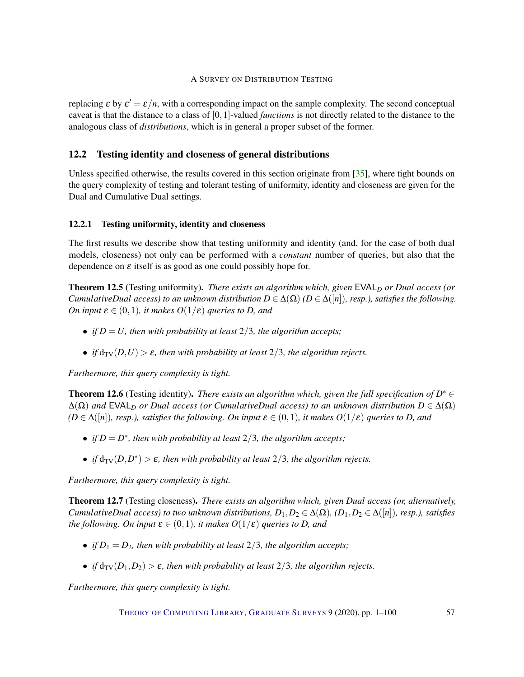replacing  $\varepsilon$  by  $\varepsilon' = \varepsilon/n$ , with a corresponding impact on the sample complexity. The second conceptual caveat is that the distance to a class of [0,1]-valued *functions* is not directly related to the distance to the analogous class of *distributions*, which is in general a proper subset of the former.

## <span id="page-56-2"></span>12.2 Testing identity and closeness of general distributions

Unless specified otherwise, the results covered in this section originate from [\[35\]](#page-93-4), where tight bounds on the query complexity of testing and tolerant testing of uniformity, identity and closeness are given for the Dual and Cumulative Dual settings.

## <span id="page-56-1"></span>12.2.1 Testing uniformity, identity and closeness

The first results we describe show that testing uniformity and identity (and, for the case of both dual models, closeness) not only can be performed with a *constant* number of queries, but also that the dependence on  $\varepsilon$  itself is as good as one could possibly hope for.

**Theorem 12.5** (Testing uniformity). *There exists an algorithm which, given* EVAL<sub>D</sub> or Dual access (or *CumulativeDual access) to an unknown distribution*  $D \in \Delta(\Omega)$  ( $D \in \Delta([n])$ *, resp.), satisfies the following. On input*  $\varepsilon \in (0,1)$ *, it makes*  $O(1/\varepsilon)$  *queries to D, and* 

- *if*  $D = U$ *, then with probability at least*  $2/3$ *, the algorithm accepts;*
- *if*  $d_{TV}(D, U) > \varepsilon$ *, then with probability at least* 2/3*, the algorithm rejects.*

*Furthermore, this query complexity is tight.*

**Theorem 12.6** (Testing identity). *There exists an algorithm which, given the full specification of*  $D^* \in$  $\Delta(\Omega)$  *and* EVAL<sub>D</sub> or Dual access (or CumulativeDual access) to an unknown distribution  $D \in \Delta(\Omega)$  $(D \in \Delta([n]),$  *resp.), satisfies the following. On input*  $\varepsilon \in (0,1)$ *, it makes*  $O(1/\varepsilon)$  *queries to D, and* 

- *if*  $D = D^*$ *, then with probability at least*  $2/3$ *, the algorithm accepts;*
- *if*  $d_{TV}(D, D^*) > \varepsilon$ , then with probability at least  $2/3$ , the algorithm rejects.

*Furthermore, this query complexity is tight.*

<span id="page-56-0"></span>Theorem 12.7 (Testing closeness). *There exists an algorithm which, given Dual access (or, alternatively, CumulativeDual access) to two unknown distributions,*  $D_1, D_2 \in \Delta(\Omega)$ ,  $(D_1, D_2 \in \Delta([n])$ *, resp.), satisfies the following. On input*  $\varepsilon \in (0,1)$ *, it makes*  $O(1/\varepsilon)$  *queries to D, and* 

- *if*  $D_1 = D_2$ *, then with probability at least*  $2/3$ *, the algorithm accepts*;
- *if*  $d_{TV}(D_1, D_2) > \varepsilon$ , then with probability at least  $2/3$ , the algorithm rejects.

*Furthermore, this query complexity is tight.*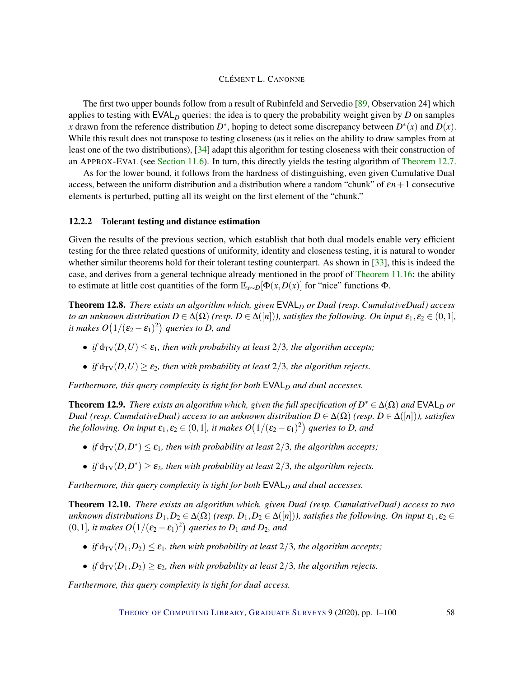The first two upper bounds follow from a result of Rubinfeld and Servedio [\[89,](#page-97-0) Observation 24] which applies to testing with EVAL*<sup>D</sup>* queries: the idea is to query the probability weight given by *D* on samples x drawn from the reference distribution  $D^*$ , hoping to detect some discrepancy between  $D^*(x)$  and  $D(x)$ . While this result does not transpose to testing closeness (as it relies on the ability to draw samples from at least one of the two distributions), [\[34\]](#page-93-2) adapt this algorithm for testing closeness with their construction of an APPROX-EVAL (see [Section](#page-53-0) [11.6\)](#page-53-0). In turn, this directly yields the testing algorithm of [Theorem](#page-56-0) [12.7.](#page-56-0)

As for the lower bound, it follows from the hardness of distinguishing, even given Cumulative Dual access, between the uniform distribution and a distribution where a random "chunk" of ε*n*+1 consecutive elements is perturbed, putting all its weight on the first element of the "chunk."

#### <span id="page-57-1"></span>12.2.2 Tolerant testing and distance estimation

Given the results of the previous section, which establish that both dual models enable very efficient testing for the three related questions of uniformity, identity and closeness testing, it is natural to wonder whether similar theorems hold for their tolerant testing counterpart. As shown in [\[33\]](#page-93-1), this is indeed the case, and derives from a general technique already mentioned in the proof of [Theorem](#page-50-2) [11.16:](#page-50-2) the ability to estimate at little cost quantities of the form  $\mathbb{E}_{x \sim D}[\Phi(x, D(x)]$  for "nice" functions  $\Phi$ .

<span id="page-57-0"></span>**Theorem 12.8.** *There exists an algorithm which, given*  $EVAL<sub>D</sub>$  *or Dual (resp. CumulativeDual) access to an unknown distribution*  $D \in \Delta(\Omega)$  *(resp.*  $D \in \Delta([n])$ *), satisfies the following. On input*  $\varepsilon_1, \varepsilon_2 \in (0,1]$ *,* it makes  $O\bigl(1/(\varepsilon_2-\varepsilon_1)^2\bigr)$  queries to D, and

- *if*  $d_{TV}(D, U) \leq \varepsilon_1$ *, then with probability at least* 2/3*, the algorithm accepts*;
- *if*  $d_{TV}(D, U) \ge \varepsilon_2$ , then with probability at least 2/3, the algorithm rejects.

*Furthermore, this query complexity is tight for both*  $EVAL<sub>D</sub>$  *and dual accesses.* 

**Theorem 12.9.** *There exists an algorithm which, given the full specification of*  $D^* \in \Delta(\Omega)$  *and*  $EVAL_D$  *or Dual* (resp. *CumulativeDual*) access to an unknown distribution  $D \in \Delta(\Omega)$  (resp.  $D \in \Delta([n])$ ), satisfies the following. On input  $\pmb{\varepsilon}_1,\pmb{\varepsilon}_2\in(0,1]$ , it makes  $O\bigl(1/(\pmb{\varepsilon}_2-\pmb{\varepsilon}_1)^2\bigr)$  queries to D, and

- *if*  $d_{TV}(D, D^*) \leq \varepsilon_1$ *, then with probability at least*  $2/3$ *, the algorithm accepts;*
- *if*  $d_{TV}(D, D^*) \ge \varepsilon_2$ , then with probability at least  $2/3$ , the algorithm rejects.

*Furthermore, this query complexity is tight for both*  $EVAL<sub>D</sub>$  *and dual accesses.* 

Theorem 12.10. *There exists an algorithm which, given Dual (resp. CumulativeDual) access to two unknown distributions*  $D_1, D_2 \in \Delta(\Omega)$  *(resp.*  $D_1, D_2 \in \Delta([n])$ *), satisfies the following. On input*  $\varepsilon_1, \varepsilon_2 \in$  $(0,1]$ *, it makes*  $O(1/(\varepsilon_2 - \varepsilon_1)^2)$  queries to  $D_1$  and  $D_2$ *, and* 

- *if*  $d_{TV}(D_1, D_2) \leq \varepsilon_1$ *, then with probability at least* 2/3*, the algorithm accepts*;
- *if*  $d_{TV}(D_1, D_2) \ge \varepsilon_2$ , then with probability at least 2/3, the algorithm rejects.

*Furthermore, this query complexity is tight for dual access.*

THEORY OF C[OMPUTING](http://dx.doi.org/10.4086/toc) LIBRARY, G[RADUATE](http://dx.doi.org/10.4086/toc.gs) SURVEYS 9 (2020), pp. 1-100 58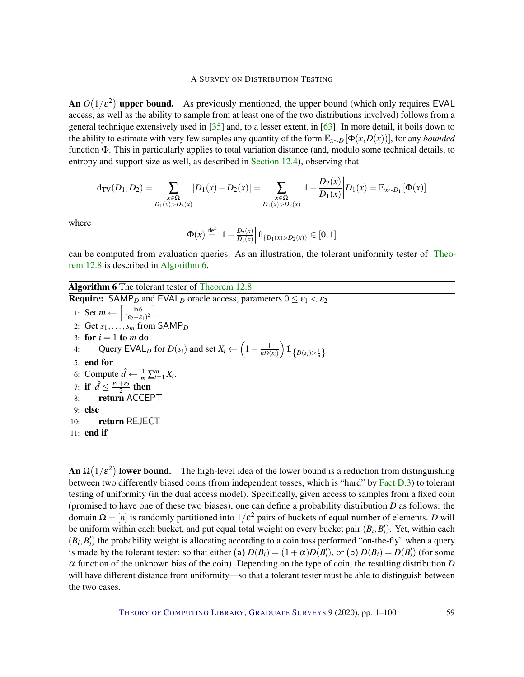An  $O(1/\varepsilon^2)$  upper bound. As previously mentioned, the upper bound (which only requires EVAL access, as well as the ability to sample from at least one of the two distributions involved) follows from a general technique extensively used in [\[35\]](#page-93-4) and, to a lesser extent, in [\[63\]](#page-95-2). In more detail, it boils down to the ability to estimate with very few samples any quantity of the form  $\mathbb{E}_{x \sim D}[\Phi(x, D(x))]$ , for any *bounded* function Φ. This in particularly applies to total variation distance (and, modulo some technical details, to entropy and support size as well, as described in [Section](#page-60-0) [12.4\)](#page-60-0), observing that

$$
d_{TV}(D_1, D_2) = \sum_{\substack{x \in \Omega \\ D_1(x) > D_2(x)}} |D_1(x) - D_2(x)| = \sum_{\substack{x \in \Omega \\ D_1(x) > D_2(x)}} \left| 1 - \frac{D_2(x)}{D_1(x)} \right| D_1(x) = \mathbb{E}_{x \sim D_1} [\Phi(x)]
$$

where

$$
\Phi(x) \stackrel{\text{def}}{=} \left| 1 - \frac{D_2(x)}{D_1(x)} \right| \mathbb{1}_{\{D_1(x) > D_2(x)\}} \in [0, 1]
$$

can be computed from evaluation queries. As an illustration, the tolerant uniformity tester of [Theo](#page-57-0)rem [12.8](#page-57-0) is described in [Algorithm](#page-0-0) [6.](#page-0-0)

## Algorithm 6 The tolerant tester of [Theorem](#page-57-0) [12.8](#page-57-0)

**Require:** SAMP<sub>D</sub> and EVAL<sub>D</sub> oracle access, parameters  $0 \le \varepsilon_1 < \varepsilon_2$ 1: Set  $m \leftarrow \left[\frac{\ln 6}{\sqrt{\epsilon_0 - \epsilon}}\right]$  $\frac{\ln 6}{(\epsilon_2-\epsilon_1)^2}$ . 2: Get  $s_1, ..., s_m$  from SAMP<sub>D</sub> 3: for  $i = 1$  to  $m$  do 4: Query EVAL<sub>D</sub> for  $D(s_i)$  and set  $X_i \leftarrow \left(1 - \frac{1}{nD(s_i)}\right)$ *nD*(*si*)  $\Big)$   $\mathbb{1}_{\left\{ D\left( s_{i}\right) >\frac{1}{n}\right\} }$ 5: end for 6: Compute  $\hat{d} \leftarrow \frac{1}{m} \sum_{i=1}^{m} X_i$ . 7: if  $\hat{d} \leq \frac{\varepsilon_1 + \varepsilon_2}{2}$  then 8: return ACCEPT 9: else 10: return REJECT 11: end if

**An**  $\Omega(1/\varepsilon^2)$  lower bound. The high-level idea of the lower bound is a reduction from distinguishing between two differently biased coins (from independent tosses, which is "hard" by [Fact](#page-79-0) [D.3\)](#page-79-0) to tolerant testing of uniformity (in the dual access model). Specifically, given access to samples from a fixed coin (promised to have one of these two biases), one can define a probability distribution *D* as follows: the domain  $\Omega = [n]$  is randomly partitioned into  $1/\varepsilon^2$  pairs of buckets of equal number of elements. *D* will be uniform within each bucket, and put equal total weight on every bucket pair  $(B_i, B'_i)$ . Yet, within each  $(B_i, B'_i)$  the probability weight is allocating according to a coin toss performed "on-the-fly" when a query is made by the tolerant tester: so that either (a)  $D(B_i) = (1 + \alpha)D(B'_i)$ , or (b)  $D(B_i) = D(B'_i)$  (for some  $\alpha$  function of the unknown bias of the coin). Depending on the type of coin, the resulting distribution *D* will have different distance from uniformity—so that a tolerant tester must be able to distinguish between the two cases.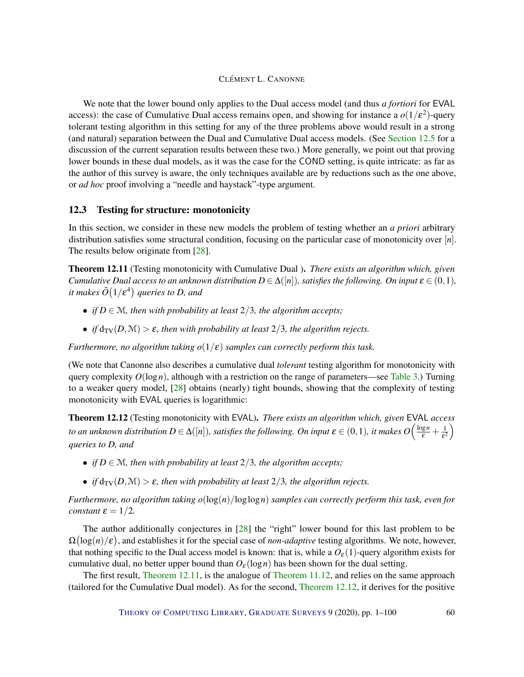We note that the lower bound only applies to the Dual access model (and thus *a fortiori* for EVAL access): the case of Cumulative Dual access remains open, and showing for instance a  $o(1/\varepsilon^2)$ -query tolerant testing algorithm in this setting for any of the three problems above would result in a strong (and natural) separation between the Dual and Cumulative Dual access models. (See [Section](#page-62-0) [12.5](#page-62-0) for a discussion of the current separation results between these two.) More generally, we point out that proving lower bounds in these dual models, as it was the case for the COND setting, is quite intricate: as far as the author of this survey is aware, the only techniques available are by reductions such as the one above, or *ad hoc* proof involving a "needle and haystack"-type argument.

#### <span id="page-59-2"></span>12.3 Testing for structure: monotonicity

In this section, we consider in these new models the problem of testing whether an *a priori* arbitrary distribution satisfies some structural condition, focusing on the particular case of monotonicity over [*n*]. The results below originate from [\[28\]](#page-92-4).

<span id="page-59-0"></span>Theorem 12.11 (Testing monotonicity with Cumulative Dual ). *There exists an algorithm which, given Cumulative Dual access to an unknown distribution*  $D \in \Delta([n])$ *, satisfies the following. On input*  $\varepsilon \in (0,1)$ *,* it makes  $\tilde{O}\big(1/\varepsilon^4\big)$  queries to D, and

- *if*  $D \in \mathcal{M}$ *, then with probability at least*  $2/3$ *, the algorithm accepts;*
- *if*  $d_{TV}(D, \mathcal{M}) > \varepsilon$ *, then with probability at least*  $2/3$ *, the algorithm rejects.*

*Furthermore, no algorithm taking*  $o(1/\varepsilon)$  *samples can correctly perform this task.* 

(We note that Canonne also describes a cumulative dual *tolerant* testing algorithm for monotonicity with query complexity  $O(\log n)$ , although with a restriction on the range of parameters—see [Table 3.](#page-73-0)) Turning to a weaker query model, [\[28\]](#page-92-4) obtains (nearly) tight bounds, showing that the complexity of testing monotonicity with EVAL queries is logarithmic:

<span id="page-59-1"></span>Theorem 12.12 (Testing monotonicity with EVAL). *There exists an algorithm which, given* EVAL *access to an unknown distribution*  $D \in \Delta([n])$ *, satisfies the following. On input*  $\bm{\varepsilon} \in (0,1)$ *, it makes*  $O\Big(\frac{\log n}{\bm{\varepsilon}} + \frac{1}{\bm{\varepsilon}^2}$  $\frac{1}{\epsilon^2}$ *queries to D, and*

- *if*  $D \in \mathcal{M}$ , then with probability at least 2/3, the algorithm accepts;
- *if*  $d_{TV}(D, M) > \varepsilon$ *, then with probability at least*  $2/3$ *, the algorithm rejects.*

*Furthermore, no algorithm taking o*(log(*n*)/loglog*n*) *samples can correctly perform this task, even for constant*  $\varepsilon = 1/2$ *.* 

The author additionally conjectures in [\[28\]](#page-92-4) the "right" lower bound for this last problem to be  $\Omega(\log(n)/\varepsilon)$ , and establishes it for the special case of *non-adaptive* testing algorithms. We note, however, that nothing specific to the Dual access model is known: that is, while a  $O_{\epsilon}(1)$ -query algorithm exists for cumulative dual, no better upper bound than  $O_{\epsilon}(\log n)$  has been shown for the dual setting.

The first result, [Theorem](#page-59-0) [12.11,](#page-59-0) is the analogue of [Theorem](#page-45-0) [11.12,](#page-45-0) and relies on the same approach (tailored for the Cumulative Dual model). As for the second, [Theorem](#page-59-1) [12.12,](#page-59-1) it derives for the positive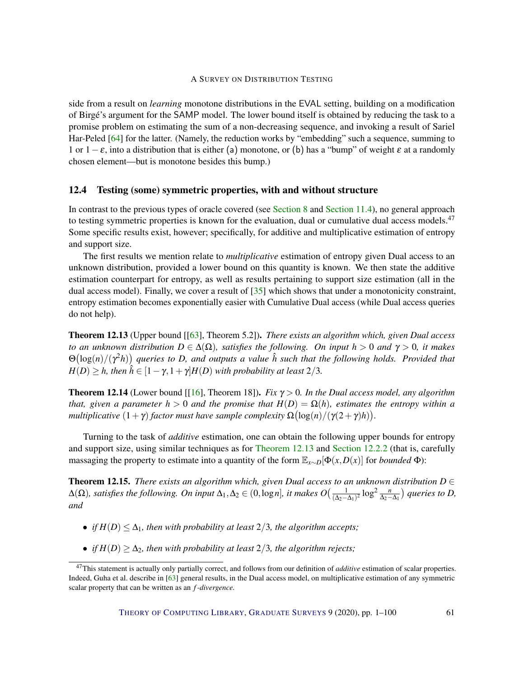side from a result on *learning* monotone distributions in the EVAL setting, building on a modification of Birgé's argument for the SAMP model. The lower bound itself is obtained by reducing the task to a promise problem on estimating the sum of a non-decreasing sequence, and invoking a result of Sariel Har-Peled [\[64\]](#page-95-3) for the latter. (Namely, the reduction works by "embedding" such a sequence, summing to 1 or  $1 - \varepsilon$ , into a distribution that is either (a) monotone, or (b) has a "bump" of weight  $\varepsilon$  at a randomly chosen element—but is monotone besides this bump.)

#### <span id="page-60-0"></span>12.4 Testing (some) symmetric properties, with and without structure

In contrast to the previous types of oracle covered (see [Section](#page-32-0) [8](#page-32-0) and [Section](#page-49-0) [11.4\)](#page-49-0), no general approach to testing symmetric properties is known for the evaluation, dual or cumulative dual access models.<sup>47</sup> Some specific results exist, however; specifically, for additive and multiplicative estimation of entropy and support size.

The first results we mention relate to *multiplicative* estimation of entropy given Dual access to an unknown distribution, provided a lower bound on this quantity is known. We then state the additive estimation counterpart for entropy, as well as results pertaining to support size estimation (all in the dual access model). Finally, we cover a result of [\[35\]](#page-93-4) which shows that under a monotonicity constraint, entropy estimation becomes exponentially easier with Cumulative Dual access (while Dual access queries do not help).

<span id="page-60-1"></span>Theorem 12.13 (Upper bound [[\[63\]](#page-95-2), Theorem 5.2]). *There exists an algorithm which, given Dual access to an unknown distribution*  $D \in \Delta(\Omega)$ *, satisfies the following. On input*  $h > 0$  *and*  $\gamma > 0$ *, it makes* Θ log(*n*)/(γ <sup>2</sup>*h*) *queries to D, and outputs a value h*ˆ *such that the following holds. Provided that*  $H(D) \geq h$ , then  $\hat{h} \in [1 - \gamma, 1 + \gamma]H(D)$  *with probability at least* 2/3*.* 

**Theorem 12.14** (Lower bound [[\[16\]](#page-91-3), Theorem 18]). *Fix*  $\gamma > 0$ . In the Dual access model, any algorithm *that, given a parameter*  $h > 0$  *and the promise that*  $H(D) = \Omega(h)$ *, estimates the entropy within a multiplicative*  $(1 + \gamma)$  *factor must have sample complexity*  $\Omega(\log(n)/(\gamma(2 + \gamma)h))$ .

Turning to the task of *additive* estimation, one can obtain the following upper bounds for entropy and support size, using similar techniques as for [Theorem 12.13](#page-60-1) and [Section](#page-57-1) [12.2.2](#page-57-1) (that is, carefully massaging the property to estimate into a quantity of the form  $\mathbb{E}_{x \sim D}[\Phi(x, D(x)]$  for *bounded*  $\Phi)$ :

<span id="page-60-2"></span>**Theorem 12.15.** *There exists an algorithm which, given Dual access to an unknown distribution*  $D \in$  $Δ(Ω)$ *, satisfies the following. On input*  $Δ₁, Δ₂ ∈ (0, log n]$ *, it makes*  $O\left(\frac{1}{(Δ₂ - 1)}\right)$ (∆2−∆1) 2 log<sup>2</sup> *<sup>n</sup>* ∆2−∆<sup>1</sup> *queries to D, and*

- *if*  $H(D) \leq \Delta_1$ *, then with probability at least* 2/3*, the algorithm accepts*;
- *if*  $H(D) \geq \Delta_2$ , then with probability at least 2/3, the algorithm rejects;

<sup>47</sup>This statement is actually only partially correct, and follows from our definition of *additive* estimation of scalar properties. Indeed, Guha et al. describe in [\[63\]](#page-95-2) general results, in the Dual access model, on multiplicative estimation of any symmetric scalar property that can be written as an *f -divergence.*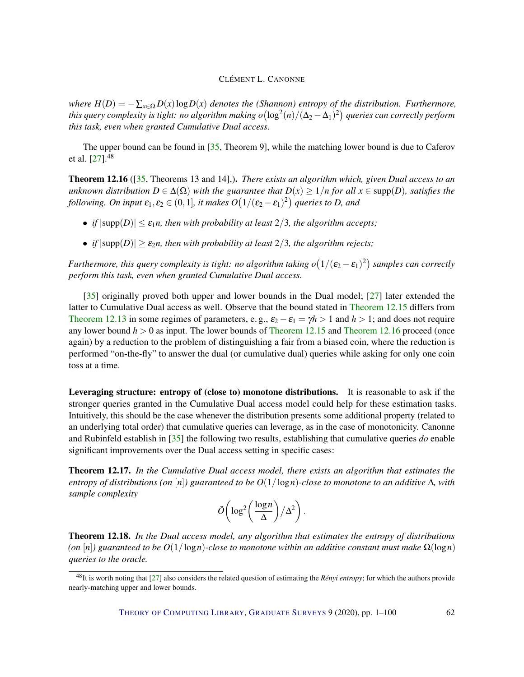*where*  $H(D) = -\sum_{x \in \Omega} D(x) \log D(x)$  *denotes the (Shannon) entropy of the distribution. Furthermore,* this query complexity is tight: no algorithm making  $o\bigl(\log^2(n)/(\Delta_2-\Delta_1)^2\bigr)$  queries can correctly perform *this task, even when granted Cumulative Dual access.*

The upper bound can be found in [\[35,](#page-93-4) Theorem 9], while the matching lower bound is due to Caferov et al.  $[27]$ .<sup>48</sup>

<span id="page-61-0"></span>Theorem 12.16 ([\[35,](#page-93-4) Theorems 13 and 14],). *There exists an algorithm which, given Dual access to an unknown distribution*  $D \in \Delta(\Omega)$  *with the guarantee that*  $D(x) \geq 1/n$  *for all*  $x \in \text{supp}(D)$ *, satisfies the* following. On input  $\pmb{\varepsilon}_1,\pmb{\varepsilon}_2\in(0,1]$ , it makes  $O\big(1/(\pmb{\varepsilon}_2-\pmb{\varepsilon}_1)^2\big)$  queries to D, and

- *if*  $|\text{supp}(D)| \leq \varepsilon_1 n$ , then with probability at least 2/3, the algorithm accepts;
- *if*  $|\text{supp}(D)| \ge \varepsilon_2 n$ , then with probability at least 2/3, the algorithm rejects;

*Furthermore, this query complexity is tight: no algorithm taking*  $o(1/(\epsilon_2 - \epsilon_1)^2)$  *samples can correctly perform this task, even when granted Cumulative Dual access.*

[\[35\]](#page-93-4) originally proved both upper and lower bounds in the Dual model; [\[27\]](#page-92-6) later extended the latter to Cumulative Dual access as well. Observe that the bound stated in [Theorem](#page-60-2) [12.15](#page-60-2) differs from [Theorem 12.13](#page-60-1) in some regimes of parameters, e.g.,  $\varepsilon_2 - \varepsilon_1 = \gamma h > 1$  and  $h > 1$ ; and does not require any lower bound *h* > 0 as input. The lower bounds of [Theorem](#page-60-2) [12.15](#page-60-2) and [Theorem](#page-61-0) [12.16](#page-61-0) proceed (once again) by a reduction to the problem of distinguishing a fair from a biased coin, where the reduction is performed "on-the-fly" to answer the dual (or cumulative dual) queries while asking for only one coin toss at a time.

Leveraging structure: entropy of (close to) monotone distributions. It is reasonable to ask if the stronger queries granted in the Cumulative Dual access model could help for these estimation tasks. Intuitively, this should be the case whenever the distribution presents some additional property (related to an underlying total order) that cumulative queries can leverage, as in the case of monotonicity. Canonne and Rubinfeld establish in [\[35\]](#page-93-4) the following two results, establishing that cumulative queries *do* enable significant improvements over the Dual access setting in specific cases:

Theorem 12.17. *In the Cumulative Dual access model, there exists an algorithm that estimates the entropy of distributions (on*  $[n]$ ) guaranteed to be  $O(1/\log n)$ *-close to monotone to an additive*  $\Delta$ *, with sample complexity*

$$
\tilde{O}\bigg(\log^2\bigg(\frac{\log n}{\Delta}\bigg)/\Delta^2\bigg).
$$

<span id="page-61-1"></span>Theorem 12.18. *In the Dual access model, any algorithm that estimates the entropy of distributions (on* [n]) guaranteed to be  $O(1/\log n)$ -close to monotone within an additive constant must make  $\Omega(\log n)$ *queries to the oracle.*

<sup>48</sup>It is worth noting that [\[27\]](#page-92-6) also considers the related question of estimating the *Rényi entropy*; for which the authors provide nearly-matching upper and lower bounds.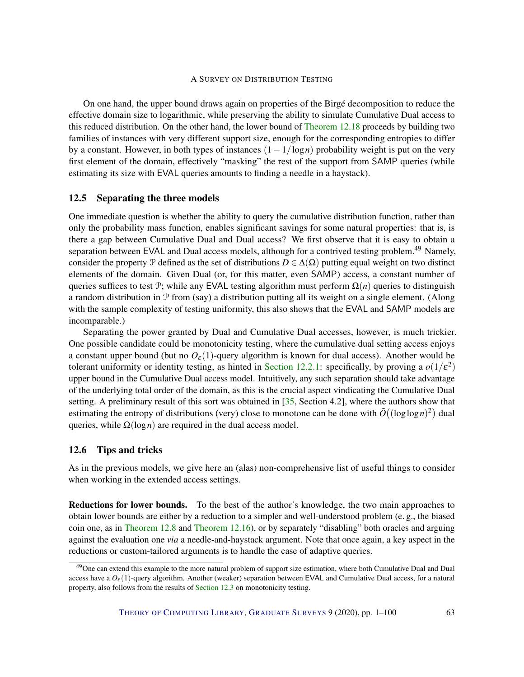On one hand, the upper bound draws again on properties of the Birgé decomposition to reduce the effective domain size to logarithmic, while preserving the ability to simulate Cumulative Dual access to this reduced distribution. On the other hand, the lower bound of [Theorem 12.18](#page-61-1) proceeds by building two families of instances with very different support size, enough for the corresponding entropies to differ by a constant. However, in both types of instances (1−1/log*n*) probability weight is put on the very first element of the domain, effectively "masking" the rest of the support from SAMP queries (while estimating its size with EVAL queries amounts to finding a needle in a haystack).

#### <span id="page-62-0"></span>12.5 Separating the three models

One immediate question is whether the ability to query the cumulative distribution function, rather than only the probability mass function, enables significant savings for some natural properties: that is, is there a gap between Cumulative Dual and Dual access? We first observe that it is easy to obtain a separation between EVAL and Dual access models, although for a contrived testing problem.<sup>49</sup> Namely, consider the property P defined as the set of distributions  $D \in \Delta(\Omega)$  putting equal weight on two distinct elements of the domain. Given Dual (or, for this matter, even SAMP) access, a constant number of queries suffices to test P; while any EVAL testing algorithm must perform  $\Omega(n)$  queries to distinguish a random distribution in  $\mathcal P$  from (say) a distribution putting all its weight on a single element. (Along with the sample complexity of testing uniformity, this also shows that the EVAL and SAMP models are incomparable.)

Separating the power granted by Dual and Cumulative Dual accesses, however, is much trickier. One possible candidate could be monotonicity testing, where the cumulative dual setting access enjoys a constant upper bound (but no  $O_{\epsilon}(1)$ -query algorithm is known for dual access). Another would be tolerant uniformity or identity testing, as hinted in [Section](#page-56-1) [12.2.1:](#page-56-1) specifically, by proving a  $o(1/\varepsilon^2)$ upper bound in the Cumulative Dual access model. Intuitively, any such separation should take advantage of the underlying total order of the domain, as this is the crucial aspect vindicating the Cumulative Dual setting. A preliminary result of this sort was obtained in [\[35,](#page-93-4) Section 4.2], where the authors show that estimating the entropy of distributions (very) close to monotone can be done with  $\tilde{O}((\log \log n)^2)$  dual queries, while  $\Omega(\log n)$  are required in the dual access model.

## 12.6 Tips and tricks

As in the previous models, we give here an (alas) non-comprehensive list of useful things to consider when working in the extended access settings.

Reductions for lower bounds. To the best of the author's knowledge, the two main approaches to obtain lower bounds are either by a reduction to a simpler and well-understood problem (e. g., the biased coin one, as in [Theorem](#page-57-0) [12.8](#page-57-0) and [Theorem](#page-61-0) [12.16\)](#page-61-0), or by separately "disabling" both oracles and arguing against the evaluation one *via* a needle-and-haystack argument. Note that once again, a key aspect in the reductions or custom-tailored arguments is to handle the case of adaptive queries.

<sup>&</sup>lt;sup>49</sup>One can extend this example to the more natural problem of support size estimation, where both Cumulative Dual and Dual access have a  $O_{\epsilon}(1)$ -query algorithm. Another (weaker) separation between EVAL and Cumulative Dual access, for a natural property, also follows from the results of [Section](#page-59-2) [12.3](#page-59-2) on monotonicity testing.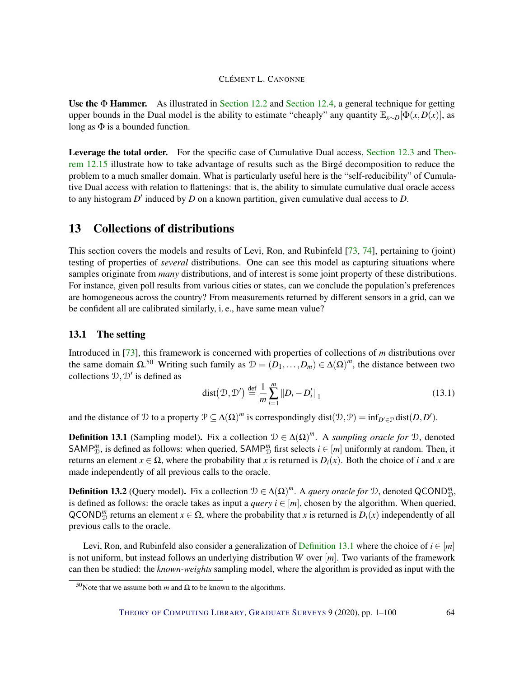Use the  $\Phi$  Hammer. As illustrated in [Section](#page-60-0) [12.2](#page-56-2) and Section [12.4,](#page-60-0) a general technique for getting upper bounds in the Dual model is the ability to estimate "cheaply" any quantity  $\mathbb{E}_{x \sim D}[\Phi(x, D(x)],$  as long as  $\Phi$  is a bounded function.

Leverage the total order. For the specific case of Cumulative Dual access, [Section](#page-59-2) [12.3](#page-59-2) and [Theo](#page-60-2)rem [12.15](#page-60-2) illustrate how to take advantage of results such as the Birgé decomposition to reduce the problem to a much smaller domain. What is particularly useful here is the "self-reducibility" of Cumulative Dual access with relation to flattenings: that is, the ability to simulate cumulative dual oracle access to any histogram  $D'$  induced by  $D$  on a known partition, given cumulative dual access to  $D$ .

## <span id="page-63-0"></span>13 Collections of distributions

This section covers the models and results of Levi, Ron, and Rubinfeld [\[73,](#page-96-2) [74\]](#page-96-3), pertaining to (joint) testing of properties of *several* distributions. One can see this model as capturing situations where samples originate from *many* distributions, and of interest is some joint property of these distributions. For instance, given poll results from various cities or states, can we conclude the population's preferences are homogeneous across the country? From measurements returned by different sensors in a grid, can we be confident all are calibrated similarly, i. e., have same mean value?

## 13.1 The setting

Introduced in [\[73\]](#page-96-2), this framework is concerned with properties of collections of *m* distributions over the same domain  $\Omega$ .<sup>50</sup> Writing such family as  $\mathcal{D} = (D_1, \ldots, D_m) \in \Delta(\Omega)^m$ , the distance between two collections  $\mathcal{D}, \mathcal{D}'$  is defined as

<span id="page-63-2"></span>
$$
dist(\mathcal{D}, \mathcal{D}') \stackrel{\text{def}}{=} \frac{1}{m} \sum_{i=1}^{m} ||D_i - D'_i||_1
$$
\n(13.1)

and the distance of  $D$  to a property  $D \subseteq \Delta(\Omega)^m$  is correspondingly dist $(D, D) = \inf_{D' \in \mathcal{D}} \text{dist}(D, D')$ .

<span id="page-63-1"></span>**Definition 13.1** (Sampling model). Fix a collection  $\mathcal{D} \in \Delta(\Omega)^m$ . A *sampling oracle for*  $\mathcal{D}$ , denoted SAMP<sup>*m*</sup></sup>, is defined as follows: when queried, SAMP<sup>*m*</sup> first selects  $i \in [m]$  uniformly at random. Then, it returns an element  $x \in \Omega$ , where the probability that *x* is returned is  $D_i(x)$ . Both the choice of *i* and *x* are made independently of all previous calls to the oracle.

**Definition 13.2** (Query model). Fix a collection  $\mathcal{D} \in \Delta(\Omega)^m$ . A *query oracle for*  $\mathcal{D}$ , denoted QCOND<sup>*m*</sup>. is defined as follows: the oracle takes as input a *query*  $i \in [m]$ , chosen by the algorithm. When queried, QCOND<sup>*m*</sup> returns an element  $x \in \Omega$ , where the probability that *x* is returned is  $D_i(x)$  independently of all previous calls to the oracle.

Levi, Ron, and Rubinfeld also consider a generalization of [Definition](#page-63-1) [13.1](#page-63-1) where the choice of  $i \in [m]$ is not uniform, but instead follows an underlying distribution *W* over [*m*]. Two variants of the framework can then be studied: the *known-weights* sampling model, where the algorithm is provided as input with the

<sup>&</sup>lt;sup>50</sup>Note that we assume both *m* and  $\Omega$  to be known to the algorithms.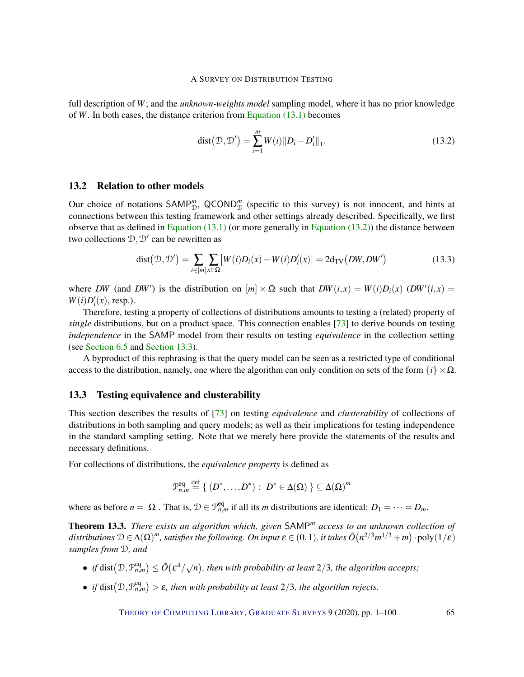full description of *W*; and the *unknown-weights model* sampling model, where it has no prior knowledge of *W*. In both cases, the distance criterion from [Equation \(13.1\)](#page-63-2) becomes

<span id="page-64-0"></span>dist
$$
(\mathcal{D}, \mathcal{D}') = \sum_{i=1}^{m} W(i) ||D_i - D'_i||_1.
$$
 (13.2)

## 13.2 Relation to other models

Our choice of notations  $SAMP^m_{\mathcal{D}}$ ,  $QCOND^m_{\mathcal{D}}$  (specific to this survey) is not innocent, and hints at connections between this testing framework and other settings already described. Specifically, we first observe that as defined in [Equation](#page-64-0)  $(13.1)$  (or more generally in Equation  $(13.2)$ ) the distance between two collections  $\mathcal{D}, \mathcal{D}'$  can be rewritten as

$$
dist(\mathcal{D}, \mathcal{D}') = \sum_{i \in [m]} \sum_{x \in \Omega} \left| W(i)D_i(x) - W(i)D'_i(x) \right| = 2d_{TV}(DW, DW')
$$
(13.3)

where *DW* (and *DW'*) is the distribution on  $[m] \times \Omega$  such that  $DW(i, x) = W(i)D_i(x)$  (*DW'*(*i,x*) =  $W(i)D'_i(x)$ , resp.).

Therefore, testing a property of collections of distributions amounts to testing a (related) property of *single* distributions, but on a product space. This connection enables [\[73\]](#page-96-2) to derive bounds on testing *independence* in the SAMP model from their results on testing *equivalence* in the collection setting (see [Section](#page-26-0) [6.5](#page-26-0) and [Section](#page-64-1) [13.3\)](#page-64-1).

A byproduct of this rephrasing is that the query model can be seen as a restricted type of conditional access to the distribution, namely, one where the algorithm can only condition on sets of the form  ${i} \times Ω$ .

#### <span id="page-64-1"></span>13.3 Testing equivalence and clusterability

This section describes the results of [\[73\]](#page-96-2) on testing *equivalence* and *clusterability* of collections of distributions in both sampling and query models; as well as their implications for testing independence in the standard sampling setting. Note that we merely here provide the statements of the results and necessary definitions.

For collections of distributions, the *equivalence property* is defined as

$$
\mathcal{P}_{n,m}^{\text{eq}} \stackrel{\text{def}}{=} \{ (D^*, \ldots, D^*) : D^* \in \Delta(\Omega) \} \subseteq \Delta(\Omega)^m
$$

where as before  $n = |\Omega|$ . That is,  $\mathcal{D} \in \mathcal{P}_{n,m}^{eq}$  if all its *m* distributions are identical:  $D_1 = \cdots = D_m$ .

Theorem 13.3. *There exists an algorithm which, given* SAMP*<sup>m</sup> access to an unknown collection of*  $distributions \mathcal{D} \in \Delta(\Omega)^m$ , satisfies the following. On input  $\bm{\varepsilon} \in (0,1)$ , it takes  $\tilde{O}\big(n^{2/3}m^{1/3}+m\big) \cdot \text{poly}(1/\bm{\varepsilon})$ *samples from* D*, and*

- *if* dist $(D, \mathcal{P}_{n,m}^{\text{eq}}) \le \tilde{O}(\varepsilon^4/\sqrt{2})$ *n , then with probability at least* 2/3*, the algorithm accepts;*
- *if* dist $(D, \mathcal{P}_{n,m}^{eq}) > \varepsilon$ , then with probability at least 2/3, the algorithm rejects.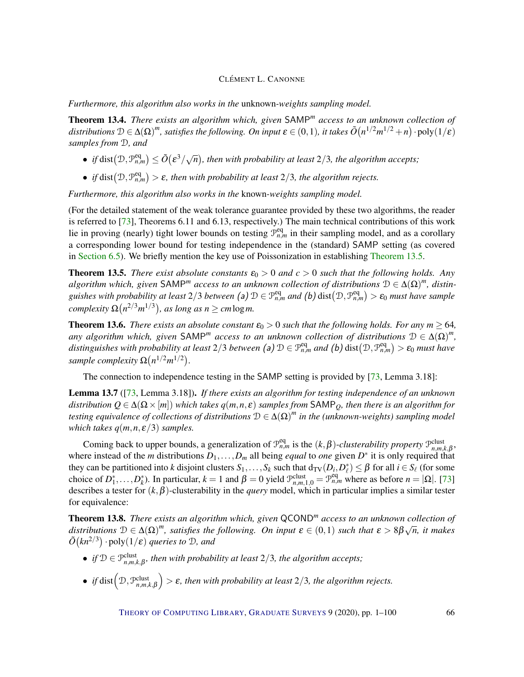*Furthermore, this algorithm also works in the* unknown*-weights sampling model.*

<span id="page-65-1"></span>Theorem 13.4. *There exists an algorithm which, given* SAMP*<sup>m</sup> access to an unknown collection of* distributions  $D \in \Delta(\Omega)^m$ , satisfies the following. On input  $\epsilon \in (0,1)$ , it takes  $\tilde{O}(n^{1/2}m^{1/2}+n)\cdot \text{poly}(1/\epsilon)$ *samples from* D*, and*

- *if* dist $(D, \mathcal{P}_{n,m}^{\text{eq}}) \le \tilde{O}(\varepsilon^3/\sqrt{\varepsilon^3})$ *n , then with probability at least* 2/3*, the algorithm accepts;*
- *if* dist $(D, \mathcal{P}_{n,m}^{eq}) > \varepsilon$ , then with probability at least 2/3, the algorithm rejects.

*Furthermore, this algorithm also works in the* known*-weights sampling model.*

(For the detailed statement of the weak tolerance guarantee provided by these two algorithms, the reader is referred to [\[73\]](#page-96-2), Theorems 6.11 and 6.13, respectively.) The main technical contributions of this work lie in proving (nearly) tight lower bounds on testing  $\mathcal{P}_{n,m}^{\text{eq}}$  in their sampling model, and as a corollary a corresponding lower bound for testing independence in the (standard) SAMP setting (as covered in [Section](#page-26-0) [6.5\)](#page-26-0). We briefly mention the key use of Poissonization in establishing [Theorem](#page-65-0) [13.5.](#page-65-0)

<span id="page-65-0"></span>**Theorem 13.5.** *There exist absolute constants*  $\varepsilon_0 > 0$  *and*  $c > 0$  *such that the following holds. Any*  $a$ lgorithm which, given SAMP<sup>m</sup> access to an unknown collection of distributions  $D \in \Delta(\Omega)^m$ , distin $g$ uishes with probability at least  $2/3$  between (a)  $D \in \mathcal{P}_{n,m}^{\text{eq}}$  and (b)  $dist(D,\mathcal{P}_{n,m}^{\text{eq}}) > \varepsilon_0$  must have sample  $\Omega(n^{2/3}m^{1/3})$ , as long as  $n \geq c m \log m$ .

**Theorem 13.6.** *There exists an absolute constant*  $\varepsilon_0 > 0$  *such that the following holds. For any*  $m \ge 64$ *, any algorithm which, given*  $SAMP<sup>m</sup>$  access to an unknown collection of distributions  $D \in \Delta(\Omega)^m$ ,  $distinguishes with probability at least 2/3 between (a)$   $\mathcal{D} \in \mathcal{P}_{n,m}^{eq}$  and  $(b)$   $dist(\mathcal{D},\mathcal{P}_{n,m}^{eq})> \varepsilon_0$  must have *sample complexity*  $\Omega(n^{1/2}m^{1/2})$ .

The connection to independence testing in the SAMP setting is provided by [\[73,](#page-96-2) Lemma 3.18]:

Lemma 13.7 ([\[73,](#page-96-2) Lemma 3.18]). *If there exists an algorithm for testing independence of an unknown distribution*  $Q \in \Delta(\Omega \times [m])$  *which takes*  $q(m, n, \varepsilon)$  *samples from* SAMP<sub>*O</sub>*, *then there is an algorithm for*</sub> *testing equivalence of collections of distributions* D ∈ ∆(Ω) *m in the (unknown-weights) sampling model which takes*  $q(m, n, \varepsilon/3)$  *samples.* 

Coming back to upper bounds, a generalization of  $\mathcal{P}_{n,m}^{eq}$  is the  $(k,\beta)$ -*clusterability property*  $\mathcal{P}_{n,m,k,\beta}^{clust}$ , where instead of the *m* distributions  $D_1, \ldots, D_m$  all being *equal* to *one* given  $D^*$  it is only required that they can be partitioned into *k* disjoint clusters  $S_1, \ldots, S_k$  such that  $d_{TV}(D_i, D_\ell^*) \leq \beta$  for all  $i \in S_\ell$  (for some choice of  $D_1^*, \ldots, D_k^*$ ). In particular,  $k = 1$  and  $\beta = 0$  yield  $\mathcal{P}_{n,m,1,0}^{\text{clust}} = \mathcal{P}_{n,m}^{\text{eq}}$  where as before  $n = |\Omega|$ . [\[73\]](#page-96-2) describes a tester for (*k*,β)-clusterability in the *query* model, which in particular implies a similar tester for equivalence:

Theorem 13.8. *There exists an algorithm which, given* QCOND*<sup>m</sup> access to an unknown collection of distributions*  $D \in \Delta(\Omega)^m$ , *satisfies the following. On input*  $\varepsilon \in (0,1)$  *such that*  $\varepsilon > 8\beta\sqrt{n}$ , *it makes*  $\tilde{O}(kn^{2/3})$   $\cdot$  poly $(1/\varepsilon)$  *queries to*  $\mathcal{D}$ *, and* 

- *if*  $D \in \mathcal{P}_{n,m,k,\beta}^{\text{clust}}$ *, then with probability at least*  $2/3$ *, the algorithm accepts;*
- *if* dist  $(\mathcal{D}, \mathcal{P}_{n,m,k,\beta}^{\text{clust}})$  $\bigg) > \varepsilon$ , then with probability at least 2/3, the algorithm rejects.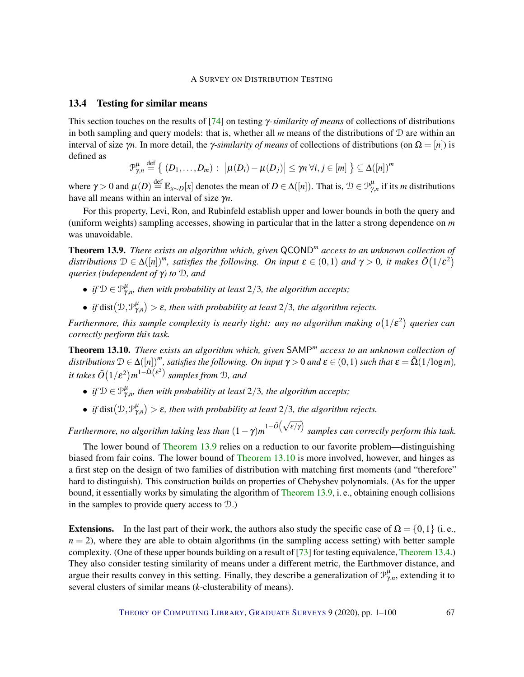#### 13.4 Testing for similar means

This section touches on the results of [\[74\]](#page-96-3) on testing γ*-similarity of means* of collections of distributions in both sampling and query models: that is, whether all  $m$  means of the distributions of  $D$  are within an interval of size  $\gamma$ *n*. In more detail, the *γ*-similarity of means of collections of distributions (on  $\Omega = [n]$ ) is defined as

$$
\mathcal{P}_{\gamma,n}^{\mu} \stackrel{\text{def}}{=} \left\{ (D_1,\ldots,D_m) : \, \left| \mu(D_i) - \mu(D_j) \right| \leq \gamma n \, \forall i,j \in [m] \right\} \subseteq \Delta([n])^m
$$

where  $\gamma > 0$  and  $\mu(D) \stackrel{\text{def}}{=} \mathbb{E}_{x \sim D}[x]$  denotes the mean of  $D \in \Delta([n])$ . That is,  $\mathcal{D} \in \mathcal{P}_{\gamma,n}^{\mu}$  if its *m* distributions have all means within an interval of size γ*n*.

For this property, Levi, Ron, and Rubinfeld establish upper and lower bounds in both the query and (uniform weights) sampling accesses, showing in particular that in the latter a strong dependence on *m* was unavoidable.

<span id="page-66-0"></span>Theorem 13.9. *There exists an algorithm which, given* QCOND*<sup>m</sup> access to an unknown collection of* distributions  $D \in \Delta([n])^m$ , satisfies the following. On input  $\varepsilon \in (0,1)$  and  $\gamma > 0$ , it makes  $\tilde{O}(1/\varepsilon^2)$ *queries (independent of* γ*) to* D*, and*

- *if*  $D \in \mathcal{P}_{\gamma,n}^{\mu}$ *, then with probability at least* 2/3*, the algorithm accepts*;
- *if* dist $(D, \mathcal{P}_{\gamma,n}^{\mu}) > \varepsilon$ *, then with probability at least* 2/3*, the algorithm rejects.*

*Furthermore, this sample complexity is nearly tight: any no algorithm making*  $o(1/\varepsilon^2)$  queries can *correctly perform this task.*

<span id="page-66-1"></span>Theorem 13.10. *There exists an algorithm which, given* SAMP*<sup>m</sup> access to an unknown collection of distributions*  $D \in \Delta([n])^m$ , satisfies the following. On input  $\gamma > 0$  and  $\varepsilon \in (0,1)$  such that  $\varepsilon = \tilde{\Delta}(1/\log m)$ ,  $i$ t takes  $\tilde{O}(1/\varepsilon^2) m^{1-\tilde{\Omega}(\varepsilon^2)}$  samples from D, and

- *if*  $D \in \mathcal{P}_{\gamma,n}^{\mu}$ *, then with probability at least* 2/3*, the algorithm accepts*;
- *if* dist $(D, \mathcal{P}_{\gamma,n}^{\mu}) > \varepsilon$ *, then with probability at least* 2/3*, the algorithm rejects.*

*Furthermore, no algorithm taking less than*  $(1 - \gamma)m^{1 - \tilde{O}(\sqrt{\varepsilon/\gamma})}$  *samples can correctly perform this task.* 

The lower bound of [Theorem](#page-66-0) [13.9](#page-66-0) relies on a reduction to our favorite problem—distinguishing biased from fair coins. The lower bound of [Theorem](#page-66-1) [13.10](#page-66-1) is more involved, however, and hinges as a first step on the design of two families of distribution with matching first moments (and "therefore" hard to distinguish). This construction builds on properties of Chebyshev polynomials. (As for the upper bound, it essentially works by simulating the algorithm of [Theorem](#page-66-0) [13.9,](#page-66-0) i. e., obtaining enough collisions in the samples to provide query access to  $\mathcal{D}$ .)

**Extensions.** In the last part of their work, the authors also study the specific case of  $\Omega = \{0, 1\}$  (i.e.,  $n = 2$ ), where they are able to obtain algorithms (in the sampling access setting) with better sample complexity. (One of these upper bounds building on a result of [\[73\]](#page-96-2) for testing equivalence, [Theorem](#page-65-1) [13.4.](#page-65-1)) They also consider testing similarity of means under a different metric, the Earthmover distance, and argue their results convey in this setting. Finally, they describe a generalization of  $\mathcal{P}_{\gamma,n}^{\mu}$ , extending it to several clusters of similar means (*k*-clusterability of means).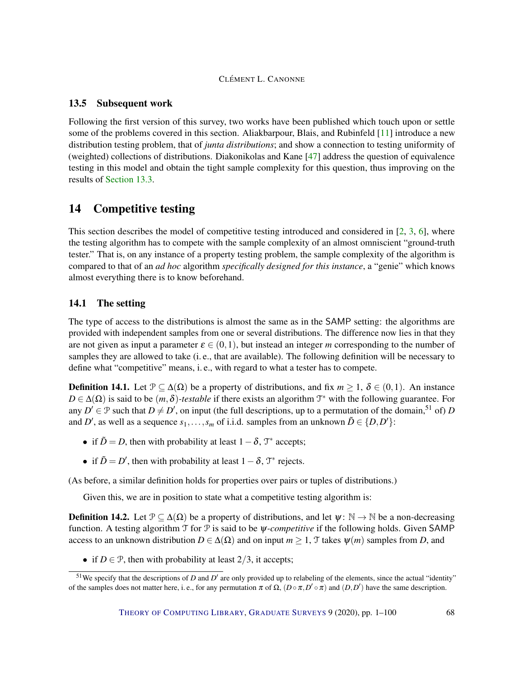## 13.5 Subsequent work

Following the first version of this survey, two works have been published which touch upon or settle some of the problems covered in this section. Aliakbarpour, Blais, and Rubinfeld [\[11\]](#page-91-4) introduce a new distribution testing problem, that of *junta distributions*; and show a connection to testing uniformity of (weighted) collections of distributions. Diakonikolas and Kane [\[47\]](#page-94-0) address the question of equivalence testing in this model and obtain the tight sample complexity for this question, thus improving on the results of [Section](#page-64-1) [13.3.](#page-64-1)

# <span id="page-67-0"></span>14 Competitive testing

This section describes the model of competitive testing introduced and considered in [\[2,](#page-90-2) [3,](#page-90-3) [6\]](#page-90-4), where the testing algorithm has to compete with the sample complexity of an almost omniscient "ground-truth tester." That is, on any instance of a property testing problem, the sample complexity of the algorithm is compared to that of an *ad hoc* algorithm *specifically designed for this instance*, a "genie" which knows almost everything there is to know beforehand.

## 14.1 The setting

The type of access to the distributions is almost the same as in the SAMP setting: the algorithms are provided with independent samples from one or several distributions. The difference now lies in that they are not given as input a parameter  $\varepsilon \in (0,1)$ , but instead an integer *m* corresponding to the number of samples they are allowed to take (i. e., that are available). The following definition will be necessary to define what "competitive" means, i. e., with regard to what a tester has to compete.

**Definition 14.1.** Let  $\mathcal{P} \subset \Delta(\Omega)$  be a property of distributions, and fix  $m > 1$ ,  $\delta \in (0,1)$ . An instance  $D \in \Delta(\Omega)$  is said to be  $(m, \delta)$ -testable if there exists an algorithm  $\mathcal{T}^*$  with the following guarantee. For any  $D' \in \mathcal{P}$  such that  $D \neq D'$ , on input (the full descriptions, up to a permutation of the domain,<sup>51</sup> of) *D* and *D'*, as well as a sequence  $s_1, \ldots, s_m$  of i.i.d. samples from an unknown  $\tilde{D} \in \{D, D'\}$ :

- if  $\tilde{D} = D$ , then with probability at least  $1 \delta$ ,  $\mathcal{T}^*$  accepts;
- if  $\tilde{D} = D'$ , then with probability at least  $1 \delta$ ,  $\mathcal{T}^*$  rejects.

(As before, a similar definition holds for properties over pairs or tuples of distributions.)

Given this, we are in position to state what a competitive testing algorithm is:

**Definition 14.2.** Let  $\mathcal{P} \subseteq \Delta(\Omega)$  be a property of distributions, and let  $\psi \colon \mathbb{N} \to \mathbb{N}$  be a non-decreasing function. A testing algorithm T for P is said to be ψ*-competitive* if the following holds. Given SAMP access to an unknown distribution  $D \in \Delta(\Omega)$  and on input  $m \geq 1$ , T takes  $\psi(m)$  samples from *D*, and

• if  $D \in \mathcal{P}$ , then with probability at least  $2/3$ , it accepts;

<sup>&</sup>lt;sup>51</sup>We specify that the descriptions of *D* and  $D'$  are only provided up to relabeling of the elements, since the actual "identity" of the samples does not matter here, i. e., for any permutation  $\pi$  of  $\Omega$ ,  $(D \circ \pi, D' \circ \pi)$  and  $(D, D')$  have the same description.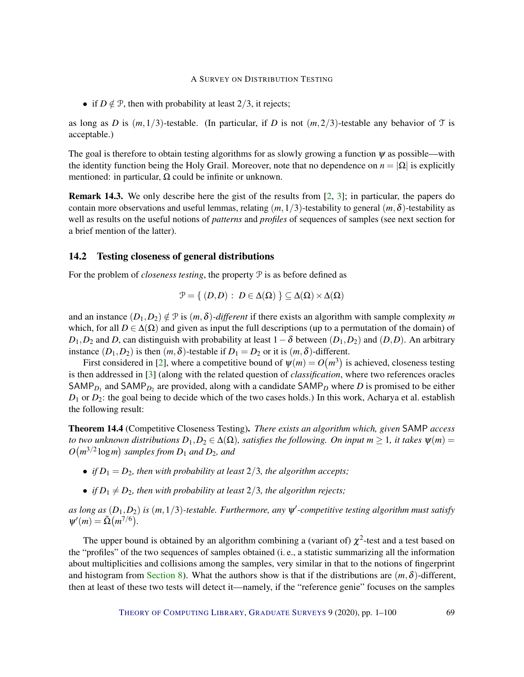• if  $D \notin \mathcal{P}$ , then with probability at least 2/3, it rejects;

as long as *D* is  $(m,1/3)$ -testable. (In particular, if *D* is not  $(m,2/3)$ -testable any behavior of T is acceptable.)

The goal is therefore to obtain testing algorithms for as slowly growing a function  $\psi$  as possible—with the identity function being the Holy Grail. Moreover, note that no dependence on  $n = |\Omega|$  is explicitly mentioned: in particular,  $\Omega$  could be infinite or unknown.

Remark 14.3. We only describe here the gist of the results from [\[2,](#page-90-2) [3\]](#page-90-3); in particular, the papers do contain more observations and useful lemmas, relating  $(m,1/3)$ -testability to general  $(m,\delta)$ -testability as well as results on the useful notions of *patterns* and *profiles* of sequences of samples (see next section for a brief mention of the latter).

#### 14.2 Testing closeness of general distributions

For the problem of *closeness testing*, the property  $P$  is as before defined as

$$
\mathcal{P} = \{ (D,D) : D \in \Delta(\Omega) \} \subseteq \Delta(\Omega) \times \Delta(\Omega)
$$

and an instance  $(D_1, D_2) \notin \mathcal{P}$  is  $(m, \delta)$ *-different* if there exists an algorithm with sample complexity *m* which, for all  $D \in \Delta(\Omega)$  and given as input the full descriptions (up to a permutation of the domain) of  $D_1, D_2$  and *D*, can distinguish with probability at least  $1-\delta$  between  $(D_1, D_2)$  and  $(D, D)$ . An arbitrary instance  $(D_1, D_2)$  is then  $(m, \delta)$ -testable if  $D_1 = D_2$  or it is  $(m, \delta)$ -different.

First considered in [\[2\]](#page-90-2), where a competitive bound of  $\psi(m) = O(m^3)$  is achieved, closeness testing is then addressed in [\[3\]](#page-90-3) (along with the related question of *classification*, where two references oracles SAMP<sub>D<sub>1</sub></sub> and SAMP<sub>D<sub>2</sub></sub> are provided, along with a candidate SAMP<sub>D</sub> where D is promised to be either *D*<sup>1</sup> or *D*2: the goal being to decide which of the two cases holds.) In this work, Acharya et al. establish the following result:

Theorem 14.4 (Competitive Closeness Testing). *There exists an algorithm which, given* SAMP *access to two unknown distributions*  $D_1, D_2 \in \Delta(\Omega)$ *, satisfies the following. On input*  $m \geq 1$ *, it takes*  $\psi(m) =$  $O(m^{3/2} \log m)$  *samples from*  $D_1$  *and*  $D_2$ *, and* 

- *if*  $D_1 = D_2$ *, then with probability at least*  $2/3$ *, the algorithm accepts;*
- *if*  $D_1 \neq D_2$ *, then with probability at least* 2/3*, the algorithm rejects;*

as long as  $(D_1, D_2)$  is  $(m, 1/3)$ -testable. Furthermore, any  $\psi'$ -competitive testing algorithm must satisfy  $\Psi'(m) = \tilde{\Omega}(m^{7/6}).$ 

The upper bound is obtained by an algorithm combining a (variant of)  $\chi^2$ -test and a test based on the "profiles" of the two sequences of samples obtained (i. e., a statistic summarizing all the information about multiplicities and collisions among the samples, very similar in that to the notions of fingerprint and histogram from [Section](#page-32-0) [8\)](#page-32-0). What the authors show is that if the distributions are (*m*,δ)-different, then at least of these two tests will detect it—namely, if the "reference genie" focuses on the samples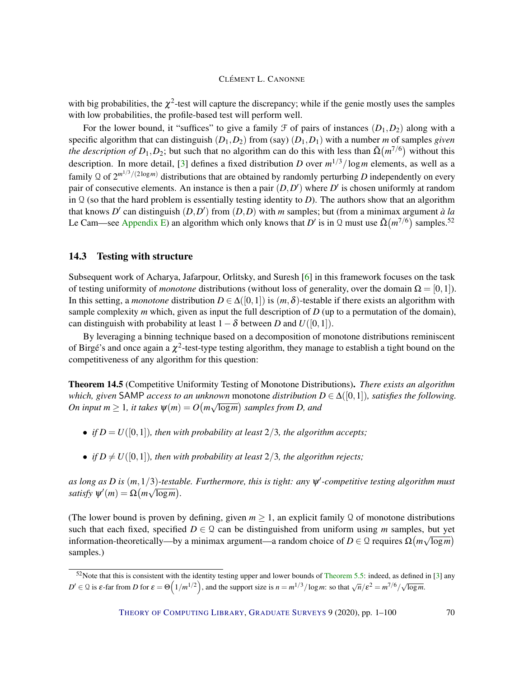with big probabilities, the  $\chi^2$ -test will capture the discrepancy; while if the genie mostly uses the samples with low probabilities, the profile-based test will perform well.

For the lower bound, it "suffices" to give a family  $\mathcal F$  of pairs of instances  $(D_1, D_2)$  along with a specific algorithm that can distinguish (*D*1,*D*2) from (say) (*D*1,*D*1) with a number *m* of samples *given the description of*  $D_1, D_2$ ; but such that no algorithm can do this with less than  $\tilde{\Omega}(m^{7/6})$  without this description. In more detail, [\[3\]](#page-90-3) defines a fixed distribution *D* over *m* <sup>1</sup>/3/log*m* elements, as well as a family Q of  $2^{m^{1/3}/(2\log m)}$  distributions that are obtained by randomly perturbing D independently on every pair of consecutive elements. An instance is then a pair  $(D, D')$  where  $D'$  is chosen uniformly at random in  $\Omega$  (so that the hard problem is essentially testing identity to *D*). The authors show that an algorithm that knows *D'* can distinguish  $(D, D')$  from  $(D, D)$  with *m* samples; but (from a minimax argument *à la* Le Cam—see [Appendix](#page-84-0) [E\)](#page-84-0) an algorithm which only knows that *D'* is in Q must use  $\tilde{\Omega}(m^{7/6})$  samples.<sup>52</sup>

## 14.3 Testing with structure

Subsequent work of Acharya, Jafarpour, Orlitsky, and Suresh [\[6\]](#page-90-4) in this framework focuses on the task of testing uniformity of *monotone* distributions (without loss of generality, over the domain  $\Omega = [0,1]$ ). In this setting, a *monotone* distribution  $D \in \Delta([0,1])$  is  $(m,\delta)$ -testable if there exists an algorithm with sample complexity *m* which, given as input the full description of *D* (up to a permutation of the domain), can distinguish with probability at least  $1-\delta$  between *D* and  $U([0,1])$ .

By leveraging a binning technique based on a decomposition of monotone distributions reminiscent of Birgé's and once again a  $\chi^2$ -test-type testing algorithm, they manage to establish a tight bound on the competitiveness of any algorithm for this question:

Theorem 14.5 (Competitive Uniformity Testing of Monotone Distributions). *There exists an algorithm which, given* SAMP *access to an unknown* monotone *distribution*  $D \in \Delta([0,1])$ *, satisfies the following.*  $On$  input  $m \geq 1$ , it takes  $\psi(m) = O\big(m \sqrt{\log m}\big)$  samples from D, and

- *if*  $D = U([0,1])$ *, then with probability at least* 2/3*, the algorithm accepts*;
- *if*  $D \neq U([0,1])$ *, then with probability at least* 2/3*, the algorithm rejects;*

*as long as D* is  $(m,1/3)$ -testable. Furthermore, this is tight: any  $\psi'$ -competitive testing algorithm must *satisfy*  $\psi'(m) = \Omega(m\sqrt{\log m}).$ 

(The lower bound is proven by defining, given  $m \geq 1$ , an explicit family Q of monotone distributions such that each fixed, specified  $D \in \mathcal{Q}$  can be distinguished from uniform using *m* samples, but yet information-theoretically—by a minimax argument—a random choice of  $D \in \mathcal{Q}$  requires  $\Omega\big(m\sqrt{\log m}\big)$ samples.)

 $52$ Note that this is consistent with the identity testing upper and lower bounds of [Theorem](#page-13-1) [5.5:](#page-13-1) indeed, as defined in [\[3\]](#page-90-3) any *D*<sup>*i*</sup> ∈ Q is ε-far from *D* for  $ε = Θ(1/m^{1/2})$ , and the support size is  $n = m^{1/3}/\log m$ : so that  $\sqrt{n}/ε^2 = m^{7/6}/\sqrt{\log m}$ .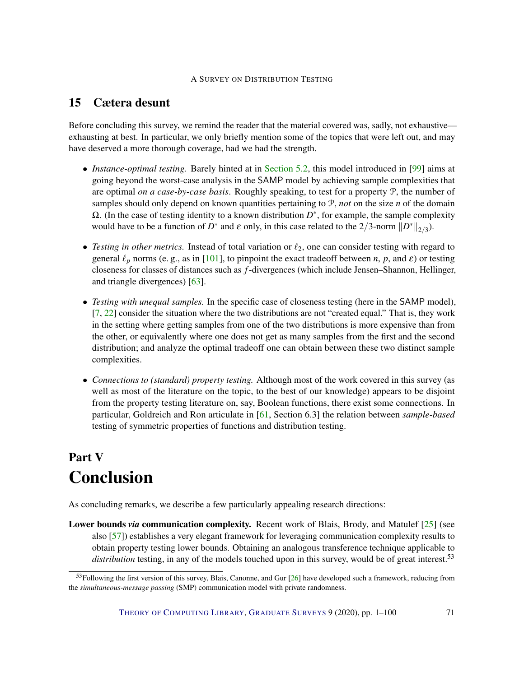# 15 Cætera desunt

Before concluding this survey, we remind the reader that the material covered was, sadly, not exhaustive exhausting at best. In particular, we only briefly mention some of the topics that were left out, and may have deserved a more thorough coverage, had we had the strength.

- *Instance-optimal testing.* Barely hinted at in [Section](#page-13-0) [5.2,](#page-13-0) this model introduced in [\[99\]](#page-98-5) aims at going beyond the worst-case analysis in the SAMP model by achieving sample complexities that are optimal *on a case-by-case basis*. Roughly speaking, to test for a property P, the number of samples should only depend on known quantities pertaining to  $P$ , *not* on the size *n* of the domain  $Ω$ . (In the case of testing identity to a known distribution  $D^*$ , for example, the sample complexity would have to be a function of *D*<sup>\*</sup> and  $\varepsilon$  only, in this case related to the 2/3-norm  $||D^*||_{2/3}$ .
- *Testing in other metrics.* Instead of total variation or  $\ell_2$ , one can consider testing with regard to general  $\ell_p$  norms (e. g., as in [\[101\]](#page-98-6), to pinpoint the exact tradeoff between *n*, *p*, and  $\varepsilon$ ) or testing closeness for classes of distances such as *f*-divergences (which include Jensen–Shannon, Hellinger, and triangle divergences) [\[63\]](#page-95-2).
- *Testing with unequal samples.* In the specific case of closeness testing (here in the SAMP model), [\[7,](#page-90-5) [22\]](#page-92-7) consider the situation where the two distributions are not "created equal." That is, they work in the setting where getting samples from one of the two distributions is more expensive than from the other, or equivalently where one does not get as many samples from the first and the second distribution; and analyze the optimal tradeoff one can obtain between these two distinct sample complexities.
- *Connections to (standard) property testing.* Although most of the work covered in this survey (as well as most of the literature on the topic, to the best of our knowledge) appears to be disjoint from the property testing literature on, say, Boolean functions, there exist some connections. In particular, Goldreich and Ron articulate in [\[61,](#page-95-4) Section 6.3] the relation between *sample-based* testing of symmetric properties of functions and distribution testing.

# Part V Conclusion

As concluding remarks, we describe a few particularly appealing research directions:

Lower bounds *via* communication complexity. Recent work of Blais, Brody, and Matulef [\[25\]](#page-92-3) (see also [\[57\]](#page-95-5)) establishes a very elegant framework for leveraging communication complexity results to obtain property testing lower bounds. Obtaining an analogous transference technique applicable to distribution testing, in any of the models touched upon in this survey, would be of great interest.<sup>53</sup>

<sup>&</sup>lt;sup>53</sup>Following the first version of this survey, Blais, Canonne, and Gur [\[26\]](#page-92-2) have developed such a framework, reducing from the *simultaneous-message passing* (SMP) communication model with private randomness.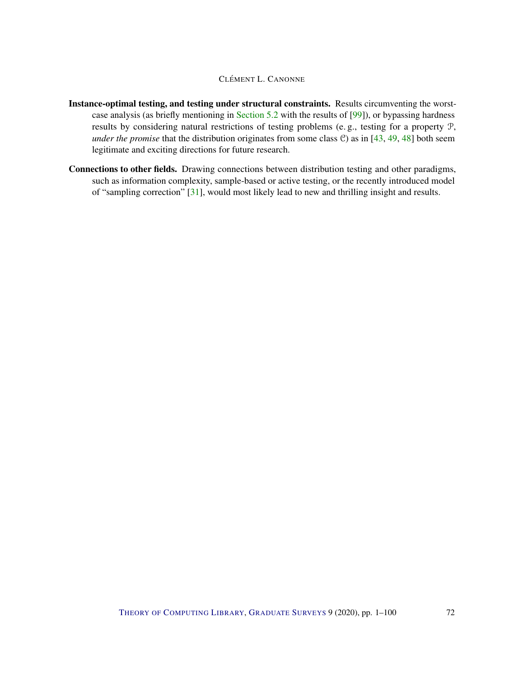- Instance-optimal testing, and testing under structural constraints. Results circumventing the worstcase analysis (as briefly mentioning in [Section](#page-13-0) [5.2](#page-13-0) with the results of [\[99\]](#page-98-5)), or bypassing hardness results by considering natural restrictions of testing problems (e. g., testing for a property P, *under the promise* that the distribution originates from some class C) as in [\[43,](#page-94-3) [49,](#page-94-4) [48\]](#page-94-5) both seem legitimate and exciting directions for future research.
- Connections to other fields. Drawing connections between distribution testing and other paradigms, such as information complexity, sample-based or active testing, or the recently introduced model of "sampling correction" [\[31\]](#page-92-8), would most likely lead to new and thrilling insight and results.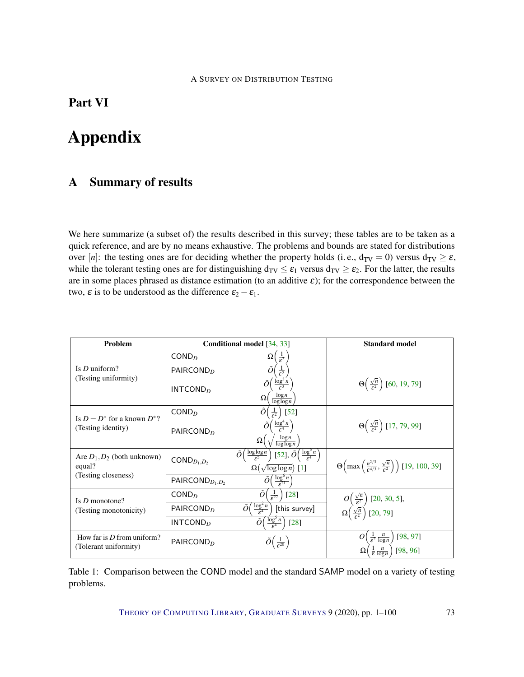## <span id="page-72-0"></span>Part VI

# Appendix

## A Summary of results

We here summarize (a subset of) the results described in this survey; these tables are to be taken as a quick reference, and are by no means exhaustive. The problems and bounds are stated for distributions over [*n*]: the testing ones are for deciding whether the property holds (i.e.,  $d_{TV} = 0$ ) versus  $d_{TV} \ge \varepsilon$ , while the tolerant testing ones are for distinguishing  $d_{TV} \leq \varepsilon_1$  versus  $d_{TV} \geq \varepsilon_2$ . For the latter, the results are in some places phrased as distance estimation (to an additive  $\varepsilon$ ); for the correspondence between the two,  $\varepsilon$  is to be understood as the difference  $\varepsilon_2 - \varepsilon_1$ .

| Problem                                               | Conditional model [34, 33] |                                                                                                                                                    | <b>Standard model</b>                                                                                                 |
|-------------------------------------------------------|----------------------------|----------------------------------------------------------------------------------------------------------------------------------------------------|-----------------------------------------------------------------------------------------------------------------------|
| Is $D$ uniform?                                       | COMP <sub>D</sub>          | Ω<br>$\frac{1}{\epsilon^2}$                                                                                                                        |                                                                                                                       |
|                                                       | PAIRCOND <sub>D</sub>      | Õ<br>$\overline{\varepsilon^2}$                                                                                                                    |                                                                                                                       |
| (Testing uniformity)                                  | INTCOND <sub>D</sub>       | $\frac{\log^3 n}{\varepsilon^3}$<br>Õ<br>$\frac{\log n}{\log \log n}$<br>$\Omega$                                                                  | $\Theta\left(\frac{\sqrt{n}}{\varepsilon^2}\right)$ [60, 19, 79]                                                      |
| Is $D = D^*$ for a known $D^*$ ?                      | $\mathsf{COND}_{D}$        | $[52]$<br>$rac{1}{\epsilon^2}$                                                                                                                     |                                                                                                                       |
| (Testing identity)                                    | PAIRCOND <sub>D</sub>      | $\frac{\log^4 n}{\epsilon^4}$<br>Õ<br>$\log n$<br>$\Omega$<br>$\log \log n$                                                                        | $\Theta\left(\frac{\sqrt{n}}{\epsilon^2}\right)$ [17, 79, 99]                                                         |
| Are $D_1, D_2$ (both unknown)<br>equal?               | $\mathsf{COND}_{D_1,D_2}$  | [52], $\tilde{O}\left(\frac{\log^5 n}{\epsilon^4}\right)$<br>$\tilde{O}\Big(\frac{\log\log n}{\epsilon^5}\Big)$<br>$\Omega(\sqrt{\log\log n})$ [1] | $\Theta\left(\max\left(\frac{n^{2/3}}{\varepsilon^{4/3}}, \frac{\sqrt{n}}{\varepsilon^2}\right)\right)$ [19, 100, 39] |
| (Testing closeness)                                   | PAIRCON $D_{D_1,D_2}$      | $\frac{\log^6 n}{\epsilon^{21}}$<br>$\tilde{O}$                                                                                                    |                                                                                                                       |
| Is $D$ monotone?                                      | COMP <sub>D</sub>          | $[28]$<br>Õ<br>$\frac{1}{\epsilon^{22}}$                                                                                                           |                                                                                                                       |
| (Testing monotonicity)                                | PAIRCOND <sub>D</sub>      | $\frac{\log^2 n}{\epsilon^4}$<br>Õĺ<br>[this survey]                                                                                               | $O\left(\frac{\sqrt{n}}{\epsilon^2}\right)$ [20, 30, 5],<br>$\Omega\left(\frac{\sqrt{n}}{\epsilon^2}\right)$ [20, 79] |
|                                                       | INTCOND <sub>D</sub>       | $\left(\frac{\log^5 n}{\epsilon^4}\right)$<br>Õl<br>$[28]$                                                                                         |                                                                                                                       |
| How far is $D$ from uniform?<br>(Tolerant uniformity) | PAIRCOND <sub>D</sub>      | $\tilde{O}\left(\frac{1}{\epsilon^{20}}\right)$                                                                                                    | $\frac{1}{\varepsilon^2} \frac{n}{\log n}$<br>[98, 97]<br>$\frac{1}{\varepsilon} \frac{n}{\log n}$<br>[98, 96]        |

Table 1: Comparison between the COND model and the standard SAMP model on a variety of testing problems.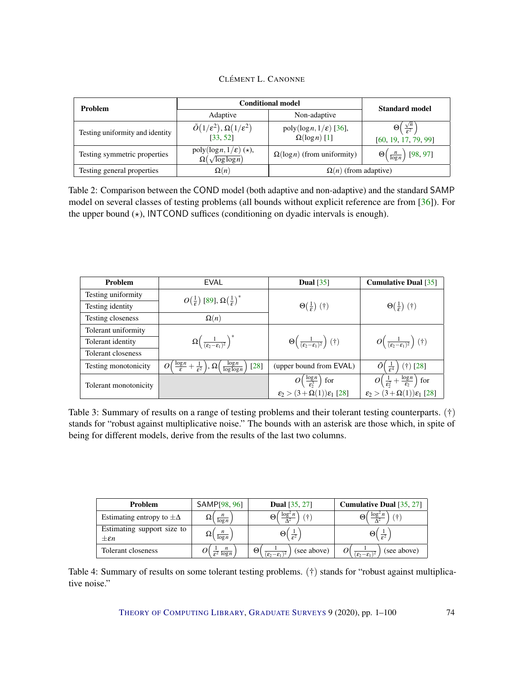|  | CLÉMENT L. CANONNE |
|--|--------------------|
|--|--------------------|

<span id="page-73-0"></span>

| <b>Problem</b>                  | <b>Conditional model</b>                                                 | <b>Standard model</b>                                         |                                                                          |  |
|---------------------------------|--------------------------------------------------------------------------|---------------------------------------------------------------|--------------------------------------------------------------------------|--|
|                                 | Adaptive                                                                 | Non-adaptive                                                  |                                                                          |  |
| Testing uniformity and identity | $\tilde{O}(1/\varepsilon^2), \Omega(1/\varepsilon^2)$<br>[33, 52]        | poly( $\log n, 1/\varepsilon$ ) [36],<br>$\Omega(\log n)$ [1] | $\Theta\left(\frac{\sqrt{n}}{\epsilon^2}\right)$<br>[60, 19, 17, 79, 99] |  |
| Testing symmetric properties    | $poly(log n, 1/\varepsilon)$ ( $\star$ ),<br>$\Omega(\sqrt{\log\log n})$ | $\Omega(\log n)$ (from uniformity)                            | $\Theta\left(\frac{n}{\log n}\right)$ [98, 97]                           |  |
| Testing general properties      | $\Omega(n)$                                                              | $\Omega(n)$ (from adaptive)                                   |                                                                          |  |

Table 2: Comparison between the COND model (both adaptive and non-adaptive) and the standard SAMP model on several classes of testing problems (all bounds without explicit reference are from [\[36\]](#page-93-3)). For the upper bound  $(\star)$ , INTCOND suffices (conditioning on dyadic intervals is enough).

| <b>Problem</b>        | EVAL                                                                                                      | Dual $[35]$                                                             | <b>Cumulative Dual</b> [35]                                          |
|-----------------------|-----------------------------------------------------------------------------------------------------------|-------------------------------------------------------------------------|----------------------------------------------------------------------|
| Testing uniformity    | $O(\frac{1}{\epsilon})$ [89], $\Omega(\frac{1}{\epsilon})^*$                                              |                                                                         |                                                                      |
| Testing identity      |                                                                                                           | $\Theta(\frac{1}{c})$ (†)                                               | $\Theta(\frac{1}{c})$ (†)                                            |
| Testing closeness     | $\Omega(n)$                                                                                               |                                                                         |                                                                      |
| Tolerant uniformity   |                                                                                                           |                                                                         |                                                                      |
| Tolerant identity     | $\Omega\left(\frac{1}{(\epsilon_2-\epsilon_1)^2}\right)^*$                                                | $\Theta\left(\frac{1}{(\varepsilon_2-\varepsilon_1)^2}\right)(\dagger)$ | $O\left(\frac{1}{(\varepsilon_2-\varepsilon_1)^2}\right)$ (†)        |
| Tolerant closeness    |                                                                                                           |                                                                         |                                                                      |
| Testing monotonicity  | $\frac{\log n}{\epsilon}+\frac{1}{\epsilon^2}\big),\Omega\big($<br>$\frac{\log n}{\log \log n}$<br>$[28]$ | (upper bound from EVAL)                                                 | $\tilde{O}(\frac{1}{5^4})$ (†) [28]                                  |
| Tolerant monotonicity |                                                                                                           | $O\left(\frac{\log n}{\epsilon_2^3}\right)$<br>$\int$ for               | $O\left(\frac{1}{\epsilon_2^2}+\frac{\log n}{\epsilon_2}\right)$ for |
|                       |                                                                                                           | $\varepsilon_2 > (3 + \Omega(1))\varepsilon_1$ [28]                     | $\varepsilon_2 > (3 + \Omega(1))\varepsilon_1$ [28]                  |

Table 3: Summary of results on a range of testing problems and their tolerant testing counterparts. (†) stands for "robust against multiplicative noise." The bounds with an asterisk are those which, in spite of being for different models, derive from the results of the last two columns.

| Problem                                           | SAMP[98, 96]                             | <b>Dual</b> $[35, 27]$                                | <b>Cumulative Dual</b> [35, 27]                  |
|---------------------------------------------------|------------------------------------------|-------------------------------------------------------|--------------------------------------------------|
| Estimating entropy to $\pm \Delta$                | $\log n$                                 | logʻ<br>u.                                            | logʻ<br>÷                                        |
| Estimating support size to<br>$\pm \varepsilon n$ | $\log n$                                 | $\frac{1}{\epsilon^2}$                                | (+) I<br>$\frac{1}{\epsilon^2}$                  |
| Tolerant closeness                                | $\boldsymbol{n}$<br>$\varepsilon^2$ logn | Θ<br>(see above)<br>$(\varepsilon_2-\varepsilon_1)^2$ | (see above)<br>$(\varepsilon_2-\varepsilon_1)^2$ |

Table 4: Summary of results on some tolerant testing problems. (†) stands for "robust against multiplicative noise."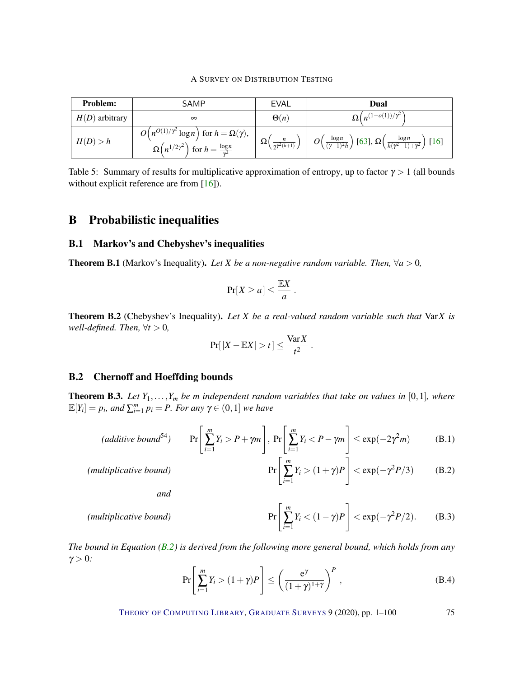A SURVEY ON DISTRIBUTION TESTING

<span id="page-74-3"></span>

| <b>Problem:</b>  | <b>SAMP</b>                                                                                                                                 | EVAL                                 | Dual                                                                                                               |
|------------------|---------------------------------------------------------------------------------------------------------------------------------------------|--------------------------------------|--------------------------------------------------------------------------------------------------------------------|
| $H(D)$ arbitrary | $\infty$                                                                                                                                    | $\Theta(n)$                          | $\Omega\left(n^{(1-o(1))/\overline{r^2}}\right)$                                                                   |
| H(D) > h         | $\overline{O(n^{O(1)/\gamma^2} \log n})$ for $h = \Omega(\gamma)$ ,<br>$\Omega\left(n^{1/2\gamma^2}\right)$ for $h=\frac{\log n}{\gamma^2}$ | $\Omega($<br>$\sqrt{2\gamma^2(h+1)}$ | $O\left(\frac{\log n}{(\gamma-1)^2h}\right)$ [63], $\Omega\left(\frac{\log n}{h(\gamma^2-1)+\gamma^2}\right)$ [16] |

Table 5: Summary of results for multiplicative approximation of entropy, up to factor  $\gamma > 1$  (all bounds without explicit reference are from [\[16\]](#page-91-2)).

## B Probabilistic inequalities

## B.1 Markov's and Chebyshev's inequalities

**Theorem B.1** (Markov's Inequality). Let X be a non-negative random variable. Then,  $\forall a > 0$ ,

$$
\Pr[X \ge a] \le \frac{\mathbb{E}X}{a} \, .
$$

Theorem B.2 (Chebyshev's Inequality). *Let X be a real-valued random variable such that* Var*X is well-defined. Then,*  $\forall t > 0$ *,* 

$$
Pr[|X - \mathbb{E}X| > t] \le \frac{\text{Var}X}{t^2}.
$$

## B.2 Chernoff and Hoeffding bounds

<span id="page-74-2"></span>**Theorem B.3.** Let  $Y_1, \ldots, Y_m$  be *m* independent random variables that take on values in [0,1], where  $\mathbb{E}[Y_i] = p_i$ , and  $\sum_{i=1}^m p_i = P$ . For any  $\gamma \in (0,1]$  we have

$$
(additive bound^{54}) \qquad \Pr\left[\sum_{i=1}^{m} Y_i > P + \gamma m\right], \ \Pr\left[\sum_{i=1}^{m} Y_i < P - \gamma m\right] \le \exp(-2\gamma^2 m) \tag{B.1}
$$

<span id="page-74-1"></span>
$$
\Pr\left[\sum_{i=1}^{m} Y_i > (1+\gamma)P\right] < \exp(-\gamma^2 P/3) \tag{B.2}
$$

*and*

*(multiplicative bound)* 

*(multiplicative bound)* 

$$
\Pr\left[\sum_{i=1}^{m} Y_i < (1-\gamma)P\right] < \exp(-\gamma^2 P/2). \tag{B.3}
$$

*The bound in Equation [\(B.2\)](#page-74-0) is derived from the following more general bound, which holds from any*  $γ > 0$ .

$$
\Pr\left[\sum_{i=1}^{m} Y_i > (1+\gamma)P\right] \le \left(\frac{e^{\gamma}}{(1+\gamma)^{1+\gamma}}\right)^P,\tag{B.4}
$$

<span id="page-74-0"></span>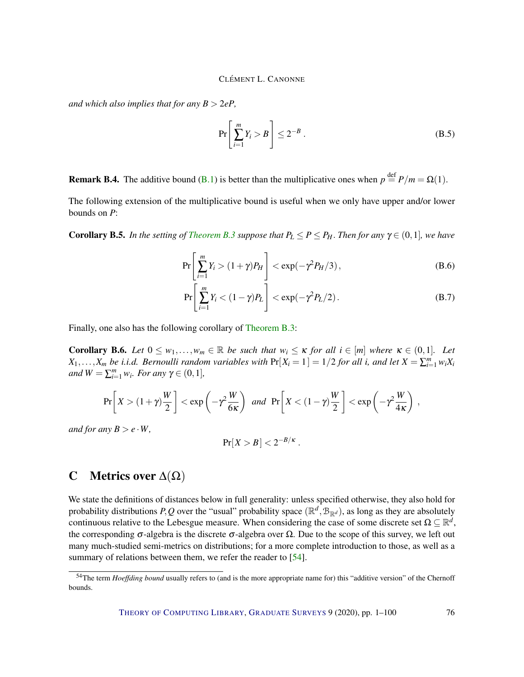<span id="page-75-0"></span>*and which also implies that for any*  $B > 2eP$ *,* 

$$
\Pr\left[\sum_{i=1}^{m} Y_i > B\right] \le 2^{-B} \tag{B.5}
$$

**Remark B.4.** The additive bound [\(B.1\)](#page-74-1) is better than the multiplicative ones when  $p \stackrel{\text{def}}{=} P/m = \Omega(1)$ .

The following extension of the multiplicative bound is useful when we only have upper and/or lower bounds on *P*:

**Corollary B.5.** *In the setting of [Theorem](#page-74-2) [B.3](#page-74-2) suppose that*  $P_L \leq P \leq P_H$ . *Then for any*  $\gamma \in (0,1]$ *, we have* 

$$
\Pr\left[\sum_{i=1}^{m} Y_i > (1+\gamma)P_H\right] < \exp(-\gamma^2 P_H/3),\tag{B.6}
$$

$$
\Pr\left[\sum_{i=1}^{m} Y_i < (1 - \gamma)P_L\right] < \exp(-\gamma^2 P_L/2). \tag{B.7}
$$

Finally, one also has the following corollary of [Theorem](#page-74-2) [B.3:](#page-74-2)

**Corollary B.6.** Let  $0 \leq w_1, \ldots, w_m \in \mathbb{R}$  be such that  $w_i \leq \kappa$  for all  $i \in [m]$  where  $\kappa \in (0,1]$ *. Let X*<sub>1</sub>,...,*X<sub>m</sub> be i.i.d. Bernoulli random variables with*  $Pr[X_i = 1] = 1/2$  *for all i, and let*  $X = \sum_{i=1}^{m} w_i X_i$  $and W = \sum_{i=1}^{m} w_i$ *. For any*  $\gamma \in (0,1]$ *,* 

$$
\Pr\left[X > (1+\gamma)\frac{W}{2}\right] < \exp\left(-\gamma^2\frac{W}{6\kappa}\right) \text{ and } \Pr\left[X < (1-\gamma)\frac{W}{2}\right] < \exp\left(-\gamma^2\frac{W}{4\kappa}\right),
$$

*and for any*  $B > e \cdot W$ ,

$$
\Pr[X > B] < 2^{-B/\kappa} \, .
$$

## C Metrics over  $\Delta(\Omega)$

We state the definitions of distances below in full generality: unless specified otherwise, they also hold for probability distributions P, Q over the "usual" probability space ( $\mathbb{R}^d$ ,  $\mathcal{B}_{\mathbb{R}^d}$ ), as long as they are absolutely continuous relative to the Lebesgue measure. When considering the case of some discrete set  $\Omega \subseteq \mathbb{R}^d$ , the corresponding  $\sigma$ -algebra is the discrete  $\sigma$ -algebra over  $\Omega$ . Due to the scope of this survey, we left out many much-studied semi-metrics on distributions; for a more complete introduction to those, as well as a summary of relations between them, we refer the reader to [\[54\]](#page-95-2).

<sup>&</sup>lt;sup>54</sup>The term *Hoeffding bound* usually refers to (and is the more appropriate name for) this "additive version" of the Chernoff bounds.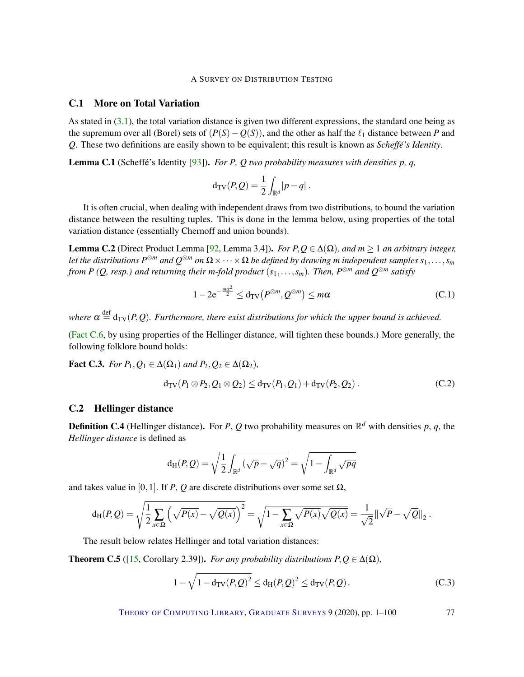## <span id="page-76-3"></span>C.1 More on Total Variation

As stated in [\(3.1\)](#page-7-0), the total variation distance is given two different expressions, the standard one being as the supremum over all (Borel) sets of  $(P(S) - O(S))$ , and the other as half the  $\ell_1$  distance between *P* and *Q*. These two definitions are easily shown to be equivalent; this result is known as *Scheffé's Identity*.

Lemma C.1 (Scheffé's Identity [\[93\]](#page-97-1)). *For P, Q two probability measures with densities p, q,*

$$
\mathrm{d}_{\mathrm{TV}}(P,Q) = \frac{1}{2} \int_{\mathbb{R}^d} |p - q| \ .
$$

It is often crucial, when dealing with independent draws from two distributions, to bound the variation distance between the resulting tuples. This is done in the lemma below, using properties of the total variation distance (essentially Chernoff and union bounds).

<span id="page-76-0"></span>Lemma C.2 (Direct Product Lemma [\[92,](#page-97-2) Lemma 3.4]). *For*  $P, Q ∈ ∆(Ω)$ *, and*  $m ≥ 1$  *an arbitrary integer,* Let the distributions  $P^{\otimes m}$  and  $Q^{\otimes m}$  on  $\Omega\times\cdots\times\Omega$  be defined by drawing  $m$  independent samples  $s_1,\ldots,s_m$ *from P (Q, resp.) and returning their m-fold product*  $(s_1, \ldots, s_m)$ *. Then, P*<sup>⊗*m*</sup> *and*  $Q^{\otimes m}$  *satisfy* 

$$
1 - 2e^{-\frac{m\alpha^2}{2}} \le d_{\text{TV}}(P^{\otimes m}, Q^{\otimes m}) \le m\alpha \tag{C.1}
$$

where  $\alpha \stackrel{\text{def}}{=} \text{d}_{\text{TV}}(P, Q)$ . Furthermore, there exist distributions for which the upper bound is achieved.

[\(Fact](#page-77-0) [C.6,](#page-77-0) by using properties of the Hellinger distance, will tighten these bounds.) More generally, the following folklore bound holds:

**Fact C.3.** *For P*<sub>1</sub>,  $Q_1 \in \Delta(\Omega_1)$  *and P*<sub>2</sub>,  $Q_2 \in \Delta(\Omega_2)$ *,* 

$$
d_{TV}(P_1 \otimes P_2, Q_1 \otimes Q_2) \leq d_{TV}(P_1, Q_1) + d_{TV}(P_2, Q_2).
$$
 (C.2)

## C.2 Hellinger distance

Definition C.4 (Hellinger distance). For *P*, *Q* two probability measures on R *<sup>d</sup>* with densities *p*, *q*, the *Hellinger distance* is defined as

$$
\mathrm{d_H}(P,Q) = \sqrt{\frac{1}{2}\int_{\mathbb{R}^d} \left(\sqrt{p} - \sqrt{q}\right)^2} = \sqrt{1 - \int_{\mathbb{R}^d} \sqrt{pq}}
$$

and takes value in [0,1]. If *P*, *Q* are discrete distributions over some set  $\Omega$ ,

$$
d_H(P,Q) = \sqrt{\frac{1}{2} \sum_{x \in \Omega} \left( \sqrt{P(x)} - \sqrt{Q(x)} \right)^2} = \sqrt{1 - \sum_{x \in \Omega} \sqrt{P(x)} \sqrt{Q(x)}} = \frac{1}{\sqrt{2}} ||\sqrt{P} - \sqrt{Q}||_2.
$$

The result below relates Hellinger and total variation distances:

<span id="page-76-1"></span>**Theorem C.5** ([\[15,](#page-91-3) Corollary 2.39]). *For any probability distributions P, Q*  $\in \Delta(\Omega)$ *,* 

<span id="page-76-2"></span>
$$
1 - \sqrt{1 - d_{\text{TV}}(P, Q)^2} \le d_{\text{H}}(P, Q)^2 \le d_{\text{TV}}(P, Q). \tag{C.3}
$$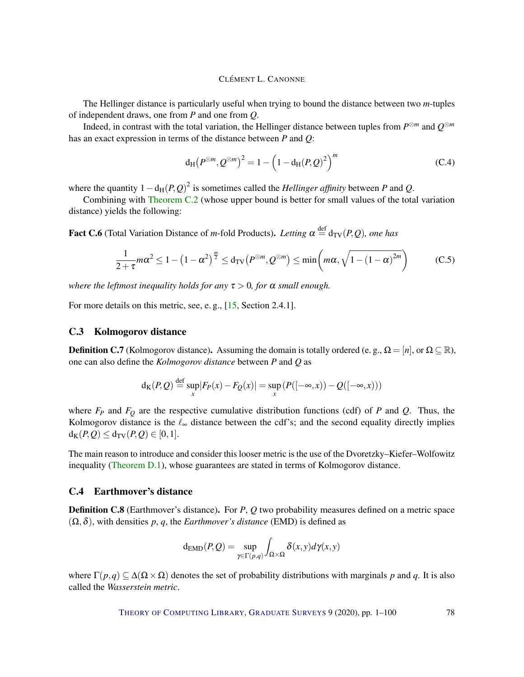<span id="page-77-1"></span>The Hellinger distance is particularly useful when trying to bound the distance between two *m*-tuples of independent draws, one from *P* and one from *Q*.

Indeed, in contrast with the total variation, the Hellinger distance between tuples from *P* <sup>⊗</sup>*<sup>m</sup>* and *Q* ⊗*m* has an exact expression in terms of the distance between *P* and *Q*:

$$
d_{\rm H} (P^{\otimes m}, Q^{\otimes m})^2 = 1 - \left(1 - d_{\rm H} (P, Q)^2\right)^m
$$
 (C.4)

where the quantity  $1 - d_H(P, Q)^2$  is sometimes called the *Hellinger affinity* between *P* and *Q*.

Combining with [Theorem](#page-76-0) [C.2](#page-76-0) (whose upper bound is better for small values of the total variation distance) yields the following:

<span id="page-77-0"></span>**Fact C.6** (Total Variation Distance of *m*-fold Products). Letting  $\alpha \stackrel{\text{def}}{=} d_{TV}(P,Q)$ , one has

$$
\frac{1}{2+\tau}m\alpha^2 \le 1 - \left(1 - \alpha^2\right)^{\frac{m}{2}} \le d_{\text{TV}}\left(P^{\otimes m}, Q^{\otimes m}\right) \le \min\left(m\alpha, \sqrt{1 - \left(1 - \alpha\right)^{2m}}\right) \tag{C.5}
$$

*where the leftmost inequality holds for any*  $\tau > 0$ *, for*  $\alpha$  *small enough.* 

For more details on this metric, see, e. g., [\[15,](#page-91-3) Section 2.4.1].

#### C.3 Kolmogorov distance

**Definition C.7** (Kolmogorov distance). Assuming the domain is totally ordered (e. g.,  $\Omega = [n]$ , or  $\Omega \subseteq \mathbb{R}$ ), one can also define the *Kolmogorov distance* between *P* and *Q* as

$$
d_K(P,Q) \stackrel{\text{def}}{=} \sup_x |F_P(x) - F_Q(x)| = \sup_x (P([- \infty, x)) - Q([- \infty, x)))
$$

where  $F_P$  and  $F_Q$  are the respective cumulative distribution functions (cdf) of *P* and *Q*. Thus, the Kolmogorov distance is the  $\ell_{\infty}$  distance between the cdf's; and the second equality directly implies  $d_K(P,Q) \leq d_{TV}(P,Q) \in [0,1].$ 

The main reason to introduce and consider this looser metric is the use of the Dvoretzky–Kiefer–Wolfowitz inequality [\(Theorem](#page-78-0) [D.1\)](#page-78-0), whose guarantees are stated in terms of Kolmogorov distance.

## C.4 Earthmover's distance

Definition C.8 (Earthmover's distance). For *P*, *Q* two probability measures defined on a metric space  $(\Omega, \delta)$ , with densities p, q, the *Earthmover's distance* (EMD) is defined as

$$
\mathrm{d}_{\mathrm{EMD}}(P,Q) = \sup_{\gamma \in \Gamma(p,q)} \int_{\Omega \times \Omega} \delta(x,y) d\gamma(x,y)
$$

where  $\Gamma(p,q) \subseteq \Delta(\Omega \times \Omega)$  denotes the set of probability distributions with marginals *p* and *q*. It is also called the *Wasserstein metric*.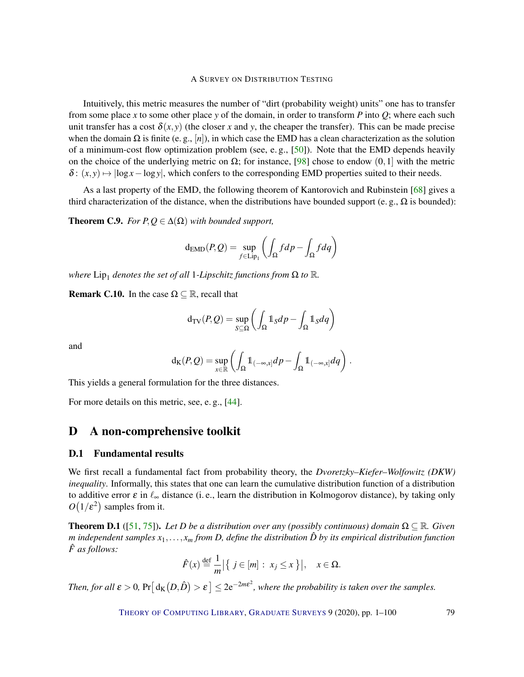<span id="page-78-1"></span>Intuitively, this metric measures the number of "dirt (probability weight) units" one has to transfer from some place *x* to some other place *y* of the domain, in order to transform *P* into *Q*; where each such unit transfer has a cost  $\delta(x, y)$  (the closer x and y, the cheaper the transfer). This can be made precise when the domain  $\Omega$  is finite (e. g., [*n*]), in which case the EMD has a clean characterization as the solution of a minimum-cost flow optimization problem (see, e. g., [\[50\]](#page-94-1)). Note that the EMD depends heavily on the choice of the underlying metric on  $\Omega$ ; for instance, [\[98\]](#page-98-2) chose to endow  $(0,1]$  with the metric  $\delta$ :  $(x, y) \mapsto |\log x - \log y|$ , which confers to the corresponding EMD properties suited to their needs.

As a last property of the EMD, the following theorem of Kantorovich and Rubinstein [\[68\]](#page-96-1) gives a third characterization of the distance, when the distributions have bounded support (e. g.,  $\Omega$  is bounded):

**Theorem C.9.** *For P,* $Q \in \Delta(\Omega)$  *with bounded support,* 

$$
\mathrm{d}_{\mathrm{EMD}}(P,Q) = \sup_{f \in \mathrm{Lip}_1} \left( \int_{\Omega} f dp - \int_{\Omega} f dq \right)
$$

where  $\text{Lip}_1$  denotes the set of all 1*-Lipschitz functions from*  $\Omega$  to  $\mathbb R$ *.* 

**Remark C.10.** In the case  $\Omega \subseteq \mathbb{R}$ , recall that

$$
\mathrm{d}_{\mathrm{TV}}(P,Q) = \sup_{S \subseteq \Omega} \left( \int_{\Omega} \mathbb{1}_S dp - \int_{\Omega} \mathbb{1}_S dq \right)
$$

and

$$
\mathrm{d}_{\mathrm{K}}(P,Q) = \sup_{x \in \mathbb{R}} \left( \int_{\Omega} 1\!\!1_{(-\infty,x]} dp - \int_{\Omega} 1\!\!1_{(-\infty,x]} dq \right).
$$

This yields a general formulation for the three distances.

For more details on this metric, see, e. g., [\[44\]](#page-94-2).

## D A non-comprehensive toolkit

#### D.1 Fundamental results

We first recall a fundamental fact from probability theory, the *Dvoretzky–Kiefer–Wolfowitz (DKW) inequality*. Informally, this states that one can learn the cumulative distribution function of a distribution to additive error  $\varepsilon$  in  $\ell_{\infty}$  distance (i. e., learn the distribution in Kolmogorov distance), by taking only  $O(1/\varepsilon^2)$  samples from it.

<span id="page-78-0"></span>**Theorem D.1** ([\[51,](#page-94-3) [75\]](#page-96-2)). *Let D be a distribution over any (possibly continuous) domain*  $\Omega \subseteq \mathbb{R}$ *. Given m* independent samples  $x_1, \ldots, x_m$  from *D*, define the distribution  $\hat{D}$  by its empirical distribution function *F as follows:* ˆ

$$
\hat{F}(x) \stackrel{\text{def}}{=} \frac{1}{m} \Big| \{ j \in [m] : x_j \le x \} \Big|, \quad x \in \Omega.
$$

Then, for all  $\varepsilon > 0$ ,  $Pr[d_K(D, \hat{D}) > \varepsilon] \leq 2e^{-2m\varepsilon^2}$ , where the probability is taken over the samples.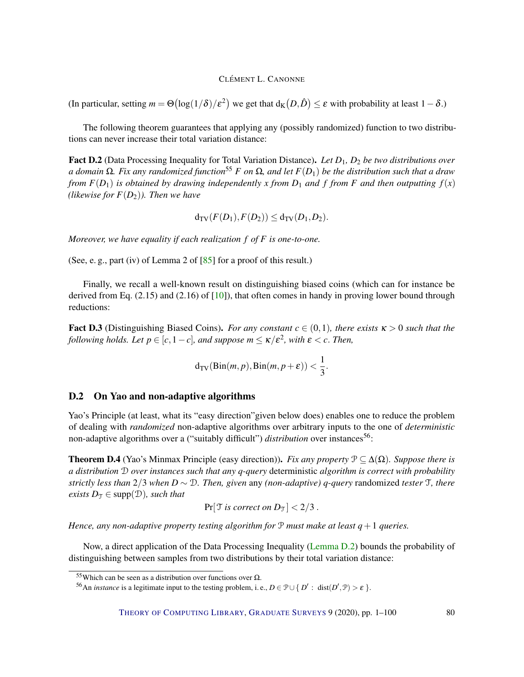<span id="page-79-2"></span>(In particular, setting  $m = \Theta(\log(1/\delta)/\varepsilon^2)$  we get that  $d_K(D,\hat{D}) \leq \varepsilon$  with probability at least  $1-\delta$ .)

The following theorem guarantees that applying any (possibly randomized) function to two distributions can never increase their total variation distance:

<span id="page-79-0"></span>Fact D.2 (Data Processing Inequality for Total Variation Distance). *Let D*1*, D*<sup>2</sup> *be two distributions over a domain* Ω*. Fix any randomized function*<sup>55</sup> *F on* Ω*, and let F*(*D*1) *be the distribution such that a draw from*  $F(D_1)$  *is obtained by drawing independently x from*  $D_1$  *and*  $f$  *from*  $F$  *and then outputting*  $f(x)$ *(likewise for*  $F(D_2)$ *). Then we have* 

$$
d_{TV}(F(D_1), F(D_2)) \leq d_{TV}(D_1, D_2).
$$

*Moreover, we have equality if each realization f of F is one-to-one.*

(See, e. g., part (iv) of Lemma 2 of [\[85\]](#page-97-3) for a proof of this result.)

Finally, we recall a well-known result on distinguishing biased coins (which can for instance be derived from Eq.  $(2.15)$  and  $(2.16)$  of  $[10]$ ), that often comes in handy in proving lower bound through reductions:

**Fact D.3** (Distinguishing Biased Coins). *For any constant*  $c \in (0,1)$ *, there exists*  $\kappa > 0$  *such that the following holds. Let*  $p \in [c, 1-c]$ *, and suppose*  $m \leq \kappa/\varepsilon^2$ *, with*  $\varepsilon < c$ *. Then,* 

$$
d_{\text{TV}}(\text{Bin}(m, p), \text{Bin}(m, p + \varepsilon)) < \frac{1}{3}.
$$

## D.2 On Yao and non-adaptive algorithms

Yao's Principle (at least, what its "easy direction"given below does) enables one to reduce the problem of dealing with *randomized* non-adaptive algorithms over arbitrary inputs to the one of *deterministic* non-adaptive algorithms over a ("suitably difficult") *distribution* over instances<sup>56</sup>:

<span id="page-79-1"></span>**Theorem D.4** (Yao's Minmax Principle (easy direction)). *Fix any property*  $\mathcal{P} \subseteq \Delta(\Omega)$ *. Suppose there is a distribution* D *over instances such that any q-query* deterministic *algorithm is correct with probability strictly less than* 2/3 *when D* ∼ D*. Then, given* any *(non-adaptive) q-query* randomized *tester* T*, there exists*  $D_{\mathcal{T}} \in \text{supp}(\mathcal{D})$ *, such that* 

$$
Pr[\mathcal{T} \text{ is correct on } D_{\mathcal{T}}] < 2/3.
$$

*Hence, any non-adaptive property testing algorithm for* P *must make at least q*+1 *queries.*

Now, a direct application of the Data Processing Inequality [\(Lemma](#page-79-0) [D.2\)](#page-79-0) bounds the probability of distinguishing between samples from two distributions by their total variation distance:

<sup>55</sup>Which can be seen as a distribution over functions over  $Ω$ .

<sup>&</sup>lt;sup>56</sup>An *instance* is a legitimate input to the testing problem, i.e.,  $D \in \mathcal{P} \cup \{ D' : \text{dist}(D', \mathcal{P}) > \varepsilon \}$ .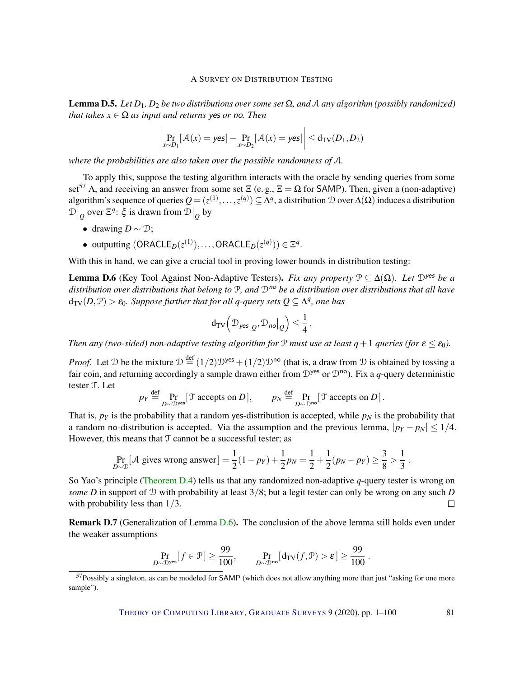Lemma D.5. *Let D*1*, D*<sup>2</sup> *be two distributions over some set* Ω*, and* A *any algorithm (possibly randomized) that takes*  $x \in \Omega$  *as input and returns ves or no. Then* 

$$
\left|\Pr_{x \sim D_1}[\mathcal{A}(x) = \mathsf{yes}] - \Pr_{x \sim D_2}[\mathcal{A}(x) = \mathsf{yes}] \right| \le d_{\text{TV}}(D_1, D_2)
$$

*where the probabilities are also taken over the possible randomness of* A*.*

To apply this, suppose the testing algorithm interacts with the oracle by sending queries from some set<sup>57</sup> Λ, and receiving an answer from some set  $\Xi$  (e.g.,  $\Xi = \Omega$  for SAMP). Then, given a (non-adaptive) algorithm's sequence of queries  $Q=(z^{(1)},\ldots,z^{(q)})\subseteq A^q,$  a distribution  $\mathcal D$  over  $\Delta(\Omega)$  induces a distribution  $\mathcal{D}\big|_{\mathcal{Q}}$  over Ξ<sup>*q*</sup>: ξ is drawn from  $\mathcal{D}\big|_{\mathcal{Q}}$  by

- drawing  $D \sim \mathcal{D}$ ;
- outputting  $(ORACLE_D(z^{(1)}), \ldots, ORACLE_D(z^{(q)})) \in \Xi^q$ .

With this in hand, we can give a crucial tool in proving lower bounds in distribution testing:

<span id="page-80-0"></span>**Lemma D.6** (Key Tool Against Non-Adaptive Testers). *Fix any property*  $\mathcal{P} \subseteq \Delta(\Omega)$ *. Let*  $\mathcal{D}^{\text{yes}}$  *be a* distribution over distributions that belong to P, and  $\mathcal{D}^{no}$  be a distribution over distributions that all have  $d_{\text{TV}}(D, \mathcal{P}) > \varepsilon_0$ *. Suppose further that for all q-query sets*  $Q \subseteq \Lambda^q$ *, one has* 

$$
\mathrm{d}_{\mathsf{TV}}\Big( \mathcal{D}_{\mathsf{yes}} \big|_{Q}, \mathcal{D}_{\mathsf{no}} \big|_{Q} \Big) \leq \frac{1}{4} \,.
$$

*Then any (two-sided) non-adaptive testing algorithm for*  $P$  *must use at least q* + 1 *queries (for*  $\epsilon \leq \epsilon_0$ ).

*Proof.* Let D be the mixture  $D \stackrel{\text{def}}{=} (1/2)D^{\text{yes}} + (1/2)D^{\text{no}}$  (that is, a draw from D is obtained by tossing a fair coin, and returning accordingly a sample drawn either from  $\mathcal{D}^{\text{yes}}$  or  $\mathcal{D}^{\text{no}}$ ). Fix a *q*-query deterministic tester T. Let

$$
p_Y \stackrel{\text{def}}{=} \Pr_{D \sim \mathcal{D}^{\text{yes}}} [\mathcal{T} \text{ accepts on } D], \qquad p_N \stackrel{\text{def}}{=} \Pr_{D \sim \mathcal{D}^{\text{no}}} [\mathcal{T} \text{ accepts on } D].
$$

That is,  $p_Y$  is the probability that a random yes-distribution is accepted, while  $p_N$  is the probability that a random no-distribution is accepted. Via the assumption and the previous lemma,  $|p_Y - p_N| \leq 1/4$ . However, this means that  $T$  cannot be a successful tester; as

$$
\Pr_{D \sim \mathcal{D}}[\mathcal{A} \text{ gives wrong answer}] = \frac{1}{2}(1 - p_Y) + \frac{1}{2}p_N = \frac{1}{2} + \frac{1}{2}(p_N - p_Y) \ge \frac{3}{8} > \frac{1}{3}.
$$

So Yao's principle [\(Theorem](#page-79-1) [D.4\)](#page-79-1) tells us that any randomized non-adaptive *q*-query tester is wrong on *some D* in support of D with probability at least 3/8; but a legit tester can only be wrong on any such *D* with probability less than  $1/3$ .  $\Box$ 

Remark D.7 (Generalization of Lemma [D.6\)](#page-80-0). The conclusion of the above lemma still holds even under the weaker assumptions

$$
\Pr_{D \sim \mathcal{D}^{\mathsf{yes}}}[f \in \mathcal{P}] \ge \frac{99}{100}, \qquad \Pr_{D \sim \mathcal{D}^{\mathsf{no}}}[d_{\mathsf{TV}}(f, \mathcal{P}) > \varepsilon] \ge \frac{99}{100} \,.
$$

<sup>57</sup> Possibly a singleton, as can be modeled for SAMP (which does not allow anything more than just "asking for one more sample").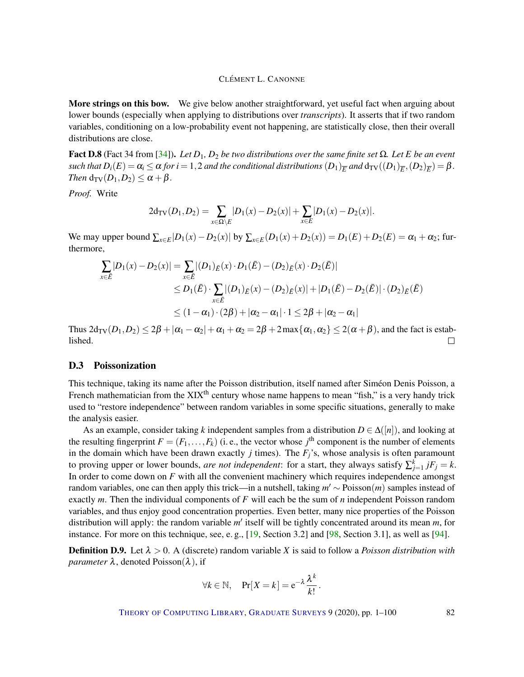<span id="page-81-0"></span>More strings on this bow. We give below another straightforward, yet useful fact when arguing about lower bounds (especially when applying to distributions over *transcripts*). It asserts that if two random variables, conditioning on a low-probability event not happening, are statistically close, then their overall distributions are close.

**Fact D.8** (Fact 34 from [\[34\]](#page-93-0)). *Let*  $D_1$ ,  $D_2$  *be two distributions over the same finite set*  $Ω$ *. Let*  $E$  *be an event*  $such$  that  $D_i(E) = \alpha_i \le \alpha$  for  $i=1,2$  and the conditional distributions  $(D_1)_E^-$  and  $d_{\text{TV}}((D_1)_E^-(D_2)_E^-) = \beta$  . *Then*  $d_{TV}(D_1, D_2) \leq \alpha + \beta$ .

*Proof.* Write

$$
2d_{\text{TV}}(D_1, D_2) = \sum_{x \in \Omega \setminus E} |D_1(x) - D_2(x)| + \sum_{x \in E} |D_1(x) - D_2(x)|.
$$

We may upper bound  $\sum_{x \in E} |D_1(x) - D_2(x)|$  by  $\sum_{x \in E} (D_1(x) + D_2(x)) = D_1(E) + D_2(E) = \alpha_1 + \alpha_2$ ; furthermore,

$$
\sum_{x \in \bar{E}} |D_1(x) - D_2(x)| = \sum_{x \in \bar{E}} |(D_1)_{\bar{E}}(x) \cdot D_1(\bar{E}) - (D_2)_{\bar{E}}(x) \cdot D_2(\bar{E})|
$$
  
\n
$$
\leq D_1(\bar{E}) \cdot \sum_{x \in \bar{E}} |(D_1)_{\bar{E}}(x) - (D_2)_{\bar{E}}(x)| + |D_1(\bar{E}) - D_2(\bar{E})| \cdot (D_2)_{\bar{E}}(\bar{E})
$$
  
\n
$$
\leq (1 - \alpha_1) \cdot (2\beta) + |\alpha_2 - \alpha_1| \cdot 1 \leq 2\beta + |\alpha_2 - \alpha_1|
$$

Thus  $2d_{\text{TV}}(D_1, D_2) \leq 2\beta + |\alpha_1 - \alpha_2| + \alpha_1 + \alpha_2 = 2\beta + 2\max{\alpha_1, \alpha_2} \leq 2(\alpha + \beta)$ , and the fact is established.  $\Box$ 

#### D.3 Poissonization

This technique, taking its name after the Poisson distribution, itself named after Siméon Denis Poisson, a French mathematician from the  $XIX<sup>th</sup>$  century whose name happens to mean "fish," is a very handy trick used to "restore independence" between random variables in some specific situations, generally to make the analysis easier.

As an example, consider taking k independent samples from a distribution  $D \in \Delta([n])$ , and looking at the resulting fingerprint  $F = (F_1, \ldots, F_k)$  (i. e., the vector whose  $j^{\text{th}}$  component is the number of elements in the domain which have been drawn exactly  $j$  times). The  $F_j$ 's, whose analysis is often paramount to proving upper or lower bounds, *are not independent*: for a start, they always satisfy  $\sum_{j=1}^{k} jF_j = k$ . In order to come down on *F* with all the convenient machinery which requires independence amongst random variables, one can then apply this trick—in a nutshell, taking  $m' \sim \text{Poisson}(m)$  samples instead of exactly *m*. Then the individual components of *F* will each be the sum of *n* independent Poisson random variables, and thus enjoy good concentration properties. Even better, many nice properties of the Poisson distribution will apply: the random variable m' itself will be tightly concentrated around its mean m, for instance. For more on this technique, see, e. g., [\[19,](#page-91-0) Section 3.2] and [\[98,](#page-98-2) Section 3.1], as well as [\[94\]](#page-98-5).

**Definition D.9.** Let  $\lambda > 0$ . A (discrete) random variable *X* is said to follow a *Poisson distribution with parameter*  $\lambda$ , denoted Poisson( $\lambda$ ), if

$$
\forall k \in \mathbb{N}, \quad \Pr[X = k] = e^{-\lambda} \frac{\lambda^k}{k!}.
$$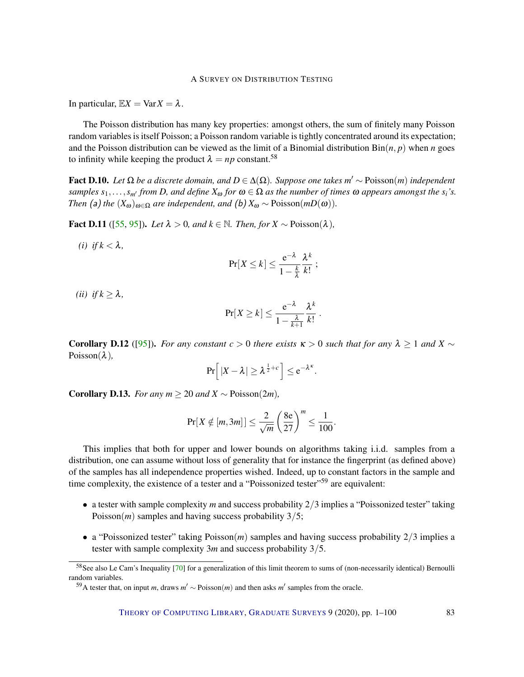<span id="page-82-0"></span>In particular,  $\mathbb{E}X = \text{Var}X = \lambda$ .

The Poisson distribution has many key properties: amongst others, the sum of finitely many Poisson random variables is itself Poisson; a Poisson random variable is tightly concentrated around its expectation; and the Poisson distribution can be viewed as the limit of a Binomial distribution  $\text{Bin}(n, p)$  when *n* goes to infinity while keeping the product  $\lambda = np$  constant.<sup>58</sup>

Fact D.10. *Let* Ω *be a discrete domain, and D* ∈ ∆(Ω)*. Suppose one takes m* <sup>0</sup> ∼ Poisson(*m*) *independent samples*  $s_1, \ldots, s_m$  *from D, and define*  $X_\omega$  *for*  $\omega \in \Omega$  *as the number of times*  $\omega$  *appears amongst the*  $s_i$ *'s. Then* (a) *the*  $(X_{\omega})_{\omega \in \Omega}$  *are independent, and* (b)  $X_{\omega} \sim \text{Poisson}(mD(\omega))$ *.* 

Fact D.11 ([\[55,](#page-95-3) [95\]](#page-98-6)). *Let* λ > 0*, and k* ∈ N*. Then, for X* ∼ Poisson(λ)*,*

*(i) if*  $k < \lambda$ ,

$$
\Pr[X \leq k] \leq \frac{e^{-\lambda}}{1-\frac{k}{\lambda}} \frac{\lambda^k}{k!} ;
$$

*(ii) if*  $k \geq \lambda$ *,* 

$$
\Pr[X \ge k] \le \frac{e^{-\lambda}}{1 - \frac{\lambda}{k+1}} \frac{\lambda^k}{k!} \; .
$$

**Corollary D.12** ([\[95\]](#page-98-6)). *For any constant*  $c > 0$  *there exists*  $\kappa > 0$  *such that for any*  $\lambda > 1$  *and*  $X \sim$ Poisson(λ)*,*

$$
\Pr\left[ |X - \lambda| \ge \lambda^{\frac{1}{2} + c} \right] \le e^{-\lambda^{\kappa}}.
$$

Corollary D.13. *For any m* ≥ 20 *and*  $X$  ∼ Poisson(2*m*)*,* 

$$
\Pr[X \notin [m, 3m]] \le \frac{2}{\sqrt{m}} \left(\frac{8e}{27}\right)^m \le \frac{1}{100}.
$$

This implies that both for upper and lower bounds on algorithms taking i.i.d. samples from a distribution, one can assume without loss of generality that for instance the fingerprint (as defined above) of the samples has all independence properties wished. Indeed, up to constant factors in the sample and time complexity, the existence of a tester and a "Poissonized tester"<sup>59</sup> are equivalent:

- a tester with sample complexity *m* and success probability 2/3 implies a "Poissonized tester" taking Poisson(*m*) samples and having success probability 3/5;
- a "Poissonized tester" taking Poisson(*m*) samples and having success probability 2/3 implies a tester with sample complexity 3*m* and success probability 3/5.

<sup>58</sup>See also Le Cam's Inequality [\[70\]](#page-96-3) for a generalization of this limit theorem to sums of (non-necessarily identical) Bernoulli random variables.

<sup>&</sup>lt;sup>59</sup>A tester that, on input *m*, draws  $m'$  ∼ Poisson(*m*) and then asks *m'* samples from the oracle.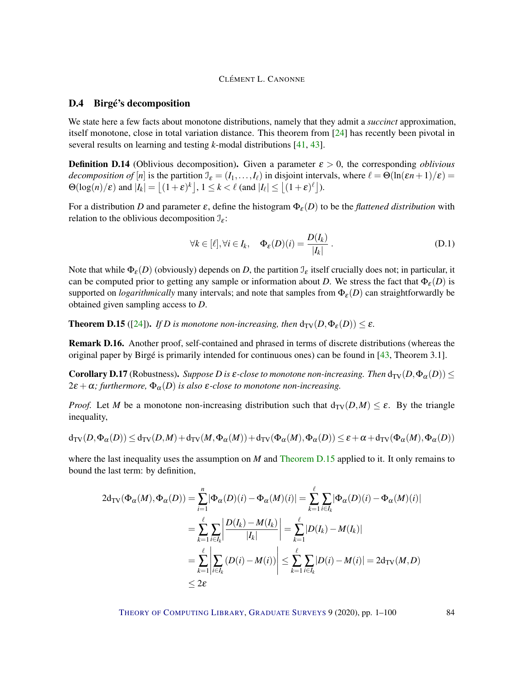#### <span id="page-83-1"></span>D.4 Birgé's decomposition

We state here a few facts about monotone distributions, namely that they admit a *succinct* approximation, itself monotone, close in total variation distance. This theorem from [\[24\]](#page-92-4) has recently been pivotal in several results on learning and testing *k*-modal distributions [\[41,](#page-93-5) [43\]](#page-94-4).

**Definition D.14** (Oblivious decomposition). Given a parameter  $\varepsilon > 0$ , the corresponding *oblivious decomposition of* [*n*] is the partition  $\mathcal{I}_{\varepsilon} = (I_1, \ldots, I_{\ell})$  in disjoint intervals, where  $\ell = \Theta(\ln(\varepsilon n + 1)/\varepsilon)$  $\Theta(\log(n)/\varepsilon)$  and  $|I_k| = \left\lfloor (1+\varepsilon)^k \right\rfloor, 1 \le k < \ell \text{ (and } |I_\ell| \le \left\lfloor (1+\varepsilon)^{\ell} \right\rfloor.$ 

For a distribution *D* and parameter  $\varepsilon$ , define the histogram  $\Phi_{\varepsilon}(D)$  to be the *flattened distribution* with relation to the oblivious decomposition  $\mathcal{I}_\varepsilon$ :

$$
\forall k \in [\ell], \forall i \in I_k, \quad \Phi_{\varepsilon}(D)(i) = \frac{D(I_k)}{|I_k|}.
$$
 (D.1)

Note that while  $\Phi_{\varepsilon}(D)$  (obviously) depends on *D*, the partition  $\mathcal{I}_{\varepsilon}$  itself crucially does not; in particular, it can be computed prior to getting any sample or information about *D*. We stress the fact that  $\Phi_{\epsilon}(D)$  is supported on *logarithmically* many intervals; and note that samples from  $\Phi_{\varepsilon}(D)$  can straightforwardly be obtained given sampling access to *D*.

<span id="page-83-0"></span>**Theorem D.15** ([\[24\]](#page-92-4)). *If D is monotone non-increasing, then*  $d_{TV}(D, \Phi_{\varepsilon}(D)) \leq \varepsilon$ .

Remark D.16. Another proof, self-contained and phrased in terms of discrete distributions (whereas the original paper by Birgé is primarily intended for continuous ones) can be found in [\[43,](#page-94-4) Theorem 3.1].

**Corollary D.17** (Robustness). *Suppose D is*  $\varepsilon$ -close to monotone non-increasing. Then  $d_{TV}(D, \Phi_{\alpha}(D)) \leq$  $2\varepsilon + \alpha$ ; furthermore,  $\Phi_{\alpha}(D)$  *is also*  $\varepsilon$ -close to monotone non-increasing.

*Proof.* Let *M* be a monotone non-increasing distribution such that  $d_{TV}(D,M) \leq \varepsilon$ . By the triangle inequality,

$$
d_{\text{TV}}(D, \Phi_{\alpha}(D)) \le d_{\text{TV}}(D, M) + d_{\text{TV}}(M, \Phi_{\alpha}(M)) + d_{\text{TV}}(\Phi_{\alpha}(M), \Phi_{\alpha}(D)) \le \varepsilon + \alpha + d_{\text{TV}}(\Phi_{\alpha}(M), \Phi_{\alpha}(D))
$$

where the last inequality uses the assumption on *M* and [Theorem D.15](#page-83-0) applied to it. It only remains to bound the last term: by definition,

$$
2d_{\text{TV}}(\Phi_{\alpha}(M), \Phi_{\alpha}(D)) = \sum_{i=1}^{n} |\Phi_{\alpha}(D)(i) - \Phi_{\alpha}(M)(i)| = \sum_{k=1}^{\ell} \sum_{i \in I_k} |\Phi_{\alpha}(D)(i) - \Phi_{\alpha}(M)(i)|
$$
  
\n
$$
= \sum_{k=1}^{\ell} \sum_{i \in I_k} \left| \frac{D(I_k) - M(I_k)}{|I_k|} \right| = \sum_{k=1}^{\ell} |D(I_k) - M(I_k)|
$$
  
\n
$$
= \sum_{k=1}^{\ell} \left| \sum_{i \in I_k} (D(i) - M(i)) \right| \le \sum_{k=1}^{\ell} \sum_{i \in I_k} |D(i) - M(i)| = 2d_{\text{TV}}(M, D)
$$
  
\n
$$
\le 2\varepsilon
$$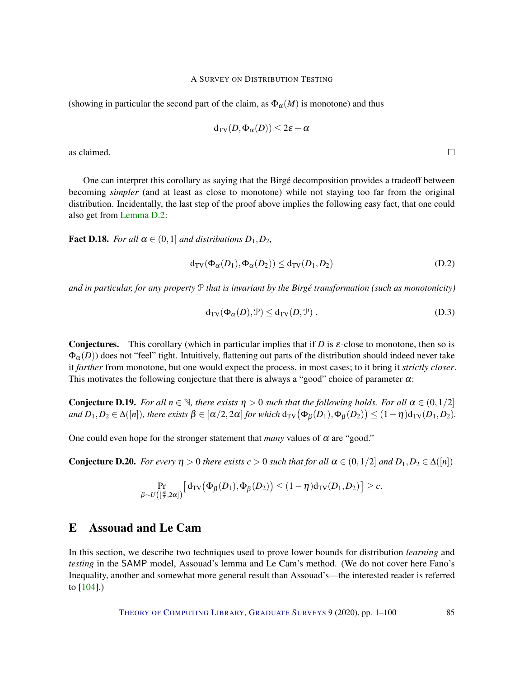<span id="page-84-0"></span>(showing in particular the second part of the claim, as  $\Phi_{\alpha}(M)$  is monotone) and thus

$$
\textup{\textsf{d}}_{\textup{\textsf{TV}}}(D,\Phi_\alpha(D))\leq 2\varepsilon+\alpha
$$

as claimed.

One can interpret this corollary as saying that the Birgé decomposition provides a tradeoff between becoming *simpler* (and at least as close to monotone) while not staying too far from the original distribution. Incidentally, the last step of the proof above implies the following easy fact, that one could also get from [Lemma](#page-79-0) [D.2:](#page-79-0)

**Fact D.18.** *For all*  $\alpha \in (0,1]$  *and distributions*  $D_1, D_2$ *,* 

$$
d_{\text{TV}}(\Phi_{\alpha}(D_1), \Phi_{\alpha}(D_2)) \le d_{\text{TV}}(D_1, D_2)
$$
 (D.2)

*and in particular, for any property* P *that is invariant by the Birgé transformation (such as monotonicity)*

$$
d_{TV}(\Phi_{\alpha}(D), \mathcal{P}) \le d_{TV}(D, \mathcal{P}). \tag{D.3}
$$

**Conjectures.** This corollary (which in particular implies that if *D* is  $\varepsilon$ -close to monotone, then so is  $\Phi_{\alpha}(D)$ ) does not "feel" tight. Intuitively, flattening out parts of the distribution should indeed never take it *farther* from monotone, but one would expect the process, in most cases; to it bring it *strictly closer*. This motivates the following conjecture that there is always a "good" choice of parameter  $\alpha$ :

**Conjecture D.19.** *For all*  $n \in \mathbb{N}$ *, there exists*  $n > 0$  *such that the following holds. For all*  $\alpha \in (0, 1/2]$  $\alpha$  *and*  $D_1, D_2 \in \Delta([n])$ , there exists  $\beta \in [\alpha/2, 2\alpha]$  for which  $d_{\text{TV}}(\Phi_\beta(D_1), \Phi_\beta(D_2)) \leq (1 - \eta) d_{\text{TV}}(D_1, D_2)$ .

One could even hope for the stronger statement that *many* values of  $\alpha$  are "good."

**Conjecture D.20.** *For every*  $\eta > 0$  *there exists*  $c > 0$  *such that for all*  $\alpha \in (0, 1/2]$  *and*  $D_1, D_2 \in \Delta([n])$ 

$$
\Pr_{\beta \sim U\left([\frac{\alpha}{2},2\alpha]\right)}\left[d_{\text{TV}}\big(\Phi_{\beta}(D_1),\Phi_{\beta}(D_2)\big) \leq (1-\eta)d_{\text{TV}}(D_1,D_2)\right] \geq c.
$$

## E Assouad and Le Cam

In this section, we describe two techniques used to prove lower bounds for distribution *learning* and *testing* in the SAMP model, Assouad's lemma and Le Cam's method. (We do not cover here Fano's Inequality, another and somewhat more general result than Assouad's—the interested reader is referred to [\[104\]](#page-98-7).)

THEORY OF C[OMPUTING](http://dx.doi.org/10.4086/toc) LIBRARY, G[RADUATE](http://dx.doi.org/10.4086/toc.gs) SURVEYS 9 (2020), pp. 1–100 85

 $\Box$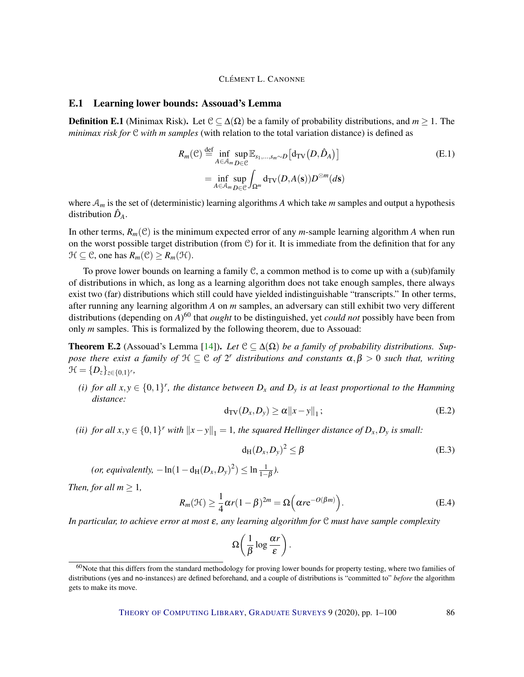#### <span id="page-85-4"></span>E.1 Learning lower bounds: Assouad's Lemma

**Definition E.1** (Minimax Risk). Let  $C \subseteq \Delta(\Omega)$  be a family of probability distributions, and  $m \ge 1$ . The *minimax risk for* C *with m samples* (with relation to the total variation distance) is defined as

$$
R_m(\mathcal{C}) \stackrel{\text{def}}{=} \inf_{A \in \mathcal{A}_m} \sup_{D \in \mathcal{C}} \mathbb{E}_{s_1, \dots, s_m \sim D} \big[ d_{\text{TV}}(D, \hat{D}_A) \big] = \inf_{A \in \mathcal{A}_m} \sup_{D \in \mathcal{C}} \int_{\Omega^m} d_{\text{TV}}(D, A(\mathbf{s})) D^{\otimes m}(d\mathbf{s})
$$
(E.1)

where A*<sup>m</sup>* is the set of (deterministic) learning algorithms *A* which take *m* samples and output a hypothesis distribution  $\hat{D}_A$ .

In other terms,  $R_m(\mathcal{C})$  is the minimum expected error of any *m*-sample learning algorithm *A* when run on the worst possible target distribution (from C) for it. It is immediate from the definition that for any  $\mathcal{H} \subseteq \mathcal{C}$ , one has  $R_m(\mathcal{C}) \geq R_m(\mathcal{H})$ .

To prove lower bounds on learning a family  $C$ , a common method is to come up with a (sub)family of distributions in which, as long as a learning algorithm does not take enough samples, there always exist two (far) distributions which still could have yielded indistinguishable "transcripts." In other terms, after running any learning algorithm *A* on *m* samples, an adversary can still exhibit two very different distributions (depending on *A*) <sup>60</sup> that *ought* to be distinguished, yet *could not* possibly have been from only *m* samples. This is formalized by the following theorem, due to Assouad:

**Theorem E.2** (Assouad's Lemma [\[14\]](#page-91-5)). Let  $C \subseteq \Delta(\Omega)$  be a family of probability distributions. Sup*pose there exist a family of*  $H \subseteq C$  *of*  $2^r$  *distributions and constants*  $\alpha, \beta > 0$  *such that, writing*  $\mathfrak{H} = \{D_z\}_{z \in \{0,1\}^r}$ 

<span id="page-85-0"></span>*(i) for all*  $x, y \in \{0, 1\}^r$ , the distance between  $D_x$  and  $D_y$  is at least proportional to the Hamming *distance:*

<span id="page-85-3"></span>
$$
d_{\text{TV}}(D_x, D_y) \ge \alpha \|x - y\|_1; \tag{E.2}
$$

<span id="page-85-1"></span>*(ii) for all*  $x, y \in \{0, 1\}^r$  *with*  $||x - y||_1 = 1$ *, the squared Hellinger distance of*  $D_x, D_y$  *is small:* 

<span id="page-85-2"></span>
$$
d_H(D_x, D_y)^2 \le \beta \tag{E.3}
$$

 $(\textit{or, equivalently, } -\ln(1-d_H(D_x,D_y)^2) \leq \ln \frac{1}{1-\beta}).$ 

*Then, for all*  $m \geq 1$ *,* 

$$
R_m(\mathcal{H}) \ge \frac{1}{4}\alpha r(1-\beta)^{2m} = \Omega\left(\alpha r e^{-O(\beta m)}\right).
$$
 (E.4)

*In particular, to achieve error at most* ε*, any learning algorithm for* C *must have sample complexity*

$$
\Omega\bigg(\frac{1}{\beta}\log\frac{\alpha r}{\varepsilon}\bigg).
$$

 $60$ Note that this differs from the standard methodology for proving lower bounds for property testing, where two families of distributions (yes and no-instances) are defined beforehand, and a couple of distributions is "committed to" *before* the algorithm gets to make its move.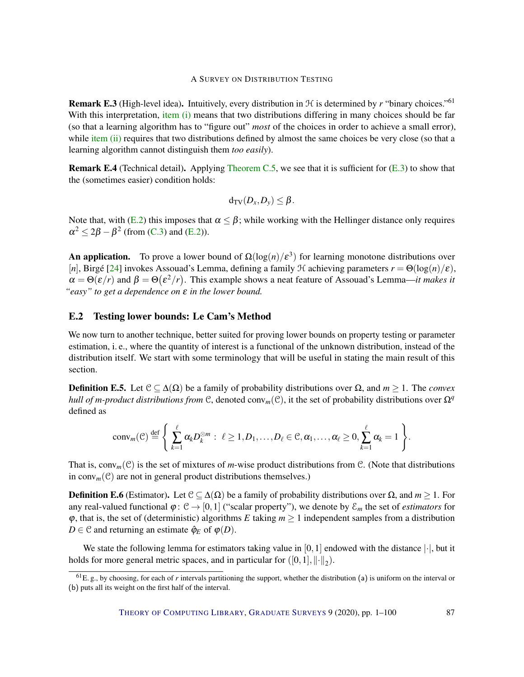<span id="page-86-0"></span>**Remark E.3** (High-level idea). Intuitively, every distribution in  $H$  is determined by r "binary choices."<sup>61</sup> With this interpretation, [item \(i\)](#page-85-0) means that two distributions differing in many choices should be far (so that a learning algorithm has to "figure out" *most* of the choices in order to achieve a small error), while [item \(ii\)](#page-85-1) requires that two distributions defined by almost the same choices be very close (so that a learning algorithm cannot distinguish them *too easily*).

Remark E.4 (Technical detail). Applying [Theorem C.5,](#page-76-1) we see that it is sufficient for [\(E.3\)](#page-85-2) to show that the (sometimes easier) condition holds:

$$
d_{TV}(D_x, D_y) \leq \beta.
$$

Note that, with [\(E.2\)](#page-85-3) this imposes that  $\alpha \leq \beta$ ; while working with the Hellinger distance only requires  $\alpha^2 \leq 2\beta - \beta^2$  (from [\(C.3\)](#page-76-2) and [\(E.2\)](#page-85-3)).

**An application.** To prove a lower bound of  $\Omega(\log(n)/\epsilon^3)$  for learning monotone distributions over [*n*], Birgé [\[24\]](#page-92-4) invokes Assouad's Lemma, defining a family H achieving parameters *r* = Θ(log(*n*)/ε),  $\alpha = \Theta(\varepsilon/r)$  and  $\beta = \Theta(\varepsilon^2/r)$ . This example shows a neat feature of Assouad's Lemma—*it makes it "easy" to get a dependence on* ε *in the lower bound.*

## E.2 Testing lower bounds: Le Cam's Method

We now turn to another technique, better suited for proving lower bounds on property testing or parameter estimation, i. e., where the quantity of interest is a functional of the unknown distribution, instead of the distribution itself. We start with some terminology that will be useful in stating the main result of this section.

**Definition E.5.** Let  $\mathcal{C} \subseteq \Delta(\Omega)$  be a family of probability distributions over  $\Omega$ , and  $m \geq 1$ . The *convex hull of m-product distributions from* C, denoted conv<sub>m</sub>(C), it the set of probability distributions over  $\Omega^q$ defined as

$$
conv_m(\mathcal{C}) \stackrel{\text{def}}{=} \left\{ \sum_{k=1}^{\ell} \alpha_k D_k^{\otimes m} : \ \ell \ge 1, D_1, \ldots, D_{\ell} \in \mathcal{C}, \alpha_1, \ldots, \alpha_{\ell} \ge 0, \sum_{k=1}^{\ell} \alpha_k = 1 \right\}.
$$

That is,  $conv_m(\mathcal{C})$  is the set of mixtures of *m*-wise product distributions from  $\mathcal{C}$ . (Note that distributions in conv<sub>m</sub> $(\mathcal{C})$  are not in general product distributions themselves.)

**Definition E.6** (Estimator). Let  $C \subseteq Δ(Ω)$  be a family of probability distributions over  $Ω$ , and  $m \ge 1$ . For any real-valued functional  $\varphi: \mathcal{C} \to [0,1]$  ("scalar property"), we denote by  $\mathcal{E}_m$  the set of *estimators* for  $\varphi$ , that is, the set of (deterministic) algorithms *E* taking  $m \geq 1$  independent samples from a distribution *D* ∈ C and returning an estimate  $\hat{\varphi}_E$  of  $\varphi$ (*D*).

We state the following lemma for estimators taking value in [0, 1] endowed with the distance  $|\cdot|$ , but it holds for more general metric spaces, and in particular for  $([0,1], \|\cdot\|_2)$ .

 ${}^{61}E$ . g., by choosing, for each of *r* intervals partitioning the support, whether the distribution (a) is uniform on the interval or (b) puts all its weight on the first half of the interval.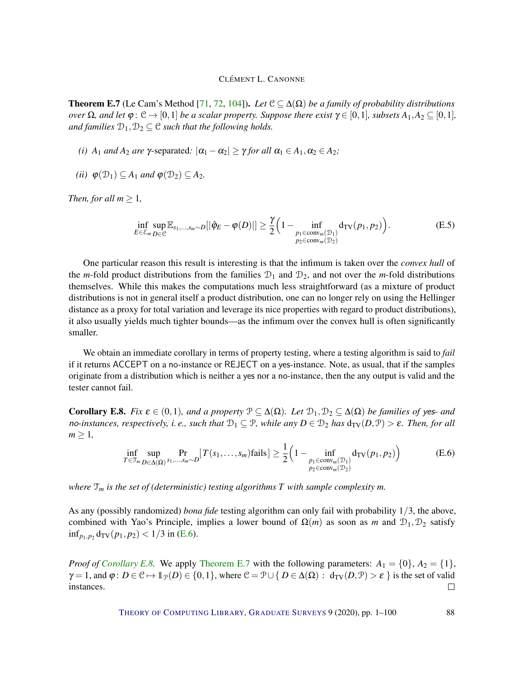<span id="page-87-3"></span><span id="page-87-2"></span>**Theorem E.7** (Le Cam's Method [\[71,](#page-96-4) [72,](#page-96-5) [104\]](#page-98-7)). Let  $C \subseteq \Delta(\Omega)$  be a family of probability distributions *over*  $\Omega$ *, and let*  $\varphi$ :  $\mathcal{C} \to [0,1]$  *be a scalar property. Suppose there exist*  $\gamma \in [0,1]$ *, subsets*  $A_1, A_2 \subseteq [0,1]$ *, and families*  $D_1, D_2 \subseteq \mathcal{C}$  *such that the following holds.* 

- *(i)*  $A_1$  *and*  $A_2$  *are*  $\gamma$ -separated:  $|\alpha_1 \alpha_2| \geq \gamma$  *for all*  $\alpha_1 \in A_1, \alpha_2 \in A_2$ *;*
- *(ii)*  $\varphi(\mathcal{D}_1) \subseteq A_1$  *and*  $\varphi(\mathcal{D}_2) \subseteq A_2$ *.*

*Then, for all*  $m > 1$ *,* 

$$
\inf_{E \in \mathcal{E}_m} \sup_{D \in \mathcal{C}} \mathbb{E}_{s_1, \dots, s_m \sim D} [|\hat{\varphi}_E - \varphi(D)|] \ge \frac{\gamma}{2} \Big( 1 - \inf_{\substack{p_1 \in \text{conv}_m(\mathcal{D}_1) \\ p_2 \in \text{conv}_m(\mathcal{D}_2)}} d_{\text{TV}}(p_1, p_2) \Big). \tag{E.5}
$$

One particular reason this result is interesting is that the infimum is taken over the *convex hull* of the *m*-fold product distributions from the families  $\mathcal{D}_1$  and  $\mathcal{D}_2$ , and not over the *m*-fold distributions themselves. While this makes the computations much less straightforward (as a mixture of product distributions is not in general itself a product distribution, one can no longer rely on using the Hellinger distance as a proxy for total variation and leverage its nice properties with regard to product distributions), it also usually yields much tighter bounds—as the infimum over the convex hull is often significantly smaller.

We obtain an immediate corollary in terms of property testing, where a testing algorithm is said to *fail* if it returns ACCEPT on a no-instance or REJECT on a yes-instance. Note, as usual, that if the samples originate from a distribution which is neither a yes nor a no-instance, then the any output is valid and the tester cannot fail.

<span id="page-87-1"></span>**Corollary E.8.** *Fix*  $\varepsilon \in (0,1)$ *, and a property*  $\mathcal{P} \subseteq \Delta(\Omega)$ *. Let*  $\mathcal{D}_1, \mathcal{D}_2 \subseteq \Delta(\Omega)$  *be families of yes- and* no-instances, respectively, i.e., such that  $D_1 \subseteq P$ , while any  $D \in D_2$  has  $d_{TV}(D, P) > \varepsilon$ . Then, for all  $m \geq 1$ 

<span id="page-87-0"></span>
$$
\inf_{T \in \mathcal{T}_m} \sup_{D \in \Delta(\Omega)} \Pr_{s_1, \dots, s_m \sim D} [T(s_1, \dots, s_m) \text{fails}] \ge \frac{1}{2} \left( 1 - \inf_{\substack{p_1 \in \text{conv}_m(\mathcal{D}_1) \\ p_2 \in \text{conv}_m(\mathcal{D}_2)}} d_{\text{TV}}(p_1, p_2) \right) \tag{E.6}
$$

*where* T*<sup>m</sup> is the set of (deterministic) testing algorithms T with sample complexity m.*

As any (possibly randomized) *bona fide* testing algorithm can only fail with probability 1/3, the above, combined with Yao's Principle, implies a lower bound of  $\Omega(m)$  as soon as *m* and  $\mathcal{D}_1, \mathcal{D}_2$  satisfy  $\inf_{p_1, p_2} d_{TV}(p_1, p_2) < 1/3$  in [\(E.6\)](#page-87-0).

*Proof of [Corollary](#page-87-1) [E.8.](#page-87-1)* We apply [Theorem](#page-87-2) [E.7](#page-87-2) with the following parameters:  $A_1 = \{0\}, A_2 = \{1\},\$  $\gamma = 1$ , and  $\varphi : D \in \mathcal{C} \mapsto \mathbb{1}_{\mathcal{P}}(D) \in \{0,1\}$ , where  $\mathcal{C} = \mathcal{P} \cup \{D \in \Delta(\Omega) : d_{TV}(D,\mathcal{P}) > \varepsilon \}$  is the set of valid instances.  $\Box$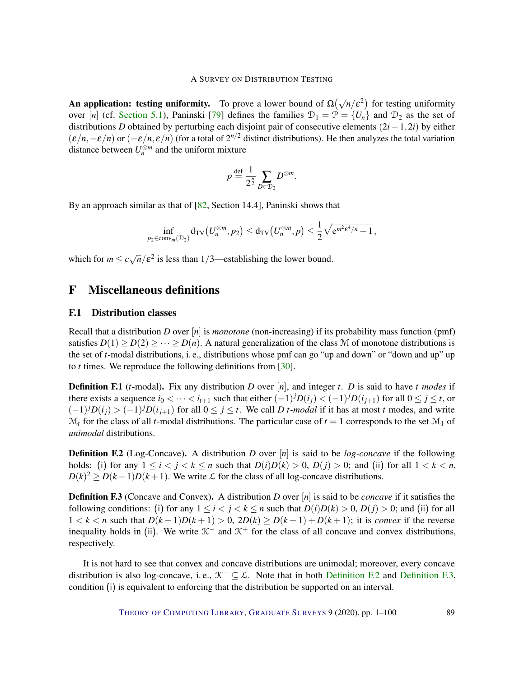<span id="page-88-2"></span>**An application: testing uniformity.** To prove a lower bound of  $\Omega(\sqrt{n}/\epsilon^2)$  for testing uniformity over  $[n]$  (cf. [Section](#page-10-0) [5.1\)](#page-10-0), Paninski [\[79\]](#page-96-0) defines the families  $\mathcal{D}_1 = \mathcal{P} = \{U_n\}$  and  $\mathcal{D}_2$  as the set of distributions *D* obtained by perturbing each disjoint pair of consecutive elements (2*i*−1,2*i*) by either  $(\varepsilon/n, -\varepsilon/n)$  or  $(-\varepsilon/n, \varepsilon/n)$  (for a total of  $2^{n/2}$  distinct distributions). He then analyzes the total variation distance between  $U_n^{\otimes m}$  and the uniform mixture

$$
p \stackrel{\text{def}}{=} \frac{1}{2^{\frac{n}{2}}} \sum_{D \in \mathcal{D}_2} D^{\otimes m}.
$$

By an approach similar as that of [\[82,](#page-97-4) Section 14.4], Paninski shows that

$$
\inf_{p_2\in\operatorname{conv}_m(\mathcal{D}_2)}\operatorname{d}_{\mathrm{TV}}\big(U_n^{\otimes m},p_2\big)\leq\operatorname{d}_{\mathrm{TV}}\big(U_n^{\otimes m},p\big)\leq\frac{1}{2}\sqrt{\mathrm{e}^{m^2\epsilon^4/n}-1}\,,
$$

which for  $m \leq c \sqrt{n}/\varepsilon^2$  is less than 1/3—establishing the lower bound.

## F Miscellaneous definitions

## F.1 Distribution classes

Recall that a distribution *D* over [*n*] is *monotone* (non-increasing) if its probability mass function (pmf) satisfies  $D(1) \geq D(2) \geq \cdots \geq D(n)$ . A natural generalization of the class M of monotone distributions is the set of *t*-modal distributions, i. e., distributions whose pmf can go "up and down" or "down and up" up to *t* times. We reproduce the following definitions from [\[30\]](#page-92-2).

Definition F.1 (*t*-modal). Fix any distribution *D* over [*n*], and integer *t*. *D* is said to have *t modes* if there exists a sequence  $i_0 < \cdots < i_{t+1}$  such that either  $(-1)^j D(i_j) < (-1)^j D(i_{j+1})$  for all  $0 \le j \le t$ , or  $(-1)^j D(i_j) > (-1)^j D(i_{j+1})$  for all  $0 \le j \le t$ . We call *D t-modal* if it has at most *t* modes, and write  $\mathcal{M}_t$  for the class of all *t*-modal distributions. The particular case of  $t = 1$  corresponds to the set  $\mathcal{M}_1$  of *unimodal* distributions.

<span id="page-88-0"></span>Definition F.2 (Log-Concave). A distribution *D* over [*n*] is said to be *log-concave* if the following holds: (i) for any  $1 \le i < j < k \le n$  such that  $D(i)D(k) > 0$ ,  $D(j) > 0$ ; and (ii) for all  $1 < k < n$ ,  $D(k)^2 \ge D(k-1)D(k+1)$ . We write  $\mathcal L$  for the class of all log-concave distributions.

<span id="page-88-1"></span>Definition F.3 (Concave and Convex). A distribution *D* over [*n*] is said to be *concave* if it satisfies the following conditions: (i) for any  $1 \le i < j < k \le n$  such that  $D(i)D(k) > 0$ ,  $D(j) > 0$ ; and (ii) for all 1 < *k* < *n* such that  $D(k-1)D(k+1) > 0$ ,  $2D(k) \ge D(k-1) + D(k+1)$ ; it is *convex* if the reverse inequality holds in (ii). We write  $K^-$  and  $K^+$  for the class of all concave and convex distributions, respectively.

It is not hard to see that convex and concave distributions are unimodal; moreover, every concave distribution is also log-concave, i.e.,  $\mathcal{K}^- \subseteq \mathcal{L}$ . Note that in both [Definition](#page-88-1) [F.2](#page-88-0) and Definition [F.3,](#page-88-1) condition (i) is equivalent to enforcing that the distribution be supported on an interval.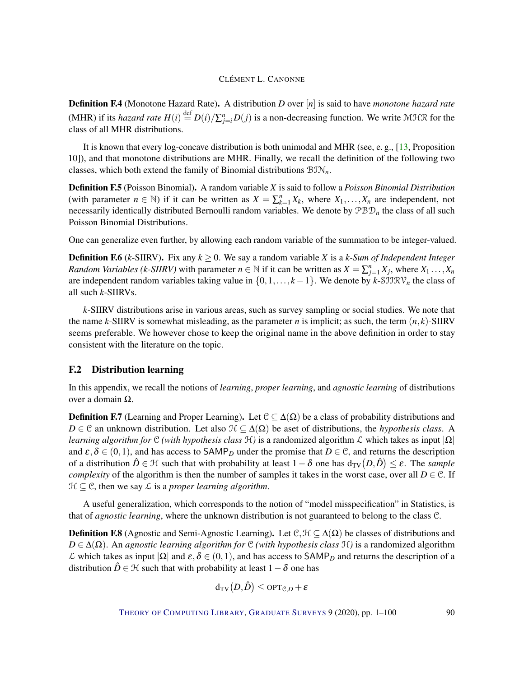<span id="page-89-0"></span>Definition F.4 (Monotone Hazard Rate). A distribution *D* over [*n*] is said to have *monotone hazard rate* (MHR) if its *hazard rate*  $H(i) \stackrel{\text{def}}{=} D(i)/\sum_{j=i}^{n} D(j)$  is a non-decreasing function. We write MHR for the class of all MHR distributions.

It is known that every log-concave distribution is both unimodal and MHR (see, e. g., [\[13,](#page-91-6) Proposition 10]), and that monotone distributions are MHR. Finally, we recall the definition of the following two classes, which both extend the family of Binomial distributions BIN*n*.

Definition F.5 (Poisson Binomial). A random variable *X* is said to follow a *Poisson Binomial Distribution* (with parameter  $n \in \mathbb{N}$ ) if it can be written as  $X = \sum_{k=1}^{n} X_k$ , where  $X_1, \ldots, X_n$  are independent, not necessarily identically distributed Bernoulli random variables. We denote by PBD*<sup>n</sup>* the class of all such Poisson Binomial Distributions.

One can generalize even further, by allowing each random variable of the summation to be integer-valued.

**Definition F.6** (*k*-SIIRV). Fix any  $k \ge 0$ . We say a random variable *X* is a *k*-Sum of Independent Integer *Random Variables (k-SIIRV)* with parameter  $n \in \mathbb{N}$  if it can be written as  $X = \sum_{j=1}^{n} X_j$ , where  $X_1 \ldots, X_n$ are independent random variables taking value in  $\{0,1,\ldots,k-1\}$ . We denote by *k*-SJJRV<sub>n</sub> the class of all such *k*-SIIRVs.

*k*-SIIRV distributions arise in various areas, such as survey sampling or social studies. We note that the name *k*-SIIRV is somewhat misleading, as the parameter *n* is implicit; as such, the term (*n*, *k*)-SIIRV seems preferable. We however chose to keep the original name in the above definition in order to stay consistent with the literature on the topic.

#### F.2 Distribution learning

In this appendix, we recall the notions of *learning*, *proper learning*, and *agnostic learning* of distributions over a domain Ω.

**Definition F.7** (Learning and Proper Learning). Let  $C \subseteq \Delta(\Omega)$  be a class of probability distributions and *D* ∈ C an unknown distribution. Let also  $\mathcal{H} \subset \Delta(\Omega)$  be aset of distributions, the *hypothesis class*. A *learning algorithm for* C *(with hypothesis class*  $H$ ) is a randomized algorithm  $L$  which takes as input  $|\Omega|$ and  $\varepsilon, \delta \in (0,1)$ , and has access to SAMP<sub>*D*</sub> under the promise that  $D \in \mathcal{C}$ , and returns the description of a distribution  $\hat{D} \in \mathcal{H}$  such that with probability at least  $1-\delta$  one has  $d_{TV}(D,\hat{D}) \leq \varepsilon$ . The *sample complexity* of the algorithm is then the number of samples it takes in the worst case, over all  $D \in \mathcal{C}$ . If  $H \subseteq \mathcal{C}$ , then we say  $\mathcal{L}$  is a *proper learning algorithm*.

A useful generalization, which corresponds to the notion of "model misspecification" in Statistics, is that of *agnostic learning*, where the unknown distribution is not guaranteed to belong to the class C.

**Definition F.8** (Agnostic and Semi-Agnostic Learning). Let  $\mathcal{C}, \mathcal{H} \subseteq \Delta(\Omega)$  be classes of distributions and *D* ∈ ∆(Ω). An *agnostic learning algorithm for* C *(with hypothesis class* H*)* is a randomized algorithm  $\mathcal L$  which takes as input  $|\Omega|$  and  $\varepsilon, \delta \in (0,1)$ , and has access to SAMP<sub>*D*</sub> and returns the description of a distribution  $\hat{D} \in \mathcal{H}$  such that with probability at least  $1-\delta$  one has

$$
d_{\text{TV}}(D,\hat{D}) \leq \text{OPT}_{\mathcal{C},D} + \varepsilon
$$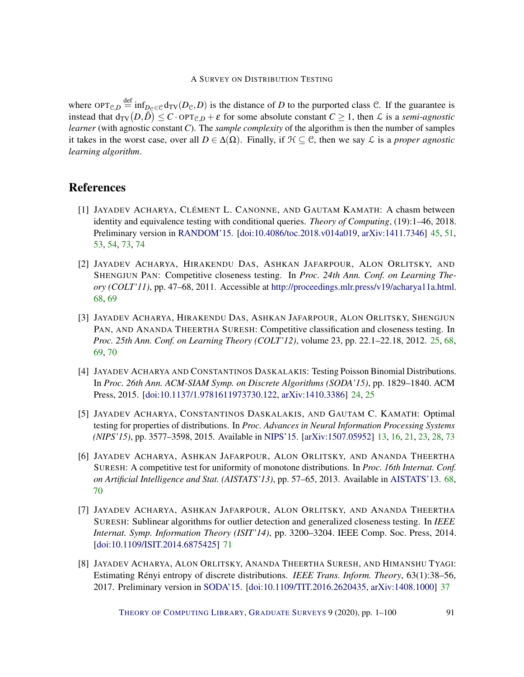where  $OPT_{\mathcal{C},D}$   $\stackrel{\text{def}}{=} \inf_{D_{\mathcal{C}} \in \mathcal{C}} d_{TV}(D_{\mathcal{C}},D)$  is the distance of *D* to the purported class  $\mathcal{C}$ . If the guarantee is instead that  $d_{TV}(D, \hat{D}) \leq C \cdot \text{OPT}_{\mathcal{C},D} + \varepsilon$  for some absolute constant  $C \geq 1$ , then  $\mathcal{L}$  is a *semi-agnostic learner* (with agnostic constant *C*). The *sample complexity* of the algorithm is then the number of samples it takes in the worst case, over all  $D \in \Delta(\Omega)$ . Finally, if  $\mathcal{H} \subseteq \mathcal{C}$ , then we say  $\mathcal{L}$  is a *proper agnostic learning algorithm*.

## References

- <span id="page-90-0"></span>[1] JAYADEV ACHARYA, CLÉMENT L. CANONNE, AND GAUTAM KAMATH: A chasm between identity and equivalence testing with conditional queries. *Theory of Computing*, (19):1–46, 2018. Preliminary version in [RANDOM'15.](http://doi.org/10.4230/LIPIcs.APPROX-RANDOM.2015.449) [\[doi:10.4086/toc.2018.v014a019,](http://dx.doi.org/10.4086/toc.2018.v014a019) [arXiv:1411.7346\]](http://arxiv.org/abs/1411.7346) [45,](#page-44-0) [51,](#page-50-0) [53,](#page-52-0) [54,](#page-53-0) [73,](#page-72-0) [74](#page-73-0)
- [2] JAYADEV ACHARYA, HIRAKENDU DAS, ASHKAN JAFARPOUR, ALON ORLITSKY, AND SHENGJUN PAN: Competitive closeness testing. In *Proc. 24th Ann. Conf. on Learning Theory (COLT'11)*, pp. 47–68, 2011. Accessible at [http://proceedings.mlr.press/v19/acharya11a.html.](http://proceedings.mlr.press/v19/acharya11a.html) [68,](#page-67-0) [69](#page-68-0)
- [3] JAYADEV ACHARYA, HIRAKENDU DAS, ASHKAN JAFARPOUR, ALON ORLITSKY, SHENGJUN PAN, AND ANANDA THEERTHA SURESH: Competitive classification and closeness testing. In *Proc. 25th Ann. Conf. on Learning Theory (COLT'12)*, volume 23, pp. 22.1–22.18, 2012. [25,](#page-24-0) [68,](#page-67-0) [69,](#page-68-0) [70](#page-69-0)
- [4] JAYADEV ACHARYA AND CONSTANTINOS DASKALAKIS: Testing Poisson Binomial Distributions. In *Proc. 26th Ann. ACM-SIAM Symp. on Discrete Algorithms (SODA'15)*, pp. 1829–1840. ACM Press, 2015. [\[doi:10.1137/1.9781611973730.122,](http://dx.doi.org/10.1137/1.9781611973730.122) [arXiv:1410.3386\]](http://arxiv.org/abs/1410.3386) [24,](#page-23-0) [25](#page-24-0)
- <span id="page-90-1"></span>[5] JAYADEV ACHARYA, CONSTANTINOS DASKALAKIS, AND GAUTAM C. KAMATH: Optimal testing for properties of distributions. In *Proc. Advances in Neural Information Processing Systems (NIPS'15)*, pp. 3577–3598, 2015. Available in [NIPS'15.](http://papers.nips.cc/book/advances-in-neural-information-processing-systems-28-2015) [\[arXiv:1507.05952\]](http://arxiv.org/abs/1507.05952) [13,](#page-12-0) [16,](#page-15-0) [21,](#page-20-0) [23,](#page-22-0) [28,](#page-27-0) [73](#page-72-0)
- [6] JAYADEV ACHARYA, ASHKAN JAFARPOUR, ALON ORLITSKY, AND ANANDA THEERTHA SURESH: A competitive test for uniformity of monotone distributions. In *Proc. 16th Internat. Conf. on Artificial Intelligence and Stat. (AISTATS'13)*, pp. 57–65, 2013. Available in [AISTATS'13.](http://jmlr.org/proceedings/papers/v31/acharya13a.html) [68,](#page-67-0) [70](#page-69-0)
- [7] JAYADEV ACHARYA, ASHKAN JAFARPOUR, ALON ORLITSKY, AND ANANDA THEERTHA SURESH: Sublinear algorithms for outlier detection and generalized closeness testing. In *IEEE Internat. Symp. Information Theory (ISIT'14)*, pp. 3200–3204. IEEE Comp. Soc. Press, 2014. [\[doi:10.1109/ISIT.2014.6875425\]](http://dx.doi.org/10.1109/ISIT.2014.6875425) [71](#page-70-0)
- [8] JAYADEV ACHARYA, ALON ORLITSKY, ANANDA THEERTHA SURESH, AND HIMANSHU TYAGI: Estimating Rényi entropy of discrete distributions. *IEEE Trans. Inform. Theory*, 63(1):38–56, 2017. Preliminary version in [SODA'15.](http://doi.org/10.1137/1.9781611973730.124) [\[doi:10.1109/TIT.2016.2620435,](http://dx.doi.org/10.1109/TIT.2016.2620435) [arXiv:1408.1000\]](http://arxiv.org/abs/1408.1000) [37](#page-36-0)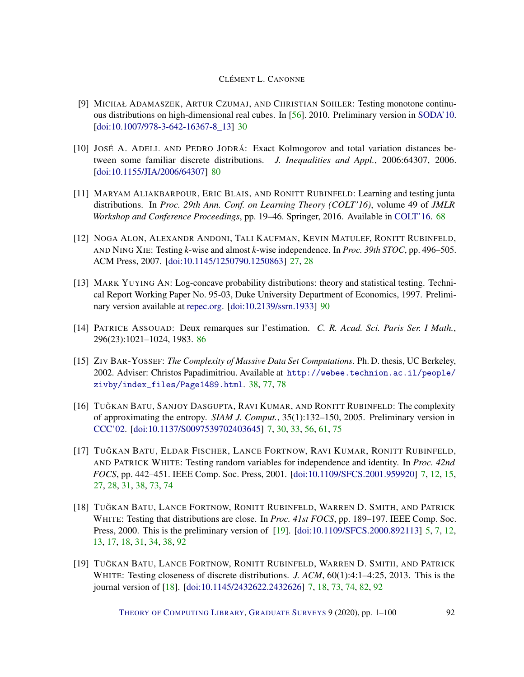- <span id="page-91-7"></span>[9] MICHAŁ ADAMASZEK, ARTUR CZUMAJ, AND CHRISTIAN SOHLER: Testing monotone continuous distributions on high-dimensional real cubes. In [\[56\]](#page-95-4). 2010. Preliminary version in [SODA'10.](http://doi.org/10.1137/1.9781611973075.6) [\[doi:10.1007/978-3-642-16367-8\\_13\]](http://dx.doi.org/10.1007/978-3-642-16367-8_13) [30](#page-29-0)
- <span id="page-91-4"></span>[10] JOSÉ A. ADELL AND PEDRO JODRÁ: Exact Kolmogorov and total variation distances between some familiar discrete distributions. *J. Inequalities and Appl.*, 2006:64307, 2006. [\[doi:10.1155/JIA/2006/64307\]](http://dx.doi.org/10.1155/JIA/2006/64307) [80](#page-79-2)
- [11] MARYAM ALIAKBARPOUR, ERIC BLAIS, AND RONITT RUBINFELD: Learning and testing junta distributions. In *Proc. 29th Ann. Conf. on Learning Theory (COLT'16)*, volume 49 of *JMLR Workshop and Conference Proceedings*, pp. 19–46. Springer, 2016. Available in [COLT'16.](http://jmlr.org/proceedings/papers/v49/aliakbarpour16.html) [68](#page-67-0)
- [12] NOGA ALON, ALEXANDR ANDONI, TALI KAUFMAN, KEVIN MATULEF, RONITT RUBINFELD, AND NING XIE: Testing *k*-wise and almost *k*-wise independence. In *Proc. 39th STOC*, pp. 496–505. ACM Press, 2007. [\[doi:10.1145/1250790.1250863\]](http://dx.doi.org/10.1145/1250790.1250863) [27,](#page-26-0) [28](#page-27-0)
- <span id="page-91-6"></span>[13] MARK YUYING AN: Log-concave probability distributions: theory and statistical testing. Technical Report Working Paper No. 95-03, Duke University Department of Economics, 1997. Preliminary version available at [repec.org.](http://EconPapers.repec.org/RePEc:fth:clmsre:96-01) [\[doi:10.2139/ssrn.1933\]](http://dx.doi.org/10.2139/ssrn.1933) [90](#page-89-0)
- <span id="page-91-5"></span>[14] PATRICE ASSOUAD: Deux remarques sur l'estimation. *C. R. Acad. Sci. Paris Ser. I Math.*, 296(23):1021–1024, 1983. [86](#page-85-4)
- <span id="page-91-3"></span>[15] ZIV BAR-YOSSEF: *The Complexity of Massive Data Set Computations*. Ph. D. thesis, UC Berkeley, 2002. Adviser: Christos Papadimitriou. Available at [http://webee.technion.ac.il/people/](http://webee.technion.ac.il/people/zivby/index_files/Page1489.html) [zivby/index\\_files/Page1489.html](http://webee.technion.ac.il/people/zivby/index_files/Page1489.html). [38,](#page-37-0) [77,](#page-76-3) [78](#page-77-1)
- <span id="page-91-2"></span>[16] TUĞKAN BATU, SANJOY DASGUPTA, RAVI KUMAR, AND RONITT RUBINFELD: The complexity of approximating the entropy. *SIAM J. Comput.*, 35(1):132–150, 2005. Preliminary version in [CCC'02.](http://doi.org/10.1109/CCC.2002.1004329) [\[doi:10.1137/S0097539702403645\]](http://dx.doi.org/10.1137/S0097539702403645) [7,](#page-6-0) [30,](#page-29-0) [33,](#page-32-0) [56,](#page-55-0) [61,](#page-60-0) [75](#page-74-3)
- <span id="page-91-1"></span>[17] TUĞKAN BATU, ELDAR FISCHER, LANCE FORTNOW, RAVI KUMAR, RONITT RUBINFELD, AND PATRICK WHITE: Testing random variables for independence and identity. In *Proc. 42nd FOCS*, pp. 442–451. IEEE Comp. Soc. Press, 2001. [\[doi:10.1109/SFCS.2001.959920\]](http://dx.doi.org/10.1109/SFCS.2001.959920) [7,](#page-6-0) [12,](#page-11-0) [15,](#page-14-0) [27,](#page-26-0) [28,](#page-27-0) [31,](#page-30-0) [38,](#page-37-0) [73,](#page-72-0) [74](#page-73-0)
- <span id="page-91-8"></span>[18] TUĞKAN BATU, LANCE FORTNOW, RONITT RUBINFELD, WARREN D. SMITH, AND PATRICK WHITE: Testing that distributions are close. In *Proc. 41st FOCS*, pp. 189–197. IEEE Comp. Soc. Press, 2000. This is the preliminary version of [\[19\]](#page-91-0). [\[doi:10.1109/SFCS.2000.892113\]](http://dx.doi.org/10.1109/SFCS.2000.892113) [5,](#page-4-0) [7,](#page-6-0) [12,](#page-11-0) [13,](#page-12-0) [17,](#page-16-0) [18,](#page-17-0) [31,](#page-30-0) [34,](#page-33-0) [38,](#page-37-0) [92](#page-91-7)
- <span id="page-91-0"></span>[19] TUĞKAN BATU, LANCE FORTNOW, RONITT RUBINFELD, WARREN D. SMITH, AND PATRICK WHITE: Testing closeness of discrete distributions. *J. ACM*, 60(1):4:1–4:25, 2013. This is the journal version of [\[18\]](#page-91-8). [\[doi:10.1145/2432622.2432626\]](http://dx.doi.org/10.1145/2432622.2432626) [7,](#page-6-0) [18,](#page-17-0) [73,](#page-72-0) [74,](#page-73-0) [82,](#page-81-0) [92](#page-91-7)

THEORY OF C[OMPUTING](http://dx.doi.org/10.4086/toc) LIBRARY, G[RADUATE](http://dx.doi.org/10.4086/toc.gs) SURVEYS 9 (2020), pp. 1-100 92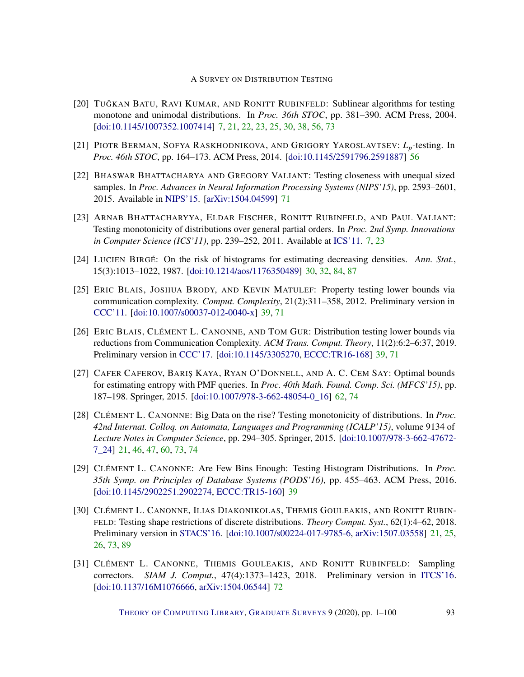- <span id="page-92-1"></span>[20] TUĞKAN BATU, RAVI KUMAR, AND RONITT RUBINFELD: Sublinear algorithms for testing monotone and unimodal distributions. In *Proc. 36th STOC*, pp. 381–390. ACM Press, 2004. [\[doi:10.1145/1007352.1007414\]](http://dx.doi.org/10.1145/1007352.1007414) [7,](#page-6-0) [21,](#page-20-0) [22,](#page-21-0) [23,](#page-22-0) [25,](#page-24-0) [30,](#page-29-0) [38,](#page-37-0) [56,](#page-55-0) [73](#page-72-0)
- [21] PIOTR BERMAN, SOFYA RASKHODNIKOVA, AND GRIGORY YAROSLAVTSEV: *Lp*-testing. In *Proc. 46th STOC*, pp. 164–173. ACM Press, 2014. [\[doi:10.1145/2591796.2591887\]](http://dx.doi.org/10.1145/2591796.2591887) [56](#page-55-0)
- [22] BHASWAR BHATTACHARYA AND GREGORY VALIANT: Testing closeness with unequal sized samples. In *Proc. Advances in Neural Information Processing Systems (NIPS'15)*, pp. 2593–2601, 2015. Available in [NIPS'15.](http://papers.nips.cc/book/advances-in-neural-information-processing-systems-28-2015) [\[arXiv:1504.04599\]](http://arxiv.org/abs/1504.04599) [71](#page-70-0)
- [23] ARNAB BHATTACHARYYA, ELDAR FISCHER, RONITT RUBINFELD, AND PAUL VALIANT: Testing monotonicity of distributions over general partial orders. In *Proc. 2nd Symp. Innovations in Computer Science (ICS'11)*, pp. 239–252, 2011. Available at [ICS'11.](https://conference.iiis.tsinghua.edu.cn/ICS2011/content/paper/38.pdf) [7,](#page-6-0) [23](#page-22-0)
- <span id="page-92-4"></span>[24] LUCIEN BIRGÉ: On the risk of histograms for estimating decreasing densities. *Ann. Stat.*, 15(3):1013–1022, 1987. [\[doi:10.1214/aos/1176350489\]](http://dx.doi.org/10.1214/aos/1176350489) [30,](#page-29-0) [32,](#page-31-0) [84,](#page-83-1) [87](#page-86-0)
- [25] ERIC BLAIS, JOSHUA BRODY, AND KEVIN MATULEF: Property testing lower bounds via communication complexity. *Comput. Complexity*, 21(2):311–358, 2012. Preliminary version in [CCC'11.](http://doi.org/10.1109/CCC.2011.31) [\[doi:10.1007/s00037-012-0040-x\]](http://dx.doi.org/10.1007/s00037-012-0040-x) [39,](#page-38-0) [71](#page-70-0)
- [26] ERIC BLAIS, CLÉMENT L. CANONNE, AND TOM GUR: Distribution testing lower bounds via reductions from Communication Complexity. *ACM Trans. Comput. Theory*, 11(2):6:2–6:37, 2019. Preliminary version in [CCC'17.](http://doi.org/10.4230/LIPIcs.CCC.2017.28) [\[doi:10.1145/3305270,](http://dx.doi.org/10.1145/3305270) [ECCC:TR16-168\]](https://eccc.weizmann.ac.il/report/2016/168) [39,](#page-38-0) [71](#page-70-0)
- <span id="page-92-3"></span>[27] CAFER CAFEROV, BARIŞ KAYA, RYAN O'DONNELL, AND A. C. CEM SAY: Optimal bounds for estimating entropy with PMF queries. In *Proc. 40th Math. Found. Comp. Sci. (MFCS'15)*, pp. 187–198. Springer, 2015. [\[doi:10.1007/978-3-662-48054-0\\_16\]](http://dx.doi.org/10.1007/978-3-662-48054-0_16) [62,](#page-61-0) [74](#page-73-0)
- <span id="page-92-0"></span>[28] CLÉMENT L. CANONNE: Big Data on the rise? Testing monotonicity of distributions. In *Proc. 42nd Internat. Colloq. on Automata, Languages and Programming (ICALP'15)*, volume 9134 of *Lecture Notes in Computer Science*, pp. 294–305. Springer, 2015. [\[doi:10.1007/978-3-662-47672-](http://dx.doi.org/10.1007/978-3-662-47672-7_24) [7\\_24\]](http://dx.doi.org/10.1007/978-3-662-47672-7_24) [21,](#page-20-0) [46,](#page-45-0) [47,](#page-46-0) [60,](#page-59-0) [73,](#page-72-0) [74](#page-73-0)
- [29] CLÉMENT L. CANONNE: Are Few Bins Enough: Testing Histogram Distributions. In *Proc. 35th Symp. on Principles of Database Systems (PODS'16)*, pp. 455–463. ACM Press, 2016. [\[doi:10.1145/2902251.2902274,](http://dx.doi.org/10.1145/2902251.2902274) [ECCC:TR15-160\]](https://eccc.weizmann.ac.il/report/2015/160) [39](#page-38-0)
- <span id="page-92-2"></span>[30] CLÉMENT L. CANONNE, ILIAS DIAKONIKOLAS, THEMIS GOULEAKIS, AND RONITT RUBIN-FELD: Testing shape restrictions of discrete distributions. *Theory Comput. Syst.*, 62(1):4–62, 2018. Preliminary version in [STACS'16.](http://doi.org/10.4230/LIPIcs.STACS.2016.25) [\[doi:10.1007/s00224-017-9785-6,](http://dx.doi.org/10.1007/s00224-017-9785-6) [arXiv:1507.03558\]](http://arxiv.org/abs/1507.03558) [21,](#page-20-0) [25,](#page-24-0) [26,](#page-25-0) [73,](#page-72-0) [89](#page-88-2)
- [31] CLÉMENT L. CANONNE, THEMIS GOULEAKIS, AND RONITT RUBINFELD: Sampling correctors. *SIAM J. Comput.*, 47(4):1373–1423, 2018. Preliminary version in [ITCS'16.](http://doi.org/10.1145/2840728.2840729) [\[doi:10.1137/16M1076666,](http://dx.doi.org/10.1137/16M1076666) [arXiv:1504.06544\]](http://arxiv.org/abs/1504.06544) [72](#page-71-0)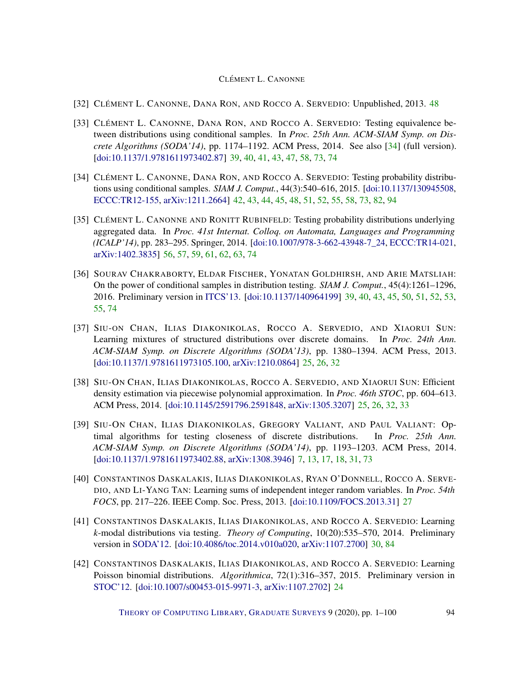- <span id="page-93-6"></span>[32] CLÉMENT L. CANONNE, DANA RON, AND ROCCO A. SERVEDIO: Unpublished, 2013. [48](#page-47-0)
- <span id="page-93-1"></span>[33] CLÉMENT L. CANONNE, DANA RON, AND ROCCO A. SERVEDIO: Testing equivalence between distributions using conditional samples. In *Proc. 25th Ann. ACM-SIAM Symp. on Discrete Algorithms (SODA'14)*, pp. 1174–1192. ACM Press, 2014. See also [\[34\]](#page-93-0) (full version). [\[doi:10.1137/1.9781611973402.87\]](http://dx.doi.org/10.1137/1.9781611973402.87) [39,](#page-38-0) [40,](#page-39-0) [41,](#page-40-0) [43,](#page-42-0) [47,](#page-46-0) [58,](#page-57-0) [73,](#page-72-0) [74](#page-73-0)
- <span id="page-93-0"></span>[34] CLÉMENT L. CANONNE, DANA RON, AND ROCCO A. SERVEDIO: Testing probability distributions using conditional samples. *SIAM J. Comput.*, 44(3):540–616, 2015. [\[doi:10.1137/130945508,](http://dx.doi.org/10.1137/130945508) [ECCC:TR12-155,](https://eccc.weizmann.ac.il/report/2012/155) [arXiv:1211.2664\]](http://arxiv.org/abs/1211.2664) [42,](#page-41-0) [43,](#page-42-0) [44,](#page-43-0) [45,](#page-44-0) [48,](#page-47-0) [51,](#page-50-0) [52,](#page-51-0) [55,](#page-54-0) [58,](#page-57-0) [73,](#page-72-0) [82,](#page-81-0) [94](#page-93-6)
- <span id="page-93-4"></span>[35] CLÉMENT L. CANONNE AND RONITT RUBINFELD: Testing probability distributions underlying aggregated data. In *Proc. 41st Internat. Colloq. on Automata, Languages and Programming (ICALP'14)*, pp. 283–295. Springer, 2014. [\[doi:10.1007/978-3-662-43948-7\\_24,](http://dx.doi.org/10.1007/978-3-662-43948-7_24) [ECCC:TR14-021,](https://eccc.weizmann.ac.il/report/2014/021) [arXiv:1402.3835\]](http://arxiv.org/abs/1402.3835) [56,](#page-55-0) [57,](#page-56-0) [59,](#page-58-0) [61,](#page-60-0) [62,](#page-61-0) [63,](#page-62-0) [74](#page-73-0)
- <span id="page-93-3"></span>[36] SOURAV CHAKRABORTY, ELDAR FISCHER, YONATAN GOLDHIRSH, AND ARIE MATSLIAH: On the power of conditional samples in distribution testing. *SIAM J. Comput.*, 45(4):1261–1296, 2016. Preliminary version in [ITCS'13.](http://doi.org/10.1145/2422436.2422497) [\[doi:10.1137/140964199\]](http://dx.doi.org/10.1137/140964199) [39,](#page-38-0) [40,](#page-39-0) [43,](#page-42-0) [45,](#page-44-0) [50,](#page-49-0) [51,](#page-50-0) [52,](#page-51-0) [53,](#page-52-0) [55,](#page-54-0) [74](#page-73-0)
- [37] SIU-ON CHAN, ILIAS DIAKONIKOLAS, ROCCO A. SERVEDIO, AND XIAORUI SUN: Learning mixtures of structured distributions over discrete domains. In *Proc. 24th Ann. ACM-SIAM Symp. on Discrete Algorithms (SODA'13)*, pp. 1380–1394. ACM Press, 2013. [\[doi:10.1137/1.9781611973105.100,](http://dx.doi.org/10.1137/1.9781611973105.100) [arXiv:1210.0864\]](http://arxiv.org/abs/1210.0864) [25,](#page-24-0) [26,](#page-25-0) [32](#page-31-0)
- [38] SIU-ON CHAN, ILIAS DIAKONIKOLAS, ROCCO A. SERVEDIO, AND XIAORUI SUN: Efficient density estimation via piecewise polynomial approximation. In *Proc. 46th STOC*, pp. 604–613. ACM Press, 2014. [\[doi:10.1145/2591796.2591848,](http://dx.doi.org/10.1145/2591796.2591848) [arXiv:1305.3207\]](http://arxiv.org/abs/1305.3207) [25,](#page-24-0) [26,](#page-25-0) [32,](#page-31-0) [33](#page-32-0)
- <span id="page-93-2"></span>[39] SIU-ON CHAN, ILIAS DIAKONIKOLAS, GREGORY VALIANT, AND PAUL VALIANT: Optimal algorithms for testing closeness of discrete distributions. In *Proc. 25th Ann. ACM-SIAM Symp. on Discrete Algorithms (SODA'14)*, pp. 1193–1203. ACM Press, 2014. [\[doi:10.1137/1.9781611973402.88,](http://dx.doi.org/10.1137/1.9781611973402.88) [arXiv:1308.3946\]](http://arxiv.org/abs/1308.3946) [7,](#page-6-0) [13,](#page-12-0) [17,](#page-16-0) [18,](#page-17-0) [31,](#page-30-0) [73](#page-72-0)
- [40] CONSTANTINOS DASKALAKIS, ILIAS DIAKONIKOLAS, RYAN O'DONNELL, ROCCO A. SERVE-DIO, AND LI-YANG TAN: Learning sums of independent integer random variables. In *Proc. 54th FOCS*, pp. 217–226. IEEE Comp. Soc. Press, 2013. [\[doi:10.1109/FOCS.2013.31\]](http://dx.doi.org/10.1109/FOCS.2013.31) [27](#page-26-0)
- <span id="page-93-5"></span>[41] CONSTANTINOS DASKALAKIS, ILIAS DIAKONIKOLAS, AND ROCCO A. SERVEDIO: Learning *k*-modal distributions via testing. *Theory of Computing*, 10(20):535–570, 2014. Preliminary version in [SODA'12.](http://dl.acm.org/citation.cfm?id=2095116.2095224) [\[doi:10.4086/toc.2014.v010a020,](http://dx.doi.org/10.4086/toc.2014.v010a020) [arXiv:1107.2700\]](http://arxiv.org/abs/1107.2700) [30,](#page-29-0) [84](#page-83-1)
- [42] CONSTANTINOS DASKALAKIS, ILIAS DIAKONIKOLAS, AND ROCCO A. SERVEDIO: Learning Poisson binomial distributions. *Algorithmica*, 72(1):316–357, 2015. Preliminary version in [STOC'12.](http://doi.acm.org/10.1145/2213977.2214042) [\[doi:10.1007/s00453-015-9971-3,](http://dx.doi.org/10.1007/s00453-015-9971-3) [arXiv:1107.2702\]](http://arxiv.org/abs/1107.2702) [24](#page-23-0)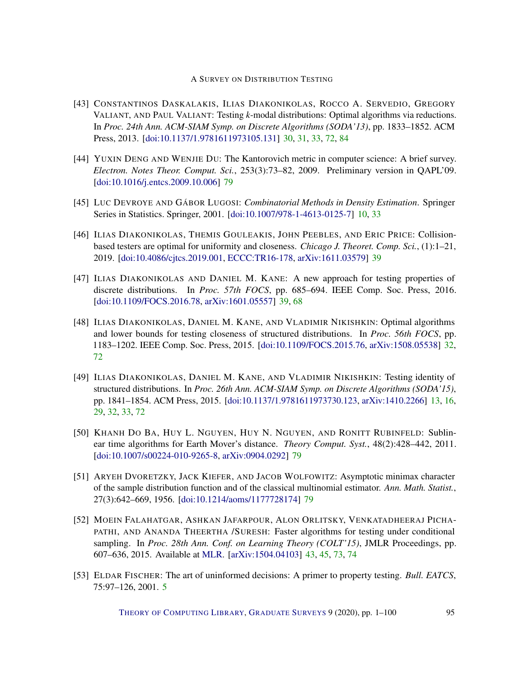- <span id="page-94-4"></span>[43] CONSTANTINOS DASKALAKIS, ILIAS DIAKONIKOLAS, ROCCO A. SERVEDIO, GREGORY VALIANT, AND PAUL VALIANT: Testing *k*-modal distributions: Optimal algorithms via reductions. In *Proc. 24th Ann. ACM-SIAM Symp. on Discrete Algorithms (SODA'13)*, pp. 1833–1852. ACM Press, 2013. [\[doi:10.1137/1.9781611973105.131\]](http://dx.doi.org/10.1137/1.9781611973105.131) [30,](#page-29-0) [31,](#page-30-0) [33,](#page-32-0) [72,](#page-71-0) [84](#page-83-1)
- <span id="page-94-2"></span>[44] YUXIN DENG AND WENJIE DU: The Kantorovich metric in computer science: A brief survey. *Electron. Notes Theor. Comput. Sci.*, 253(3):73–82, 2009. Preliminary version in QAPL'09. [\[doi:10.1016/j.entcs.2009.10.006\]](http://dx.doi.org/10.1016/j.entcs.2009.10.006) [79](#page-78-1)
- [45] LUC DEVROYE AND GÁBOR LUGOSI: *Combinatorial Methods in Density Estimation*. Springer Series in Statistics. Springer, 2001. [\[doi:10.1007/978-1-4613-0125-7\]](http://dx.doi.org/10.1007/978-1-4613-0125-7) [10,](#page-9-0) [33](#page-32-0)
- [46] ILIAS DIAKONIKOLAS, THEMIS GOULEAKIS, JOHN PEEBLES, AND ERIC PRICE: Collisionbased testers are optimal for uniformity and closeness. *Chicago J. Theoret. Comp. Sci.*, (1):1–21, 2019. [\[doi:10.4086/cjtcs.2019.001,](http://dx.doi.org/10.4086/cjtcs.2019.001) [ECCC:TR16-178,](https://eccc.weizmann.ac.il/report/2016/178) [arXiv:1611.03579\]](http://arxiv.org/abs/1611.03579) [39](#page-38-0)
- [47] ILIAS DIAKONIKOLAS AND DANIEL M. KANE: A new approach for testing properties of discrete distributions. In *Proc. 57th FOCS*, pp. 685–694. IEEE Comp. Soc. Press, 2016. [\[doi:10.1109/FOCS.2016.78,](http://dx.doi.org/10.1109/FOCS.2016.78) [arXiv:1601.05557\]](http://arxiv.org/abs/1601.05557) [39,](#page-38-0) [68](#page-67-0)
- [48] ILIAS DIAKONIKOLAS, DANIEL M. KANE, AND VLADIMIR NIKISHKIN: Optimal algorithms and lower bounds for testing closeness of structured distributions. In *Proc. 56th FOCS*, pp. 1183–1202. IEEE Comp. Soc. Press, 2015. [\[doi:10.1109/FOCS.2015.76,](http://dx.doi.org/10.1109/FOCS.2015.76) [arXiv:1508.05538\]](http://arxiv.org/abs/1508.05538) [32,](#page-31-0) [72](#page-71-0)
- [49] ILIAS DIAKONIKOLAS, DANIEL M. KANE, AND VLADIMIR NIKISHKIN: Testing identity of structured distributions. In *Proc. 26th Ann. ACM-SIAM Symp. on Discrete Algorithms (SODA'15)*, pp. 1841–1854. ACM Press, 2015. [\[doi:10.1137/1.9781611973730.123,](http://dx.doi.org/10.1137/1.9781611973730.123) [arXiv:1410.2266\]](http://arxiv.org/abs/1410.2266) [13,](#page-12-0) [16,](#page-15-0) [29,](#page-28-0) [32,](#page-31-0) [33,](#page-32-0) [72](#page-71-0)
- <span id="page-94-1"></span>[50] KHANH DO BA, HUY L. NGUYEN, HUY N. NGUYEN, AND RONITT RUBINFELD: Sublinear time algorithms for Earth Mover's distance. *Theory Comput. Syst.*, 48(2):428–442, 2011. [\[doi:10.1007/s00224-010-9265-8,](http://dx.doi.org/10.1007/s00224-010-9265-8) [arXiv:0904.0292\]](http://arxiv.org/abs/0904.0292) [79](#page-78-1)
- <span id="page-94-3"></span>[51] ARYEH DVORETZKY, JACK KIEFER, AND JACOB WOLFOWITZ: Asymptotic minimax character of the sample distribution function and of the classical multinomial estimator. *Ann. Math. Statist.*, 27(3):642–669, 1956. [\[doi:10.1214/aoms/1177728174\]](http://dx.doi.org/10.1214/aoms/1177728174) [79](#page-78-1)
- <span id="page-94-0"></span>[52] MOEIN FALAHATGAR, ASHKAN JAFARPOUR, ALON ORLITSKY, VENKATADHEERAJ PICHA-PATHI, AND ANANDA THEERTHA /SURESH: Faster algorithms for testing under conditional sampling. In *Proc. 28th Ann. Conf. on Learning Theory (COLT'15)*, JMLR Proceedings, pp. 607–636, 2015. Available at [MLR.](http://proceedings.mlr.press/v40/Falahatgar15.html) [\[arXiv:1504.04103\]](http://arxiv.org/abs/1504.04103) [43,](#page-42-0) [45,](#page-44-0) [73,](#page-72-0) [74](#page-73-0)
- [53] ELDAR FISCHER: The art of uninformed decisions: A primer to property testing. *Bull. EATCS*, 75:97–126, 2001. [5](#page-4-0)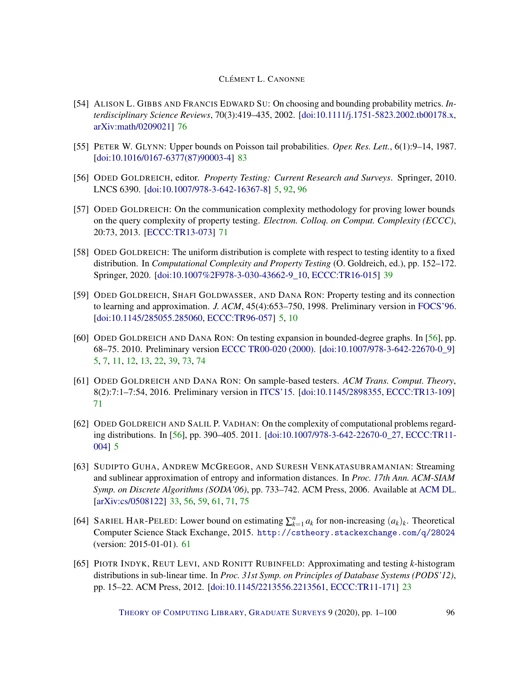- <span id="page-95-5"></span><span id="page-95-2"></span>[54] ALISON L. GIBBS AND FRANCIS EDWARD SU: On choosing and bounding probability metrics. *Interdisciplinary Science Reviews*, 70(3):419–435, 2002. [\[doi:10.1111/j.1751-5823.2002.tb00178.x,](http://dx.doi.org/10.1111/j.1751-5823.2002.tb00178.x) [arXiv:math/0209021\]](http://arxiv.org/abs/math/0209021) [76](#page-75-0)
- <span id="page-95-3"></span>[55] PETER W. GLYNN: Upper bounds on Poisson tail probabilities. *Oper. Res. Lett.*, 6(1):9–14, 1987. [\[doi:10.1016/0167-6377\(87\)90003-4\]](http://dx.doi.org/10.1016/0167-6377(87)90003-4) [83](#page-82-0)
- <span id="page-95-4"></span>[56] ODED GOLDREICH, editor. *Property Testing: Current Research and Surveys*. Springer, 2010. LNCS 6390. [\[doi:10.1007/978-3-642-16367-8\]](http://dx.doi.org/10.1007/978-3-642-16367-8) [5,](#page-4-0) [92,](#page-91-7) [96](#page-95-5)
- [57] ODED GOLDREICH: On the communication complexity methodology for proving lower bounds on the query complexity of property testing. *Electron. Colloq. on Comput. Complexity (ECCC)*, 20:73, 2013. [\[ECCC:TR13-073\]](https://eccc.weizmann.ac.il/report/2013/073) [71](#page-70-0)
- [58] ODED GOLDREICH: The uniform distribution is complete with respect to testing identity to a fixed distribution. In *Computational Complexity and Property Testing* (O. Goldreich, ed.), pp. 152–172. Springer, 2020. [\[doi:10.1007%2F978-3-030-43662-9\\_10,](http://dx.doi.org/10.1007%2F978-3-030-43662-9_10) [ECCC:TR16-015\]](https://eccc.weizmann.ac.il/report/2016/015) [39](#page-38-0)
- [59] ODED GOLDREICH, SHAFI GOLDWASSER, AND DANA RON: Property testing and its connection to learning and approximation. *J. ACM*, 45(4):653–750, 1998. Preliminary version in [FOCS'96.](http://doi.org/10.1109/SFCS.1996.548493) [\[doi:10.1145/285055.285060,](http://dx.doi.org/10.1145/285055.285060) [ECCC:TR96-057\]](https://eccc.weizmann.ac.il/report/1996/057) [5,](#page-4-0) [10](#page-9-0)
- <span id="page-95-0"></span>[60] ODED GOLDREICH AND DANA RON: On testing expansion in bounded-degree graphs. In [\[56\]](#page-95-4), pp. 68–75. 2010. Preliminary version [ECCC TR00-020 \(2000\).](http://eccc.hpi-web.de/report/2000/020/) [\[doi:10.1007/978-3-642-22670-0\\_9\]](http://dx.doi.org/10.1007/978-3-642-22670-0_9) [5,](#page-4-0) [7,](#page-6-0) [11,](#page-10-1) [12,](#page-11-0) [13,](#page-12-0) [22,](#page-21-0) [39,](#page-38-0) [73,](#page-72-0) [74](#page-73-0)
- [61] ODED GOLDREICH AND DANA RON: On sample-based testers. *ACM Trans. Comput. Theory*, 8(2):7:1–7:54, 2016. Preliminary version in [ITCS'15.](http://doi.acm.org/10.1145/2688073.2688080) [\[doi:10.1145/2898355,](http://dx.doi.org/10.1145/2898355) [ECCC:TR13-109\]](https://eccc.weizmann.ac.il/report/2013/109) [71](#page-70-0)
- [62] ODED GOLDREICH AND SALIL P. VADHAN: On the complexity of computational problems regarding distributions. In [\[56\]](#page-95-4), pp. 390–405. 2011. [\[doi:10.1007/978-3-642-22670-0\\_27,](http://dx.doi.org/10.1007/978-3-642-22670-0_27) [ECCC:TR11-](https://eccc.weizmann.ac.il/report/2011/004) [004\]](https://eccc.weizmann.ac.il/report/2011/004) [5](#page-4-0)
- <span id="page-95-1"></span>[63] SUDIPTO GUHA, ANDREW MCGREGOR, AND SURESH VENKATASUBRAMANIAN: Streaming and sublinear approximation of entropy and information distances. In *Proc. 17th Ann. ACM-SIAM Symp. on Discrete Algorithms (SODA'06)*, pp. 733–742. ACM Press, 2006. Available at [ACM DL.](http://dl.acm.org/citation.cfm?id=1109557.1109637) [\[arXiv:cs/0508122\]](http://arxiv.org/abs/cs/0508122) [33,](#page-32-0) [56,](#page-55-0) [59,](#page-58-0) [61,](#page-60-0) [71,](#page-70-0) [75](#page-74-3)
- [64] SARIEL HAR-PELED: Lower bound on estimating  $\sum_{k=1}^{n} a_k$  for non-increasing  $(a_k)_k$ . Theoretical Computer Science Stack Exchange, 2015. <http://cstheory.stackexchange.com/q/28024> (version: 2015-01-01). [61](#page-60-0)
- [65] PIOTR INDYK, REUT LEVI, AND RONITT RUBINFELD: Approximating and testing *k*-histogram distributions in sub-linear time. In *Proc. 31st Symp. on Principles of Database Systems (PODS'12)*, pp. 15–22. ACM Press, 2012. [\[doi:10.1145/2213556.2213561,](http://dx.doi.org/10.1145/2213556.2213561) [ECCC:TR11-171\]](https://eccc.weizmann.ac.il/report/2011/171) [23](#page-22-0)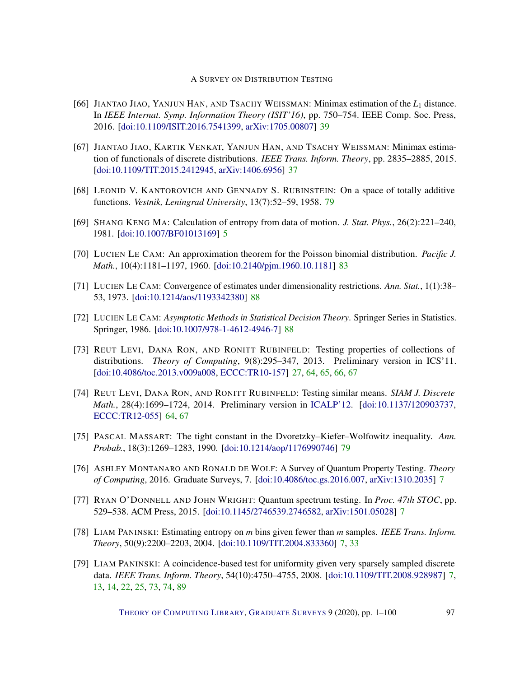- [66] JIANTAO JIAO, YANJUN HAN, AND TSACHY WEISSMAN: Minimax estimation of the *L*<sup>1</sup> distance. In *IEEE Internat. Symp. Information Theory (ISIT'16)*, pp. 750–754. IEEE Comp. Soc. Press, 2016. [\[doi:10.1109/ISIT.2016.7541399,](http://dx.doi.org/10.1109/ISIT.2016.7541399) [arXiv:1705.00807\]](http://arxiv.org/abs/1705.00807) [39](#page-38-0)
- [67] JIANTAO JIAO, KARTIK VENKAT, YANJUN HAN, AND TSACHY WEISSMAN: Minimax estimation of functionals of discrete distributions. *IEEE Trans. Inform. Theory*, pp. 2835–2885, 2015. [\[doi:10.1109/TIT.2015.2412945,](http://dx.doi.org/10.1109/TIT.2015.2412945) [arXiv:1406.6956\]](http://arxiv.org/abs/1406.6956) [37](#page-36-0)
- <span id="page-96-1"></span>[68] LEONID V. KANTOROVICH AND GENNADY S. RUBINSTEIN: On a space of totally additive functions. *Vestnik, Leningrad University*, 13(7):52–59, 1958. [79](#page-78-1)
- [69] SHANG KENG MA: Calculation of entropy from data of motion. *J. Stat. Phys.*, 26(2):221–240, 1981. [\[doi:10.1007/BF01013169\]](http://dx.doi.org/10.1007/BF01013169) [5](#page-4-0)
- <span id="page-96-3"></span>[70] LUCIEN LE CAM: An approximation theorem for the Poisson binomial distribution. *Pacific J. Math.*, 10(4):1181–1197, 1960. [\[doi:10.2140/pjm.1960.10.1181\]](http://dx.doi.org/10.2140/pjm.1960.10.1181) [83](#page-82-0)
- <span id="page-96-4"></span>[71] LUCIEN LE CAM: Convergence of estimates under dimensionality restrictions. *Ann. Stat.*, 1(1):38– 53, 1973. [\[doi:10.1214/aos/1193342380\]](http://dx.doi.org/10.1214/aos/1193342380) [88](#page-87-3)
- <span id="page-96-5"></span>[72] LUCIEN LE CAM: *Asymptotic Methods in Statistical Decision Theory*. Springer Series in Statistics. Springer, 1986. [\[doi:10.1007/978-1-4612-4946-7\]](http://dx.doi.org/10.1007/978-1-4612-4946-7) [88](#page-87-3)
- [73] REUT LEVI, DANA RON, AND RONITT RUBINFELD: Testing properties of collections of distributions. *Theory of Computing*, 9(8):295–347, 2013. Preliminary version in ICS'11. [\[doi:10.4086/toc.2013.v009a008,](http://dx.doi.org/10.4086/toc.2013.v009a008) [ECCC:TR10-157\]](https://eccc.weizmann.ac.il/report/2010/157) [27,](#page-26-0) [64,](#page-63-0) [65,](#page-64-0) [66,](#page-65-0) [67](#page-66-0)
- [74] REUT LEVI, DANA RON, AND RONITT RUBINFELD: Testing similar means. *SIAM J. Discrete Math.*, 28(4):1699–1724, 2014. Preliminary version in [ICALP'12.](http://doi.org/10.1007/978-3-642-31594-7_53) [\[doi:10.1137/120903737,](http://dx.doi.org/10.1137/120903737) [ECCC:TR12-055\]](https://eccc.weizmann.ac.il/report/2012/055) [64,](#page-63-0) [67](#page-66-0)
- <span id="page-96-2"></span>[75] PASCAL MASSART: The tight constant in the Dvoretzky–Kiefer–Wolfowitz inequality. *Ann. Probab.*, 18(3):1269–1283, 1990. [\[doi:10.1214/aop/1176990746\]](http://dx.doi.org/10.1214/aop/1176990746) [79](#page-78-1)
- [76] ASHLEY MONTANARO AND RONALD DE WOLF: A Survey of Quantum Property Testing. *Theory of Computing*, 2016. Graduate Surveys, 7. [\[doi:10.4086/toc.gs.2016.007,](http://dx.doi.org/10.4086/toc.gs.2016.007) [arXiv:1310.2035\]](http://arxiv.org/abs/1310.2035) [7](#page-6-0)
- [77] RYAN O'DONNELL AND JOHN WRIGHT: Quantum spectrum testing. In *Proc. 47th STOC*, pp. 529–538. ACM Press, 2015. [\[doi:10.1145/2746539.2746582,](http://dx.doi.org/10.1145/2746539.2746582) [arXiv:1501.05028\]](http://arxiv.org/abs/1501.05028) [7](#page-6-0)
- [78] LIAM PANINSKI: Estimating entropy on *m* bins given fewer than *m* samples. *IEEE Trans. Inform. Theory*, 50(9):2200–2203, 2004. [\[doi:10.1109/TIT.2004.833360\]](http://dx.doi.org/10.1109/TIT.2004.833360) [7,](#page-6-0) [33](#page-32-0)
- <span id="page-96-0"></span>[79] LIAM PANINSKI: A coincidence-based test for uniformity given very sparsely sampled discrete data. *IEEE Trans. Inform. Theory*, 54(10):4750–4755, 2008. [\[doi:10.1109/TIT.2008.928987\]](http://dx.doi.org/10.1109/TIT.2008.928987) [7,](#page-6-0) [13,](#page-12-0) [14,](#page-13-0) [22,](#page-21-0) [25,](#page-24-0) [73,](#page-72-0) [74,](#page-73-0) [89](#page-88-2)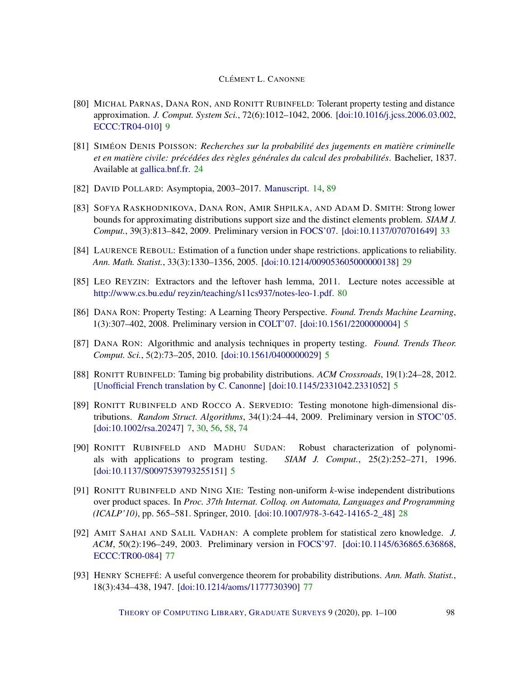- [80] MICHAL PARNAS, DANA RON, AND RONITT RUBINFELD: Tolerant property testing and distance approximation. *J. Comput. System Sci.*, 72(6):1012–1042, 2006. [\[doi:10.1016/j.jcss.2006.03.002,](http://dx.doi.org/10.1016/j.jcss.2006.03.002) [ECCC:TR04-010\]](https://eccc.weizmann.ac.il/report/2004/010) [9](#page-8-0)
- [81] SIMÉON DENIS POISSON: *Recherches sur la probabilité des jugements en matière criminelle et en matière civile: précédées des règles générales du calcul des probabilités*. Bachelier, 1837. Available at [gallica.bnf.fr.](http://gallica.bnf.fr/ark:/12148/bpt6k110193z/f3.image) [24](#page-23-0)
- <span id="page-97-4"></span>[82] DAVID POLLARD: Asymptopia, 2003–2017. [Manuscript.](http://stat.yale.edu/~pollard/Books/Mini/) [14,](#page-13-0) [89](#page-88-2)
- [83] SOFYA RASKHODNIKOVA, DANA RON, AMIR SHPILKA, AND ADAM D. SMITH: Strong lower bounds for approximating distributions support size and the distinct elements problem. *SIAM J. Comput.*, 39(3):813–842, 2009. Preliminary version in [FOCS'07.](http://doi.org/10.1109/FOCS.2007.47) [\[doi:10.1137/070701649\]](http://dx.doi.org/10.1137/070701649) [33](#page-32-0)
- [84] LAURENCE REBOUL: Estimation of a function under shape restrictions. applications to reliability. *Ann. Math. Statist.*, 33(3):1330–1356, 2005. [\[doi:10.1214/009053605000000138\]](http://dx.doi.org/10.1214/009053605000000138) [29](#page-28-0)
- <span id="page-97-3"></span>[85] LEO REYZIN: Extractors and the leftover hash lemma, 2011. Lecture notes accessible at [http://www.cs.bu.edu/ reyzin/teaching/s11cs937/notes-leo-1.pdf.](http://www.cs.bu.edu/~reyzin/teaching/s11cs937/notes-leo-1.pdf) [80](#page-79-2)
- [86] DANA RON: Property Testing: A Learning Theory Perspective. *Found. Trends Machine Learning*, 1(3):307–402, 2008. Preliminary version in [COLT'07.](http://doi.org/10.1007/978-3-540-72927-3_1) [\[doi:10.1561/2200000004\]](http://dx.doi.org/10.1561/2200000004) [5](#page-4-0)
- [87] DANA RON: Algorithmic and analysis techniques in property testing. *Found. Trends Theor. Comput. Sci.*, 5(2):73–205, 2010. [\[doi:10.1561/0400000029\]](http://dx.doi.org/10.1561/0400000029) [5](#page-4-0)
- [88] RONITT RUBINFELD: Taming big probability distributions. *ACM Crossroads*, 19(1):24–28, 2012. [\[Unofficial French translation by C. Canonne\]](http://www.cs.columbia.edu/~ccanonne/files/misc/tamingbigdistr-fr.pdf) [\[doi:10.1145/2331042.2331052\]](http://dx.doi.org/10.1145/2331042.2331052) [5](#page-4-0)
- <span id="page-97-0"></span>[89] RONITT RUBINFELD AND ROCCO A. SERVEDIO: Testing monotone high-dimensional distributions. *Random Struct. Algorithms*, 34(1):24–44, 2009. Preliminary version in [STOC'05.](http://doi.acm.org/10.1145/1060590.1060613) [\[doi:10.1002/rsa.20247\]](http://dx.doi.org/10.1002/rsa.20247) [7,](#page-6-0) [30,](#page-29-0) [56,](#page-55-0) [58,](#page-57-0) [74](#page-73-0)
- [90] RONITT RUBINFELD AND MADHU SUDAN: Robust characterization of polynomials with applications to program testing. *SIAM J. Comput.*, 25(2):252–271, 1996. [\[doi:10.1137/S0097539793255151\]](http://dx.doi.org/10.1137/S0097539793255151) [5](#page-4-0)
- [91] RONITT RUBINFELD AND NING XIE: Testing non-uniform *k*-wise independent distributions over product spaces. In *Proc. 37th Internat. Colloq. on Automata, Languages and Programming (ICALP'10)*, pp. 565–581. Springer, 2010. [\[doi:10.1007/978-3-642-14165-2\\_48\]](http://dx.doi.org/10.1007/978-3-642-14165-2_48) [28](#page-27-0)
- <span id="page-97-2"></span>[92] AMIT SAHAI AND SALIL VADHAN: A complete problem for statistical zero knowledge. *J. ACM*, 50(2):196–249, 2003. Preliminary version in [FOCS'97.](http://doi.org/10.1109/SFCS.1997.646133) [\[doi:10.1145/636865.636868,](http://dx.doi.org/10.1145/636865.636868) [ECCC:TR00-084\]](https://eccc.weizmann.ac.il/report/2000/084) [77](#page-76-3)
- <span id="page-97-1"></span>[93] HENRY SCHEFFÉ: A useful convergence theorem for probability distributions. *Ann. Math. Statist.*, 18(3):434–438, 1947. [\[doi:10.1214/aoms/1177730390\]](http://dx.doi.org/10.1214/aoms/1177730390) [77](#page-76-3)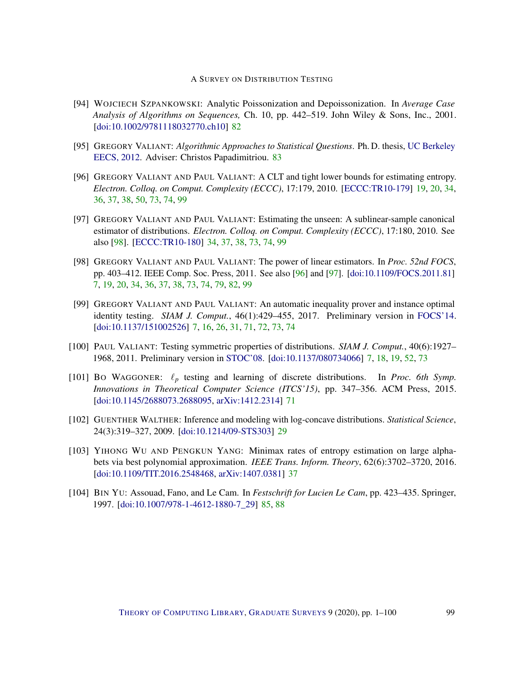- <span id="page-98-8"></span><span id="page-98-5"></span>[94] WOJCIECH SZPANKOWSKI: Analytic Poissonization and Depoissonization. In *Average Case Analysis of Algorithms on Sequences,* Ch. 10, pp. 442–519. John Wiley & Sons, Inc., 2001. [\[doi:10.1002/9781118032770.ch10\]](http://dx.doi.org/10.1002/9781118032770.ch10) [82](#page-81-0)
- <span id="page-98-6"></span>[95] GREGORY VALIANT: *Algorithmic Approaches to Statistical Questions*. Ph. D. thesis, [UC Berkeley](https://www2.eecs.berkeley.edu/Pubs/TechRpts/2012/EECS-2012-198.pdf) [EECS, 2012.](https://www2.eecs.berkeley.edu/Pubs/TechRpts/2012/EECS-2012-198.pdf) Adviser: Christos Papadimitriou. [83](#page-82-0)
- <span id="page-98-4"></span>[96] GREGORY VALIANT AND PAUL VALIANT: A CLT and tight lower bounds for estimating entropy. *Electron. Colloq. on Comput. Complexity (ECCC)*, 17:179, 2010. [\[ECCC:TR10-179\]](https://eccc.weizmann.ac.il/report/2010/179) [19,](#page-18-0) [20,](#page-19-0) [34,](#page-33-0) [36,](#page-35-0) [37,](#page-36-0) [38,](#page-37-0) [50,](#page-49-0) [73,](#page-72-0) [74,](#page-73-0) [99](#page-98-8)
- <span id="page-98-3"></span>[97] GREGORY VALIANT AND PAUL VALIANT: Estimating the unseen: A sublinear-sample canonical estimator of distributions. *Electron. Colloq. on Comput. Complexity (ECCC)*, 17:180, 2010. See also [\[98\]](#page-98-2). [\[ECCC:TR10-180\]](https://eccc.weizmann.ac.il/report/2010/180) [34,](#page-33-0) [37,](#page-36-0) [38,](#page-37-0) [73,](#page-72-0) [74,](#page-73-0) [99](#page-98-8)
- <span id="page-98-2"></span>[98] GREGORY VALIANT AND PAUL VALIANT: The power of linear estimators. In *Proc. 52nd FOCS*, pp. 403–412. IEEE Comp. Soc. Press, 2011. See also [\[96\]](#page-98-4) and [\[97\]](#page-98-3). [\[doi:10.1109/FOCS.2011.81\]](http://dx.doi.org/10.1109/FOCS.2011.81) [7,](#page-6-0) [19,](#page-18-0) [20,](#page-19-0) [34,](#page-33-0) [36,](#page-35-0) [37,](#page-36-0) [38,](#page-37-0) [73,](#page-72-0) [74,](#page-73-0) [79,](#page-78-1) [82,](#page-81-0) [99](#page-98-8)
- <span id="page-98-0"></span>[99] GREGORY VALIANT AND PAUL VALIANT: An automatic inequality prover and instance optimal identity testing. *SIAM J. Comput.*, 46(1):429–455, 2017. Preliminary version in [FOCS'14.](http://doi.org/10.1109/FOCS.2014.14) [\[doi:10.1137/151002526\]](http://dx.doi.org/10.1137/151002526) [7,](#page-6-0) [16,](#page-15-0) [26,](#page-25-0) [31,](#page-30-0) [71,](#page-70-0) [72,](#page-71-0) [73,](#page-72-0) [74](#page-73-0)
- <span id="page-98-1"></span>[100] PAUL VALIANT: Testing symmetric properties of distributions. *SIAM J. Comput.*, 40(6):1927– 1968, 2011. Preliminary version in [STOC'08.](http://doi.acm.org/10.1145/1374376.1374432) [\[doi:10.1137/080734066\]](http://dx.doi.org/10.1137/080734066) [7,](#page-6-0) [18,](#page-17-0) [19,](#page-18-0) [52,](#page-51-0) [73](#page-72-0)
- [101] BO WAGGONER:  $\ell_p$  testing and learning of discrete distributions. In *Proc. 6th Symp. Innovations in Theoretical Computer Science (ITCS'15)*, pp. 347–356. ACM Press, 2015. [\[doi:10.1145/2688073.2688095,](http://dx.doi.org/10.1145/2688073.2688095) [arXiv:1412.2314\]](http://arxiv.org/abs/1412.2314) [71](#page-70-0)
- [102] GUENTHER WALTHER: Inference and modeling with log-concave distributions. *Statistical Science*, 24(3):319–327, 2009. [\[doi:10.1214/09-STS303\]](http://dx.doi.org/10.1214/09-STS303) [29](#page-28-0)
- [103] YIHONG WU AND PENGKUN YANG: Minimax rates of entropy estimation on large alphabets via best polynomial approximation. *IEEE Trans. Inform. Theory*, 62(6):3702–3720, 2016. [\[doi:10.1109/TIT.2016.2548468,](http://dx.doi.org/10.1109/TIT.2016.2548468) [arXiv:1407.0381\]](http://arxiv.org/abs/1407.0381) [37](#page-36-0)
- <span id="page-98-7"></span>[104] BIN YU: Assouad, Fano, and Le Cam. In *Festschrift for Lucien Le Cam*, pp. 423–435. Springer, 1997. [\[doi:10.1007/978-1-4612-1880-7\\_29\]](http://dx.doi.org/10.1007/978-1-4612-1880-7_29) [85,](#page-84-0) [88](#page-87-3)